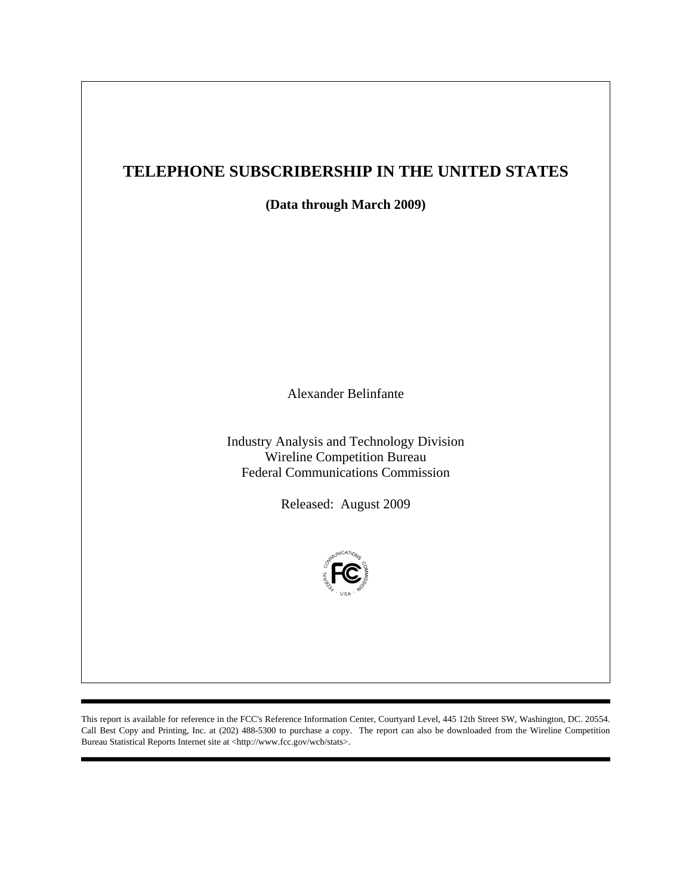## **TELEPHONE SUBSCRIBERSHIP IN THE UNITED STATES**

**(Data through March 2009)** 

Alexander Belinfante

Industry Analysis and Technology Division Wireline Competition Bureau Federal Communications Commission

Released: August 2009



This report is available for reference in the FCC's Reference Information Center, Courtyard Level, 445 12th Street SW, Washington, DC. 20554. Call Best Copy and Printing, Inc. at (202) 488-5300 to purchase a copy. The report can also be downloaded from the Wireline Competition Bureau Statistical Reports Internet site at <http://www.fcc.gov/wcb/stats>.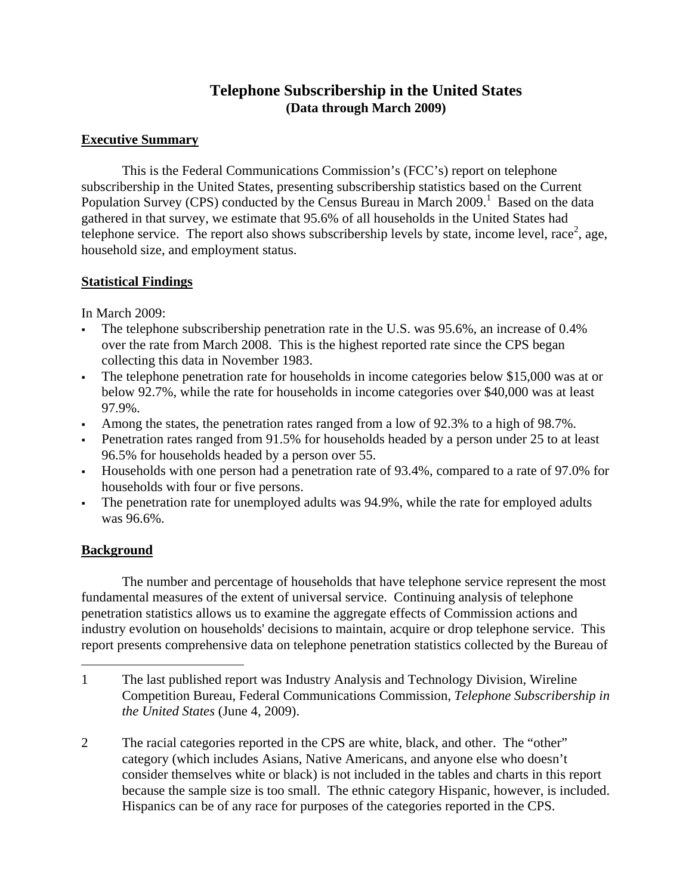## **Telephone Subscribership in the United States (Data through March 2009)**

## **Executive Summary**

This is the Federal Communications Commission's (FCC's) report on telephone subscribership in the United States, presenting subscribership statistics based on the Current Population Survey (CPS) conducted by the Census Bureau in March 2009.<sup>1</sup> Based on the data gathered in that survey, we estimate that 95.6% of all households in the United States had telephone service. The report also shows subscribership levels by state, income level, race<sup>2</sup>, age, household size, and employment status.

## **Statistical Findings**

In March 2009:

- The telephone subscribership penetration rate in the U.S. was 95.6%, an increase of 0.4% over the rate from March 2008. This is the highest reported rate since the CPS began collecting this data in November 1983.
- The telephone penetration rate for households in income categories below \$15,000 was at or below 92.7%, while the rate for households in income categories over \$40,000 was at least 97.9%.
- Among the states, the penetration rates ranged from a low of 92.3% to a high of 98.7%.
- Penetration rates ranged from 91.5% for households headed by a person under 25 to at least 96.5% for households headed by a person over 55.
- Households with one person had a penetration rate of 93.4%, compared to a rate of 97.0% for households with four or five persons.
- The penetration rate for unemployed adults was 94.9%, while the rate for employed adults was 96.6%.

## **Background**

 $\overline{a}$ 

 The number and percentage of households that have telephone service represent the most fundamental measures of the extent of universal service. Continuing analysis of telephone penetration statistics allows us to examine the aggregate effects of Commission actions and industry evolution on households' decisions to maintain, acquire or drop telephone service. This report presents comprehensive data on telephone penetration statistics collected by the Bureau of

<sup>1</sup> The last published report was Industry Analysis and Technology Division, Wireline Competition Bureau, Federal Communications Commission, *Telephone Subscribership in the United States* (June 4, 2009).

<sup>2</sup> The racial categories reported in the CPS are white, black, and other. The "other" category (which includes Asians, Native Americans, and anyone else who doesn't consider themselves white or black) is not included in the tables and charts in this report because the sample size is too small. The ethnic category Hispanic, however, is included. Hispanics can be of any race for purposes of the categories reported in the CPS.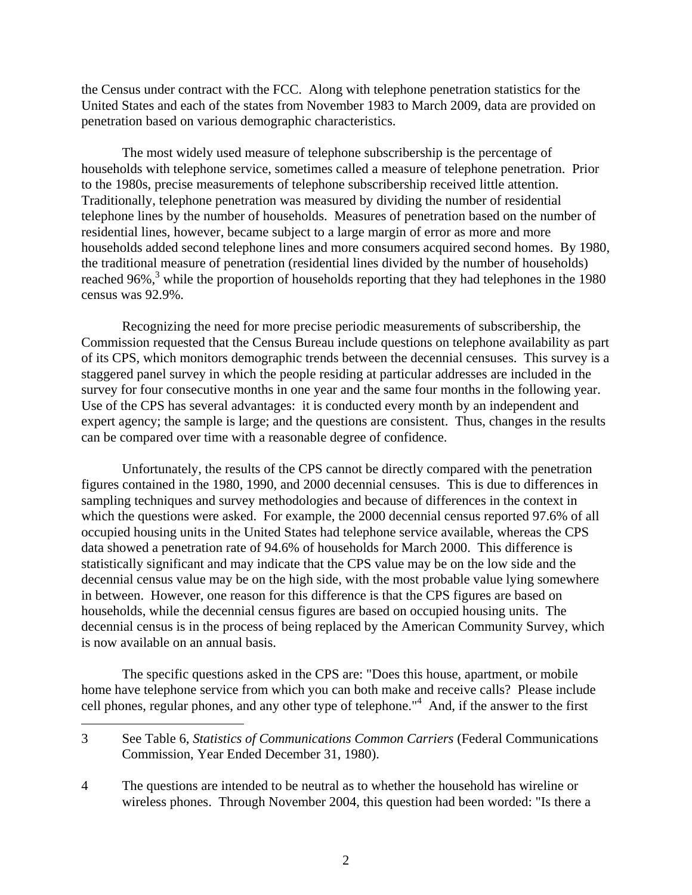the Census under contract with the FCC. Along with telephone penetration statistics for the United States and each of the states from November 1983 to March 2009, data are provided on penetration based on various demographic characteristics.

 The most widely used measure of telephone subscribership is the percentage of households with telephone service, sometimes called a measure of telephone penetration. Prior to the 1980s, precise measurements of telephone subscribership received little attention. Traditionally, telephone penetration was measured by dividing the number of residential telephone lines by the number of households. Measures of penetration based on the number of residential lines, however, became subject to a large margin of error as more and more households added second telephone lines and more consumers acquired second homes. By 1980, the traditional measure of penetration (residential lines divided by the number of households) reached 96%,<sup>3</sup> while the proportion of households reporting that they had telephones in the 1980 census was 92.9%.

 Recognizing the need for more precise periodic measurements of subscribership, the Commission requested that the Census Bureau include questions on telephone availability as part of its CPS, which monitors demographic trends between the decennial censuses. This survey is a staggered panel survey in which the people residing at particular addresses are included in the survey for four consecutive months in one year and the same four months in the following year. Use of the CPS has several advantages: it is conducted every month by an independent and expert agency; the sample is large; and the questions are consistent. Thus, changes in the results can be compared over time with a reasonable degree of confidence.

 Unfortunately, the results of the CPS cannot be directly compared with the penetration figures contained in the 1980, 1990, and 2000 decennial censuses. This is due to differences in sampling techniques and survey methodologies and because of differences in the context in which the questions were asked. For example, the 2000 decennial census reported 97.6% of all occupied housing units in the United States had telephone service available, whereas the CPS data showed a penetration rate of 94.6% of households for March 2000. This difference is statistically significant and may indicate that the CPS value may be on the low side and the decennial census value may be on the high side, with the most probable value lying somewhere in between. However, one reason for this difference is that the CPS figures are based on households, while the decennial census figures are based on occupied housing units. The decennial census is in the process of being replaced by the American Community Survey, which is now available on an annual basis.

 The specific questions asked in the CPS are: "Does this house, apartment, or mobile home have telephone service from which you can both make and receive calls? Please include cell phones, regular phones, and any other type of telephone."4 And, if the answer to the first

 $\overline{a}$ 

<sup>3</sup> See Table 6, *Statistics of Communications Common Carriers* (Federal Communications Commission, Year Ended December 31, 1980).

<sup>4</sup> The questions are intended to be neutral as to whether the household has wireline or wireless phones. Through November 2004, this question had been worded: "Is there a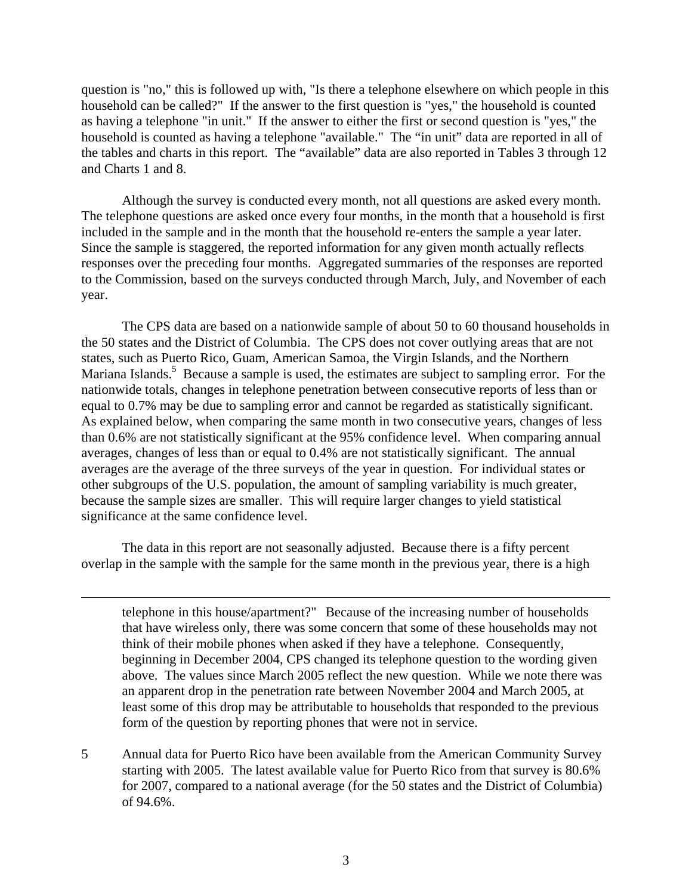question is "no," this is followed up with, "Is there a telephone elsewhere on which people in this household can be called?" If the answer to the first question is "yes," the household is counted as having a telephone "in unit." If the answer to either the first or second question is "yes," the household is counted as having a telephone "available." The "in unit" data are reported in all of the tables and charts in this report. The "available" data are also reported in Tables 3 through 12 and Charts 1 and 8.

 Although the survey is conducted every month, not all questions are asked every month. The telephone questions are asked once every four months, in the month that a household is first included in the sample and in the month that the household re-enters the sample a year later. Since the sample is staggered, the reported information for any given month actually reflects responses over the preceding four months. Aggregated summaries of the responses are reported to the Commission, based on the surveys conducted through March, July, and November of each year.

 The CPS data are based on a nationwide sample of about 50 to 60 thousand households in the 50 states and the District of Columbia. The CPS does not cover outlying areas that are not states, such as Puerto Rico, Guam, American Samoa, the Virgin Islands, and the Northern Mariana Islands.<sup>5</sup> Because a sample is used, the estimates are subject to sampling error. For the nationwide totals, changes in telephone penetration between consecutive reports of less than or equal to 0.7% may be due to sampling error and cannot be regarded as statistically significant. As explained below, when comparing the same month in two consecutive years, changes of less than 0.6% are not statistically significant at the 95% confidence level. When comparing annual averages, changes of less than or equal to 0.4% are not statistically significant. The annual averages are the average of the three surveys of the year in question. For individual states or other subgroups of the U.S. population, the amount of sampling variability is much greater, because the sample sizes are smaller. This will require larger changes to yield statistical significance at the same confidence level.

 The data in this report are not seasonally adjusted. Because there is a fifty percent overlap in the sample with the sample for the same month in the previous year, there is a high

 $\overline{a}$ 

telephone in this house/apartment?" Because of the increasing number of households that have wireless only, there was some concern that some of these households may not think of their mobile phones when asked if they have a telephone. Consequently, beginning in December 2004, CPS changed its telephone question to the wording given above. The values since March 2005 reflect the new question. While we note there was an apparent drop in the penetration rate between November 2004 and March 2005, at least some of this drop may be attributable to households that responded to the previous form of the question by reporting phones that were not in service.

5 Annual data for Puerto Rico have been available from the American Community Survey starting with 2005. The latest available value for Puerto Rico from that survey is 80.6% for 2007, compared to a national average (for the 50 states and the District of Columbia) of 94.6%.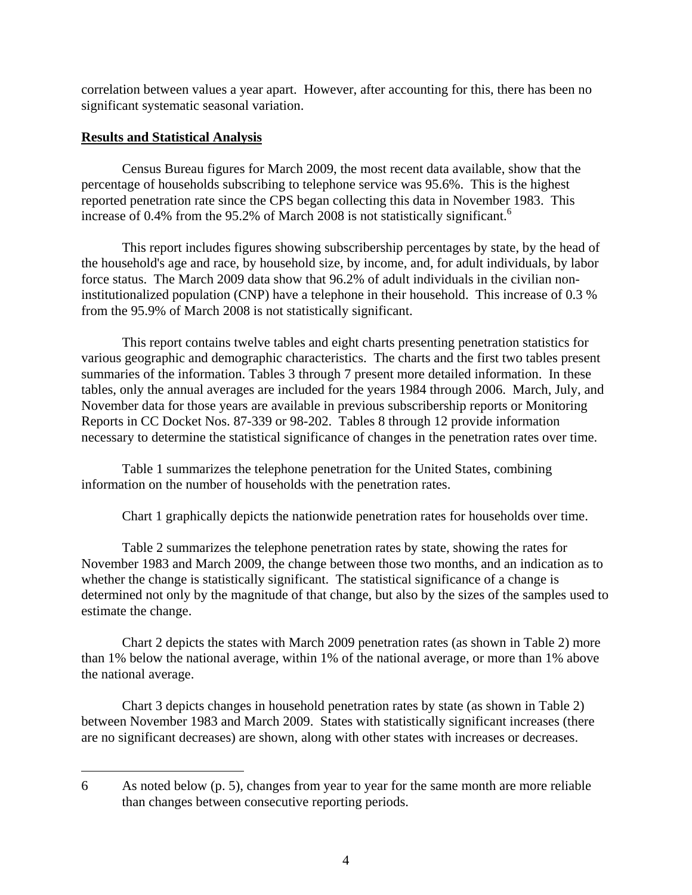correlation between values a year apart. However, after accounting for this, there has been no significant systematic seasonal variation.

### **Results and Statistical Analysis**

 $\overline{a}$ 

 Census Bureau figures for March 2009, the most recent data available, show that the percentage of households subscribing to telephone service was 95.6%. This is the highest reported penetration rate since the CPS began collecting this data in November 1983. This increase of 0.4% from the 95.2% of March 2008 is not statistically significant.<sup>6</sup>

 This report includes figures showing subscribership percentages by state, by the head of the household's age and race, by household size, by income, and, for adult individuals, by labor force status. The March 2009 data show that 96.2% of adult individuals in the civilian noninstitutionalized population (CNP) have a telephone in their household. This increase of 0.3 % from the 95.9% of March 2008 is not statistically significant.

 This report contains twelve tables and eight charts presenting penetration statistics for various geographic and demographic characteristics. The charts and the first two tables present summaries of the information. Tables 3 through 7 present more detailed information. In these tables, only the annual averages are included for the years 1984 through 2006. March, July, and November data for those years are available in previous subscribership reports or Monitoring Reports in CC Docket Nos. 87-339 or 98-202. Tables 8 through 12 provide information necessary to determine the statistical significance of changes in the penetration rates over time.

 Table 1 summarizes the telephone penetration for the United States, combining information on the number of households with the penetration rates.

Chart 1 graphically depicts the nationwide penetration rates for households over time.

 Table 2 summarizes the telephone penetration rates by state, showing the rates for November 1983 and March 2009, the change between those two months, and an indication as to whether the change is statistically significant. The statistical significance of a change is determined not only by the magnitude of that change, but also by the sizes of the samples used to estimate the change.

 Chart 2 depicts the states with March 2009 penetration rates (as shown in Table 2) more than 1% below the national average, within 1% of the national average, or more than 1% above the national average.

 Chart 3 depicts changes in household penetration rates by state (as shown in Table 2) between November 1983 and March 2009. States with statistically significant increases (there are no significant decreases) are shown, along with other states with increases or decreases.

<sup>6</sup> As noted below (p. 5), changes from year to year for the same month are more reliable than changes between consecutive reporting periods.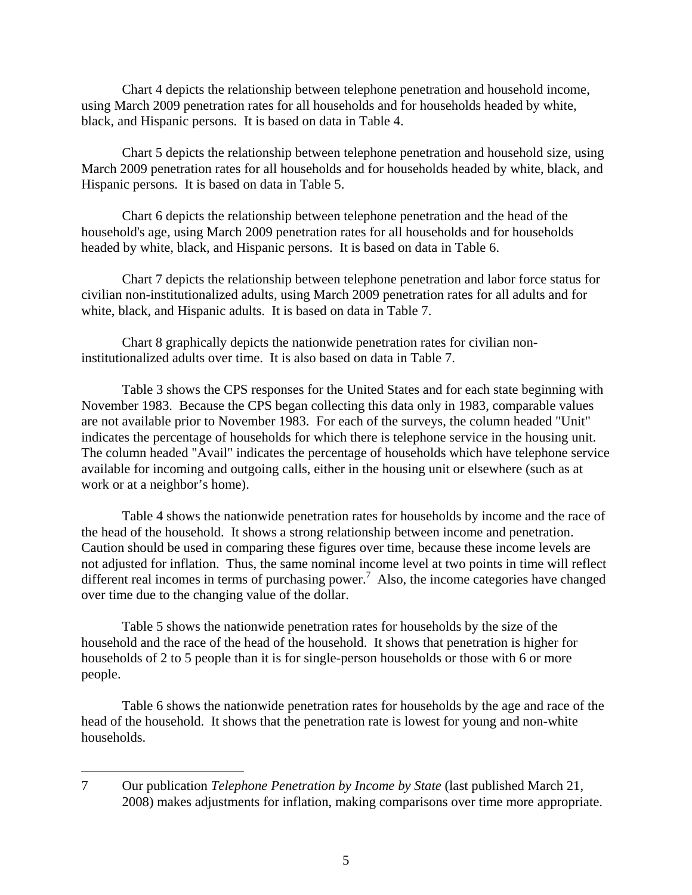Chart 4 depicts the relationship between telephone penetration and household income, using March 2009 penetration rates for all households and for households headed by white, black, and Hispanic persons. It is based on data in Table 4.

 Chart 5 depicts the relationship between telephone penetration and household size, using March 2009 penetration rates for all households and for households headed by white, black, and Hispanic persons. It is based on data in Table 5.

 Chart 6 depicts the relationship between telephone penetration and the head of the household's age, using March 2009 penetration rates for all households and for households headed by white, black, and Hispanic persons. It is based on data in Table 6.

 Chart 7 depicts the relationship between telephone penetration and labor force status for civilian non-institutionalized adults, using March 2009 penetration rates for all adults and for white, black, and Hispanic adults. It is based on data in Table 7.

 Chart 8 graphically depicts the nationwide penetration rates for civilian noninstitutionalized adults over time. It is also based on data in Table 7.

 Table 3 shows the CPS responses for the United States and for each state beginning with November 1983. Because the CPS began collecting this data only in 1983, comparable values are not available prior to November 1983. For each of the surveys, the column headed "Unit" indicates the percentage of households for which there is telephone service in the housing unit. The column headed "Avail" indicates the percentage of households which have telephone service available for incoming and outgoing calls, either in the housing unit or elsewhere (such as at work or at a neighbor's home).

 Table 4 shows the nationwide penetration rates for households by income and the race of the head of the household. It shows a strong relationship between income and penetration. Caution should be used in comparing these figures over time, because these income levels are not adjusted for inflation. Thus, the same nominal income level at two points in time will reflect different real incomes in terms of purchasing power.<sup>7</sup> Also, the income categories have changed over time due to the changing value of the dollar.

 Table 5 shows the nationwide penetration rates for households by the size of the household and the race of the head of the household. It shows that penetration is higher for households of 2 to 5 people than it is for single-person households or those with 6 or more people.

 Table 6 shows the nationwide penetration rates for households by the age and race of the head of the household. It shows that the penetration rate is lowest for young and non-white households.

1

<sup>7</sup> Our publication *Telephone Penetration by Income by State* (last published March 21, 2008) makes adjustments for inflation, making comparisons over time more appropriate.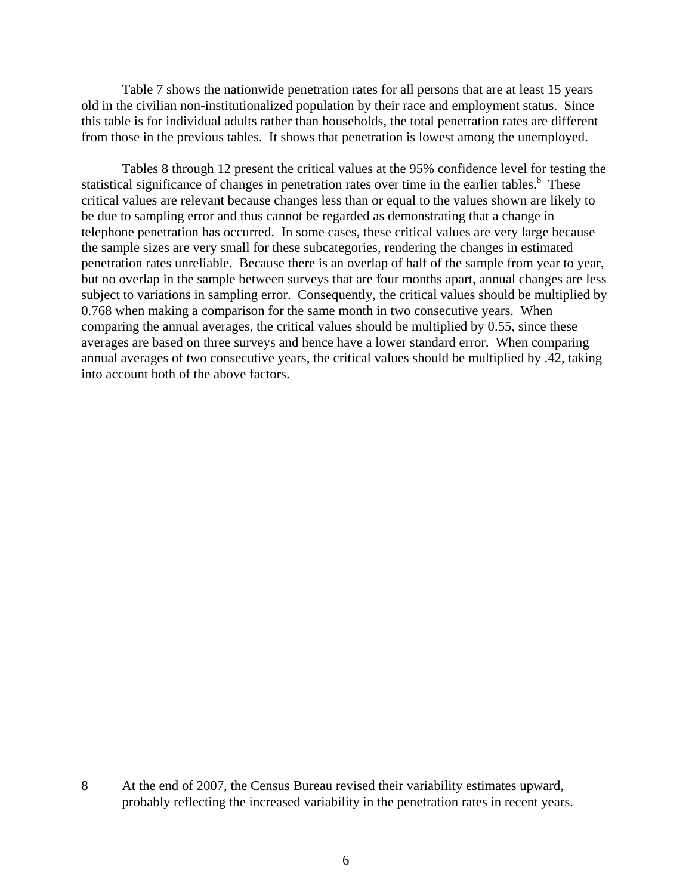Table 7 shows the nationwide penetration rates for all persons that are at least 15 years old in the civilian non-institutionalized population by their race and employment status. Since this table is for individual adults rather than households, the total penetration rates are different from those in the previous tables. It shows that penetration is lowest among the unemployed.

 Tables 8 through 12 present the critical values at the 95% confidence level for testing the statistical significance of changes in penetration rates over time in the earlier tables.<sup>8</sup> These critical values are relevant because changes less than or equal to the values shown are likely to be due to sampling error and thus cannot be regarded as demonstrating that a change in telephone penetration has occurred. In some cases, these critical values are very large because the sample sizes are very small for these subcategories, rendering the changes in estimated penetration rates unreliable. Because there is an overlap of half of the sample from year to year, but no overlap in the sample between surveys that are four months apart, annual changes are less subject to variations in sampling error. Consequently, the critical values should be multiplied by 0.768 when making a comparison for the same month in two consecutive years. When comparing the annual averages, the critical values should be multiplied by 0.55, since these averages are based on three surveys and hence have a lower standard error. When comparing annual averages of two consecutive years, the critical values should be multiplied by .42, taking into account both of the above factors.

1

<sup>8</sup> At the end of 2007, the Census Bureau revised their variability estimates upward, probably reflecting the increased variability in the penetration rates in recent years.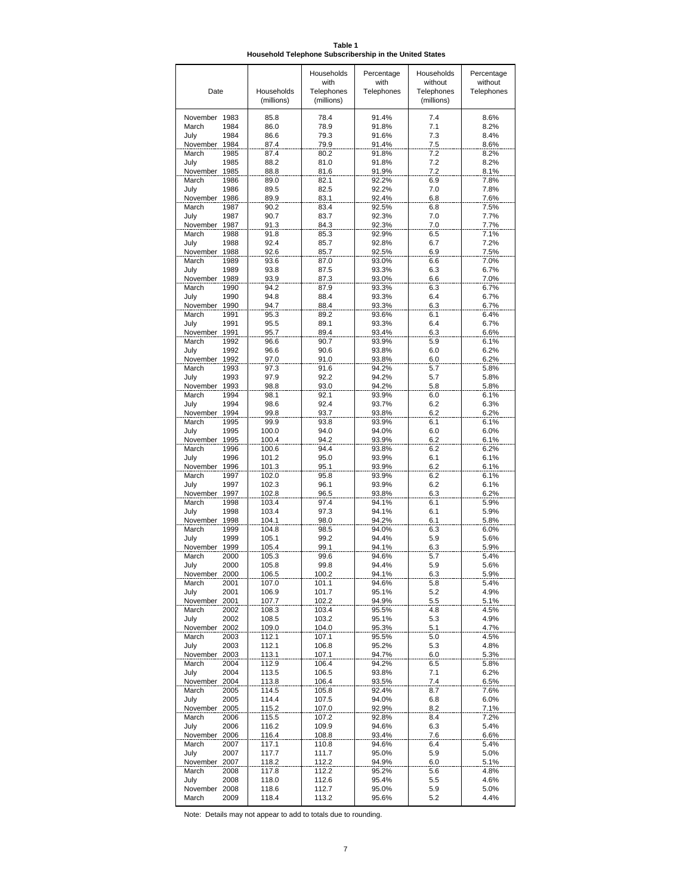**Table 1 Household Telephone Subscribership in the United States**

|                                   |                | Households<br>with | Percentage<br>with | Households<br>without | Percentage<br>without |
|-----------------------------------|----------------|--------------------|--------------------|-----------------------|-----------------------|
| Date                              | Households     | Telephones         | Telephones         | Telephones            | Telephones            |
|                                   | (millions)     | (millions)         |                    | (millions)            |                       |
| November 1983                     | 85.8           | 78.4               | 91.4%              | 7.4                   | 8.6%                  |
| March<br>1984                     | 86.0           | 78.9               | 91.8%              | 7.1                   | 8.2%                  |
| July<br>1984<br>November 1984     | 86.6<br>87.4   | 79.3               | 91.6%              | 7.3                   | 8.4%                  |
| March<br>1985                     | 87.4           | 79.9<br>80.2       | 91.4%<br>91.8%     | 7.5<br>7.2            | 8.6%<br>8.2%          |
| July<br>1985                      | 88.2           | 81.0               | 91.8%              | 7.2                   | 8.2%                  |
| November<br>1985                  | 88.8           | 81.6               | 91.9%              | 7.2                   | 8.1%                  |
| March<br>1986<br>July<br>1986     | 89.0<br>89.5   | 82.1<br>82.5       | 92.2%              | 6.9<br>7.0            | 7.8%<br>7.8%          |
| November<br>1986                  | 89.9           | 83.1               | 92.2%<br>92.4%     | 6.8                   | 7.6%                  |
| March<br>1987                     | 90.2           | 83.4               | 92.5%              | 6.8                   | 7.5%                  |
| July<br>1987                      | 90.7           | 83.7               | 92.3%              | 7.0                   | 7.7%                  |
| November<br>1987<br>March<br>1988 | 91.3           | 84.3               | 92.3%              | 7.0                   | 7.7%                  |
| July<br>1988                      | 91.8<br>92.4   | 85.3<br>85.7       | 92.9%<br>92.8%     | 6.5<br>6.7            | 7.1%<br>7.2%          |
| November 1988                     | 92.6           | 85.7               | 92.5%              | 6.9                   | 7.5%                  |
| March<br>1989                     | 93.6           | 87.0               | 93.0%              | 6.6                   | 7.0%                  |
| July<br>1989                      | 93.8           | 87.5               | 93.3%              | 6.3                   | 6.7%                  |
| November 1989<br>March<br>1990    | 93.9<br>94.2   | 87.3<br>87.9       | 93.0%<br>93.3%     | 6.6<br>6.3            | 7.0%<br>6.7%          |
| July<br>1990                      | 94.8           | 88.4               | 93.3%              | 6.4                   | 6.7%                  |
| November 1990                     | 94.7           | 88.4               | 93.3%              | 6.3                   | 6.7%                  |
| March<br>1991                     | 95.3           | 89.2               | 93.6%              | 6.1                   | 6.4%                  |
| July<br>1991<br>November 1991     | 95.5<br>95.7   | 89.1<br>89.4       | 93.3%<br>93.4%     | 6.4<br>6.3            | 6.7%<br>6.6%          |
| March<br>1992                     | 96.6           | 90.7               | 93.9%              | 5.9                   | 6.1%                  |
| July<br>1992                      | 96.6           | 90.6               | 93.8%              | 6.0                   | 6.2%                  |
| November 1992                     | 97.0           | 91.0               | 93.8%              | 6.0                   | 6.2%                  |
| March<br>1993                     | 97.3           | 91.6               | 94.2%              | 5.7                   | 5.8%                  |
| July<br>1993<br>November 1993     | 97.9<br>98.8   | 92.2<br>93.0       | 94.2%<br>94.2%     | 5.7<br>5.8            | 5.8%<br>5.8%          |
| March<br>1994                     | 98.1           | 92.1               | 93.9%              | 6.0                   | 6.1%                  |
| July<br>1994                      | 98.6           | 92.4               | 93.7%              | 6.2                   | 6.3%                  |
| November 1994                     | 99.8           | 93.7               | 93.8%              | 6.2                   | 6.2%                  |
| March<br>1995<br>July<br>1995     | 99.9<br>100.0  | 93.8<br>94.0       | 93.9%<br>94.0%     | 6.1<br>6.0            | 6.1%<br>6.0%          |
| November 1995                     | 100.4          | 94.2               | 93.9%              | 6.2                   | 6.1%                  |
| March<br>1996                     | 100.6          | 94.4               | 93.8%              | 6.2                   | 6.2%                  |
| July<br>1996                      | 101.2          | 95.0               | 93.9%              | 6.1                   | 6.1%                  |
| November 1996<br>March            | 101.3          | 95.1               | 93.9%              | 6.2                   | 6.1%                  |
| 1997<br>July<br>1997              | 102.0<br>102.3 | 95.8<br>96.1       | 93.9%<br>93.9%     | 6.2<br>6.2            | 6.1%<br>6.1%          |
| November 1997                     | 102.8          | 96.5               | 93.8%              | 6.3                   | 6.2%                  |
| March<br>1998                     | 103.4          | 97.4               | 94.1%              | 6.1                   | 5.9%                  |
| July<br>1998                      | 103.4          | 97.3               | 94.1%              | 6.1                   | 5.9%                  |
| November<br>1998<br>March<br>1999 | 104.1<br>104.8 | 98.0<br>98.5       | 94.2%<br>94.0%     | 6.1<br>6.3            | 5.8%<br>6.0%          |
| July<br>1999                      | 105.1          | 99.2               | 94.4%              | 5.9                   | 5.6%                  |
| November<br>1999                  | 105.4          | 99.1               | 94.1%              | 6.3                   | 5.9%                  |
| March<br>2000                     | 105.3          | 99.6               | 94.6%              | 5.7                   | 5.4%                  |
| July<br>2000                      | 105.8          | 99.8               | 94.4%<br>94.1%     | 5.9                   | 5.6%<br>5.9%          |
| November 2000<br>March<br>2001    | 106.5<br>107.0 | 100.2<br>101.1     | 94.6%              | 6.3<br>5.8            | 5.4%                  |
| July<br>2001                      | 106.9          | 101.7              | 95.1%              | 5.2                   | 4.9%                  |
| November 2001                     | 107.7          | 102.2              | 94.9%              | 5.5                   | 5.1%                  |
| March<br>2002<br>2002<br>July     | 108.3<br>108.5 | 103.4<br>103.2     | 95.5%<br>95.1%     | 4.8<br>5.3            | 4.5%<br>4.9%          |
| November 2002                     | 109.0          | 104.0              | 95.3%              | 5.1                   | 4.7%                  |
| March<br>2003                     | 112.1          | 107.1              | 95.5%              | 5.0                   | 4.5%                  |
| July<br>2003                      | 112.1          | 106.8              | 95.2%              | 5.3                   | 4.8%                  |
| November 2003<br>March<br>2004    | 113.1<br>112.9 | 107.1<br>106.4     | 94.7%<br>94.2%     | 6.0<br>6.5            | 5.3%<br>5.8%          |
| July<br>2004                      | 113.5          | 106.5              | 93.8%              | 7.1                   | 6.2%                  |
| November 2004                     | 113.8          | 106.4              | 93.5%              | 7.4                   | 6.5%                  |
| March<br>2005                     | 114.5          | 105.8              | 92.4%              | 8.7                   | 7.6%                  |
| July<br>2005                      | 114.4          | 107.5              | 94.0%              | 6.8                   | 6.0%                  |
| November 2005<br>2006<br>March    | 115.2<br>115.5 | 107.0<br>107.2     | 92.9%<br>92.8%     | 8.2<br>8.4            | 7.1%<br>7.2%          |
| July<br>2006                      | 116.2          | 109.9              | 94.6%              | 6.3                   | 5.4%                  |
| November 2006                     | 116.4          | 108.8              | 93.4%              | 7.6                   | 6.6%                  |
| March<br>2007                     | 117.1          | 110.8              | 94.6%              | 6.4                   | 5.4%                  |
| July<br>2007<br>November 2007     | 117.7          | 111.7              | 95.0%              | 5.9                   | 5.0%                  |
| March<br>2008                     | 118.2<br>117.8 | 112.2<br>112.2     | 94.9%<br>95.2%     | 6.0<br>5.6            | 5.1%<br>4.8%          |
| July<br>2008                      | 118.0          | 112.6              | 95.4%              | 5.5                   | 4.6%                  |
| November 2008                     | 118.6          | 112.7              | 95.0%              | 5.9                   | 5.0%                  |
| March<br>2009                     | 118.4          | 113.2              | 95.6%              | 5.2                   | 4.4%                  |

Note: Details may not appear to add to totals due to rounding.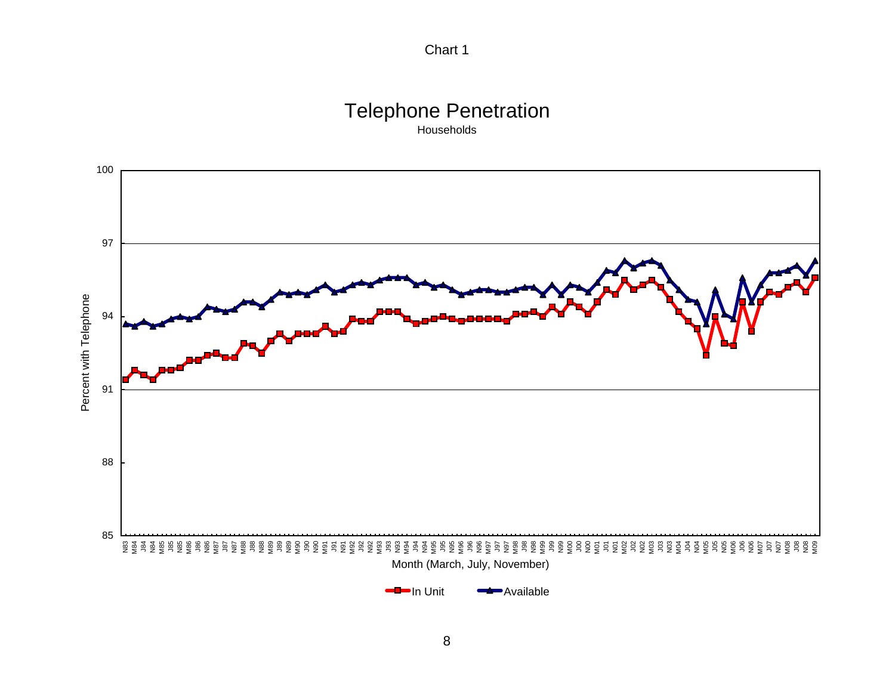

# Telephone Penetration

Households

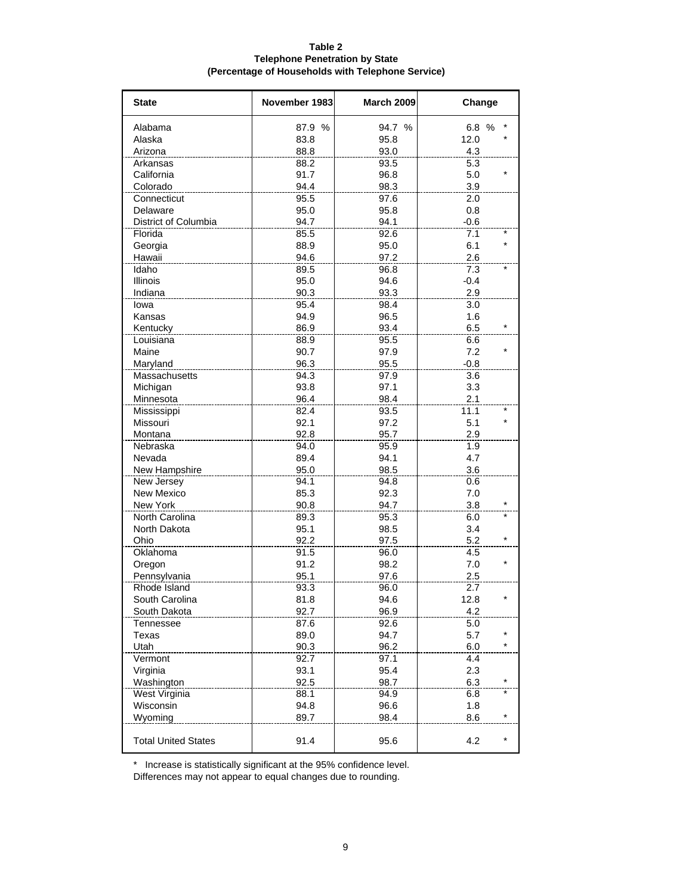#### **Table 2 Telephone Penetration by State (Percentage of Households with Telephone Service)**

| <b>State</b>               | November 1983 | <b>March 2009</b> | Change          |
|----------------------------|---------------|-------------------|-----------------|
| Alabama                    | 87.9 %        | 94.7 %            | 6.8 %           |
| Alaska                     | 83.8          | 95.8              | 12.0            |
| Arizona                    | 88.8          | 93.0              | 4.3             |
| Arkansas                   | 88.2          | 93.5              | 5.3             |
| California                 | 91.7          | 96.8              | 5.0             |
| Colorado                   | 94.4          | 98.3              | 3.9             |
| Connecticut                | 95.5          | 97.6              | 2.0             |
| Delaware                   | 95.0          | 95.8              | 0.8             |
| District of Columbia       | 94.7          | 94.1              | $-0.6$          |
| Florida                    | 85.5          | 92.6              | 7.1             |
| Georgia                    | 88.9          | 95.0              | $\star$<br>6.1  |
| Hawaii                     | 94.6          | 97.2              | 2.6             |
| Idaho                      | 89.5          | 96.8              | 7.3             |
| Illinois                   | 95.0          | 94.6              | $-0.4$          |
| Indiana                    | 90.3          | 93.3              | 2.9             |
| lowa                       | 95.4          | 98.4              | 3.0             |
| Kansas                     | 94.9          | 96.5              | 1.6             |
| Kentucky                   | 86.9          | 93.4              | $\star$<br>6.5  |
| Louisiana                  | 88.9          | 95.5              | 6.6             |
| Maine                      | 90.7          | 97.9              | 7.2             |
| Maryland                   | 96.3          | 95.5              | $-0.8$          |
| Massachusetts              | 94.3          | 97.9              | 3.6             |
| Michigan                   | 93.8          | 97.1              | 3.3             |
| Minnesota                  | 96.4          | 98.4              | 2.1             |
| Mississippi                | 82.4          | 93.5              | 11.1            |
| Missouri                   | 92.1          | 97.2              | $\star$<br>5.1  |
| Montana                    | 92.8          | 95.7              | 2.9             |
| Nebraska                   | 94.0          | 95.9              | 1.9             |
| Nevada                     | 89.4          | 94.1              | 4.7             |
| New Hampshire              | 95.0          | 98.5              | 3.6             |
| New Jersey                 | 94.1          | 94.8              | 0.6             |
| New Mexico                 | 85.3          | 92.3              | 7.0             |
| New York                   | 90.8          | 94.7              | $\star$<br>3.8  |
| North Carolina             | 89.3          | 95.3              | 6.0             |
| North Dakota               | 95.1          | 98.5              | 3.4             |
| Ohio                       | 92.2          | 97.5              | 5.2             |
| Oklahoma                   | 91.5          | 96.0              | 4.5             |
| Oregon                     | 91.2          | 98.2              | $\star$<br>7.0  |
| Pennsylvania               | 95.1          | 97.6              | 2.5             |
| Rhode Island               | 93.3          | 96.0              | 2.7             |
| South Carolina             | 81.8          | 94.6              | 12.8            |
| South Dakota               | 92.7          | 96.9              | 4.2             |
| Tennessee                  | 87.6          | 92.6              | 5.0             |
| Texas                      | 89.0          | 94.7              | $\star$<br>5.7  |
| Utah                       | 90.3          | 96.2              | $\star$<br>6.0  |
| Vermont                    | 92.7          | 97.1              | 4.4             |
| Virginia                   | 93.1          | 95.4              | 2.3             |
| Washington                 | 92.5          | 98.7              | 6.3             |
| West Virginia              | 88.1          | 94.9              | 6.8             |
| Wisconsin                  | 94.8          | 96.6              | 1.8             |
| Wyoming                    | 89.7          | 98.4              | $\ast$<br>8.6   |
| <b>Total United States</b> | 91.4          | 95.6              | $^\star$<br>4.2 |

\* Increase is statistically significant at the 95% confidence level.

Differences may not appear to equal changes due to rounding.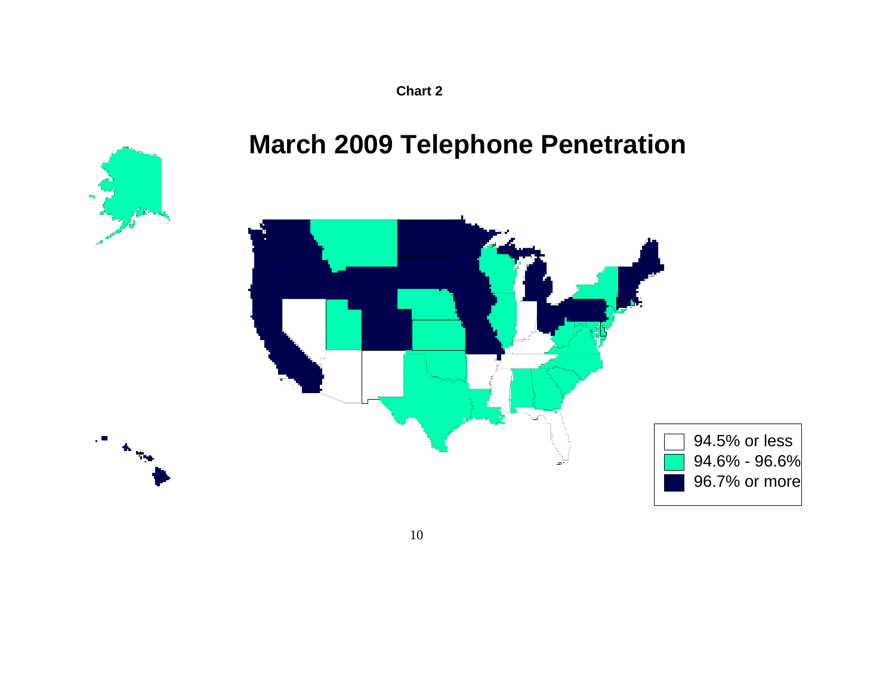**Chart 2** 

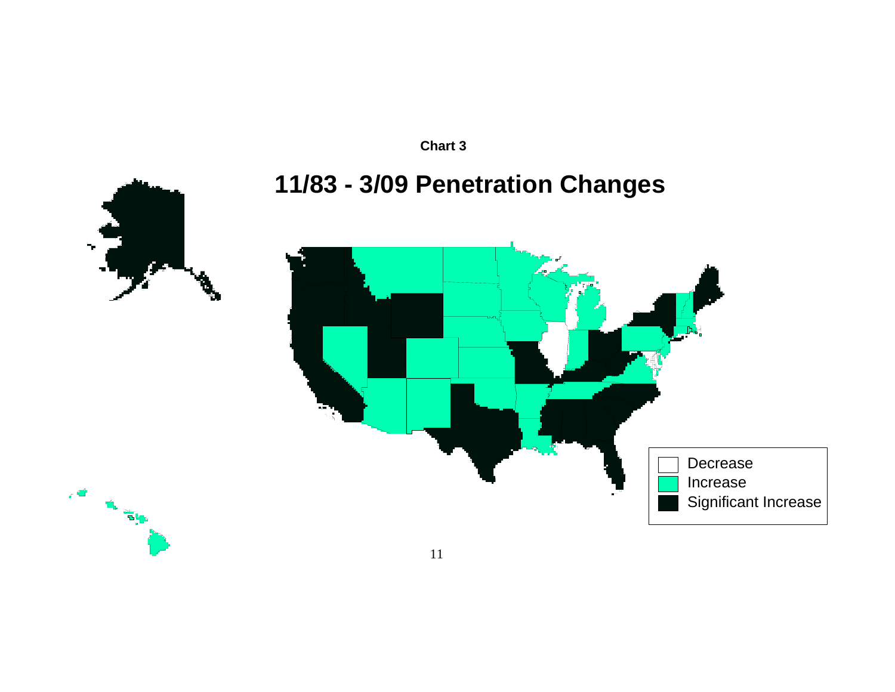

# **11/83 - 3/09 Penetration Changes**





**CALL BY READ** 

11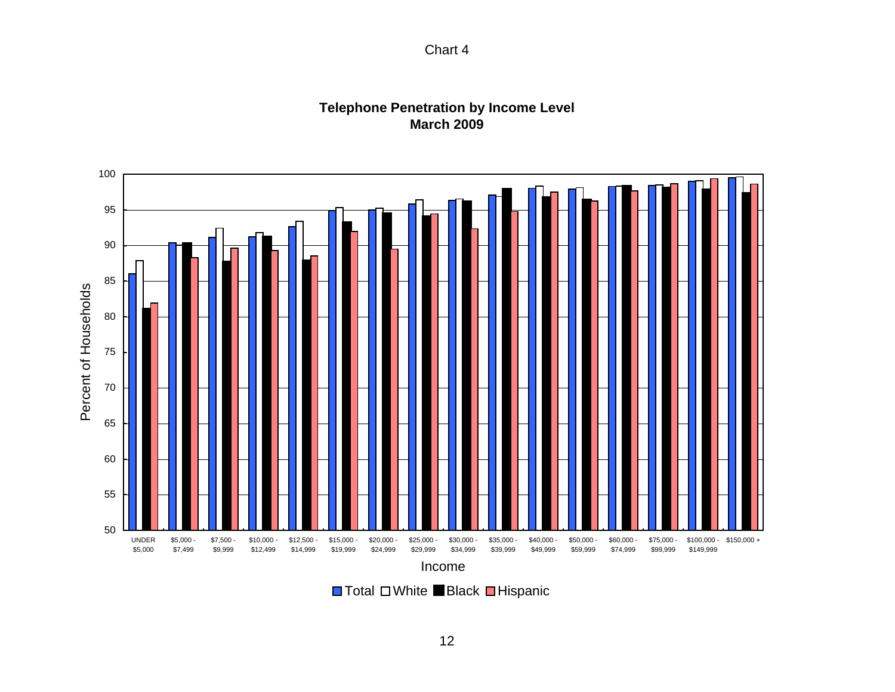

## **Telephone Penetration by Income Level March 2009**



Total ロWhite ■Black ■Hispanic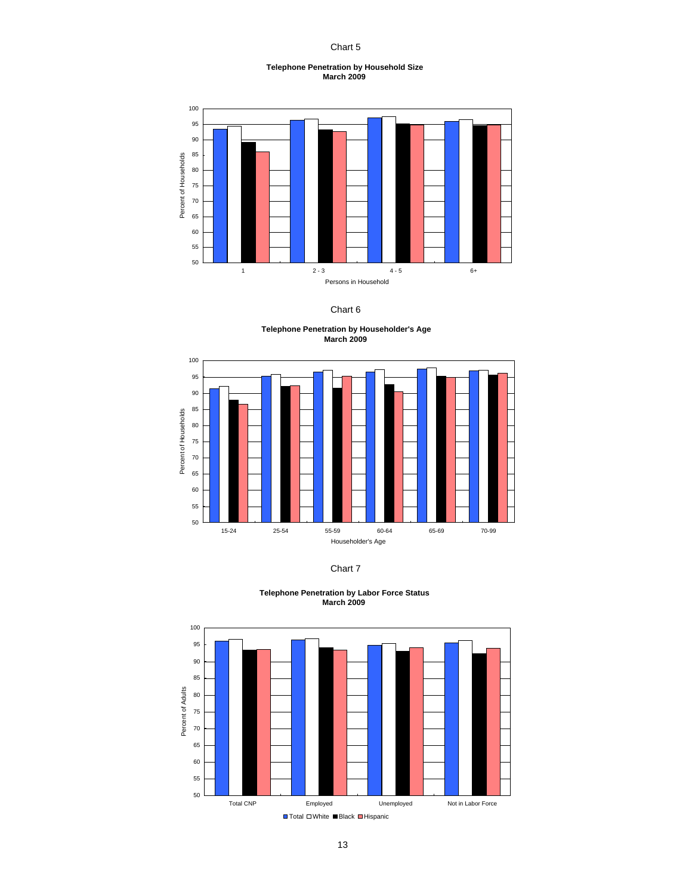Chart 5

#### **Telephone Penetration by Household Size March 2009**



Chart 6

**Telephone Penetration by Householder's Age March 2009** 





**Telephone Penetration by Labor Force Status March 2009**

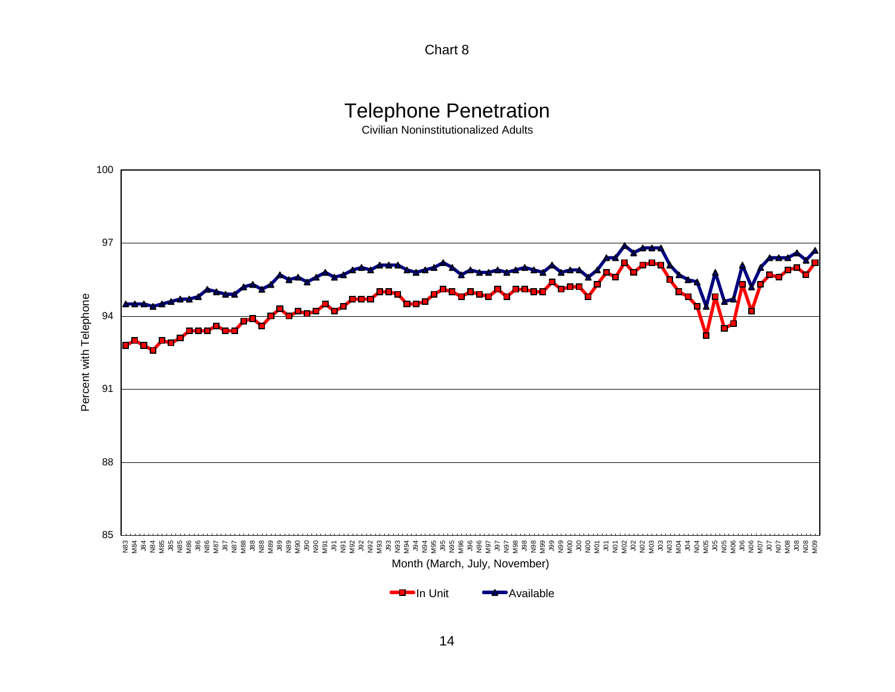Chart 8

## Telephone Penetration

Civilian Noninstitutionalized Adults

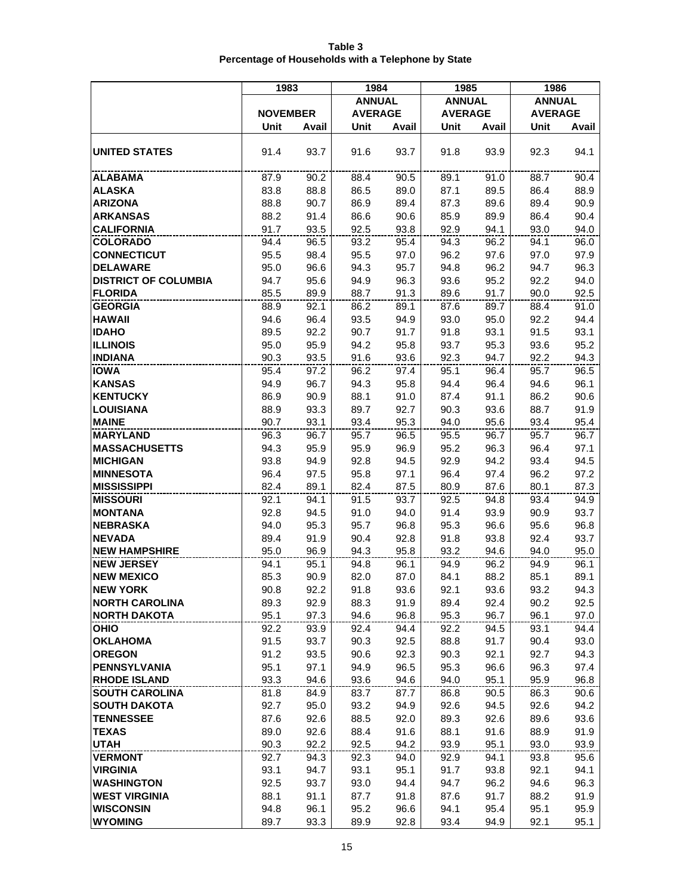|                                  | 1983            |              | 1984           |              | 1985           |              | 1986           |              |
|----------------------------------|-----------------|--------------|----------------|--------------|----------------|--------------|----------------|--------------|
|                                  |                 |              | <b>ANNUAL</b>  |              | <b>ANNUAL</b>  |              | <b>ANNUAL</b>  |              |
|                                  | <b>NOVEMBER</b> |              | <b>AVERAGE</b> |              | <b>AVERAGE</b> |              | <b>AVERAGE</b> |              |
|                                  | Unit            | Avail        | Unit           | Avail        | Unit           | Avail        | Unit           | Avail        |
|                                  |                 |              |                |              |                |              |                |              |
| <b>UNITED STATES</b>             | 91.4            | 93.7         | 91.6           | 93.7         | 91.8           | 93.9         | 92.3           | 94.1         |
| <b>ALABAMA</b>                   | 87.9            | 90.2         | 88.4           | 90.5         | 89.1           | 91.0         | 88.7           | 90.4         |
| <b>ALASKA</b>                    | 83.8            | 88.8         | 86.5           | 89.0         | 87.1           | 89.5         | 86.4           | 88.9         |
| <b>ARIZONA</b>                   | 88.8            | 90.7         | 86.9           | 89.4         | 87.3           | 89.6         | 89.4           | 90.9         |
| <b>ARKANSAS</b>                  | 88.2            | 91.4         | 86.6           | 90.6         | 85.9           | 89.9         | 86.4           | 90.4         |
| <b>CALIFORNIA</b>                | 91.7            | 93.5         | 92.5           | 93.8         | 92.9           | 94.1         | 93.0           | 94.0         |
| <b>COLORADO</b>                  | 94.4            | 96.5         | 93.2           | 95.4         | 94.3           | 96.2         | 94.1           | 96.0         |
| <b>CONNECTICUT</b>               | 95.5            | 98.4         | 95.5           | 97.0         | 96.2           | 97.6         | 97.0           | 97.9         |
| <b>DELAWARE</b>                  | 95.0            | 96.6         | 94.3           | 95.7         | 94.8           | 96.2         | 94.7           | 96.3         |
| <b>DISTRICT OF COLUMBIA</b>      | 94.7            | 95.6         | 94.9           | 96.3         | 93.6           | 95.2         | 92.2           | 94.0         |
| <b>FLORIDA</b>                   | 85.5            | 89.9         | 88.7           | 91.3         | 89.6           | 91.7         | 90.0           | 92.5         |
| <b>GEORGIA</b>                   | 88.9            | 92.1         | 86.2           | 89.1         | 87.6           | 89.7         | 88.4           | 91.0         |
| <b>HAWAII</b>                    | 94.6            | 96.4         | 93.5           | 94.9         | 93.0           | 95.0         | 92.2           | 94.4         |
| <b>IDAHO</b>                     | 89.5            | 92.2         | 90.7           | 91.7         | 91.8           | 93.1         | 91.5           | 93.1         |
| <b>ILLINOIS</b>                  | 95.0            | 95.9         | 94.2           | 95.8         | 93.7           | 95.3         | 93.6           | 95.2         |
| <b>INDIANA</b>                   | 90.3            | 93.5         | 91.6           | 93.6         | 92.3           | 94.7         | 92.2           | 94.3         |
| <b>IOWA</b>                      | 95.4            | 97.2         | 96.2           | 97.4         | 95.1           | 96.4         | 95.7           | 96.5         |
| <b>KANSAS</b>                    | 94.9            | 96.7         | 94.3           | 95.8         | 94.4           | 96.4         | 94.6           | 96.1         |
| <b>KENTUCKY</b>                  | 86.9            | 90.9         | 88.1           | 91.0         | 87.4           | 91.1         | 86.2           | 90.6         |
| <b>LOUISIANA</b>                 | 88.9            | 93.3         | 89.7           | 92.7         | 90.3           | 93.6         | 88.7           | 91.9         |
| <b>MAINE</b>                     | 90.7            | 93.1         | 93.4           | 95.3         | 94.0           | 95.6         | 93.4           | 95.4         |
| <b>MARYLAND</b>                  | 96.3            | 96.7         | 95.7           | 96.5         | 95.5           | 96.7         | 95.7           | 96.7         |
| <b>MASSACHUSETTS</b>             | 94.3            | 95.9         | 95.9           | 96.9         | 95.2           | 96.3         | 96.4           | 97.1         |
| <b>MICHIGAN</b>                  | 93.8            | 94.9         | 92.8           | 94.5         | 92.9           | 94.2         | 93.4           | 94.5         |
| <b>MINNESOTA</b>                 | 96.4            | 97.5         | 95.8           | 97.1         | 96.4           | 97.4         | 96.2           | 97.2         |
| <b>MISSISSIPPI</b>               | 82.4            | 89.1         | 82.4           | 87.5         | 80.9           | 87.6         | 80.1           | 87.3         |
| <b>MISSOURI</b>                  | 92.1            | 94.1         | 91.5           | 93.7         | 92.5           | 94.8         | 93.4           | 94.9         |
| <b>MONTANA</b>                   | 92.8            | 94.5         | 91.0           | 94.0         | 91.4           | 93.9         | 90.9           | 93.7         |
| <b>NEBRASKA</b><br><b>NEVADA</b> | 94.0            | 95.3         | 95.7           | 96.8         | 95.3           | 96.6         | 95.6           | 96.8         |
| <b>NEW HAMPSHIRE</b>             | 89.4<br>95.0    | 91.9<br>96.9 | 90.4<br>94.3   | 92.8<br>95.8 | 91.8<br>93.2   | 93.8<br>94.6 | 92.4<br>94.0   | 93.7<br>95.0 |
| <b>NEW JERSEY</b>                | 94.1            | 95.1         | 94.8           | 96.1         | 94.9           | 96.2         | 94.9           | 96.1         |
| <b>NEW MEXICO</b>                | 85.3            | 90.9         | 82.0           | 87.0         | 84.1           | 88.2         | 85.1           | 89.1         |
| <b>NEW YORK</b>                  | 90.8            | 92.2         | 91.8           | 93.6         | 92.1           | 93.6         | 93.2           | 94.3         |
| <b>NORTH CAROLINA</b>            | 89.3            | 92.9         | 88.3           | 91.9         | 89.4           | 92.4         | 90.2           | 92.5         |
| <b>NORTH DAKOTA</b>              | 95.1            | 97.3         | 94.6           | 96.8         | 95.3           | 96.7         | 96.1           | 97.0         |
| OHIO                             | 92.2            | 93.9         | 92.4           | 94.4         | 92.2           | 94.5         | 93.1           | 94.4         |
| <b>OKLAHOMA</b>                  | 91.5            | 93.7         | 90.3           | 92.5         | 88.8           | 91.7         | 90.4           | 93.0         |
| <b>OREGON</b>                    | 91.2            | 93.5         | 90.6           | 92.3         | 90.3           | 92.1         | 92.7           | 94.3         |
| PENNSYLVANIA                     | 95.1            | 97.1         | 94.9           | 96.5         | 95.3           | 96.6         | 96.3           | 97.4         |
| <b>RHODE ISLAND</b>              | 93.3            | 94.6         | 93.6           | 94.6         | 94.0           | 95.1         | 95.9           | 96.8         |
| <b>SOUTH CAROLINA</b>            | 81.8            | 84.9         | 83.7           | 87.7         | 86.8           | 90.5         | 86.3           | 90.6         |
| <b>SOUTH DAKOTA</b>              | 92.7            | 95.0         | 93.2           | 94.9         | 92.6           | 94.5         | 92.6           | 94.2         |
| <b>TENNESSEE</b>                 | 87.6            | 92.6         | 88.5           | 92.0         | 89.3           | 92.6         | 89.6           | 93.6         |
| <b>TEXAS</b>                     | 89.0            | 92.6         | 88.4           | 91.6         | 88.1           | 91.6         | 88.9           | 91.9         |
| <b>UTAH</b>                      | 90.3            | 92.2         | 92.5           | 94.2         | 93.9           | 95.1         | 93.0           | 93.9         |
| <b>VERMONT</b>                   | 92.7            | 94.3         | 92.3           | 94.0         | 92.9           | 94.1         | 93.8           | 95.6         |
| <b>VIRGINIA</b>                  | 93.1            | 94.7         | 93.1           | 95.1         | 91.7           | 93.8         | 92.1           | 94.1         |
| <b>WASHINGTON</b>                | 92.5            | 93.7         | 93.0           | 94.4         | 94.7           | 96.2         | 94.6           | 96.3         |
| <b>WEST VIRGINIA</b>             | 88.1            | 91.1         | 87.7           | 91.8         | 87.6           | 91.7         | 88.2           | 91.9         |
| <b>WISCONSIN</b>                 | 94.8            | 96.1         | 95.2           | 96.6         | 94.1           | 95.4         | 95.1           | 95.9         |
| <b>WYOMING</b>                   | 89.7            | 93.3         | 89.9           | 92.8         | 93.4           | 94.9         | 92.1           | 95.1         |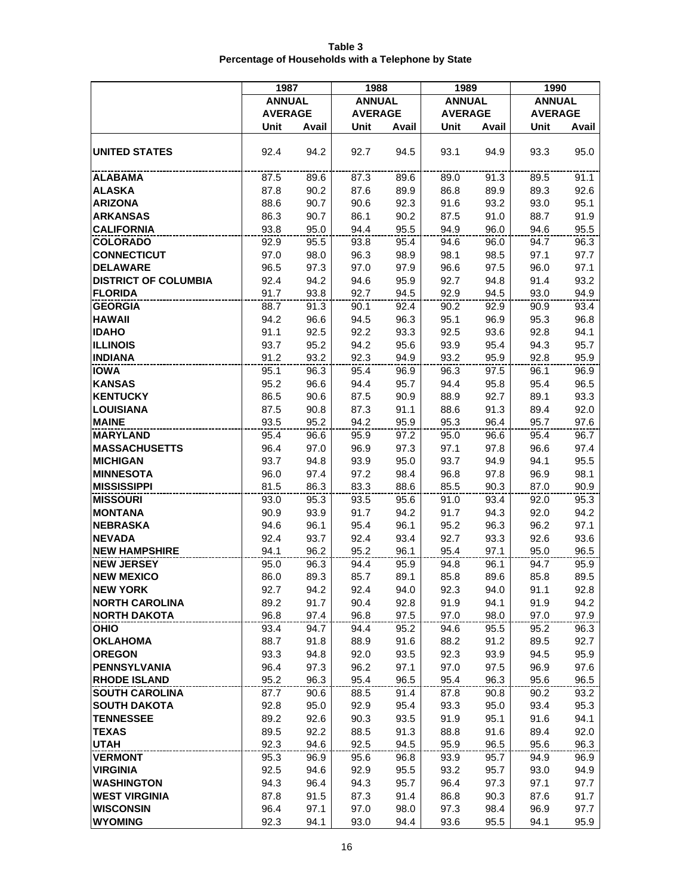|                                        | 1987           |              | 1988           |              | 1989           |              | 1990           |              |
|----------------------------------------|----------------|--------------|----------------|--------------|----------------|--------------|----------------|--------------|
|                                        | <b>ANNUAL</b>  |              | <b>ANNUAL</b>  |              | <b>ANNUAL</b>  |              | <b>ANNUAL</b>  |              |
|                                        | <b>AVERAGE</b> |              | <b>AVERAGE</b> |              | <b>AVERAGE</b> |              | <b>AVERAGE</b> |              |
|                                        | Unit           | Avail        | Unit           | Avail        | Unit           | Avail        | Unit           | Avail        |
|                                        |                |              |                |              |                |              |                |              |
| <b>UNITED STATES</b>                   | 92.4           | 94.2         | 92.7           | 94.5         | 93.1           | 94.9         | 93.3           | 95.0         |
| <b>ALABAMA</b>                         | 87.5           | 89.6         | 87.3           | 89.6         | 89.0           | 91.3         | 89.5           | 91.1         |
| <b>ALASKA</b>                          | 87.8           | 90.2         | 87.6           | 89.9         | 86.8           | 89.9         | 89.3           | 92.6         |
| <b>ARIZONA</b>                         | 88.6           | 90.7         | 90.6           | 92.3         | 91.6           | 93.2         | 93.0           | 95.1         |
| <b>ARKANSAS</b>                        | 86.3           | 90.7         | 86.1           | 90.2         | 87.5           | 91.0         | 88.7           | 91.9         |
| <b>CALIFORNIA</b>                      | 93.8           | 95.0         | 94.4           | 95.5         | 94.9           | 96.0         | 94.6           | 95.5         |
| <b>COLORADO</b>                        | 92.9           | 95.5         | 93.8           | 95.4         | 94.6           | 96.0         | 94.7           | 96.3         |
| <b>CONNECTICUT</b>                     | 97.0           | 98.0         | 96.3           | 98.9         | 98.1           | 98.5         | 97.1           | 97.7         |
| <b>DELAWARE</b>                        | 96.5           | 97.3         | 97.0           | 97.9         | 96.6           | 97.5         | 96.0           | 97.1         |
| <b>DISTRICT OF COLUMBIA</b>            | 92.4           | 94.2         | 94.6           | 95.9         | 92.7           | 94.8         | 91.4           | 93.2         |
| <b>FLORIDA</b>                         | 91.7           | 93.8         | 92.7           | 94.5         | 92.9           | 94.5         | 93.0           | 94.9         |
| <b>GEORGIA</b>                         | 88.7           | 91.3         | 90.1           | 92.4         | 90.2           | 92.9         | 90.9           | 93.4         |
| <b>HAWAII</b>                          | 94.2           | 96.6         | 94.5           | 96.3         | 95.1           | 96.9         | 95.3           | 96.8         |
| <b>IDAHO</b>                           | 91.1           | 92.5         | 92.2           | 93.3         | 92.5           | 93.6         | 92.8           | 94.1         |
| <b>ILLINOIS</b>                        | 93.7           | 95.2         | 94.2           | 95.6         | 93.9           | 95.4         | 94.3           | 95.7         |
| <b>INDIANA</b>                         | 91.2           | 93.2         | 92.3           | 94.9         | 93.2           | 95.9         | 92.8           | 95.9         |
| <b>IOWA</b>                            | 95.1           | 96.3         | 95.4           | 96.9         | 96.3           | 97.5         | 96.1           | 96.9         |
| <b>KANSAS</b>                          | 95.2           | 96.6         | 94.4           | 95.7         | 94.4           | 95.8         | 95.4           | 96.5         |
| <b>KENTUCKY</b>                        | 86.5           | 90.6         | 87.5           | 90.9         | 88.9           | 92.7         | 89.1           | 93.3         |
| <b>LOUISIANA</b>                       | 87.5           | 90.8         | 87.3           | 91.1         | 88.6           | 91.3         | 89.4           | 92.0         |
| <b>MAINE</b>                           | 93.5           | 95.2         | 94.2           | 95.9         | 95.3           | 96.4         | 95.7           | 97.6         |
| <b>MARYLAND</b>                        | 95.4           | 96.6         | 95.9           | 97.2         | 95.0           | 96.6         | 95.4           | 96.7         |
| <b>MASSACHUSETTS</b>                   | 96.4           | 97.0         | 96.9           | 97.3         | 97.1           | 97.8         | 96.6           | 97.4         |
| <b>MICHIGAN</b>                        | 93.7           | 94.8         | 93.9           | 95.0         | 93.7           | 94.9         | 94.1           | 95.5         |
| <b>MINNESOTA</b>                       | 96.0           | 97.4         | 97.2           | 98.4         | 96.8           | 97.8         | 96.9           | 98.1         |
| <b>MISSISSIPPI</b>                     | 81.5           | 86.3         | 83.3           | 88.6         | 85.5           | 90.3         | 87.0           | 90.9         |
| <b>MISSOURI</b>                        | 93.0           | 95.3         | 93.5           | 95.6         | 91.0           | 93.4         | 92.0           | 95.3         |
| <b>MONTANA</b>                         | 90.9           | 93.9         | 91.7           | 94.2         | 91.7           | 94.3         | 92.0           | 94.2         |
| <b>NEBRASKA</b>                        | 94.6           | 96.1         | 95.4           | 96.1         | 95.2           | 96.3         | 96.2           | 97.1         |
| <b>NEVADA</b>                          | 92.4           | 93.7         | 92.4           | 93.4         | 92.7           | 93.3         | 92.6           | 93.6         |
| <b>NEW HAMPSHIRE</b>                   | 94.1           | 96.2         | 95.2           | 96.1         | 95.4           | 97.1         | 95.0           | 96.5         |
| <b>NEW JERSEY</b><br><b>NEW MEXICO</b> | 95.0<br>86.0   | 96.3<br>89.3 | 94.4<br>85.7   | 95.9<br>89.1 | 94.8<br>85.8   | 96.1<br>89.6 | 94.7<br>85.8   | 95.9<br>89.5 |
| <b>NEW YORK</b>                        | 92.7           | 94.2         | 92.4           | 94.0         | 92.3           | 94.0         | 91.1           | 92.8         |
| <b>NORTH CAROLINA</b>                  | 89.2           | 91.7         | 90.4           | 92.8         | 91.9           | 94.1         | 91.9           | 94.2         |
| <b>NORTH DAKOTA</b>                    | 96.8           | 97.4         | 96.8           | 97.5         | 97.0           | 98.0         | 97.0           | 97.9         |
| <b>OHIO</b>                            | 93.4           | 94.7         | 94.4           | 95.2         | 94.6           | 95.5         | 95.2           | 96.3         |
| <b>OKLAHOMA</b>                        | 88.7           | 91.8         | 88.9           | 91.6         | 88.2           | 91.2         | 89.5           | 92.7         |
| <b>OREGON</b>                          | 93.3           | 94.8         | 92.0           | 93.5         | 92.3           | 93.9         | 94.5           | 95.9         |
| <b>PENNSYLVANIA</b>                    | 96.4           | 97.3         | 96.2           | 97.1         | 97.0           | 97.5         | 96.9           | 97.6         |
| <b>RHODE ISLAND</b>                    | 95.2           | 96.3         | 95.4           | 96.5         | 95.4           | 96.3         | 95.6           | 96.5         |
| <b>SOUTH CAROLINA</b>                  | 87.7           | 90.6         | 88.5           | 91.4         | 87.8           | 90.8         | 90.2           | 93.2         |
| <b>SOUTH DAKOTA</b>                    | 92.8           | 95.0         | 92.9           | 95.4         | 93.3           | 95.0         | 93.4           | 95.3         |
| <b>TENNESSEE</b>                       | 89.2           | 92.6         | 90.3           | 93.5         | 91.9           | 95.1         | 91.6           | 94.1         |
| <b>TEXAS</b>                           | 89.5           | 92.2         | 88.5           | 91.3         | 88.8           | 91.6         | 89.4           | 92.0         |
| <b>UTAH</b>                            | 92.3           | 94.6         | 92.5           | 94.5         | 95.9           | 96.5         | 95.6           | 96.3         |
| <b>VERMONT</b>                         | 95.3           | 96.9         | 95.6           | 96.8         | 93.9           | 95.7         | 94.9           | 96.9         |
| <b>VIRGINIA</b>                        | 92.5           | 94.6         | 92.9           | 95.5         | 93.2           | 95.7         | 93.0           | 94.9         |
| <b>WASHINGTON</b>                      | 94.3           | 96.4         | 94.3           | 95.7         | 96.4           | 97.3         | 97.1           | 97.7         |
| <b>WEST VIRGINIA</b>                   | 87.8           | 91.5         | 87.3           | 91.4         | 86.8           | 90.3         | 87.6           | 91.7         |
| <b>WISCONSIN</b>                       | 96.4           | 97.1         | 97.0           | 98.0         | 97.3           | 98.4         | 96.9           | 97.7         |
| <b>WYOMING</b>                         | 92.3           | 94.1         | 93.0           | 94.4         | 93.6           | 95.5         | 94.1           | 95.9         |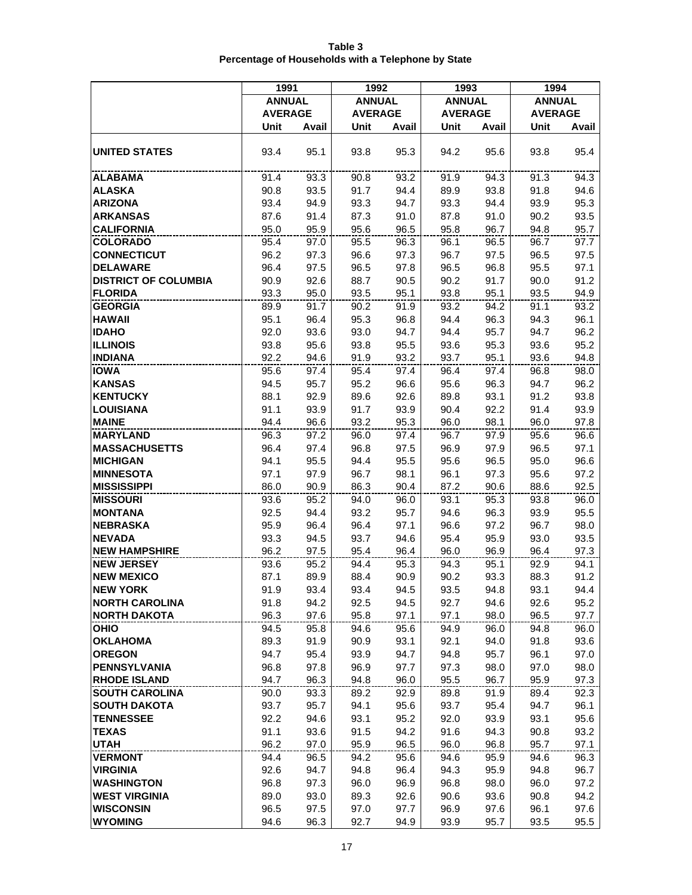|                                               | 1991           |              | 1992           |              | 1993           |              | 1994           |              |
|-----------------------------------------------|----------------|--------------|----------------|--------------|----------------|--------------|----------------|--------------|
|                                               | <b>ANNUAL</b>  |              | <b>ANNUAL</b>  |              | <b>ANNUAL</b>  |              | <b>ANNUAL</b>  |              |
|                                               | <b>AVERAGE</b> |              | <b>AVERAGE</b> |              | <b>AVERAGE</b> |              | <b>AVERAGE</b> |              |
|                                               | Unit           | Avail        | Unit           | Avail        | Unit           | Avail        | Unit           | Avail        |
| <b>UNITED STATES</b>                          | 93.4           | 95.1         | 93.8           | 95.3         | 94.2           | 95.6         | 93.8           | 95.4         |
| <b>ALABAMA</b>                                | 91.4           | 93.3         | 90.8           | 93.2         | 91.9           | 94.3         | 91.3           | 94.3         |
| <b>ALASKA</b>                                 | 90.8           | 93.5         | 91.7           | 94.4         | 89.9           | 93.8         | 91.8           | 94.6         |
| <b>ARIZONA</b>                                | 93.4           | 94.9         | 93.3           | 94.7         | 93.3           | 94.4         | 93.9           | 95.3         |
| <b>ARKANSAS</b>                               | 87.6           | 91.4         | 87.3           | 91.0         | 87.8           | 91.0         | 90.2           | 93.5         |
| <b>CALIFORNIA</b>                             | 95.0           | 95.9         | 95.6           | 96.5         | 95.8           | 96.7         | 94.8           | 95.7         |
| <b>COLORADO</b>                               | 95.4           | 97.0         | 95.5           | 96.3         | 96.1           | 96.5         | 96.7           | 97.7         |
| <b>CONNECTICUT</b>                            | 96.2           | 97.3         | 96.6           | 97.3         | 96.7           | 97.5         | 96.5           | 97.5         |
| <b>DELAWARE</b>                               | 96.4           | 97.5         | 96.5           | 97.8         | 96.5           | 96.8         | 95.5           | 97.1         |
| <b>DISTRICT OF COLUMBIA</b><br><b>FLORIDA</b> | 90.9<br>93.3   | 92.6<br>95.0 | 88.7<br>93.5   | 90.5<br>95.1 | 90.2<br>93.8   | 91.7<br>95.1 | 90.0<br>93.5   | 91.2<br>94.9 |
| <b>GEORGIA</b>                                | 89.9           | 91.7         | 90.2           | 91.9         | 93.2           | 94.2         | 91.1           | 93.2         |
| <b>HAWAII</b>                                 | 95.1           | 96.4         | 95.3           | 96.8         | 94.4           | 96.3         | 94.3           | 96.1         |
| <b>IDAHO</b>                                  | 92.0           | 93.6         | 93.0           | 94.7         | 94.4           | 95.7         | 94.7           | 96.2         |
| <b>ILLINOIS</b>                               | 93.8           | 95.6         | 93.8           | 95.5         | 93.6           | 95.3         | 93.6           | 95.2         |
| <b>INDIANA</b>                                | 92.2           | 94.6         | 91.9           | 93.2         | 93.7           | 95.1         | 93.6           | 94.8         |
| <b>IOWA</b>                                   | 95.6           | 97.4         | 95.4           | 97.4         | 96.4           | 97.4         | 96.8           | 98.0         |
| <b>KANSAS</b>                                 | 94.5           | 95.7         | 95.2           | 96.6         | 95.6           | 96.3         | 94.7           | 96.2         |
| <b>KENTUCKY</b>                               | 88.1           | 92.9         | 89.6           | 92.6         | 89.8           | 93.1         | 91.2           | 93.8         |
| <b>LOUISIANA</b>                              | 91.1           | 93.9         | 91.7           | 93.9         | 90.4           | 92.2         | 91.4           | 93.9         |
| <b>MAINE</b>                                  | 94.4           | 96.6         | 93.2           | 95.3         | 96.0           | 98.1         | 96.0           | 97.8         |
| <b>MARYLAND</b>                               | 96.3           | 97.2         | 96.0           | 97.4         | 96.7           | 97.9         | 95.6           | 96.6         |
| <b>MASSACHUSETTS</b>                          | 96.4           | 97.4         | 96.8           | 97.5         | 96.9           | 97.9         | 96.5           | 97.1         |
| <b>MICHIGAN</b>                               | 94.1           | 95.5         | 94.4           | 95.5         | 95.6           | 96.5         | 95.0           | 96.6         |
| <b>MINNESOTA</b><br><b>MISSISSIPPI</b>        | 97.1<br>86.0   | 97.9<br>90.9 | 96.7<br>86.3   | 98.1<br>90.4 | 96.1<br>87.2   | 97.3<br>90.6 | 95.6<br>88.6   | 97.2<br>92.5 |
| <b>MISSOURI</b>                               | 93.6           | 95.2         | 94.0           | 96.0         | 93.1           | 95.3         | 93.8           | 96.0         |
| <b>MONTANA</b>                                | 92.5           | 94.4         | 93.2           | 95.7         | 94.6           | 96.3         | 93.9           | 95.5         |
| <b>NEBRASKA</b>                               | 95.9           | 96.4         | 96.4           | 97.1         | 96.6           | 97.2         | 96.7           | 98.0         |
| <b>NEVADA</b>                                 | 93.3           | 94.5         | 93.7           | 94.6         | 95.4           | 95.9         | 93.0           | 93.5         |
| <b>NEW HAMPSHIRE</b>                          | 96.2           | 97.5         | 95.4           | 96.4         | 96.0           | 96.9         | 96.4           | 97.3         |
| <b>NEW JERSEY</b>                             | 93.6           | 95.2         | 94.4           | 95.3         | 94.3           | 95.1         | 92.9           | 94.1         |
| <b>NEW MEXICO</b>                             | 87.1           | 89.9         | 88.4           | 90.9         | 90.2           | 93.3         | 88.3           | 91.2         |
| <b>NEW YORK</b>                               | 91.9           | 93.4         | 93.4           | 94.5         | 93.5           | 94.8         | 93.1           | 94.4         |
| <b>NORTH CAROLINA</b>                         | 91.8           | 94.2         | 92.5           | 94.5         | 92.7           | 94.6         | 92.6           | 95.2         |
| <b>NORTH DAKOTA</b>                           | 96.3           | 97.6         | 95.8           | 97.1         | 97.1           | 98.0         | 96.5           | 97.7         |
| <b>OHIO</b><br><b>OKLAHOMA</b>                | 94.5<br>89.3   | 95.8<br>91.9 | 94.6           | 95.6<br>93.1 | 94.9<br>92.1   | 96.0<br>94.0 | 94.8<br>91.8   | 96.0<br>93.6 |
| <b>OREGON</b>                                 | 94.7           | 95.4         | 90.9<br>93.9   | 94.7         | 94.8           | 95.7         | 96.1           | 97.0         |
| <b>PENNSYLVANIA</b>                           | 96.8           | 97.8         | 96.9           | 97.7         | 97.3           | 98.0         | 97.0           | 98.0         |
| <b>RHODE ISLAND</b>                           | 94.7           | 96.3         | 94.8           | 96.0         | 95.5           | 96.7         | 95.9           | 97.3         |
| <b>SOUTH CAROLINA</b>                         | 90.0           | 93.3         | 89.2           | 92.9         | 89.8           | 91.9         | 89.4           | 92.3         |
| <b>SOUTH DAKOTA</b>                           | 93.7           | 95.7         | 94.1           | 95.6         | 93.7           | 95.4         | 94.7           | 96.1         |
| <b>TENNESSEE</b>                              | 92.2           | 94.6         | 93.1           | 95.2         | 92.0           | 93.9         | 93.1           | 95.6         |
| <b>TEXAS</b>                                  | 91.1           | 93.6         | 91.5           | 94.2         | 91.6           | 94.3         | 90.8           | 93.2         |
| UTAH                                          | 96.2           | 97.0         | 95.9           | 96.5         | 96.0           | 96.8         | 95.7           | 97.1         |
| <b>VERMONT</b>                                | 94.4           | 96.5         | 94.2           | 95.6         | 94.6           | 95.9         | 94.6           | 96.3         |
| <b>VIRGINIA</b>                               | 92.6           | 94.7         | 94.8           | 96.4         | 94.3           | 95.9         | 94.8           | 96.7         |
| <b>WASHINGTON</b>                             | 96.8           | 97.3         | 96.0           | 96.9         | 96.8           | 98.0         | 96.0           | 97.2         |
| <b>WEST VIRGINIA</b>                          | 89.0           | 93.0         | 89.3           | 92.6         | 90.6           | 93.6         | 90.8           | 94.2         |
| <b>WISCONSIN</b>                              | 96.5           | 97.5         | 97.0           | 97.7         | 96.9           | 97.6         | 96.1           | 97.6         |
| <b>WYOMING</b>                                | 94.6           | 96.3         | 92.7           | 94.9         | 93.9           | 95.7         | 93.5           | 95.5         |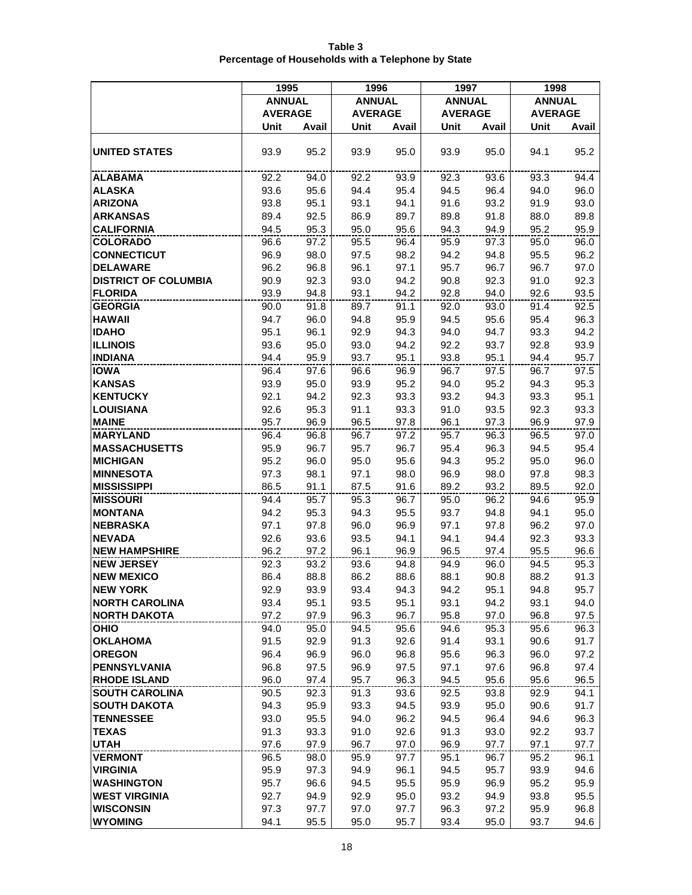|                                        | 1995           |              | 1996           |              | 1997           |              | 1998           |              |
|----------------------------------------|----------------|--------------|----------------|--------------|----------------|--------------|----------------|--------------|
|                                        | <b>ANNUAL</b>  |              | <b>ANNUAL</b>  |              | <b>ANNUAL</b>  |              | <b>ANNUAL</b>  |              |
|                                        | <b>AVERAGE</b> |              | <b>AVERAGE</b> |              | <b>AVERAGE</b> |              | <b>AVERAGE</b> |              |
|                                        | Unit           | Avail        | Unit           | Avail        | Unit           | Avail        | Unit           | Avail        |
|                                        |                |              |                |              |                |              |                |              |
| <b>UNITED STATES</b>                   | 93.9           | 95.2         | 93.9           | 95.0         | 93.9           | 95.0         | 94.1           | 95.2         |
| <b>ALABAMA</b>                         | 92.2           | 94.0         | 92.2           | 93.9         | 92.3           | 93.6         | 93.3           | 94.4         |
| <b>ALASKA</b>                          | 93.6           | 95.6         | 94.4           | 95.4         | 94.5           | 96.4         | 94.0           | 96.0         |
| <b>ARIZONA</b>                         | 93.8           | 95.1         | 93.1           | 94.1         | 91.6           | 93.2         | 91.9           | 93.0         |
| <b>ARKANSAS</b>                        | 89.4           | 92.5         | 86.9           | 89.7         | 89.8           | 91.8         | 88.0           | 89.8         |
| <b>CALIFORNIA</b>                      | 94.5           | 95.3         | 95.0           | 95.6         | 94.3           | 94.9         | 95.2           | 95.9         |
| <b>COLORADO</b>                        | 96.6           | 97.2         | 95.5           | 96.4         | 95.9           | 97.3         | 95.0           | 96.0         |
| <b>CONNECTICUT</b>                     | 96.9           | 98.0         | 97.5           | 98.2         | 94.2           | 94.8         | 95.5           | 96.2         |
| <b>DELAWARE</b>                        | 96.2           | 96.8         | 96.1           | 97.1         | 95.7           | 96.7         | 96.7           | 97.0         |
| <b>DISTRICT OF COLUMBIA</b>            | 90.9           | 92.3         | 93.0           | 94.2         | 90.8           | 92.3         | 91.0           | 92.3         |
| <b>FLORIDA</b>                         | 93.9           | 94.8         | 93.1           | 94.2         | 92.8           | 94.0         | 92.6           | 93.5         |
| <b>GEORGIA</b>                         | 90.0           | 91.8         | 89.7           | 91.1         | 92.0           | 93.0         | 91.4           | 92.5         |
| <b>HAWAII</b>                          | 94.7           | 96.0         | 94.8           | 95.9         | 94.5           | 95.6         | 95.4           | 96.3         |
| <b>IDAHO</b>                           | 95.1           | 96.1         | 92.9           | 94.3         | 94.0           | 94.7         | 93.3           | 94.2         |
| <b>ILLINOIS</b>                        | 93.6           | 95.0         | 93.0           | 94.2         | 92.2           | 93.7         | 92.8           | 93.9         |
| <b>INDIANA</b>                         | 94.4           | 95.9         | 93.7           | 95.1         | 93.8           | 95.1         | 94.4           | 95.7         |
| <b>IOWA</b>                            | 96.4           | 97.6         | 96.6           | 96.9         | 96.7           | 97.5         | 96.7           | 97.5         |
| <b>KANSAS</b>                          | 93.9           | 95.0         | 93.9           | 95.2         | 94.0           | 95.2         | 94.3           | 95.3         |
| <b>KENTUCKY</b>                        | 92.1           | 94.2         | 92.3           | 93.3         | 93.2           | 94.3         | 93.3           | 95.1         |
| <b>LOUISIANA</b>                       | 92.6           | 95.3         | 91.1           | 93.3         | 91.0           | 93.5         | 92.3           | 93.3         |
| <b>MAINE</b>                           | 95.7           | 96.9         | 96.5           | 97.8         | 96.1           | 97.3         | 96.9           | 97.9         |
| <b>MARYLAND</b>                        | 96.4           | 96.8         | 96.7           | 97.2         | 95.7           | 96.3         | 96.5           | 97.0         |
| <b>MASSACHUSETTS</b>                   | 95.9           | 96.7         | 95.7           | 96.7         | 95.4           | 96.3<br>95.2 | 94.5           | 95.4<br>96.0 |
| <b>MICHIGAN</b>                        | 95.2           | 96.0         | 95.0           | 95.6         | 94.3           |              | 95.0           | 98.3         |
| <b>MINNESOTA</b><br><b>MISSISSIPPI</b> | 97.3<br>86.5   | 98.1<br>91.1 | 97.1<br>87.5   | 98.0<br>91.6 | 96.9<br>89.2   | 98.0<br>93.2 | 97.8<br>89.5   | 92.0         |
| <b>MISSOURI</b>                        | 94.4           | 95.7         | 95.3           | 96.7         | 95.0           | 96.2         | 94.6           | 95.9         |
| <b>MONTANA</b>                         | 94.2           | 95.3         | 94.3           | 95.5         | 93.7           | 94.8         | 94.1           | 95.0         |
| <b>NEBRASKA</b>                        | 97.1           | 97.8         | 96.0           | 96.9         | 97.1           | 97.8         | 96.2           | 97.0         |
| <b>NEVADA</b>                          | 92.6           | 93.6         | 93.5           | 94.1         | 94.1           | 94.4         | 92.3           | 93.3         |
| <b>NEW HAMPSHIRE</b>                   | 96.2           | 97.2         | 96.1           | 96.9         | 96.5           | 97.4         | 95.5           | 96.6         |
| <b>NEW JERSEY</b>                      | 92.3           | 93.2         | 93.6           | 94.8         | 94.9           | 96.0         | 94.5           | 95.3         |
| <b>NEW MEXICO</b>                      | 86.4           | 88.8         | 86.2           | 88.6         | 88.1           | 90.8         | 88.2           | 91.3         |
| <b>NEW YORK</b>                        | 92.9           | 93.9         | 93.4           | 94.3         | 94.2           | 95.1         | 94.8           | 95.7         |
| <b>NORTH CAROLINA</b>                  | 93.4           | 95.1         | 93.5           | 95.1         | 93.1           | 94.2         | 93.1           | 94.0         |
| <b>NORTH DAKOTA</b>                    | 97.2           | 97.9         | 96.3           | 96.7         | 95.8           | 97.0         | 96.8           | 97.5         |
| <b>OHIO</b>                            | 94.0           | 95.0         | 94.5           | 95.6         | 94.6           | 95.3         | 95.6           | 96.3         |
| <b>OKLAHOMA</b>                        | 91.5           | 92.9         | 91.3           | 92.6         | 91.4           | 93.1         | 90.6           | 91.7         |
| <b>OREGON</b>                          | 96.4           | 96.9         | 96.0           | 96.8         | 95.6           | 96.3         | 96.0           | 97.2         |
| <b>PENNSYLVANIA</b>                    | 96.8           | 97.5         | 96.9           | 97.5         | 97.1           | 97.6         | 96.8           | 97.4         |
| <b>RHODE ISLAND</b>                    | 96.0           | 97.4         | 95.7           | 96.3         | 94.5           | 95.6         | 95.6           | 96.5         |
| <b>SOUTH CAROLINA</b>                  | 90.5           | 92.3         | 91.3           | 93.6         | 92.5           | 93.8         | 92.9           | 94.1         |
| <b>SOUTH DAKOTA</b>                    | 94.3           | 95.9         | 93.3           | 94.5         | 93.9           | 95.0         | 90.6           | 91.7         |
| <b>TENNESSEE</b>                       | 93.0           | 95.5         | 94.0           | 96.2         | 94.5           | 96.4         | 94.6           | 96.3         |
| <b>TEXAS</b>                           | 91.3           | 93.3         | 91.0           | 92.6         | 91.3           | 93.0         | 92.2           | 93.7         |
| <b>UTAH</b>                            | 97.6           | 97.9         | 96.7           | 97.0         | 96.9           | 97.7         | 97.1           | 97.7         |
| <b>VERMONT</b>                         | 96.5           | 98.0         | 95.9           | 97.7         | 95.1           | 96.7         | 95.2           | 96.1         |
| <b>VIRGINIA</b>                        | 95.9           | 97.3         | 94.9           | 96.1         | 94.5           | 95.7         | 93.9           | 94.6         |
| <b>WASHINGTON</b>                      | 95.7           | 96.6         | 94.5           | 95.5         | 95.9           | 96.9         | 95.2           | 95.9         |
| <b>WEST VIRGINIA</b>                   | 92.7           | 94.9         | 92.9           | 95.0         | 93.2           | 94.9         | 93.8           | 95.5         |
| <b>WISCONSIN</b>                       | 97.3           | 97.7         | 97.0           | 97.7         | 96.3           | 97.2         | 95.9           | 96.8         |
| <b>WYOMING</b>                         | 94.1           | 95.5         | 95.0           | 95.7         | 93.4           | 95.0         | 93.7           | 94.6         |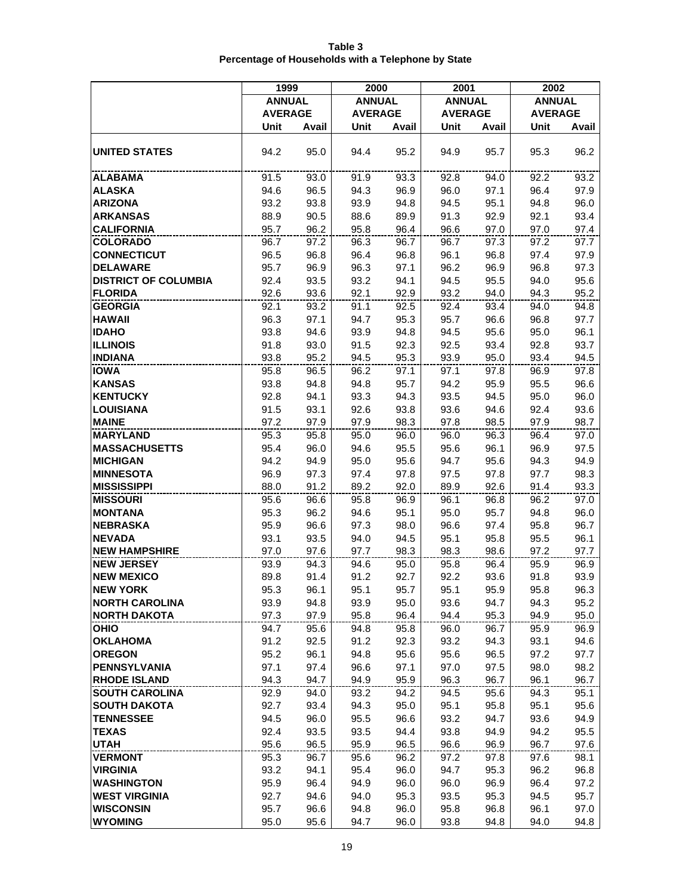|                                               | 1999           |              | 2000           |              | 2001           |              | 2002           |              |
|-----------------------------------------------|----------------|--------------|----------------|--------------|----------------|--------------|----------------|--------------|
|                                               | <b>ANNUAL</b>  |              | <b>ANNUAL</b>  |              | <b>ANNUAL</b>  |              | <b>ANNUAL</b>  |              |
|                                               | <b>AVERAGE</b> |              | <b>AVERAGE</b> |              | <b>AVERAGE</b> |              | <b>AVERAGE</b> |              |
|                                               | Unit           | Avail        | Unit           | Avail        | Unit           | Avail        | Unit           | Avail        |
| <b>UNITED STATES</b>                          | 94.2           | 95.0         | 94.4           | 95.2         | 94.9           | 95.7         | 95.3           | 96.2         |
| <b>ALABAMA</b>                                | 91.5           | 93.0         | 91.9           | 93.3         | 92.8           | 94.0         | 92.2           | 93.2         |
| <b>ALASKA</b>                                 | 94.6           | 96.5         | 94.3           | 96.9         | 96.0           | 97.1         | 96.4           | 97.9         |
| <b>ARIZONA</b>                                | 93.2           | 93.8         | 93.9           | 94.8         | 94.5           | 95.1         | 94.8           | 96.0         |
| <b>ARKANSAS</b>                               | 88.9           | 90.5         | 88.6           | 89.9         | 91.3           | 92.9         | 92.1           | 93.4         |
| <b>CALIFORNIA</b>                             | 95.7           | 96.2         | 95.8           | 96.4         | 96.6           | 97.0         | 97.0           | 97.4         |
| <b>COLORADO</b>                               | 96.7           | 97.2         | 96.3           | 96.7         | 96.7           | 97.3         | 97.2           | 97.7         |
| <b>CONNECTICUT</b>                            | 96.5           | 96.8         | 96.4           | 96.8         | 96.1           | 96.8         | 97.4           | 97.9         |
| <b>DELAWARE</b>                               | 95.7           | 96.9         | 96.3           | 97.1         | 96.2           | 96.9         | 96.8           | 97.3         |
| <b>DISTRICT OF COLUMBIA</b><br><b>FLORIDA</b> | 92.4<br>92.6   | 93.5<br>93.6 | 93.2<br>92.1   | 94.1<br>92.9 | 94.5<br>93.2   | 95.5<br>94.0 | 94.0<br>94.3   | 95.6<br>95.2 |
| <b>GEORGIA</b>                                | 92.1           | 93.2         | 91.1           | 92.5         | 92.4           | 93.4         | 94.0           | 94.8         |
| <b>HAWAII</b>                                 | 96.3           | 97.1         | 94.7           | 95.3         | 95.7           | 96.6         | 96.8           | 97.7         |
| <b>IDAHO</b>                                  | 93.8           | 94.6         | 93.9           | 94.8         | 94.5           | 95.6         | 95.0           | 96.1         |
| <b>ILLINOIS</b>                               | 91.8           | 93.0         | 91.5           | 92.3         | 92.5           | 93.4         | 92.8           | 93.7         |
| <b>INDIANA</b>                                | 93.8           | 95.2         | 94.5           | 95.3         | 93.9           | 95.0         | 93.4           | 94.5         |
| <b>IOWA</b>                                   | 95.8           | 96.5         | 96.2           | 97.1         | 97.1           | 97.8         | 96.9           | 97.8         |
| <b>KANSAS</b>                                 | 93.8           | 94.8         | 94.8           | 95.7         | 94.2           | 95.9         | 95.5           | 96.6         |
| <b>KENTUCKY</b>                               | 92.8           | 94.1         | 93.3           | 94.3         | 93.5           | 94.5         | 95.0           | 96.0         |
| <b>LOUISIANA</b>                              | 91.5           | 93.1         | 92.6           | 93.8         | 93.6           | 94.6         | 92.4           | 93.6         |
| <b>MAINE</b>                                  | 97.2           | 97.9         | 97.9           | 98.3         | 97.8           | 98.5         | 97.9           | 98.7         |
| <b>MARYLAND</b>                               | 95.3           | 95.8         | 95.0           | 96.0         | 96.0           | 96.3         | 96.4           | 97.0         |
| <b>MASSACHUSETTS</b>                          | 95.4           | 96.0         | 94.6           | 95.5         | 95.6           | 96.1         | 96.9           | 97.5         |
| <b>MICHIGAN</b>                               | 94.2           | 94.9         | 95.0           | 95.6         | 94.7           | 95.6         | 94.3           | 94.9         |
| <b>MINNESOTA</b>                              | 96.9           | 97.3         | 97.4           | 97.8         | 97.5           | 97.8         | 97.7           | 98.3         |
| <b>MISSISSIPPI</b>                            | 88.0           | 91.2         | 89.2           | 92.0         | 89.9           | 92.6         | 91.4           | 93.3         |
| <b>MISSOURI</b><br><b>MONTANA</b>             | 95.6<br>95.3   | 96.6<br>96.2 | 95.8<br>94.6   | 96.9<br>95.1 | 96.1<br>95.0   | 96.8<br>95.7 | 96.2<br>94.8   | 97.0<br>96.0 |
| <b>NEBRASKA</b>                               | 95.9           | 96.6         | 97.3           | 98.0         | 96.6           | 97.4         | 95.8           | 96.7         |
| <b>NEVADA</b>                                 | 93.1           | 93.5         | 94.0           | 94.5         | 95.1           | 95.8         | 95.5           | 96.1         |
| <b>NEW HAMPSHIRE</b>                          | 97.0           | 97.6         | 97.7           | 98.3         | 98.3           | 98.6         | 97.2           | 97.7         |
| <b>NEW JERSEY</b>                             | 93.9           | 94.3         | 94.6           | 95.0         | 95.8           | 96.4         | 95.9           | 96.9         |
| <b>NEW MEXICO</b>                             | 89.8           | 91.4         | 91.2           | 92.7         | 92.2           | 93.6         | 91.8           | 93.9         |
| <b>NEW YORK</b>                               | 95.3           | 96.1         | 95.1           | 95.7         | 95.1           | 95.9         | 95.8           | 96.3         |
| <b>NORTH CAROLINA</b>                         | 93.9           | 94.8         | 93.9           | 95.0         | 93.6           | 94.7         | 94.3           | 95.2         |
| <b>NORTH DAKOTA</b>                           | 97.3           | 97.9         | 95.8           | 96.4         | 94.4           | 95.3         | 94.9           | 95.0         |
| <b>OHIO</b>                                   | 94.7           | 95.6         | 94.8           | 95.8         | 96.0           | 96.7         | 95.9           | 96.9         |
| <b>OKLAHOMA</b>                               | 91.2           | 92.5         | 91.2           | 92.3         | 93.2           | 94.3         | 93.1           | 94.6         |
| <b>OREGON</b>                                 | 95.2           | 96.1         | 94.8           | 95.6         | 95.6           | 96.5         | 97.2           | 97.7         |
| <b>PENNSYLVANIA</b><br><b>RHODE ISLAND</b>    | 97.1           | 97.4         | 96.6           | 97.1         | 97.0           | 97.5         | 98.0           | 98.2         |
| <b>SOUTH CAROLINA</b>                         | 94.3<br>92.9   | 94.7         | 94.9           | 95.9         | 96.3           | 96.7         | 96.1           | 96.7<br>95.1 |
| <b>SOUTH DAKOTA</b>                           | 92.7           | 94.0<br>93.4 | 93.2<br>94.3   | 94.2<br>95.0 | 94.5<br>95.1   | 95.6<br>95.8 | 94.3<br>95.1   | 95.6         |
| <b>TENNESSEE</b>                              | 94.5           | 96.0         | 95.5           | 96.6         | 93.2           | 94.7         | 93.6           | 94.9         |
| <b>TEXAS</b>                                  | 92.4           | 93.5         | 93.5           | 94.4         | 93.8           | 94.9         | 94.2           | 95.5         |
| <b>UTAH</b>                                   | 95.6           | 96.5         | 95.9           | 96.5         | 96.6           | 96.9         | 96.7           | 97.6         |
| <b>VERMONT</b>                                | 95.3           | 96.7         | 95.6           | 96.2         | 97.2           | 97.8         | 97.6           | 98.1         |
| <b>VIRGINIA</b>                               | 93.2           | 94.1         | 95.4           | 96.0         | 94.7           | 95.3         | 96.2           | 96.8         |
| <b>WASHINGTON</b>                             | 95.9           | 96.4         | 94.9           | 96.0         | 96.0           | 96.9         | 96.4           | 97.2         |
| <b>WEST VIRGINIA</b>                          | 92.7           | 94.6         | 94.0           | 95.3         | 93.5           | 95.3         | 94.5           | 95.7         |
| <b>WISCONSIN</b>                              | 95.7           | 96.6         | 94.8           | 96.0         | 95.8           | 96.8         | 96.1           | 97.0         |
| <b>WYOMING</b>                                | 95.0           | 95.6         | 94.7           | 96.0         | 93.8           | 94.8         | 94.0           | 94.8         |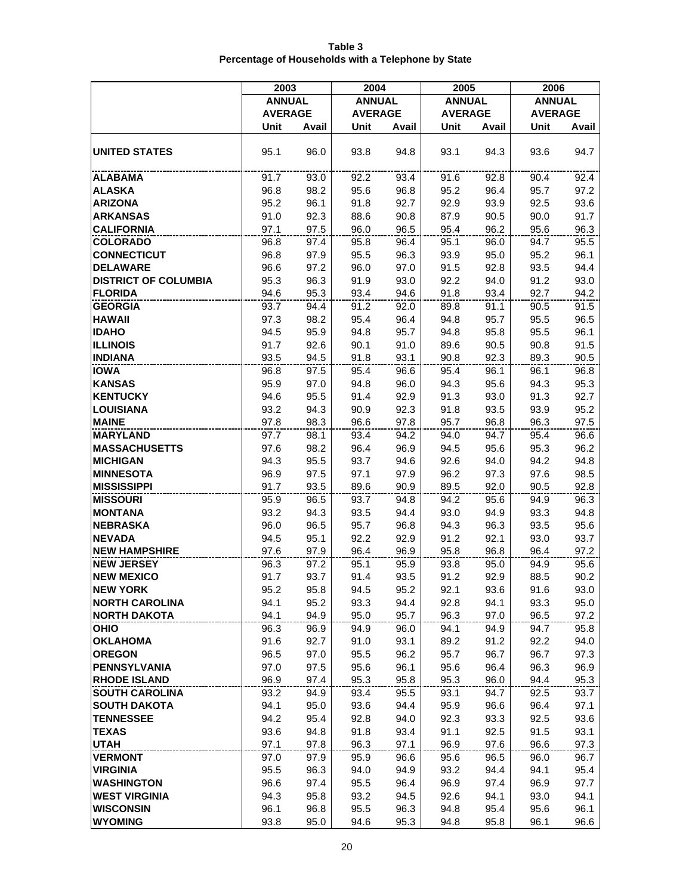|                                               | 2003           |              | 2004           |              | 2005           |              | 2006           |              |
|-----------------------------------------------|----------------|--------------|----------------|--------------|----------------|--------------|----------------|--------------|
|                                               | <b>ANNUAL</b>  |              | <b>ANNUAL</b>  |              | <b>ANNUAL</b>  |              | <b>ANNUAL</b>  |              |
|                                               | <b>AVERAGE</b> |              | <b>AVERAGE</b> |              | <b>AVERAGE</b> |              | <b>AVERAGE</b> |              |
|                                               | Unit           | Avail        | Unit           | Avail        | Unit           | Avail        | Unit           | Avail        |
| <b>UNITED STATES</b>                          | 95.1           | 96.0         | 93.8           | 94.8         | 93.1           | 94.3         | 93.6           | 94.7         |
| <b>ALABAMA</b>                                | 91.7           | 93.0         | 92.2           | 93.4         | 91.6           | 92.8         | 90.4           | 92.4         |
| <b>ALASKA</b>                                 | 96.8           | 98.2         | 95.6           | 96.8         | 95.2           | 96.4         | 95.7           | 97.2         |
| <b>ARIZONA</b>                                | 95.2           | 96.1         | 91.8           | 92.7         | 92.9           | 93.9         | 92.5           | 93.6         |
| <b>ARKANSAS</b>                               | 91.0           | 92.3         | 88.6           | 90.8         | 87.9           | 90.5         | 90.0           | 91.7         |
| <b>CALIFORNIA</b>                             | 97.1           | 97.5         | 96.0           | 96.5         | 95.4           | 96.2         | 95.6           | 96.3         |
| <b>COLORADO</b>                               | 96.8           | 97.4         | 95.8           | 96.4         | 95.1           | 96.0         | 94.7           | 95.5         |
| <b>CONNECTICUT</b>                            | 96.8           | 97.9         | 95.5           | 96.3         | 93.9           | 95.0         | 95.2           | 96.1         |
| <b>DELAWARE</b>                               | 96.6           | 97.2         | 96.0           | 97.0         | 91.5           | 92.8         | 93.5           | 94.4         |
| <b>DISTRICT OF COLUMBIA</b><br><b>FLORIDA</b> | 95.3<br>94.6   | 96.3<br>95.3 | 91.9<br>93.4   | 93.0<br>94.6 | 92.2<br>91.8   | 94.0<br>93.4 | 91.2<br>92.7   | 93.0<br>94.2 |
| <b>GEORGIA</b>                                | 93.7           | 94.4         | 91.2           | 92.0         | 89.8           | 91.1         | 90.5           | 91.5         |
| <b>HAWAII</b>                                 | 97.3           | 98.2         | 95.4           | 96.4         | 94.8           | 95.7         | 95.5           | 96.5         |
| <b>IDAHO</b>                                  | 94.5           | 95.9         | 94.8           | 95.7         | 94.8           | 95.8         | 95.5           | 96.1         |
| <b>ILLINOIS</b>                               | 91.7           | 92.6         | 90.1           | 91.0         | 89.6           | 90.5         | 90.8           | 91.5         |
| <b>INDIANA</b>                                | 93.5           | 94.5         | 91.8           | 93.1         | 90.8           | 92.3         | 89.3           | 90.5         |
| <b>IOWA</b>                                   | 96.8           | 97.5         | 95.4           | 96.6         | 95.4           | 96.1         | 96.1           | 96.8         |
| <b>KANSAS</b>                                 | 95.9           | 97.0         | 94.8           | 96.0         | 94.3           | 95.6         | 94.3           | 95.3         |
| <b>KENTUCKY</b>                               | 94.6           | 95.5         | 91.4           | 92.9         | 91.3           | 93.0         | 91.3           | 92.7         |
| <b>LOUISIANA</b>                              | 93.2           | 94.3         | 90.9           | 92.3         | 91.8           | 93.5         | 93.9           | 95.2         |
| <b>MAINE</b>                                  | 97.8           | 98.3         | 96.6           | 97.8         | 95.7           | 96.8         | 96.3           | 97.5         |
| <b>MARYLAND</b>                               | 97.7           | 98.1         | 93.4           | 94.2         | 94.0           | 94.7         | 95.4           | 96.6         |
| <b>MASSACHUSETTS</b>                          | 97.6           | 98.2         | 96.4           | 96.9         | 94.5           | 95.6         | 95.3           | 96.2         |
| <b>MICHIGAN</b>                               | 94.3           | 95.5         | 93.7           | 94.6         | 92.6           | 94.0         | 94.2           | 94.8         |
| <b>MINNESOTA</b>                              | 96.9           | 97.5         | 97.1           | 97.9         | 96.2           | 97.3         | 97.6           | 98.5         |
| <b>MISSISSIPPI</b>                            | 91.7           | 93.5         | 89.6           | 90.9         | 89.5           | 92.0         | 90.5           | 92.8         |
| <b>MISSOURI</b><br><b>MONTANA</b>             | 95.9<br>93.2   | 96.5<br>94.3 | 93.7<br>93.5   | 94.8<br>94.4 | 94.2<br>93.0   | 95.6<br>94.9 | 94.9<br>93.3   | 96.3<br>94.8 |
| <b>NEBRASKA</b>                               | 96.0           | 96.5         | 95.7           | 96.8         | 94.3           | 96.3         | 93.5           | 95.6         |
| <b>NEVADA</b>                                 | 94.5           | 95.1         | 92.2           | 92.9         | 91.2           | 92.1         | 93.0           | 93.7         |
| <b>NEW HAMPSHIRE</b>                          | 97.6           | 97.9         | 96.4           | 96.9         | 95.8           | 96.8         | 96.4           | 97.2         |
| <b>NEW JERSEY</b>                             | 96.3           | 97.2         | 95.1           | 95.9         | 93.8           | 95.0         | 94.9           | 95.6         |
| <b>NEW MEXICO</b>                             | 91.7           | 93.7         | 91.4           | 93.5         | 91.2           | 92.9         | 88.5           | 90.2         |
| <b>NEW YORK</b>                               | 95.2           | 95.8         | 94.5           | 95.2         | 92.1           | 93.6         | 91.6           | 93.0         |
| <b>NORTH CAROLINA</b>                         | 94.1           | 95.2         | 93.3           | 94.4         | 92.8           | 94.1         | 93.3           | 95.0         |
| <b>NORTH DAKOTA</b>                           | 94.1           | 94.9         | 95.0           | 95.7         | 96.3           | 97.0         | 96.5           | 97.2         |
| <b>OHIO</b>                                   | 96.3           | 96.9         | 94.9           | 96.0         | 94.1           | 94.9         | 94.7           | 95.8         |
| <b>OKLAHOMA</b>                               | 91.6           | 92.7         | 91.0           | 93.1         | 89.2           | 91.2         | 92.2           | 94.0         |
| <b>OREGON</b>                                 | 96.5           | 97.0         | 95.5           | 96.2         | 95.7           | 96.7         | 96.7           | 97.3         |
| <b>PENNSYLVANIA</b><br><b>RHODE ISLAND</b>    | 97.0           | 97.5         | 95.6           | 96.1         | 95.6           | 96.4         | 96.3           | 96.9         |
| <b>SOUTH CAROLINA</b>                         | 96.9<br>93.2   | 97.4         | 95.3           | 95.8<br>95.5 | 95.3<br>93.1   | 96.0<br>94.7 | 94.4           | 95.3<br>93.7 |
| <b>SOUTH DAKOTA</b>                           | 94.1           | 94.9<br>95.0 | 93.4<br>93.6   | 94.4         | 95.9           | 96.6         | 92.5<br>96.4   | 97.1         |
| <b>TENNESSEE</b>                              | 94.2           | 95.4         | 92.8           | 94.0         | 92.3           | 93.3         | 92.5           | 93.6         |
| <b>TEXAS</b>                                  | 93.6           | 94.8         | 91.8           | 93.4         | 91.1           | 92.5         | 91.5           | 93.1         |
| <b>UTAH</b>                                   | 97.1           | 97.8         | 96.3           | 97.1         | 96.9           | 97.6         | 96.6           | 97.3         |
| <b>VERMONT</b>                                | 97.0           | 97.9         | 95.9           | 96.6         | 95.6           | 96.5         | 96.0           | 96.7         |
| <b>VIRGINIA</b>                               | 95.5           | 96.3         | 94.0           | 94.9         | 93.2           | 94.4         | 94.1           | 95.4         |
| <b>WASHINGTON</b>                             | 96.6           | 97.4         | 95.5           | 96.4         | 96.9           | 97.4         | 96.9           | 97.7         |
| <b>WEST VIRGINIA</b>                          | 94.3           | 95.8         | 93.2           | 94.5         | 92.6           | 94.1         | 93.0           | 94.1         |
| <b>WISCONSIN</b>                              | 96.1           | 96.8         | 95.5           | 96.3         | 94.8           | 95.4         | 95.6           | 96.1         |
| <b>WYOMING</b>                                | 93.8           | 95.0         | 94.6           | 95.3         | 94.8           | 95.8         | 96.1           | 96.6         |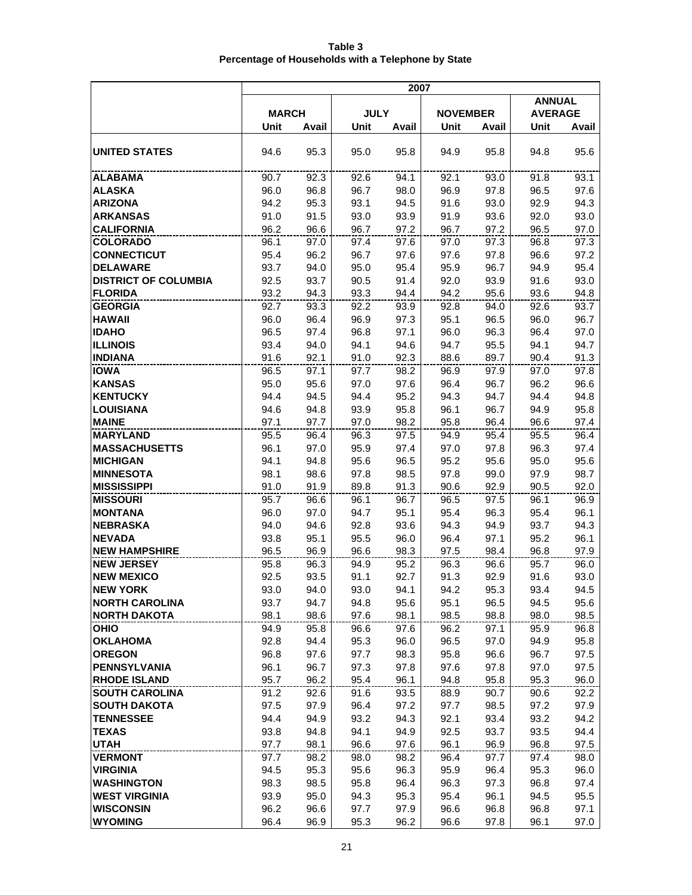|                                   | 2007         |              |              |              |                 |              |                |              |
|-----------------------------------|--------------|--------------|--------------|--------------|-----------------|--------------|----------------|--------------|
|                                   |              |              |              |              |                 |              | <b>ANNUAL</b>  |              |
|                                   | <b>MARCH</b> |              | <b>JULY</b>  |              | <b>NOVEMBER</b> |              | <b>AVERAGE</b> |              |
|                                   | Unit         | Avail        | Unit         | Avail        | Unit            | Avail        | Unit           | Avail        |
| <b>UNITED STATES</b>              | 94.6         | 95.3         | 95.0         | 95.8         | 94.9            | 95.8         | 94.8           | 95.6         |
| ALABAMA                           | 90.7         | 92.3         | 92.6         | 94.1         | 92.1            | 93.0         | 91.8           | 93.1         |
| <b>ALASKA</b>                     | 96.0         | 96.8         | 96.7         | 98.0         | 96.9            | 97.8         | 96.5           | 97.6         |
| <b>ARIZONA</b>                    | 94.2         | 95.3         | 93.1         | 94.5         | 91.6            | 93.0         | 92.9           | 94.3         |
| <b>ARKANSAS</b>                   | 91.0         | 91.5         | 93.0         | 93.9         | 91.9            | 93.6         | 92.0           | 93.0         |
| <b>CALIFORNIA</b>                 | 96.2         | 96.6         | 96.7         | 97.2         | 96.7            | 97.2         | 96.5           | 97.0         |
| <b>COLORADO</b>                   | 96.1         | 97.0         | 97.4         | 97.6         | 97.0            | 97.3         | 96.8           | 97.3         |
| <b>CONNECTICUT</b>                | 95.4         | 96.2         | 96.7         | 97.6         | 97.6            | 97.8         | 96.6           | 97.2         |
| <b>DELAWARE</b>                   | 93.7         | 94.0         | 95.0         | 95.4         | 95.9            | 96.7         | 94.9           | 95.4         |
| <b>DISTRICT OF COLUMBIA</b>       | 92.5         | 93.7         | 90.5         | 91.4         | 92.0            | 93.9         | 91.6           | 93.0         |
| <b>FLORIDA</b>                    | 93.2         | 94.3         | 93.3         | 94.4         | 94.2            | 95.6         | 93.6           | 94.8         |
| <b>GEORGIA</b>                    | 92.7         | 93.3         | 92.2         | 93.9         | 92.8            | 94.0         | 92.6           | 93.7         |
| <b>HAWAII</b>                     | 96.0         | 96.4         | 96.9         | 97.3         | 95.1            | 96.5         | 96.0           | 96.7         |
| <b>IDAHO</b>                      | 96.5         | 97.4         | 96.8         | 97.1         | 96.0            | 96.3         | 96.4           | 97.0         |
| <b>ILLINOIS</b><br><b>INDIANA</b> | 93.4         | 94.0         | 94.1         | 94.6         | 94.7            | 95.5         | 94.1           | 94.7         |
|                                   | 91.6         | 92.1         | 91.0         | 92.3         | 88.6<br>96.9    | 89.7         | 90.4           | 91.3         |
| <b>IOWA</b><br><b>KANSAS</b>      | 96.5<br>95.0 | 97.1<br>95.6 | 97.7<br>97.0 | 98.2<br>97.6 | 96.4            | 97.9<br>96.7 | 97.0<br>96.2   | 97.8<br>96.6 |
| <b>KENTUCKY</b>                   | 94.4         | 94.5         | 94.4         | 95.2         | 94.3            | 94.7         | 94.4           | 94.8         |
| <b>LOUISIANA</b>                  | 94.6         | 94.8         | 93.9         | 95.8         | 96.1            | 96.7         | 94.9           | 95.8         |
| <b>MAINE</b>                      | 97.1         | 97.7         | 97.0         | 98.2         | 95.8            | 96.4         | 96.6           | 97.4         |
| <b>MARYLAND</b>                   | 95.5         | 96.4         | 96.3         | 97.5         | 94.9            | 95.4         | 95.5           | 96.4         |
| <b>MASSACHUSETTS</b>              | 96.1         | 97.0         | 95.9         | 97.4         | 97.0            | 97.8         | 96.3           | 97.4         |
| <b>MICHIGAN</b>                   | 94.1         | 94.8         | 95.6         | 96.5         | 95.2            | 95.6         | 95.0           | 95.6         |
| <b>MINNESOTA</b>                  | 98.1         | 98.6         | 97.8         | 98.5         | 97.8            | 99.0         | 97.9           | 98.7         |
| <b>MISSISSIPPI</b>                | 91.0         | 91.9         | 89.8         | 91.3         | 90.6            | 92.9         | 90.5           | 92.0         |
| <b>MISSOURI</b>                   | 95.7         | 96.6         | 96.1         | 96.7         | 96.5            | 97.5         | 96.1           | 96.9         |
| <b>MONTANA</b>                    | 96.0         | 97.0         | 94.7         | 95.1         | 95.4            | 96.3         | 95.4           | 96.1         |
| <b>NEBRASKA</b>                   | 94.0         | 94.6         | 92.8         | 93.6         | 94.3            | 94.9         | 93.7           | 94.3         |
| <b>NEVADA</b>                     | 93.8         | 95.1         | 95.5         | 96.0         | 96.4            | 97.1         | 95.2           | 96.1         |
| <b>NEW HAMPSHIRE</b>              | 96.5         | 96.9         | 96.6         | 98.3         | 97.5            | 98.4         | 96.8           | 97.9         |
| <b>NEW JERSEY</b>                 | 95.8         | 96.3         | 94.9         | 95.2         | 96.3            | 96.6         | 95.7           | 96.0         |
| <b>NEW MEXICO</b>                 | 92.5         | 93.5         | 91.1         | 92.7         | 91.3            | 92.9         | 91.6           | 93.0         |
| <b>NEW YORK</b>                   | 93.0         | 94.0         | 93.0         | 94.1         | 94.2            | 95.3         | 93.4           | 94.5         |
| <b>NORTH CAROLINA</b>             | 93.7         | 94.7         | 94.8         | 95.6         | 95.1            | 96.5         | 94.5           | 95.6         |
| <b>NORTH DAKOTA</b>               | 98.1         | 98.6         | 97.6         | 98.1         | 98.5            | 98.8         | 98.0           | 98.5         |
| <b>OHIO</b><br><b>OKLAHOMA</b>    | 94.9<br>92.8 | 95.8<br>94.4 | 96.6         | 97.6<br>96.0 | 96.2            | 97.1         | 95.9           | 96.8<br>95.8 |
| <b>OREGON</b>                     | 96.8         | 97.6         | 95.3<br>97.7 | 98.3         | 96.5<br>95.8    | 97.0<br>96.6 | 94.9<br>96.7   | 97.5         |
| <b>PENNSYLVANIA</b>               | 96.1         | 96.7         | 97.3         | 97.8         | 97.6            | 97.8         | 97.0           | 97.5         |
| <b>RHODE ISLAND</b>               | 95.7         | 96.2         | 95.4         | 96.1         | 94.8            | 95.8         | 95.3           | 96.0         |
| <b>SOUTH CAROLINA</b>             | 91.2         | 92.6         | 91.6         | 93.5         | 88.9            | 90.7         | 90.6           | 92.2         |
| <b>SOUTH DAKOTA</b>               | 97.5         | 97.9         | 96.4         | 97.2         | 97.7            | 98.5         | 97.2           | 97.9         |
| <b>TENNESSEE</b>                  | 94.4         | 94.9         | 93.2         | 94.3         | 92.1            | 93.4         | 93.2           | 94.2         |
| <b>TEXAS</b>                      | 93.8         | 94.8         | 94.1         | 94.9         | 92.5            | 93.7         | 93.5           | 94.4         |
| <b>UTAH</b>                       | 97.7         | 98.1         | 96.6         | 97.6         | 96.1            | 96.9         | 96.8           | 97.5         |
| <b>VERMONT</b>                    | 97.7         | 98.2         | 98.0         | 98.2         | 96.4            | 97.7         | 97.4           | 98.0         |
| <b>VIRGINIA</b>                   | 94.5         | 95.3         | 95.6         | 96.3         | 95.9            | 96.4         | 95.3           | 96.0         |
| <b>WASHINGTON</b>                 | 98.3         | 98.5         | 95.8         | 96.4         | 96.3            | 97.3         | 96.8           | 97.4         |
| <b>WEST VIRGINIA</b>              | 93.9         | 95.0         | 94.3         | 95.3         | 95.4            | 96.1         | 94.5           | 95.5         |
| <b>WISCONSIN</b>                  | 96.2         | 96.6         | 97.7         | 97.9         | 96.6            | 96.8         | 96.8           | 97.1         |
| <b>WYOMING</b>                    | 96.4         | 96.9         | 95.3         | 96.2         | 96.6            | 97.8         | 96.1           | 97.0         |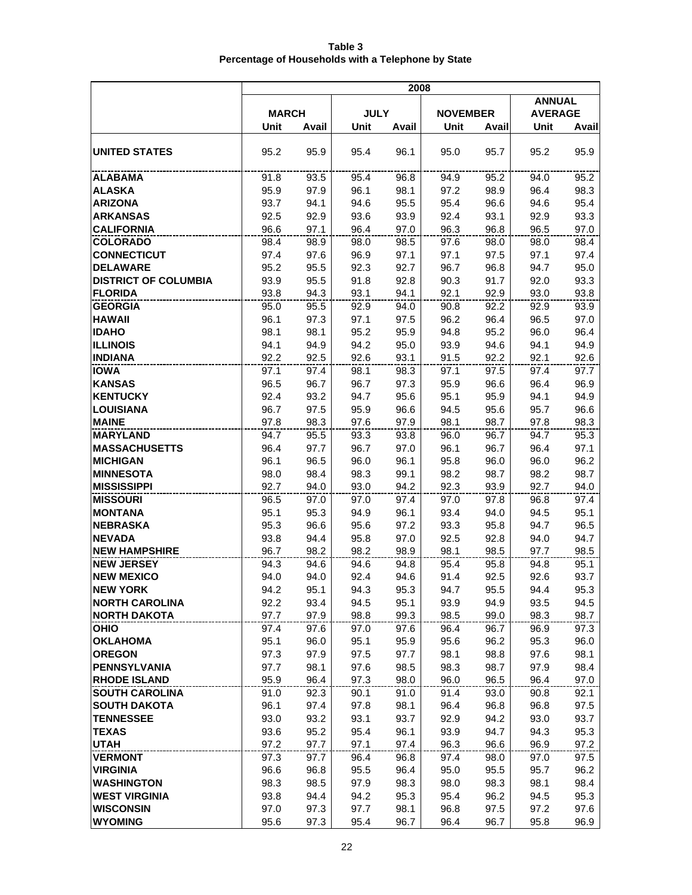|                                           |              |              |              | 2008         |                 |              |                |              |
|-------------------------------------------|--------------|--------------|--------------|--------------|-----------------|--------------|----------------|--------------|
|                                           |              |              |              |              |                 |              | <b>ANNUAL</b>  |              |
|                                           | <b>MARCH</b> |              | <b>JULY</b>  |              | <b>NOVEMBER</b> |              | <b>AVERAGE</b> |              |
|                                           | Unit         | Avail        | Unit         | Avail        | Unit            | Avail        | <b>Unit</b>    | Avail        |
| <b>UNITED STATES</b>                      | 95.2         | 95.9         | 95.4         | 96.1         | 95.0            | 95.7         | 95.2           | 95.9         |
| ALABAMA                                   | 91.8         | 93.5         | 95.4         | 96.8         | 94.9            | 95.2         | 94.0           | 95.2         |
| <b>ALASKA</b>                             | 95.9         | 97.9         | 96.1         | 98.1         | 97.2            | 98.9         | 96.4           | 98.3         |
| <b>ARIZONA</b>                            | 93.7         | 94.1         | 94.6         | 95.5         | 95.4            | 96.6         | 94.6           | 95.4         |
| <b>ARKANSAS</b>                           | 92.5         | 92.9         | 93.6         | 93.9         | 92.4            | 93.1         | 92.9           | 93.3         |
| <b>CALIFORNIA</b>                         | 96.6         | 97.1         | 96.4         | 97.0         | 96.3            | 96.8         | 96.5           | 97.0         |
| <b>COLORADO</b>                           | 98.4         | 98.9         | 98.0         | 98.5         | 97.6            | 98.0         | 98.0           | 98.4         |
| <b>CONNECTICUT</b>                        | 97.4         | 97.6         | 96.9         | 97.1         | 97.1            | 97.5         | 97.1           | 97.4         |
| <b>DELAWARE</b>                           | 95.2         | 95.5         | 92.3         | 92.7         | 96.7            | 96.8         | 94.7           | 95.0         |
| <b>DISTRICT OF COLUMBIA</b>               | 93.9         | 95.5         | 91.8         | 92.8         | 90.3            | 91.7         | 92.0           | 93.3         |
| <b>FLORIDA</b>                            | 93.8         | 94.3         | 93.1         | 94.1         | 92.1            | 92.9         | 93.0           | 93.8         |
| <b>GEORGIA</b><br><b>HAWAII</b>           | 95.0<br>96.1 | 95.5<br>97.3 | 92.9<br>97.1 | 94.0<br>97.5 | 90.8<br>96.2    | 92.2<br>96.4 | 92.9<br>96.5   | 93.9<br>97.0 |
| <b>IDAHO</b>                              | 98.1         | 98.1         | 95.2         | 95.9         | 94.8            | 95.2         | 96.0           | 96.4         |
| <b>ILLINOIS</b>                           | 94.1         | 94.9         | 94.2         | 95.0         | 93.9            | 94.6         | 94.1           | 94.9         |
| <b>INDIANA</b>                            | 92.2         | 92.5         | 92.6         | 93.1         | 91.5            | 92.2         | 92.1           | 92.6         |
| <b>IOWA</b>                               | 97.1         | 97.4         | 98.1         | 98.3         | 97.1            | 97.5         | 97.4           | 97.7         |
| <b>KANSAS</b>                             | 96.5         | 96.7         | 96.7         | 97.3         | 95.9            | 96.6         | 96.4           | 96.9         |
| <b>KENTUCKY</b>                           | 92.4         | 93.2         | 94.7         | 95.6         | 95.1            | 95.9         | 94.1           | 94.9         |
| <b>LOUISIANA</b>                          | 96.7         | 97.5         | 95.9         | 96.6         | 94.5            | 95.6         | 95.7           | 96.6         |
| <b>MAINE</b>                              | 97.8         | 98.3         | 97.6         | 97.9         | 98.1            | 98.7         | 97.8           | 98.3         |
| <b>MARYLAND</b>                           | 94.7         | 95.5         | 93.3         | 93.8         | 96.0            | 96.7         | 94.7           | 95.3         |
| <b>MASSACHUSETTS</b>                      | 96.4         | 97.7         | 96.7         | 97.0         | 96.1            | 96.7         | 96.4           | 97.1         |
| <b>MICHIGAN</b>                           | 96.1         | 96.5         | 96.0         | 96.1         | 95.8            | 96.0         | 96.0           | 96.2         |
| <b>MINNESOTA</b>                          | 98.0         | 98.4         | 98.3         | 99.1         | 98.2            | 98.7         | 98.2           | 98.7         |
| <b>MISSISSIPPI</b>                        | 92.7         | 94.0         | 93.0         | 94.2         | 92.3            | 93.9         | 92.7           | 94.0         |
| <b>MISSOURI</b>                           | 96.5         | 97.0         | 97.0         | 97.4         | 97.0            | 97.8         | 96.8           | 97.4         |
| <b>MONTANA</b>                            | 95.1         | 95.3         | 94.9         | 96.1         | 93.4            | 94.0         | 94.5           | 95.1         |
| <b>NEBRASKA</b>                           | 95.3         | 96.6         | 95.6         | 97.2         | 93.3            | 95.8         | 94.7           | 96.5         |
| <b>NEVADA</b>                             | 93.8         | 94.4         | 95.8         | 97.0         | 92.5            | 92.8         | 94.0           | 94.7         |
| <b>NEW HAMPSHIRE</b><br><b>NEW JERSEY</b> | 96.7<br>94.3 | 98.2<br>94.6 | 98.2<br>94.6 | 98.9<br>94.8 | 98.1<br>95.4    | 98.5<br>95.8 | 97.7<br>94.8   | 98.5<br>95.1 |
| <b>NEW MEXICO</b>                         | 94.0         | 94.0         | 92.4         | 94.6         | 91.4            | 92.5         | 92.6           | 93.7         |
| <b>NEW YORK</b>                           | 94.2         | 95.1         | 94.3         | 95.3         | 94.7            | 95.5         | 94.4           | 95.3         |
| <b>NORTH CAROLINA</b>                     | 92.2         | 93.4         | 94.5         | 95.1         | 93.9            | 94.9         | 93.5           | 94.5         |
| <b>NORTH DAKOTA</b>                       | 97.7         | 97.9         | 98.8         | 99.3         | 98.5            | 99.0         | 98.3           | 98.7         |
| <b>OHIO</b>                               | 97.4         | 97.6         | 97.0         | 97.6         | 96.4            | 96.7         | 96.9           | 97.3         |
| <b>OKLAHOMA</b>                           | 95.1         | 96.0         | 95.1         | 95.9         | 95.6            | 96.2         | 95.3           | 96.0         |
| <b>OREGON</b>                             | 97.3         | 97.9         | 97.5         | 97.7         | 98.1            | 98.8         | 97.6           | 98.1         |
| <b>PENNSYLVANIA</b>                       | 97.7         | 98.1         | 97.6         | 98.5         | 98.3            | 98.7         | 97.9           | 98.4         |
| <b>RHODE ISLAND</b>                       | 95.9         | 96.4         | 97.3         | 98.0         | 96.0            | 96.5         | 96.4           | 97.0         |
| <b>SOUTH CAROLINA</b>                     | 91.0         | 92.3         | 90.1         | 91.0         | 91.4            | 93.0         | 90.8           | 92.1         |
| <b>SOUTH DAKOTA</b>                       | 96.1         | 97.4         | 97.8         | 98.1         | 96.4            | 96.8         | 96.8           | 97.5         |
| <b>TENNESSEE</b>                          | 93.0         | 93.2         | 93.1         | 93.7         | 92.9            | 94.2         | 93.0           | 93.7         |
| <b>TEXAS</b>                              | 93.6         | 95.2         | 95.4         | 96.1         | 93.9            | 94.7         | 94.3           | 95.3         |
| <b>UTAH</b>                               | 97.2         | 97.7         | 97.1         | 97.4         | 96.3            | 96.6         | 96.9           | 97.2         |
| <b>VERMONT</b>                            | 97.3         | 97.7         | 96.4         | 96.8         | 97.4            | 98.0         | 97.0           | 97.5         |
| <b>VIRGINIA</b>                           | 96.6         | 96.8         | 95.5         | 96.4         | 95.0            | 95.5         | 95.7           | 96.2         |
| <b>WASHINGTON</b>                         | 98.3         | 98.5         | 97.9         | 98.3         | 98.0            | 98.3         | 98.1           | 98.4         |
| <b>WEST VIRGINIA</b><br><b>WISCONSIN</b>  | 93.8<br>97.0 | 94.4<br>97.3 | 94.2<br>97.7 | 95.3<br>98.1 | 95.4<br>96.8    | 96.2<br>97.5 | 94.5<br>97.2   | 95.3<br>97.6 |
| <b>WYOMING</b>                            | 95.6         | 97.3         | 95.4         | 96.7         | 96.4            | 96.7         | 95.8           | 96.9         |
|                                           |              |              |              |              |                 |              |                |              |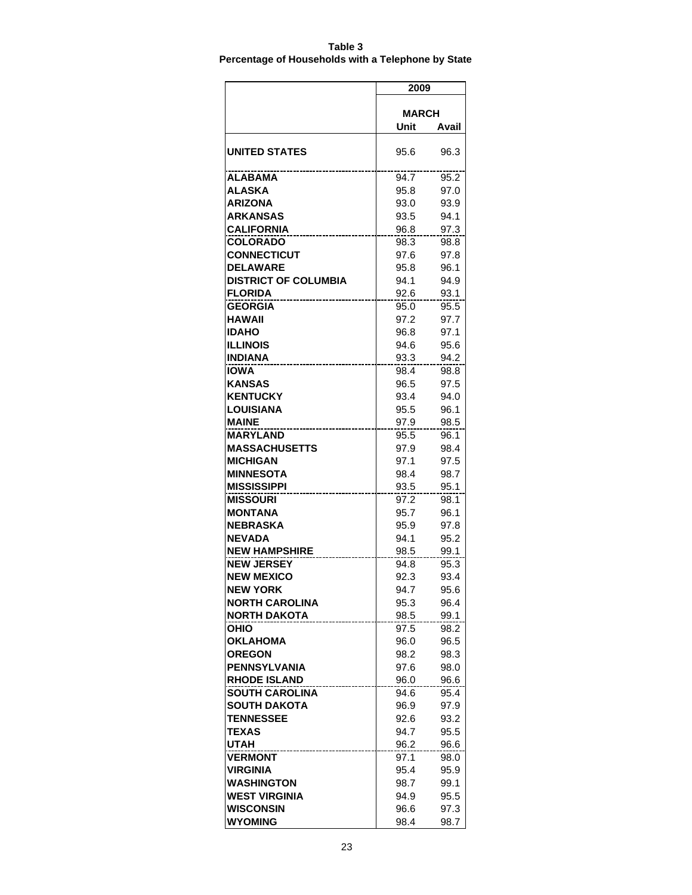| Table 3                                            |  |
|----------------------------------------------------|--|
| Percentage of Households with a Telephone by State |  |

|                                    | 2009         |              |  |  |  |
|------------------------------------|--------------|--------------|--|--|--|
|                                    |              |              |  |  |  |
|                                    | <b>MARCH</b> |              |  |  |  |
|                                    | Unit         | Avail        |  |  |  |
| <b>UNITED STATES</b>               | 95.6         | 96.3         |  |  |  |
| ALABAMA                            | 94.7         | 95.2         |  |  |  |
| ALASKA                             | 95.8         | 97.0         |  |  |  |
| ARIZONA                            | 93.0         | 93.9         |  |  |  |
| ARKANSAS                           | 93.5         | 94.1         |  |  |  |
| CALIFORNIA                         | 96.8         | 97.3         |  |  |  |
| COLORADO                           | 98.3         | 98.8         |  |  |  |
| <b>CONNECTICUT</b>                 | 97.6         | 97.8         |  |  |  |
| <b>DELAWARE</b>                    | 95.8         | 96.1         |  |  |  |
| <b>DISTRICT OF COLUMBIA</b>        | 94.1         | 94.9         |  |  |  |
| <b>FLORIDA</b>                     | 92.6         | 93.1         |  |  |  |
| <b>GEORGIA</b>                     | 95.0         | 95.5         |  |  |  |
| HAWAII                             | 97.2         | 97.7         |  |  |  |
| <b>IDAHO</b>                       | 96.8         | 97.1         |  |  |  |
| ILLINOIS                           | 94.6         | 95.6         |  |  |  |
| INDIANA                            | 93.3         | 94.2         |  |  |  |
| <b>IOWA</b>                        | 98.4         | 98.8         |  |  |  |
| <b>KANSAS</b>                      | 96.5         | 97.5         |  |  |  |
| <b>KENTUCKY</b>                    | 93.4         | 94.0         |  |  |  |
| LOUISIANA                          | 95.5         | 96.1         |  |  |  |
| <b>MAINE</b>                       | 97.9         | 98.5         |  |  |  |
| <b>MARYLAND</b>                    | 95.5         | 96.1         |  |  |  |
| <b>MASSACHUSETTS</b>               | 97.9         | 98.4         |  |  |  |
| <b>MICHIGAN</b>                    | 97.1         | 97.5         |  |  |  |
| MINNESOTA                          | 98.4         | 98.7         |  |  |  |
| MISSISSIPPI                        | 93.5         | 95.1         |  |  |  |
| <b>MISSOURI</b>                    | 97.2         | 98.1         |  |  |  |
| MONTANA<br><b>NEBRASKA</b>         | 95.7         | 96.1         |  |  |  |
|                                    | 95.9         | 97.8         |  |  |  |
| <b>NEVADA</b>                      | 94.1         | 95.2         |  |  |  |
| NEW HAMPSHIRE<br><b>NEW JERSEY</b> | 98.5<br>94.8 | 99.1         |  |  |  |
| <b>NEW MEXICO</b>                  | 92.3         | 95.3<br>93.4 |  |  |  |
| <b>NEW YORK</b>                    | 94.7         | 95.6         |  |  |  |
| <b>NORTH CAROLINA</b>              | 95.3         | 96.4         |  |  |  |
| <b>NORTH DAKOTA</b>                | 98.5         | 99.1         |  |  |  |
| <b>OHIO</b>                        | 97.5         | 98.2         |  |  |  |
| <b>OKLAHOMA</b>                    | 96.0         | 96.5         |  |  |  |
| <b>OREGON</b>                      | 98.2         | 98.3         |  |  |  |
| <b>PENNSYLVANIA</b>                | 97.6         | 98.0         |  |  |  |
| <b>RHODE ISLAND</b>                | 96.0         | 96.6         |  |  |  |
| <b>SOUTH CAROLINA</b>              | 94.6         | 95.4         |  |  |  |
| SOUTH DAKOTA                       | 96.9         | 97.9         |  |  |  |
| <b>TENNESSEE</b>                   | 92.6         | 93.2         |  |  |  |
| <b>TEXAS</b>                       | 94.7         | 95.5         |  |  |  |
| UTAH                               | 96.2         | 96.6         |  |  |  |
| <b>VERMONT</b>                     | 97.1         | 98.0         |  |  |  |
| VIRGINIA                           | 95.4         | 95.9         |  |  |  |
| <b>WASHINGTON</b>                  | 98.7         | 99.1         |  |  |  |
| <b>WEST VIRGINIA</b>               | 94.9         | 95.5         |  |  |  |
| WISCONSIN                          | 96.6         | 97.3         |  |  |  |
| <b>WYOMING</b>                     | 98.4         | 98.7         |  |  |  |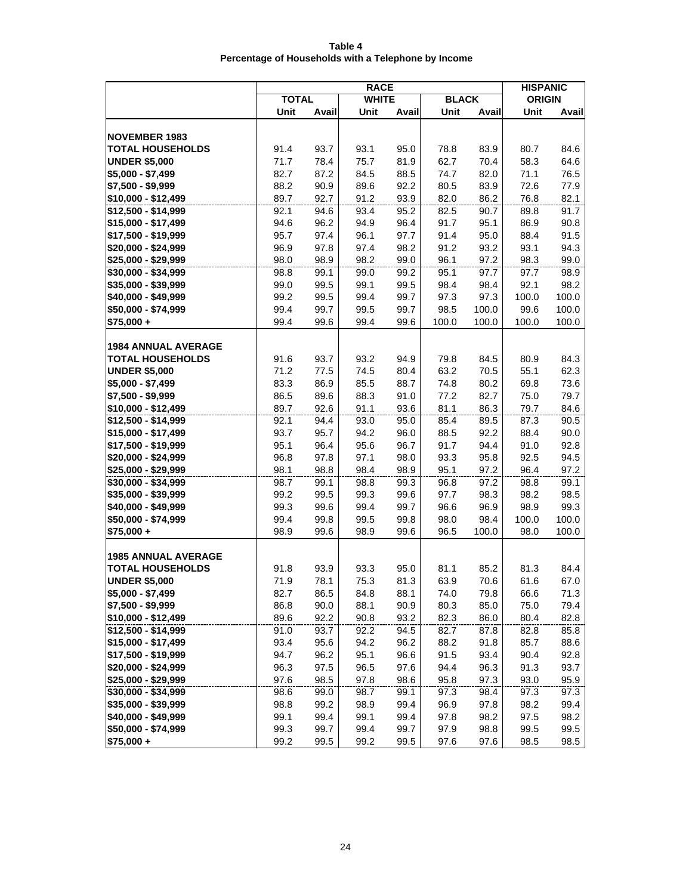| Table 4                                             |  |
|-----------------------------------------------------|--|
| Percentage of Households with a Telephone by Income |  |

|                            | <b>RACE</b>  |       |              |       |              |               | <b>HISPANIC</b> |       |
|----------------------------|--------------|-------|--------------|-------|--------------|---------------|-----------------|-------|
|                            | <b>TOTAL</b> |       | <b>WHITE</b> |       | <b>BLACK</b> |               | <b>ORIGIN</b>   |       |
|                            | Unit         | Avail | Unit         | Avail | Unit         | Avail         | Unit            | Avail |
|                            |              |       |              |       |              |               |                 |       |
| <b>NOVEMBER 1983</b>       |              |       |              |       |              |               |                 |       |
| <b>TOTAL HOUSEHOLDS</b>    | 91.4         | 93.7  | 93.1         | 95.0  | 78.8         | 83.9          | 80.7            | 84.6  |
| <b>UNDER \$5,000</b>       | 71.7         | 78.4  | 75.7         | 81.9  | 62.7         | 70.4          | 58.3            | 64.6  |
| $$5,000 - $7,499$          | 82.7         | 87.2  | 84.5         | 88.5  | 74.7         | 82.0          | 71.1            | 76.5  |
| \$7,500 - \$9,999          | 88.2         | 90.9  | 89.6         | 92.2  | 80.5         | 83.9          | 72.6            | 77.9  |
| \$10.000 - \$12.499        | 89.7         | 92.7  | 91.2         | 93.9  | 82.0         | 86.2          | 76.8            | 82.1  |
| \$12,500 - \$14,999        | 92.1         | 94.6  | 93.4         | 95.2  | 82.5         | 90.7          | 89.8            | 91.7  |
| \$15,000 - \$17,499        | 94.6         | 96.2  | 94.9         | 96.4  | 91.7         | 95.1          | 86.9            | 90.8  |
| \$17,500 - \$19,999        | 95.7         | 97.4  | 96.1         | 97.7  | 91.4         | 95.0          | 88.4            | 91.5  |
| \$20,000 - \$24,999        | 96.9         | 97.8  | 97.4         | 98.2  | 91.2         | 93.2          | 93.1            | 94.3  |
| \$25,000 - \$29,999        | 98.0         | 98.9  | 98.2         | 99.0  | 96.1         | 97.2          | 98.3            | 99.0  |
| \$30,000 - \$34,999        | 98.8         | 99.1  | 99.0         | 99.2  | 95.1         | 97.7          | 97.7            | 98.9  |
| \$35,000 - \$39,999        | 99.0         | 99.5  | 99.1         | 99.5  | 98.4         | 98.4          | 92.1            | 98.2  |
| \$40,000 - \$49,999        | 99.2         | 99.5  | 99.4         | 99.7  | 97.3         | 97.3          | 100.0           | 100.0 |
| \$50,000 - \$74,999        | 99.4         | 99.7  | 99.5         | 99.7  | 98.5         | 100.0         | 99.6            | 100.0 |
| $$75,000 +$                | 99.4         | 99.6  | 99.4         | 99.6  | 100.0        | 100.0         | 100.0           | 100.0 |
|                            |              |       |              |       |              |               |                 |       |
| <b>1984 ANNUAL AVERAGE</b> |              |       |              |       |              |               |                 |       |
| <b>TOTAL HOUSEHOLDS</b>    | 91.6         | 93.7  | 93.2         | 94.9  | 79.8         | 84.5          | 80.9            | 84.3  |
| <b>UNDER \$5,000</b>       | 71.2         | 77.5  | 74.5         | 80.4  | 63.2         | 70.5          | 55.1            | 62.3  |
| \$5,000 - \$7,499          | 83.3         | 86.9  | 85.5         | 88.7  | 74.8         | 80.2          | 69.8            | 73.6  |
| \$7,500 - \$9,999          | 86.5         | 89.6  | 88.3         | 91.0  | 77.2         | 82.7          | 75.0            | 79.7  |
| \$10,000 - \$12,499        | 89.7         | 92.6  | 91.1         | 93.6  | 81.1         | 86.3          | 79.7            | 84.6  |
| \$12,500 - \$14,999        | 92.1         | 94.4  | 93.0         | 95.0  | 85.4         | 89.5          | 87.3            | 90.5  |
| \$15,000 - \$17,499        | 93.7         | 95.7  | 94.2         | 96.0  | 88.5         | 92.2          | 88.4            | 90.0  |
| \$17,500 - \$19,999        | 95.1         | 96.4  | 95.6         | 96.7  | 91.7         | 94.4          | 91.0            | 92.8  |
| \$20,000 - \$24,999        | 96.8         | 97.8  | 97.1         | 98.0  | 93.3         | 95.8          | 92.5            | 94.5  |
| \$25,000 - \$29,999        | 98.1         | 98.8  | 98.4         | 98.9  | 95.1         | 97.2          | 96.4            | 97.2  |
| \$30,000 - \$34,999        | 98.7         | 99.1  | 98.8         | 99.3  | 96.8         | 97.2          | 98.8            | 99.1  |
| \$35,000 - \$39,999        | 99.2         | 99.5  | 99.3         | 99.6  | 97.7         | 98.3          | 98.2            | 98.5  |
| \$40,000 - \$49,999        | 99.3         | 99.6  | 99.4         | 99.7  | 96.6         | 96.9          | 98.9            | 99.3  |
| \$50,000 - \$74,999        | 99.4<br>98.9 | 99.8  | 99.5<br>98.9 | 99.8  | 98.0         | 98.4<br>100.0 | 100.0           | 100.0 |
| $$75,000 +$                |              | 99.6  |              | 99.6  | 96.5         |               | 98.0            | 100.0 |
| <b>1985 ANNUAL AVERAGE</b> |              |       |              |       |              |               |                 |       |
| <b>TOTAL HOUSEHOLDS</b>    | 91.8         | 93.9  | 93.3         | 95.0  | 81.1         | 85.2          | 81.3            | 84.4  |
| <b>UNDER \$5,000</b>       | 71.9         | 78.1  | 75.3         | 81.3  | 63.9         | 70.6          | 61.6            | 67.0  |
| \$5,000 - \$7,499          | 82.7         | 86.5  | 84.8         | 88.1  | 74.0         | 79.8          | 66.6            | 71.3  |
| \$7,500 - \$9,999          | 86.8         | 90.0  | 88.1         | 90.9  | 80.3         | 85.0          | 75.0            | 79.4  |
| \$10,000 - \$12,499        | 89.6         | 92.2  | 90.8         | 93.2  | 82.3         | 86.0          | 80.4            | 82.8  |
| \$12,500 - \$14,999        | 91.0         | 93.7  | 92.2         | 94.5  | 82.7         | 87.8          | 82.8            | 85.8  |
| \$15,000 - \$17,499        | 93.4         | 95.6  | 94.2         | 96.2  | 88.2         | 91.8          | 85.7            | 88.6  |
| \$17,500 - \$19,999        | 94.7         | 96.2  | 95.1         | 96.6  | 91.5         | 93.4          | 90.4            | 92.8  |
| \$20,000 - \$24,999        | 96.3         | 97.5  | 96.5         | 97.6  | 94.4         | 96.3          | 91.3            | 93.7  |
| \$25,000 - \$29,999        | 97.6         | 98.5  | 97.8         | 98.6  | 95.8         | 97.3          | 93.0            | 95.9  |
| \$30,000 - \$34,999        | 98.6         | 99.0  | 98.7         | 99.1  | 97.3         | 98.4          | 97.3            | 97.3  |
| \$35,000 - \$39,999        | 98.8         | 99.2  | 98.9         | 99.4  | 96.9         | 97.8          | 98.2            | 99.4  |
| \$40,000 - \$49,999        | 99.1         | 99.4  | 99.1         | 99.4  | 97.8         | 98.2          | 97.5            | 98.2  |
| \$50,000 - \$74,999        | 99.3         | 99.7  | 99.4         | 99.7  | 97.9         | 98.8          | 99.5            | 99.5  |
| \$75,000 +                 | 99.2         | 99.5  | 99.2         | 99.5  | 97.6         | 97.6          | 98.5            | 98.5  |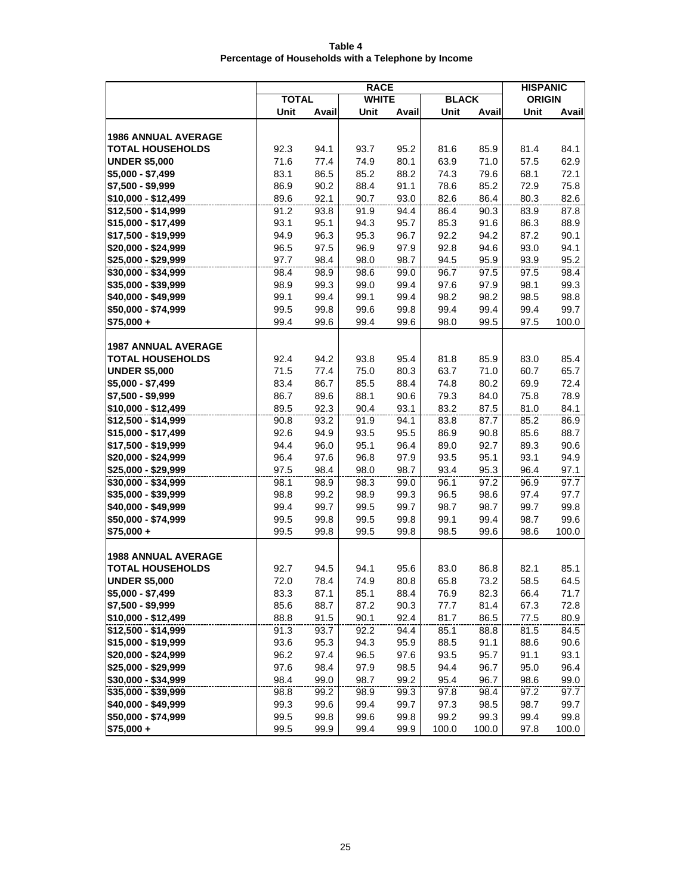| Table 4                                             |  |
|-----------------------------------------------------|--|
| Percentage of Households with a Telephone by Income |  |

| <b>BLACK</b><br><b>TOTAL</b><br><b>WHITE</b><br><b>ORIGIN</b><br>Unit<br>Avail<br>Unit<br>Avail<br>Unit<br>Unit<br>Avail<br>Avail<br><b>1986 ANNUAL AVERAGE</b><br><b>TOTAL HOUSEHOLDS</b><br>94.1<br>93.7<br>95.2<br>81.6<br>85.9<br>81.4<br>84.1<br>92.3<br>62.9<br><b>UNDER \$5,000</b><br>71.6<br>77.4<br>74.9<br>80.1<br>63.9<br>71.0<br>57.5<br>$$5,000 - $7,499$<br>83.1<br>86.5<br>85.2<br>88.2<br>74.3<br>79.6<br>68.1<br>72.1<br>86.9<br>90.2<br>85.2<br>\$7,500 - \$9,999<br>88.4<br>91.1<br>78.6<br>72.9<br>75.8<br>82.6<br>\$10.000 - \$12.499<br>89.6<br>92.1<br>90.7<br>93.0<br>82.6<br>86.4<br>80.3<br>90.3<br>\$12,500 - \$14,999<br>91.2<br>93.8<br>91.9<br>94.4<br>86.4<br>83.9<br>87.8<br>93.1<br>86.3<br>\$15,000 - \$17,499<br>95.1<br>94.3<br>95.7<br>85.3<br>91.6<br>88.9<br>90.1<br>\$17,500 - \$19,999<br>94.9<br>96.3<br>95.3<br>96.7<br>92.2<br>94.2<br>87.2<br>97.5<br>96.9<br>92.8<br>94.6<br>94.1<br>\$20,000 - \$24,999<br>96.5<br>97.9<br>93.0<br>94.5<br>95.9<br>95.2<br>\$25,000 - \$29,999<br>97.7<br>98.4<br>98.0<br>98.7<br>93.9<br>98.4<br>98.4<br>\$30,000 - \$34,999<br>98.9<br>98.6<br>99.0<br>96.7<br>97.5<br>97.5<br>99.0<br>98.1<br>99.3<br>\$35,000 - \$39,999<br>98.9<br>99.3<br>99.4<br>97.6<br>97.9<br>98.8<br>\$40,000 - \$49,999<br>99.1<br>99.4<br>99.1<br>99.4<br>98.2<br>98.2<br>98.5<br>\$50,000 - \$74,999<br>99.5<br>99.8<br>99.6<br>99.8<br>99.4<br>99.4<br>99.7<br>99.4<br>99.5<br>$$75,000 +$<br>99.4<br>99.6<br>99.4<br>99.6<br>98.0<br>97.5<br>100.0<br><b>1987 ANNUAL AVERAGE</b><br>85.4<br><b>TOTAL HOUSEHOLDS</b><br>92.4<br>94.2<br>93.8<br>95.4<br>81.8<br>85.9<br>83.0 |
|---------------------------------------------------------------------------------------------------------------------------------------------------------------------------------------------------------------------------------------------------------------------------------------------------------------------------------------------------------------------------------------------------------------------------------------------------------------------------------------------------------------------------------------------------------------------------------------------------------------------------------------------------------------------------------------------------------------------------------------------------------------------------------------------------------------------------------------------------------------------------------------------------------------------------------------------------------------------------------------------------------------------------------------------------------------------------------------------------------------------------------------------------------------------------------------------------------------------------------------------------------------------------------------------------------------------------------------------------------------------------------------------------------------------------------------------------------------------------------------------------------------------------------------------------------------------------------------------------------------------------------------------|
|                                                                                                                                                                                                                                                                                                                                                                                                                                                                                                                                                                                                                                                                                                                                                                                                                                                                                                                                                                                                                                                                                                                                                                                                                                                                                                                                                                                                                                                                                                                                                                                                                                             |
|                                                                                                                                                                                                                                                                                                                                                                                                                                                                                                                                                                                                                                                                                                                                                                                                                                                                                                                                                                                                                                                                                                                                                                                                                                                                                                                                                                                                                                                                                                                                                                                                                                             |
|                                                                                                                                                                                                                                                                                                                                                                                                                                                                                                                                                                                                                                                                                                                                                                                                                                                                                                                                                                                                                                                                                                                                                                                                                                                                                                                                                                                                                                                                                                                                                                                                                                             |
|                                                                                                                                                                                                                                                                                                                                                                                                                                                                                                                                                                                                                                                                                                                                                                                                                                                                                                                                                                                                                                                                                                                                                                                                                                                                                                                                                                                                                                                                                                                                                                                                                                             |
|                                                                                                                                                                                                                                                                                                                                                                                                                                                                                                                                                                                                                                                                                                                                                                                                                                                                                                                                                                                                                                                                                                                                                                                                                                                                                                                                                                                                                                                                                                                                                                                                                                             |
|                                                                                                                                                                                                                                                                                                                                                                                                                                                                                                                                                                                                                                                                                                                                                                                                                                                                                                                                                                                                                                                                                                                                                                                                                                                                                                                                                                                                                                                                                                                                                                                                                                             |
|                                                                                                                                                                                                                                                                                                                                                                                                                                                                                                                                                                                                                                                                                                                                                                                                                                                                                                                                                                                                                                                                                                                                                                                                                                                                                                                                                                                                                                                                                                                                                                                                                                             |
|                                                                                                                                                                                                                                                                                                                                                                                                                                                                                                                                                                                                                                                                                                                                                                                                                                                                                                                                                                                                                                                                                                                                                                                                                                                                                                                                                                                                                                                                                                                                                                                                                                             |
|                                                                                                                                                                                                                                                                                                                                                                                                                                                                                                                                                                                                                                                                                                                                                                                                                                                                                                                                                                                                                                                                                                                                                                                                                                                                                                                                                                                                                                                                                                                                                                                                                                             |
|                                                                                                                                                                                                                                                                                                                                                                                                                                                                                                                                                                                                                                                                                                                                                                                                                                                                                                                                                                                                                                                                                                                                                                                                                                                                                                                                                                                                                                                                                                                                                                                                                                             |
|                                                                                                                                                                                                                                                                                                                                                                                                                                                                                                                                                                                                                                                                                                                                                                                                                                                                                                                                                                                                                                                                                                                                                                                                                                                                                                                                                                                                                                                                                                                                                                                                                                             |
|                                                                                                                                                                                                                                                                                                                                                                                                                                                                                                                                                                                                                                                                                                                                                                                                                                                                                                                                                                                                                                                                                                                                                                                                                                                                                                                                                                                                                                                                                                                                                                                                                                             |
|                                                                                                                                                                                                                                                                                                                                                                                                                                                                                                                                                                                                                                                                                                                                                                                                                                                                                                                                                                                                                                                                                                                                                                                                                                                                                                                                                                                                                                                                                                                                                                                                                                             |
|                                                                                                                                                                                                                                                                                                                                                                                                                                                                                                                                                                                                                                                                                                                                                                                                                                                                                                                                                                                                                                                                                                                                                                                                                                                                                                                                                                                                                                                                                                                                                                                                                                             |
|                                                                                                                                                                                                                                                                                                                                                                                                                                                                                                                                                                                                                                                                                                                                                                                                                                                                                                                                                                                                                                                                                                                                                                                                                                                                                                                                                                                                                                                                                                                                                                                                                                             |
|                                                                                                                                                                                                                                                                                                                                                                                                                                                                                                                                                                                                                                                                                                                                                                                                                                                                                                                                                                                                                                                                                                                                                                                                                                                                                                                                                                                                                                                                                                                                                                                                                                             |
|                                                                                                                                                                                                                                                                                                                                                                                                                                                                                                                                                                                                                                                                                                                                                                                                                                                                                                                                                                                                                                                                                                                                                                                                                                                                                                                                                                                                                                                                                                                                                                                                                                             |
|                                                                                                                                                                                                                                                                                                                                                                                                                                                                                                                                                                                                                                                                                                                                                                                                                                                                                                                                                                                                                                                                                                                                                                                                                                                                                                                                                                                                                                                                                                                                                                                                                                             |
|                                                                                                                                                                                                                                                                                                                                                                                                                                                                                                                                                                                                                                                                                                                                                                                                                                                                                                                                                                                                                                                                                                                                                                                                                                                                                                                                                                                                                                                                                                                                                                                                                                             |
|                                                                                                                                                                                                                                                                                                                                                                                                                                                                                                                                                                                                                                                                                                                                                                                                                                                                                                                                                                                                                                                                                                                                                                                                                                                                                                                                                                                                                                                                                                                                                                                                                                             |
|                                                                                                                                                                                                                                                                                                                                                                                                                                                                                                                                                                                                                                                                                                                                                                                                                                                                                                                                                                                                                                                                                                                                                                                                                                                                                                                                                                                                                                                                                                                                                                                                                                             |
|                                                                                                                                                                                                                                                                                                                                                                                                                                                                                                                                                                                                                                                                                                                                                                                                                                                                                                                                                                                                                                                                                                                                                                                                                                                                                                                                                                                                                                                                                                                                                                                                                                             |
| 60.7<br>65.7<br><b>UNDER \$5,000</b><br>71.5<br>77.4<br>75.0<br>80.3<br>63.7<br>71.0                                                                                                                                                                                                                                                                                                                                                                                                                                                                                                                                                                                                                                                                                                                                                                                                                                                                                                                                                                                                                                                                                                                                                                                                                                                                                                                                                                                                                                                                                                                                                        |
| 74.8<br>72.4<br>\$5,000 - \$7,499<br>83.4<br>86.7<br>85.5<br>88.4<br>80.2<br>69.9                                                                                                                                                                                                                                                                                                                                                                                                                                                                                                                                                                                                                                                                                                                                                                                                                                                                                                                                                                                                                                                                                                                                                                                                                                                                                                                                                                                                                                                                                                                                                           |
| \$7,500 - \$9,999<br>86.7<br>89.6<br>88.1<br>90.6<br>79.3<br>84.0<br>75.8<br>78.9                                                                                                                                                                                                                                                                                                                                                                                                                                                                                                                                                                                                                                                                                                                                                                                                                                                                                                                                                                                                                                                                                                                                                                                                                                                                                                                                                                                                                                                                                                                                                           |
| \$10,000 - \$12,499<br>89.5<br>92.3<br>90.4<br>93.1<br>83.2<br>87.5<br>81.0<br>84.1                                                                                                                                                                                                                                                                                                                                                                                                                                                                                                                                                                                                                                                                                                                                                                                                                                                                                                                                                                                                                                                                                                                                                                                                                                                                                                                                                                                                                                                                                                                                                         |
| 90.8<br>93.2<br>91.9<br>94.1<br>83.8<br>87.7<br>85.2<br>86.9<br>\$12,500 - \$14,999                                                                                                                                                                                                                                                                                                                                                                                                                                                                                                                                                                                                                                                                                                                                                                                                                                                                                                                                                                                                                                                                                                                                                                                                                                                                                                                                                                                                                                                                                                                                                         |
| \$15,000 - \$17,499<br>92.6<br>94.9<br>93.5<br>95.5<br>86.9<br>90.8<br>85.6<br>88.7                                                                                                                                                                                                                                                                                                                                                                                                                                                                                                                                                                                                                                                                                                                                                                                                                                                                                                                                                                                                                                                                                                                                                                                                                                                                                                                                                                                                                                                                                                                                                         |
| 95.1<br>96.4<br>92.7<br>89.3<br>90.6<br>\$17,500 - \$19,999<br>94.4<br>96.0<br>89.0                                                                                                                                                                                                                                                                                                                                                                                                                                                                                                                                                                                                                                                                                                                                                                                                                                                                                                                                                                                                                                                                                                                                                                                                                                                                                                                                                                                                                                                                                                                                                         |
| 96.8<br>93.5<br>93.1<br>94.9<br>\$20,000 - \$24,999<br>96.4<br>97.6<br>97.9<br>95.1                                                                                                                                                                                                                                                                                                                                                                                                                                                                                                                                                                                                                                                                                                                                                                                                                                                                                                                                                                                                                                                                                                                                                                                                                                                                                                                                                                                                                                                                                                                                                         |
| 95.3<br>\$25,000 - \$29,999<br>97.5<br>98.4<br>98.0<br>98.7<br>93.4<br>96.4<br>97.1                                                                                                                                                                                                                                                                                                                                                                                                                                                                                                                                                                                                                                                                                                                                                                                                                                                                                                                                                                                                                                                                                                                                                                                                                                                                                                                                                                                                                                                                                                                                                         |
| \$30,000 - \$34,999<br>98.1<br>98.9<br>98.3<br>99.0<br>96.1<br>97.2<br>96.9<br>97.7                                                                                                                                                                                                                                                                                                                                                                                                                                                                                                                                                                                                                                                                                                                                                                                                                                                                                                                                                                                                                                                                                                                                                                                                                                                                                                                                                                                                                                                                                                                                                         |
| 98.8<br>99.2<br>98.9<br>99.3<br>96.5<br>98.6<br>97.4<br>97.7<br>\$35,000 - \$39,999                                                                                                                                                                                                                                                                                                                                                                                                                                                                                                                                                                                                                                                                                                                                                                                                                                                                                                                                                                                                                                                                                                                                                                                                                                                                                                                                                                                                                                                                                                                                                         |
| 98.7<br>\$40,000 - \$49,999<br>99.4<br>99.7<br>99.5<br>99.7<br>98.7<br>99.7<br>99.8                                                                                                                                                                                                                                                                                                                                                                                                                                                                                                                                                                                                                                                                                                                                                                                                                                                                                                                                                                                                                                                                                                                                                                                                                                                                                                                                                                                                                                                                                                                                                         |
| \$50,000 - \$74,999<br>99.6<br>99.5<br>99.8<br>99.5<br>99.8<br>99.1<br>99.4<br>98.7                                                                                                                                                                                                                                                                                                                                                                                                                                                                                                                                                                                                                                                                                                                                                                                                                                                                                                                                                                                                                                                                                                                                                                                                                                                                                                                                                                                                                                                                                                                                                         |
| $$75,000 +$<br>99.5<br>99.8<br>99.5<br>99.8<br>98.5<br>99.6<br>98.6<br>100.0                                                                                                                                                                                                                                                                                                                                                                                                                                                                                                                                                                                                                                                                                                                                                                                                                                                                                                                                                                                                                                                                                                                                                                                                                                                                                                                                                                                                                                                                                                                                                                |
|                                                                                                                                                                                                                                                                                                                                                                                                                                                                                                                                                                                                                                                                                                                                                                                                                                                                                                                                                                                                                                                                                                                                                                                                                                                                                                                                                                                                                                                                                                                                                                                                                                             |
| <b>1988 ANNUAL AVERAGE</b>                                                                                                                                                                                                                                                                                                                                                                                                                                                                                                                                                                                                                                                                                                                                                                                                                                                                                                                                                                                                                                                                                                                                                                                                                                                                                                                                                                                                                                                                                                                                                                                                                  |
| 85.1<br><b>TOTAL HOUSEHOLDS</b><br>92.7<br>94.5<br>94.1<br>95.6<br>83.0<br>86.8<br>82.1<br>72.0<br><b>UNDER \$5,000</b><br>78.4<br>74.9<br>65.8<br>73.2<br>58.5<br>64.5                                                                                                                                                                                                                                                                                                                                                                                                                                                                                                                                                                                                                                                                                                                                                                                                                                                                                                                                                                                                                                                                                                                                                                                                                                                                                                                                                                                                                                                                     |
| 80.8<br>\$5,000 - \$7,499<br>71.7                                                                                                                                                                                                                                                                                                                                                                                                                                                                                                                                                                                                                                                                                                                                                                                                                                                                                                                                                                                                                                                                                                                                                                                                                                                                                                                                                                                                                                                                                                                                                                                                           |
| 83.3<br>87.1<br>85.1<br>88.4<br>82.3<br>66.4<br>76.9<br>\$7,500 - \$9,999<br>88.7<br>87.2<br>90.3<br>81.4<br>72.8<br>85.6<br>77.7<br>67.3                                                                                                                                                                                                                                                                                                                                                                                                                                                                                                                                                                                                                                                                                                                                                                                                                                                                                                                                                                                                                                                                                                                                                                                                                                                                                                                                                                                                                                                                                                   |
| \$10,000 - \$12,499<br>91.5<br>90.1<br>92.4<br>80.9                                                                                                                                                                                                                                                                                                                                                                                                                                                                                                                                                                                                                                                                                                                                                                                                                                                                                                                                                                                                                                                                                                                                                                                                                                                                                                                                                                                                                                                                                                                                                                                         |
| 88.8<br>81.7<br>86.5<br>77.5<br>84.5<br>\$12,500 - \$14,999<br>91.3<br>93.7<br>92.2<br>94.4<br>85.1<br>88.8<br>81.5                                                                                                                                                                                                                                                                                                                                                                                                                                                                                                                                                                                                                                                                                                                                                                                                                                                                                                                                                                                                                                                                                                                                                                                                                                                                                                                                                                                                                                                                                                                         |
| \$15,000 - \$19,999                                                                                                                                                                                                                                                                                                                                                                                                                                                                                                                                                                                                                                                                                                                                                                                                                                                                                                                                                                                                                                                                                                                                                                                                                                                                                                                                                                                                                                                                                                                                                                                                                         |
| 93.6<br>95.3<br>94.3<br>95.9<br>88.5<br>91.1<br>88.6<br>90.6<br>\$20,000 - \$24,999<br>95.7<br>93.1<br>96.2<br>97.4<br>96.5<br>97.6<br>93.5<br>91.1                                                                                                                                                                                                                                                                                                                                                                                                                                                                                                                                                                                                                                                                                                                                                                                                                                                                                                                                                                                                                                                                                                                                                                                                                                                                                                                                                                                                                                                                                         |
| \$25,000 - \$29,999<br>98.5<br>96.4<br>97.6<br>98.4<br>97.9<br>94.4<br>96.7<br>95.0                                                                                                                                                                                                                                                                                                                                                                                                                                                                                                                                                                                                                                                                                                                                                                                                                                                                                                                                                                                                                                                                                                                                                                                                                                                                                                                                                                                                                                                                                                                                                         |
| \$30,000 - \$34,999<br>99.0<br>98.4<br>99.0<br>98.7<br>99.2<br>95.4<br>96.7<br>98.6                                                                                                                                                                                                                                                                                                                                                                                                                                                                                                                                                                                                                                                                                                                                                                                                                                                                                                                                                                                                                                                                                                                                                                                                                                                                                                                                                                                                                                                                                                                                                         |
| 98.4<br>\$35,000 - \$39,999<br>98.8<br>99.2<br>98.9<br>99.3<br>97.8<br>97.2<br>97.7                                                                                                                                                                                                                                                                                                                                                                                                                                                                                                                                                                                                                                                                                                                                                                                                                                                                                                                                                                                                                                                                                                                                                                                                                                                                                                                                                                                                                                                                                                                                                         |
| \$40,000 - \$49,999<br>99.3<br>99.6<br>99.4<br>99.7<br>98.5<br>98.7<br>99.7<br>97.3                                                                                                                                                                                                                                                                                                                                                                                                                                                                                                                                                                                                                                                                                                                                                                                                                                                                                                                                                                                                                                                                                                                                                                                                                                                                                                                                                                                                                                                                                                                                                         |
| \$50,000 - \$74,999<br>99.5<br>99.8<br>99.8<br>99.6<br>99.8<br>99.2<br>99.3<br>99.4                                                                                                                                                                                                                                                                                                                                                                                                                                                                                                                                                                                                                                                                                                                                                                                                                                                                                                                                                                                                                                                                                                                                                                                                                                                                                                                                                                                                                                                                                                                                                         |
| \$75,000 +<br>99.5<br>99.4<br>99.9<br>99.9<br>100.0<br>100.0<br>97.8<br>100.0                                                                                                                                                                                                                                                                                                                                                                                                                                                                                                                                                                                                                                                                                                                                                                                                                                                                                                                                                                                                                                                                                                                                                                                                                                                                                                                                                                                                                                                                                                                                                               |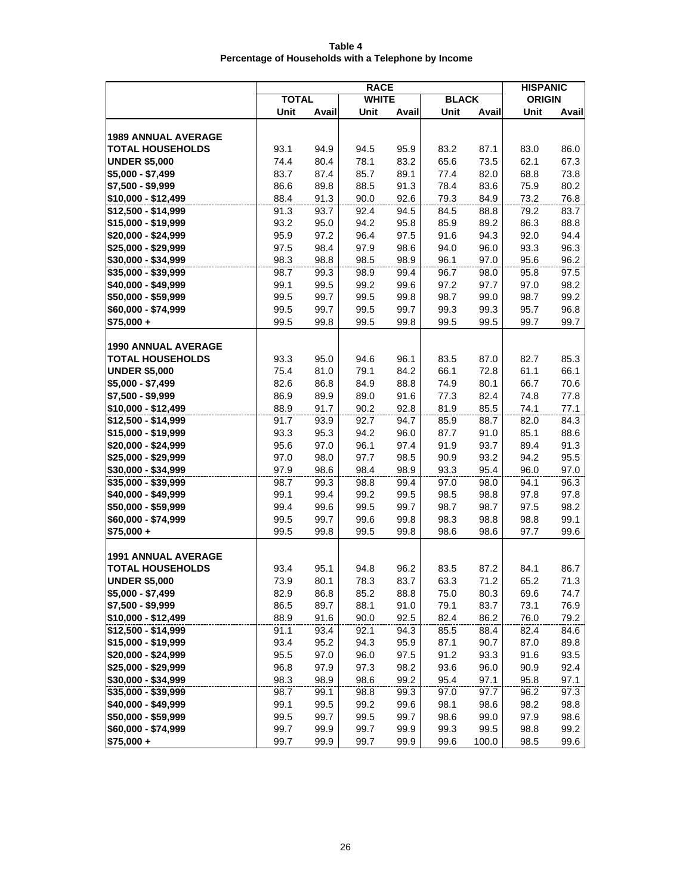| Table 4                                             |  |
|-----------------------------------------------------|--|
| Percentage of Households with a Telephone by Income |  |

|                                            | <b>RACE</b>  |              |              |              |              |              |               | <b>HISPANIC</b> |
|--------------------------------------------|--------------|--------------|--------------|--------------|--------------|--------------|---------------|-----------------|
|                                            | <b>TOTAL</b> |              | <b>WHITE</b> |              | <b>BLACK</b> |              | <b>ORIGIN</b> |                 |
|                                            | Unit         | Avail        | Unit         | Avail        | Unit         | Avail        | Unit          | Avail           |
|                                            |              |              |              |              |              |              |               |                 |
| <b>1989 ANNUAL AVERAGE</b>                 |              |              |              |              |              |              |               |                 |
| <b>TOTAL HOUSEHOLDS</b>                    | 93.1         | 94.9         | 94.5         | 95.9         | 83.2         | 87.1         | 83.0          | 86.0            |
| <b>UNDER \$5,000</b>                       | 74.4         | 80.4         | 78.1         | 83.2         | 65.6         | 73.5         | 62.1          | 67.3            |
| $$5,000 - $7,499$                          | 83.7         | 87.4         | 85.7         | 89.1         | 77.4         | 82.0         | 68.8          | 73.8            |
| \$7,500 - \$9,999                          | 86.6         | 89.8         | 88.5         | 91.3         | 78.4         | 83.6         | 75.9          | 80.2            |
| \$10,000 - \$12,499                        | 88.4         | 91.3         | 90.0         | 92.6         | 79.3         | 84.9         | 73.2          | 76.8            |
| \$12,500 - \$14,999                        | 91.3         | 93.7         | 92.4         | 94.5         | 84.5         | 88.8         | 79.2          | 83.7            |
| \$15,000 - \$19,999                        | 93.2         | 95.0         | 94.2         | 95.8         | 85.9         | 89.2         | 86.3          | 88.8            |
| \$20,000 - \$24,999                        | 95.9         | 97.2         | 96.4         | 97.5         | 91.6         | 94.3         | 92.0          | 94.4            |
| \$25,000 - \$29,999                        | 97.5         | 98.4         | 97.9         | 98.6         | 94.0         | 96.0         | 93.3          | 96.3            |
| \$30,000 - \$34,999                        | 98.3         | 98.8         | 98.5         | 98.9         | 96.1         | 97.0         | 95.6          | 96.2            |
| \$35,000 - \$39,999                        | 98.7         | 99.3         | 98.9         | 99.4         | 96.7         | 98.0         | 95.8          | 97.5            |
| \$40,000 - \$49,999                        | 99.1         | 99.5         | 99.2         | 99.6         | 97.2         | 97.7         | 97.0          | 98.2            |
| \$50,000 - \$59,999                        | 99.5         | 99.7         | 99.5         | 99.8         | 98.7         | 99.0         | 98.7          | 99.2            |
| \$60,000 - \$74,999                        | 99.5         | 99.7         | 99.5         | 99.7         | 99.3         | 99.3         | 95.7          | 96.8            |
| $$75,000 +$                                | 99.5         | 99.8         | 99.5         | 99.8         | 99.5         | 99.5         | 99.7          | 99.7            |
|                                            |              |              |              |              |              |              |               |                 |
| <b>1990 ANNUAL AVERAGE</b>                 |              |              |              |              |              |              |               |                 |
| <b>TOTAL HOUSEHOLDS</b>                    | 93.3         | 95.0         | 94.6         | 96.1         | 83.5         | 87.0         | 82.7          | 85.3            |
| <b>UNDER \$5,000</b>                       | 75.4         | 81.0         | 79.1         | 84.2         | 66.1         | 72.8         | 61.1          | 66.1            |
| \$5,000 - \$7,499                          | 82.6         | 86.8         | 84.9         | 88.8         | 74.9         | 80.1         | 66.7          | 70.6            |
| \$7,500 - \$9,999                          | 86.9         | 89.9         | 89.0         | 91.6         | 77.3         | 82.4         | 74.8          | 77.8            |
| \$10,000 - \$12,499                        | 88.9         | 91.7         | 90.2         | 92.8         | 81.9         | 85.5         | 74.1          | 77.1            |
| \$12,500 - \$14,999                        | 91.7         | 93.9         | 92.7         | 94.7         | 85.9         | 88.7         | 82.0          | 84.3            |
| \$15,000 - \$19,999                        | 93.3         | 95.3         | 94.2         | 96.0         | 87.7         | 91.0         | 85.1          | 88.6            |
| \$20,000 - \$24,999                        | 95.6         | 97.0         | 96.1         | 97.4         | 91.9         | 93.7         | 89.4          | 91.3            |
| \$25,000 - \$29,999                        | 97.0         | 98.0         | 97.7         | 98.5         | 90.9         | 93.2         | 94.2          | 95.5            |
| \$30,000 - \$34,999                        | 97.9         | 98.6         | 98.4         | 98.9         | 93.3         | 95.4         | 96.0          | 97.0            |
| \$35,000 - \$39,999                        | 98.7<br>99.1 | 99.3         | 98.8<br>99.2 | 99.4         | 97.0         | 98.0         | 94.1<br>97.8  | 96.3            |
| \$40,000 - \$49,999<br>\$50,000 - \$59,999 | 99.4         | 99.4<br>99.6 | 99.5         | 99.5<br>99.7 | 98.5<br>98.7 | 98.8<br>98.7 | 97.5          | 97.8<br>98.2    |
| \$60,000 - \$74,999                        |              |              |              |              |              |              |               | 99.1            |
| $$75,000 +$                                | 99.5<br>99.5 | 99.7<br>99.8 | 99.6<br>99.5 | 99.8<br>99.8 | 98.3<br>98.6 | 98.8<br>98.6 | 98.8<br>97.7  | 99.6            |
|                                            |              |              |              |              |              |              |               |                 |
| <b>1991 ANNUAL AVERAGE</b>                 |              |              |              |              |              |              |               |                 |
| <b>TOTAL HOUSEHOLDS</b>                    | 93.4         | 95.1         | 94.8         | 96.2         | 83.5         | 87.2         | 84.1          | 86.7            |
| <b>UNDER \$5,000</b>                       | 73.9         | 80.1         | 78.3         | 83.7         | 63.3         | 71.2         | 65.2          | 71.3            |
| \$5,000 - \$7,499                          | 82.9         | 86.8         | 85.2         | 88.8         | 75.0         | 80.3         | 69.6          | 74.7            |
| \$7,500 - \$9,999                          | 86.5         | 89.7         | 88.1         | 91.0         | 79.1         | 83.7         | 73.1          | 76.9            |
| \$10,000 - \$12,499                        | 88.9         | 91.6         | 90.0         | 92.5         | 82.4         | 86.2         | 76.0          | 79.2            |
| \$12,500 - \$14,999                        | 91.1         | 93.4         | 92.1         | 94.3         | 85.5         | 88.4         | 82.4          | 84.6            |
| \$15,000 - \$19,999                        | 93.4         | 95.2         | 94.3         | 95.9         | 87.1         | 90.7         | 87.0          | 89.8            |
| \$20,000 - \$24,999                        | 95.5         | 97.0         | 96.0         | 97.5         | 91.2         | 93.3         | 91.6          | 93.5            |
| \$25,000 - \$29,999                        | 96.8         | 97.9         | 97.3         | 98.2         | 93.6         | 96.0         | 90.9          | 92.4            |
| \$30,000 - \$34,999                        | 98.3         | 98.9         | 98.6         | 99.2         | 95.4         | 97.1         | 95.8          | 97.1            |
| \$35,000 - \$39,999                        | 98.7         | 99.1         | 98.8         | 99.3         | 97.0         | 97.7         | 96.2          | 97.3            |
| \$40,000 - \$49,999                        | 99.1         | 99.5         | 99.2         | 99.6         | 98.1         | 98.6         | 98.2          | 98.8            |
| \$50,000 - \$59,999                        | 99.5         | 99.7         | 99.5         | 99.7         | 98.6         | 99.0         | 97.9          | 98.6            |
| \$60,000 - \$74,999                        | 99.7         | 99.9         | 99.7         | 99.9         | 99.3         | 99.5         | 98.8          | 99.2            |
| $$75,000 +$                                | 99.7         | 99.9         | 99.7         | 99.9         | 99.6         | 100.0        | 98.5          | 99.6            |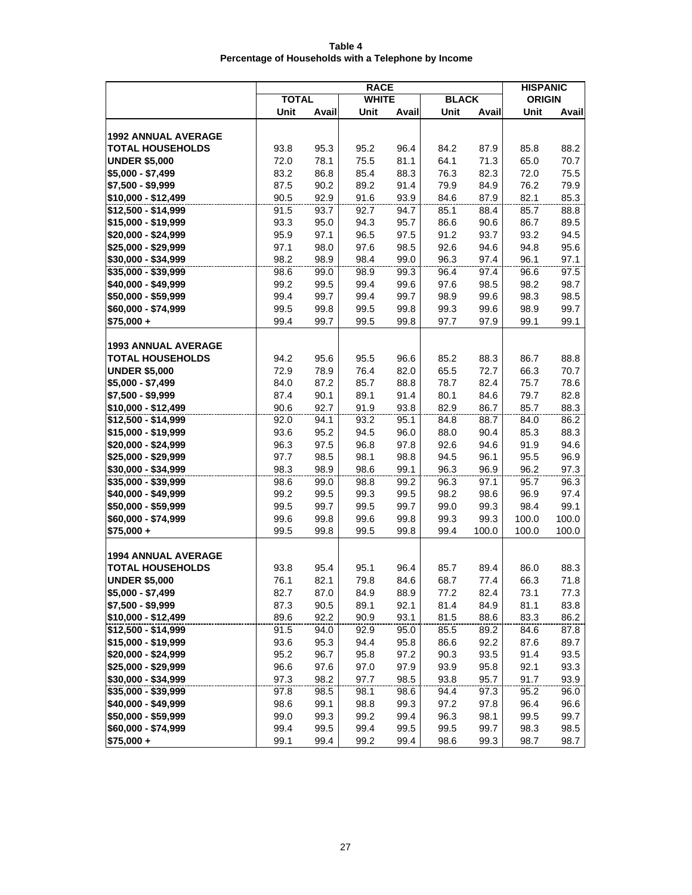| Table 4                                             |  |
|-----------------------------------------------------|--|
| Percentage of Households with a Telephone by Income |  |

|                                            | <b>RACE</b>  |              |              |              |              |              |               | <b>HISPANIC</b> |
|--------------------------------------------|--------------|--------------|--------------|--------------|--------------|--------------|---------------|-----------------|
|                                            | <b>TOTAL</b> |              | <b>WHITE</b> |              | <b>BLACK</b> |              | <b>ORIGIN</b> |                 |
|                                            | Unit         | Avail        | Unit         | Avail        | Unit         | Avail        | Unit          | Avail           |
|                                            |              |              |              |              |              |              |               |                 |
| <b>1992 ANNUAL AVERAGE</b>                 |              |              |              |              |              |              |               |                 |
| <b>TOTAL HOUSEHOLDS</b>                    | 93.8         | 95.3         | 95.2         | 96.4         | 84.2         | 87.9         | 85.8          | 88.2            |
| <b>UNDER \$5,000</b>                       | 72.0         | 78.1         | 75.5         | 81.1         | 64.1         | 71.3         | 65.0          | 70.7            |
| $$5,000 - $7,499$                          | 83.2         | 86.8         | 85.4         | 88.3         | 76.3         | 82.3         | 72.0          | 75.5            |
| \$7,500 - \$9,999                          | 87.5         | 90.2         | 89.2         | 91.4         | 79.9         | 84.9         | 76.2          | 79.9            |
| \$10,000 - \$12,499                        | 90.5         | 92.9         | 91.6         | 93.9         | 84.6         | 87.9         | 82.1          | 85.3            |
| $$12,500 - $14,999$                        | 91.5         | 93.7         | 92.7         | 94.7         | 85.1         | 88.4         | 85.7          | 88.8            |
| \$15,000 - \$19,999                        | 93.3         | 95.0         | 94.3         | 95.7         | 86.6         | 90.6         | 86.7          | 89.5            |
| \$20,000 - \$24,999                        | 95.9         | 97.1         | 96.5         | 97.5         | 91.2         | 93.7         | 93.2          | 94.5            |
| \$25,000 - \$29,999                        | 97.1         | 98.0         | 97.6         | 98.5         | 92.6         | 94.6         | 94.8          | 95.6            |
| \$30,000 - \$34,999                        | 98.2         | 98.9         | 98.4         | 99.0         | 96.3         | 97.4         | 96.1          | 97.1            |
| \$35,000 - \$39,999                        | 98.6         | 99.0         | 98.9         | 99.3         | 96.4         | 97.4         | 96.6          | 97.5            |
| \$40,000 - \$49,999                        | 99.2         | 99.5         | 99.4         | 99.6         | 97.6         | 98.5         | 98.2          | 98.7            |
| \$50,000 - \$59,999                        | 99.4         | 99.7         | 99.4         | 99.7         | 98.9         | 99.6         | 98.3          | 98.5            |
| \$60,000 - \$74,999                        | 99.5         | 99.8         | 99.5         | 99.8         | 99.3         | 99.6         | 98.9          | 99.7            |
| $$75,000 +$                                | 99.4         | 99.7         | 99.5         | 99.8         | 97.7         | 97.9         | 99.1          | 99.1            |
|                                            |              |              |              |              |              |              |               |                 |
| <b>1993 ANNUAL AVERAGE</b>                 |              |              |              |              |              |              |               |                 |
| <b>TOTAL HOUSEHOLDS</b>                    | 94.2         | 95.6         | 95.5         | 96.6         | 85.2         | 88.3         | 86.7          | 88.8            |
| <b>UNDER \$5,000</b>                       | 72.9         | 78.9         | 76.4         | 82.0         | 65.5         | 72.7         | 66.3          | 70.7            |
| $$5,000 - $7,499$                          | 84.0         | 87.2         | 85.7         | 88.8         | 78.7         | 82.4         | 75.7          | 78.6            |
| \$7,500 - \$9,999                          | 87.4         | 90.1         | 89.1         | 91.4         | 80.1         | 84.6         | 79.7          | 82.8            |
| \$10,000 - \$12,499                        | 90.6         | 92.7         | 91.9         | 93.8         | 82.9         | 86.7         | 85.7          | 88.3            |
| \$12,500 - \$14,999                        | 92.0         | 94.1         | 93.2         | 95.1         | 84.8         | 88.7         | 84.0          | 86.2            |
| \$15,000 - \$19,999                        | 93.6         | 95.2         | 94.5         | 96.0         | 88.0         | 90.4         | 85.3          | 88.3            |
| \$20,000 - \$24,999                        | 96.3         | 97.5         | 96.8         | 97.8         | 92.6         | 94.6         | 91.9          | 94.6            |
| \$25,000 - \$29,999                        | 97.7         | 98.5         | 98.1         | 98.8         | 94.5         | 96.1         | 95.5          | 96.9            |
| \$30,000 - \$34,999                        | 98.3         | 98.9         | 98.6         | 99.1         | 96.3         | 96.9         | 96.2          | 97.3            |
| \$35,000 - \$39,999                        | 98.6         | 99.0         | 98.8         | 99.2         | 96.3         | 97.1         | 95.7          | 96.3            |
| \$40,000 - \$49,999                        | 99.2         | 99.5         | 99.3         | 99.5         | 98.2         | 98.6         | 96.9          | 97.4            |
| \$50,000 - \$59,999                        | 99.5         | 99.7         | 99.5         | 99.7         | 99.0         | 99.3         | 98.4          | 99.1            |
| \$60,000 - \$74,999                        | 99.6         | 99.8         | 99.6         | 99.8         | 99.3         | 99.3         | 100.0         | 100.0           |
| $$75,000 +$                                | 99.5         | 99.8         | 99.5         | 99.8         | 99.4         | 100.0        | 100.0         | 100.0           |
|                                            |              |              |              |              |              |              |               |                 |
| <b>1994 ANNUAL AVERAGE</b>                 |              |              |              |              |              |              |               |                 |
| <b>TOTAL HOUSEHOLDS</b>                    | 93.8         | 95.4         | 95.1         | 96.4         | 85.7         | 89.4         | 86.0          | 88.3            |
| <b>UNDER \$5,000</b>                       | 76.1         | 82.1         | 79.8         | 84.6         | 68.7         | 77.4         | 66.3          | 71.8            |
| \$5,000 - \$7,499                          | 82.7         | 87.0         | 84.9         | 88.9         | 77.2         | 82.4         | 73.1          | 77.3            |
| \$7,500 - \$9,999                          | 87.3         | 90.5         | 89.1         | 92.1         | 81.4         | 84.9         | 81.1          | 83.8            |
| \$10.000 - \$12.499                        | 89.6         | 92.2         | 90.9         | 93.1         | 81.5         | 88.6         | 83.3          | 86.2            |
| $$12,500 - $14,999$                        | 91.5         | 94.0         | 92.9         | 95.0         | 85.5         | 89.2         | 84.6          | 87.8            |
| \$15,000 - \$19,999                        | 93.6         | 95.3         | 94.4         | 95.8         | 86.6         | 92.2         | 87.6          | 89.7            |
| \$20,000 - \$24,999                        | 95.2         | 96.7         | 95.8         | 97.2         | 90.3         | 93.5         | 91.4          | 93.5            |
| \$25,000 - \$29,999                        | 96.6         | 97.6         | 97.0         | 97.9         | 93.9         | 95.8         | 92.1          | 93.3            |
| \$30,000 - \$34,999<br>\$35,000 - \$39,999 | 97.3         | 98.2         | 97.7         | 98.5         | 93.8         | 95.7         | 91.7          | 93.9            |
| \$40,000 - \$49,999                        | 97.8         | 98.5         | 98.1         | 98.6         | 94.4         | 97.3         | 95.2          | 96.0            |
| \$50,000 - \$59,999                        | 98.6         | 99.1         | 98.8         | 99.3         | 97.2         | 97.8         | 96.4          | 96.6<br>99.7    |
| \$60,000 - \$74,999                        | 99.0<br>99.4 | 99.3<br>99.5 | 99.2<br>99.4 | 99.4<br>99.5 | 96.3<br>99.5 | 98.1<br>99.7 | 99.5<br>98.3  | 98.5            |
|                                            |              |              |              |              |              |              |               |                 |
| \$75,000+                                  | 99.1         | 99.4         | 99.2         | 99.4         | 98.6         | 99.3         | 98.7          | 98.7            |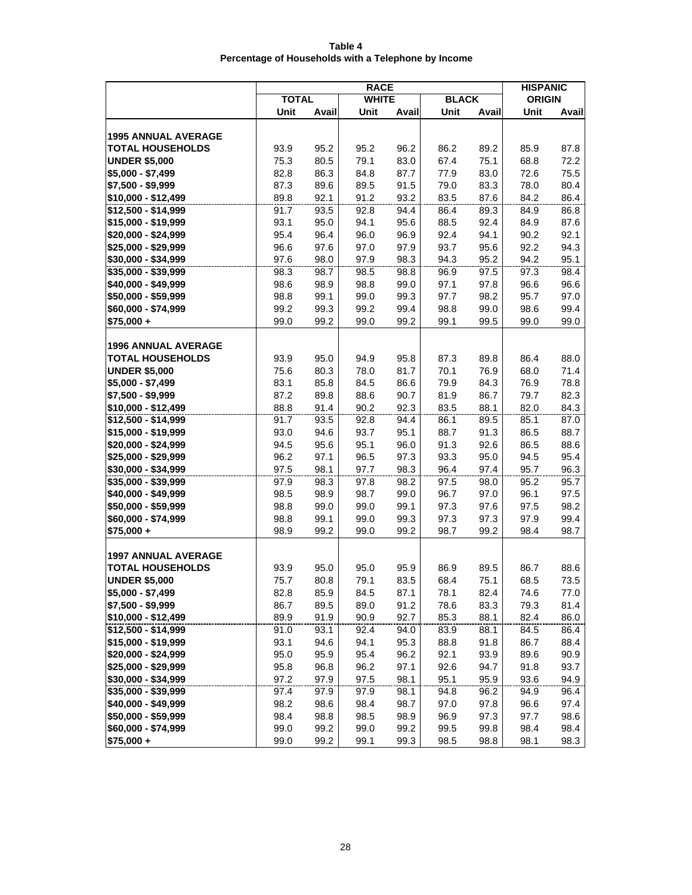| Table 4                                             |  |
|-----------------------------------------------------|--|
| Percentage of Households with a Telephone by Income |  |

|                                   | <b>RACE</b>  |              |              |              |              |              | <b>HISPANIC</b> |              |
|-----------------------------------|--------------|--------------|--------------|--------------|--------------|--------------|-----------------|--------------|
|                                   | <b>TOTAL</b> |              | <b>WHITE</b> |              | <b>BLACK</b> |              | <b>ORIGIN</b>   |              |
|                                   | Unit         | Avail        | Unit         | Avail        | Unit         | Avail        | Unit            | Avail        |
|                                   |              |              |              |              |              |              |                 |              |
| <b>1995 ANNUAL AVERAGE</b>        |              |              |              |              |              |              |                 |              |
| <b>TOTAL HOUSEHOLDS</b>           | 93.9         | 95.2         | 95.2         | 96.2         | 86.2         | 89.2         | 85.9            | 87.8         |
| <b>UNDER \$5,000</b>              | 75.3         | 80.5         | 79.1         | 83.0         | 67.4         | 75.1         | 68.8            | 72.2         |
| $$5,000 - $7,499$                 | 82.8         | 86.3         | 84.8         | 87.7         | 77.9         | 83.0         | 72.6            | 75.5         |
| \$7,500 - \$9,999                 | 87.3         | 89.6         | 89.5         | 91.5         | 79.0         | 83.3         | 78.0            | 80.4         |
| \$10,000 - \$12,499               | 89.8         | 92.1         | 91.2         | 93.2         | 83.5         | 87.6         | 84.2            | 86.4         |
| \$12,500 - \$14,999               | 91.7         | 93.5         | 92.8         | 94.4         | 86.4         | 89.3         | 84.9            | 86.8         |
| \$15,000 - \$19,999               | 93.1         | 95.0         | 94.1         | 95.6         | 88.5         | 92.4         | 84.9            | 87.6         |
| \$20,000 - \$24,999               | 95.4         | 96.4         | 96.0         | 96.9         | 92.4         | 94.1         | 90.2            | 92.1         |
| \$25,000 - \$29,999               | 96.6         | 97.6         | 97.0         | 97.9         | 93.7         | 95.6         | 92.2            | 94.3         |
| \$30,000 - \$34,999               | 97.6         | 98.0         | 97.9         | 98.3         | 94.3         | 95.2         | 94.2            | 95.1         |
| \$35,000 - \$39,999               | 98.3         | 98.7         | 98.5         | 98.8         | 96.9         | 97.5         | 97.3            | 98.4         |
| \$40,000 - \$49,999               | 98.6         | 98.9         | 98.8         | 99.0         | 97.1         | 97.8         | 96.6            | 96.6         |
| \$50,000 - \$59,999               | 98.8         | 99.1         | 99.0         | 99.3         | 97.7         | 98.2         | 95.7            | 97.0         |
| \$60,000 - \$74,999               | 99.2         | 99.3         | 99.2         | 99.4         | 98.8         | 99.0         | 98.6            | 99.4         |
| $$75,000 +$                       | 99.0         | 99.2         | 99.0         | 99.2         | 99.1         | 99.5         | 99.0            | 99.0         |
|                                   |              |              |              |              |              |              |                 |              |
| <b>1996 ANNUAL AVERAGE</b>        |              |              |              |              |              |              |                 |              |
| <b>TOTAL HOUSEHOLDS</b>           | 93.9         | 95.0         | 94.9         | 95.8         | 87.3         | 89.8         | 86.4            | 88.0         |
| <b>UNDER \$5,000</b>              | 75.6         | 80.3         | 78.0         | 81.7         | 70.1         | 76.9         | 68.0            | 71.4         |
| $$5,000 - $7,499$                 | 83.1         | 85.8         | 84.5         | 86.6         | 79.9         | 84.3         | 76.9            | 78.8         |
| \$7,500 - \$9,999                 | 87.2         | 89.8         | 88.6         | 90.7         | 81.9         | 86.7         | 79.7            | 82.3         |
| \$10,000 - \$12,499               | 88.8         | 91.4         | 90.2         | 92.3         | 83.5         | 88.1         | 82.0            | 84.3         |
| \$12,500 - \$14,999               | 91.7         | 93.5         | 92.8         | 94.4         | 86.1         | 89.5         | 85.1            | 87.0         |
| \$15,000 - \$19,999               | 93.0         | 94.6         | 93.7         | 95.1         | 88.7         | 91.3         | 86.5            | 88.7         |
| \$20,000 - \$24,999               | 94.5         | 95.6         | 95.1         | 96.0         | 91.3         | 92.6         | 86.5            | 88.6         |
| \$25,000 - \$29,999               | 96.2         | 97.1         | 96.5         | 97.3         | 93.3         | 95.0         | 94.5            | 95.4         |
| \$30,000 - \$34,999               | 97.5         | 98.1         | 97.7         | 98.3         | 96.4         | 97.4         | 95.7            | 96.3         |
| \$35,000 - \$39,999               | 97.9         | 98.3         | 97.8         | 98.2         | 97.5         | 98.0         | 95.2            | 95.7         |
| \$40,000 - \$49,999               | 98.5         | 98.9         | 98.7         | 99.0         | 96.7         | 97.0<br>97.6 | 96.1<br>97.5    | 97.5         |
| \$50,000 - \$59,999               | 98.8         | 99.0<br>99.1 | 99.0<br>99.0 | 99.1<br>99.3 | 97.3<br>97.3 | 97.3         | 97.9            | 98.2<br>99.4 |
| \$60,000 - \$74,999<br>\$75,000 + | 98.8<br>98.9 | 99.2         | 99.0         | 99.2         | 98.7         | 99.2         | 98.4            | 98.7         |
|                                   |              |              |              |              |              |              |                 |              |
| <b>1997 ANNUAL AVERAGE</b>        |              |              |              |              |              |              |                 |              |
| <b>TOTAL HOUSEHOLDS</b>           | 93.9         | 95.0         | 95.0         | 95.9         | 86.9         | 89.5         | 86.7            | 88.6         |
| <b>UNDER \$5,000</b>              | 75.7         | 80.8         | 79.1         | 83.5         | 68.4         | 75.1         | 68.5            | 73.5         |
| \$5,000 - \$7,499                 | 82.8         | 85.9         | 84.5         | 87.1         | 78.1         | 82.4         | 74.6            | 77.0         |
| \$7,500 - \$9,999                 | 86.7         | 89.5         | 89.0         | 91.2         | 78.6         | 83.3         | 79.3            | 81.4         |
| \$10,000 - \$12,499               | 89.9         | 91.9         | 90.9         | 92.7         | 85.3         | 88.1         | 82.4            | 86.0         |
| \$12,500 - \$14,999               | 91.0         | 93.1         | 92.4         | 94.0         | 83.9         | 88.1         | 84.5            | 86.4         |
| \$15,000 - \$19,999               | 93.1         | 94.6         | 94.1         | 95.3         | 88.8         | 91.8         | 86.7            | 88.4         |
| \$20,000 - \$24,999               | 95.0         | 95.9         | 95.4         | 96.2         | 92.1         | 93.9         | 89.6            | 90.9         |
| \$25,000 - \$29,999               | 95.8         | 96.8         | 96.2         | 97.1         | 92.6         | 94.7         | 91.8            | 93.7         |
| \$30,000 - \$34,999               | 97.2         | 97.9         | 97.5         | 98.1         | 95.1         | 95.9         | 93.6            | 94.9         |
| \$35,000 - \$39,999               | 97.4         | 97.9         | 97.9         | 98.1         | 94.8         | 96.2         | 94.9            | 96.4         |
| \$40,000 - \$49,999               | 98.2         | 98.6         | 98.4         | 98.7         | 97.0         | 97.8         | 96.6            | 97.4         |
| \$50,000 - \$59,999               | 98.4         | 98.8         | 98.5         | 98.9         | 96.9         | 97.3         | 97.7            | 98.6         |
| \$60,000 - \$74,999               | 99.0         | 99.2         | 99.0         | 99.2         | 99.5         | 99.8         | 98.4            | 98.4         |
| $$75,000 +$                       | 99.0         | 99.2         | 99.1         | 99.3         | 98.5         | 98.8         | 98.1            | 98.3         |
|                                   |              |              |              |              |              |              |                 |              |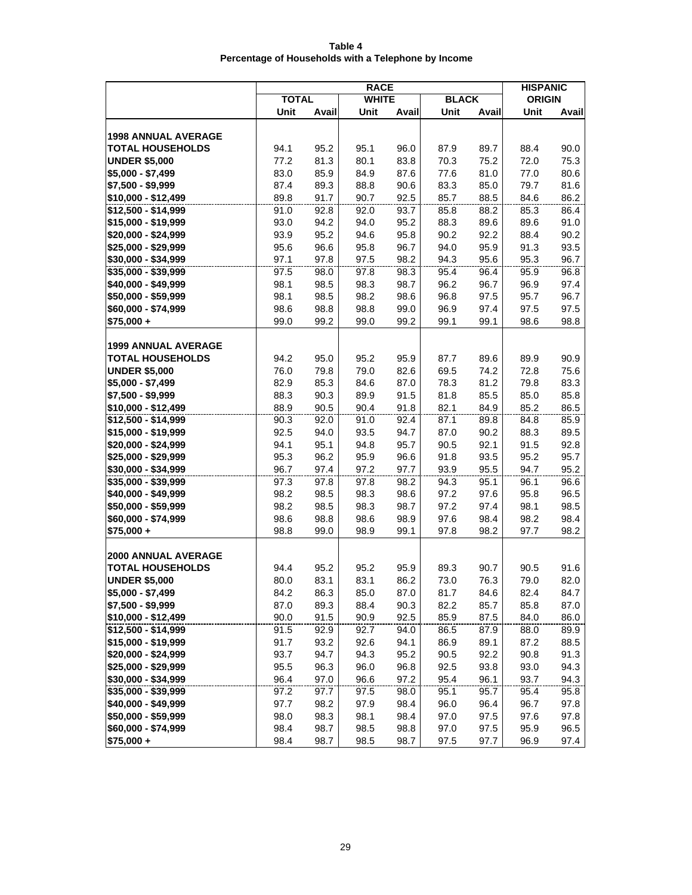| Table 4                                             |  |
|-----------------------------------------------------|--|
| Percentage of Households with a Telephone by Income |  |

|                            | <b>RACE</b>  |       |              |       |              |       |               | <b>HISPANIC</b> |
|----------------------------|--------------|-------|--------------|-------|--------------|-------|---------------|-----------------|
|                            | <b>TOTAL</b> |       | <b>WHITE</b> |       | <b>BLACK</b> |       | <b>ORIGIN</b> |                 |
|                            | Unit         | Avail | Unit         | Avail | Unit         | Avail | Unit          | Avail           |
|                            |              |       |              |       |              |       |               |                 |
| <b>1998 ANNUAL AVERAGE</b> |              |       |              |       |              |       |               |                 |
| <b>TOTAL HOUSEHOLDS</b>    | 94.1         | 95.2  | 95.1         | 96.0  | 87.9         | 89.7  | 88.4          | 90.0            |
| <b>UNDER \$5,000</b>       | 77.2         | 81.3  | 80.1         | 83.8  | 70.3         | 75.2  | 72.0          | 75.3            |
| $$5,000 - $7,499$          | 83.0         | 85.9  | 84.9         | 87.6  | 77.6         | 81.0  | 77.0          | 80.6            |
| \$7,500 - \$9,999          | 87.4         | 89.3  | 88.8         | 90.6  | 83.3         | 85.0  | 79.7          | 81.6            |
| \$10,000 - \$12,499        | 89.8         | 91.7  | 90.7         | 92.5  | 85.7         | 88.5  | 84.6          | 86.2            |
| $$12,500 - $14,999$        | 91.0         | 92.8  | 92.0         | 93.7  | 85.8         | 88.2  | 85.3          | 86.4            |
| \$15,000 - \$19,999        | 93.0         | 94.2  | 94.0         | 95.2  | 88.3         | 89.6  | 89.6          | 91.0            |
| \$20,000 - \$24,999        | 93.9         | 95.2  | 94.6         | 95.8  | 90.2         | 92.2  | 88.4          | 90.2            |
| \$25,000 - \$29,999        | 95.6         | 96.6  | 95.8         | 96.7  | 94.0         | 95.9  | 91.3          | 93.5            |
| \$30,000 - \$34,999        | 97.1         | 97.8  | 97.5         | 98.2  | 94.3         | 95.6  | 95.3          | 96.7            |
| \$35,000 - \$39,999        | 97.5         | 98.0  | 97.8         | 98.3  | 95.4         | 96.4  | 95.9          | 96.8            |
| \$40,000 - \$49,999        | 98.1         | 98.5  | 98.3         | 98.7  | 96.2         | 96.7  | 96.9          | 97.4            |
| \$50,000 - \$59,999        | 98.1         | 98.5  | 98.2         | 98.6  | 96.8         | 97.5  | 95.7          | 96.7            |
| \$60,000 - \$74,999        | 98.6         | 98.8  | 98.8         | 99.0  | 96.9         | 97.4  | 97.5          | 97.5            |
| $$75,000 +$                | 99.0         | 99.2  | 99.0         | 99.2  | 99.1         | 99.1  | 98.6          | 98.8            |
|                            |              |       |              |       |              |       |               |                 |
| <b>1999 ANNUAL AVERAGE</b> |              |       |              |       |              |       |               |                 |
| <b>TOTAL HOUSEHOLDS</b>    | 94.2         | 95.0  | 95.2         | 95.9  | 87.7         | 89.6  | 89.9          | 90.9            |
| <b>UNDER \$5,000</b>       | 76.0         | 79.8  | 79.0         | 82.6  | 69.5         | 74.2  | 72.8          | 75.6            |
| \$5,000 - \$7,499          | 82.9         | 85.3  | 84.6         | 87.0  | 78.3         | 81.2  | 79.8          | 83.3            |
| \$7,500 - \$9,999          | 88.3         | 90.3  | 89.9         | 91.5  | 81.8         | 85.5  | 85.0          | 85.8            |
| \$10,000 - \$12,499        | 88.9         | 90.5  | 90.4         | 91.8  | 82.1         | 84.9  | 85.2          | 86.5            |
| \$12,500 - \$14,999        | 90.3         | 92.0  | 91.0         | 92.4  | 87.1         | 89.8  | 84.8          | 85.9            |
| \$15,000 - \$19,999        | 92.5         | 94.0  | 93.5         | 94.7  | 87.0         | 90.2  | 88.3          | 89.5            |
| \$20,000 - \$24,999        | 94.1         | 95.1  | 94.8         | 95.7  | 90.5         | 92.1  | 91.5          | 92.8            |
| \$25,000 - \$29,999        | 95.3         | 96.2  | 95.9         | 96.6  | 91.8         | 93.5  | 95.2          | 95.7            |
| \$30,000 - \$34,999        | 96.7         | 97.4  | 97.2         | 97.7  | 93.9         | 95.5  | 94.7          | 95.2            |
| \$35,000 - \$39,999        | 97.3         | 97.8  | 97.8         | 98.2  | 94.3         | 95.1  | 96.1          | 96.6            |
| \$40,000 - \$49,999        | 98.2         | 98.5  | 98.3         | 98.6  | 97.2         | 97.6  | 95.8          | 96.5            |
| \$50,000 - \$59,999        | 98.2         | 98.5  | 98.3         | 98.7  | 97.2         | 97.4  | 98.1          | 98.5            |
| \$60,000 - \$74,999        | 98.6         | 98.8  | 98.6         | 98.9  | 97.6         | 98.4  | 98.2          | 98.4            |
| $$75,000 +$                | 98.8         | 99.0  | 98.9         | 99.1  | 97.8         | 98.2  | 97.7          | 98.2            |
|                            |              |       |              |       |              |       |               |                 |
| <b>2000 ANNUAL AVERAGE</b> |              |       |              |       |              |       |               |                 |
| <b>TOTAL HOUSEHOLDS</b>    | 94.4         | 95.2  | 95.2         | 95.9  | 89.3         | 90.7  | 90.5          | 91.6            |
| <b>UNDER \$5,000</b>       | 80.0         | 83.1  | 83.1         | 86.2  | 73.0         | 76.3  | 79.0          | 82.0            |
| \$5,000 - \$7,499          | 84.2         | 86.3  | 85.0         | 87.0  | 81.7         | 84.6  | 82.4          | 84.7            |
| \$7,500 - \$9,999          | 87.0         | 89.3  | 88.4         | 90.3  | 82.2         | 85.7  | 85.8          | 87.0            |
| \$10,000 - \$12,499        | 90.0         | 91.5  | 90.9         | 92.5  | 85.9         | 87.5  | 84.0          | 86.0            |
| $$12,500 - $14,999$        | 91.5         | 92.9  | 92.7         | 94.0  | 86.5         | 87.9  | 88.0          | 89.9            |
| \$15,000 - \$19,999        | 91.7         | 93.2  | 92.6         | 94.1  | 86.9         | 89.1  | 87.2          | 88.5            |
| \$20,000 - \$24,999        | 93.7         | 94.7  | 94.3         | 95.2  | 90.5         | 92.2  | 90.8          | 91.3            |
| \$25,000 - \$29,999        | 95.5         | 96.3  | 96.0         | 96.8  | 92.5         | 93.8  | 93.0          | 94.3            |
| \$30,000 - \$34,999        | 96.4         | 97.0  | 96.6         | 97.2  | 95.4         | 96.1  | 93.7          | 94.3            |
| \$35,000 - \$39,999        | 97.2         | 97.7  | 97.5         | 98.0  | 95.1         | 95.7  | 95.4          | 95.8            |
| \$40,000 - \$49,999        | 97.7         | 98.2  | 97.9         | 98.4  | 96.0         | 96.4  | 96.7          | 97.8            |
| \$50,000 - \$59,999        | 98.0         | 98.3  | 98.1         | 98.4  | 97.0         | 97.5  | 97.6          | 97.8            |
| \$60,000 - \$74,999        | 98.4         | 98.7  | 98.5         | 98.8  | 97.0         | 97.5  | 95.9          | 96.5            |
| \$75,000+                  | 98.4         | 98.7  | 98.5         | 98.7  | 97.5         | 97.7  | 96.9          | 97.4            |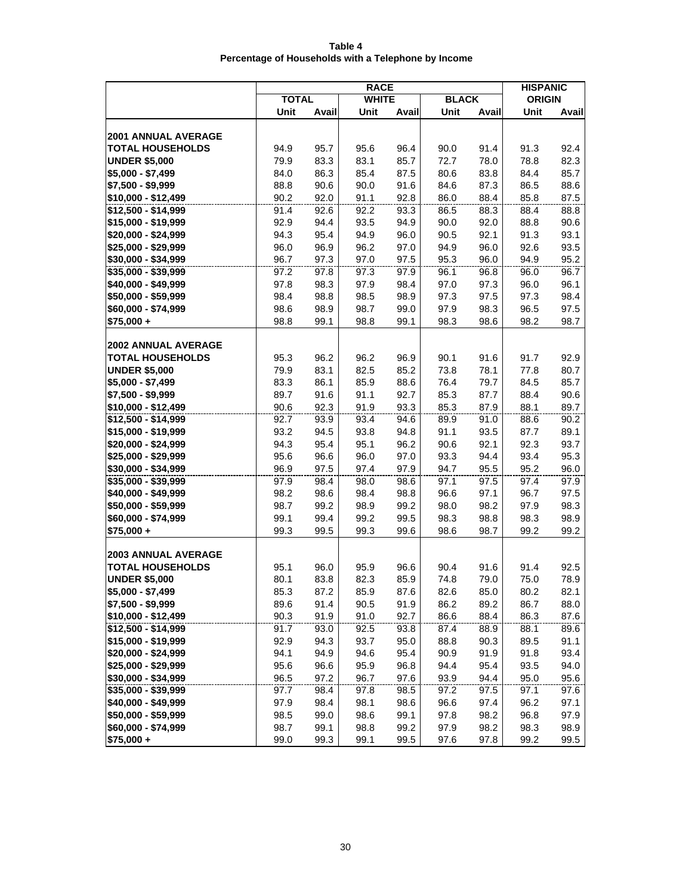| Table 4                                             |  |  |  |  |  |  |  |  |
|-----------------------------------------------------|--|--|--|--|--|--|--|--|
| Percentage of Households with a Telephone by Income |  |  |  |  |  |  |  |  |

|                                            | <b>RACE</b>  |              |              |              |              |              |               | <b>HISPANIC</b> |
|--------------------------------------------|--------------|--------------|--------------|--------------|--------------|--------------|---------------|-----------------|
|                                            | <b>TOTAL</b> |              | <b>WHITE</b> |              | <b>BLACK</b> |              | <b>ORIGIN</b> |                 |
|                                            | Unit         | Avail        | Unit         | Avail        | Unit         | Avail        | Unit          | Avail           |
|                                            |              |              |              |              |              |              |               |                 |
| <b>2001 ANNUAL AVERAGE</b>                 |              |              |              |              |              |              |               |                 |
| <b>TOTAL HOUSEHOLDS</b>                    | 94.9         | 95.7         | 95.6         | 96.4         | 90.0         | 91.4         | 91.3          | 92.4            |
| <b>UNDER \$5,000</b>                       | 79.9         | 83.3         | 83.1         | 85.7         | 72.7         | 78.0         | 78.8          | 82.3            |
| $$5,000 - $7,499$                          | 84.0         | 86.3         | 85.4         | 87.5         | 80.6         | 83.8         | 84.4          | 85.7            |
| \$7,500 - \$9,999                          | 88.8         | 90.6         | 90.0         | 91.6         | 84.6         | 87.3         | 86.5          | 88.6            |
| \$10,000 - \$12,499                        | 90.2         | 92.0         | 91.1         | 92.8         | 86.0         | 88.4         | 85.8          | 87.5            |
| \$12,500 - \$14,999                        | 91.4         | 92.6         | 92.2         | 93.3         | 86.5         | 88.3         | 88.4          | 88.8            |
| \$15,000 - \$19,999                        | 92.9         | 94.4         | 93.5         | 94.9         | 90.0         | 92.0         | 88.8          | 90.6            |
| \$20,000 - \$24,999                        | 94.3         | 95.4         | 94.9         | 96.0         | 90.5         | 92.1         | 91.3          | 93.1            |
| \$25,000 - \$29,999                        | 96.0         | 96.9         | 96.2         | 97.0         | 94.9         | 96.0         | 92.6          | 93.5            |
| \$30,000 - \$34,999                        | 96.7         | 97.3         | 97.0         | 97.5         | 95.3         | 96.0         | 94.9          | 95.2            |
| \$35,000 - \$39,999                        | 97.2         | 97.8         | 97.3         | 97.9         | 96.1         | 96.8         | 96.0          | 96.7            |
| \$40,000 - \$49,999                        | 97.8         | 98.3         | 97.9         | 98.4         | 97.0         | 97.3         | 96.0          | 96.1            |
| \$50,000 - \$59,999                        | 98.4         | 98.8         | 98.5         | 98.9         | 97.3         | 97.5         | 97.3          | 98.4            |
| \$60,000 - \$74,999                        | 98.6         | 98.9         | 98.7         | 99.0         | 97.9         | 98.3         | 96.5          | 97.5            |
| $$75,000 +$                                | 98.8         | 99.1         | 98.8         | 99.1         | 98.3         | 98.6         | 98.2          | 98.7            |
|                                            |              |              |              |              |              |              |               |                 |
| <b>2002 ANNUAL AVERAGE</b>                 |              |              |              |              |              |              |               |                 |
| <b>TOTAL HOUSEHOLDS</b>                    | 95.3         | 96.2         | 96.2         | 96.9         | 90.1         | 91.6         | 91.7          | 92.9            |
| <b>UNDER \$5,000</b>                       | 79.9         | 83.1         | 82.5         | 85.2         | 73.8         | 78.1         | 77.8          | 80.7            |
| \$5,000 - \$7,499                          | 83.3         | 86.1         | 85.9         | 88.6         | 76.4         | 79.7         | 84.5          | 85.7            |
| \$7,500 - \$9,999                          | 89.7         | 91.6         | 91.1         | 92.7         | 85.3         | 87.7         | 88.4          | 90.6            |
| \$10,000 - \$12,499                        | 90.6         | 92.3         | 91.9         | 93.3         | 85.3         | 87.9         | 88.1          | 89.7            |
| \$12,500 - \$14,999                        | 92.7         | 93.9         | 93.4         | 94.6         | 89.9         | 91.0         | 88.6          | 90.2            |
| \$15,000 - \$19,999                        | 93.2         | 94.5         | 93.8         | 94.8         | 91.1         | 93.5         | 87.7          | 89.1            |
| \$20,000 - \$24,999                        | 94.3         | 95.4         | 95.1         | 96.2         | 90.6         | 92.1         | 92.3          | 93.7            |
| \$25,000 - \$29,999                        | 95.6         | 96.6         | 96.0         | 97.0         | 93.3         | 94.4         | 93.4          | 95.3            |
| \$30,000 - \$34,999                        | 96.9         | 97.5         | 97.4         | 97.9         | 94.7         | 95.5         | 95.2          | 96.0            |
| \$35,000 - \$39,999                        | 97.9         | 98.4         | 98.0         | 98.6         | 97.1         | 97.5         | 97.4          | 97.9            |
| \$40,000 - \$49,999                        | 98.2<br>98.7 | 98.6         | 98.4         | 98.8         | 96.6         | 97.1<br>98.2 | 96.7<br>97.9  | 97.5            |
| \$50,000 - \$59,999<br>\$60,000 - \$74,999 | 99.1         | 99.2<br>99.4 | 98.9<br>99.2 | 99.2<br>99.5 | 98.0<br>98.3 | 98.8         | 98.3          | 98.3<br>98.9    |
| $$75,000 +$                                | 99.3         | 99.5         | 99.3         | 99.6         | 98.6         | 98.7         | 99.2          | 99.2            |
|                                            |              |              |              |              |              |              |               |                 |
| <b>2003 ANNUAL AVERAGE</b>                 |              |              |              |              |              |              |               |                 |
| <b>TOTAL HOUSEHOLDS</b>                    | 95.1         | 96.0         | 95.9         | 96.6         | 90.4         | 91.6         | 91.4          | 92.5            |
| <b>UNDER \$5,000</b>                       | 80.1         | 83.8         | 82.3         | 85.9         | 74.8         | 79.0         | 75.0          | 78.9            |
| \$5,000 - \$7,499                          | 85.3         | 87.2         | 85.9         | 87.6         | 82.6         | 85.0         | 80.2          | 82.1            |
| \$7,500 - \$9,999                          | 89.6         | 91.4         | 90.5         | 91.9         | 86.2         | 89.2         | 86.7          | 88.0            |
| \$10,000 - \$12,499                        | 90.3         | 91.9         | 91.0         | 92.7         | 86.6         | 88.4         | 86.3          | 87.6            |
| \$12,500 - \$14,999                        | 91.7         | 93.0         | 92.5         | 93.8         | 87.4         | 88.9         | 88.1          | 89.6            |
| \$15,000 - \$19,999                        | 92.9         | 94.3         | 93.7         | 95.0         | 88.8         | 90.3         | 89.5          | 91.1            |
| \$20,000 - \$24,999                        | 94.1         | 94.9         | 94.6         | 95.4         | 90.9         | 91.9         | 91.8          | 93.4            |
| \$25,000 - \$29,999                        | 95.6         | 96.6         | 95.9         | 96.8         | 94.4         | 95.4         | 93.5          | 94.0            |
| \$30,000 - \$34,999                        | 96.5         | 97.2         | 96.7         | 97.6         | 93.9         | 94.4         | 95.0          | 95.6            |
| \$35,000 - \$39,999                        | 97.7         | 98.4         | 97.8         | 98.5         | 97.2         | 97.5         | 97.1          | 97.6            |
| \$40,000 - \$49,999                        | 97.9         | 98.4         | 98.1         | 98.6         | 96.6         | 97.4         | 96.2          | 97.1            |
| \$50,000 - \$59,999                        | 98.5         | 99.0         | 98.6         | 99.1         | 97.8         | 98.2         | 96.8          | 97.9            |
| \$60,000 - \$74,999                        | 98.7         | 99.1         | 98.8         | 99.2         | 97.9         | 98.2         | 98.3          | 98.9            |
| \$75,000 +                                 | 99.0         | 99.3         | 99.1         | 99.5         | 97.6         | 97.8         | 99.2          | 99.5            |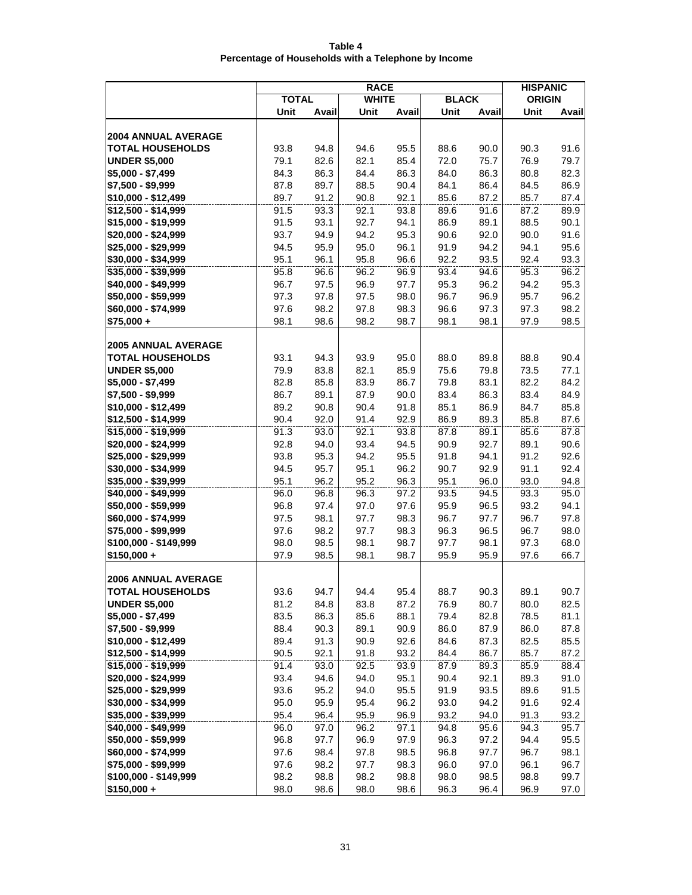| Table 4                                             |  |
|-----------------------------------------------------|--|
| Percentage of Households with a Telephone by Income |  |

|                                            | <b>RACE</b>  |              |              |              |              |              |               | <b>HISPANIC</b> |
|--------------------------------------------|--------------|--------------|--------------|--------------|--------------|--------------|---------------|-----------------|
|                                            | <b>TOTAL</b> |              | <b>WHITE</b> |              | <b>BLACK</b> |              | <b>ORIGIN</b> |                 |
|                                            | Unit         | Avail        | Unit         | Avail        | Unit         | Avail        | Unit          | Avail           |
|                                            |              |              |              |              |              |              |               |                 |
| <b>2004 ANNUAL AVERAGE</b>                 |              |              |              |              |              |              |               |                 |
| <b>TOTAL HOUSEHOLDS</b>                    | 93.8         | 94.8         | 94.6         | 95.5         | 88.6         | 90.0         | 90.3          | 91.6            |
| <b>UNDER \$5,000</b>                       | 79.1         | 82.6         | 82.1         | 85.4         | 72.0         | 75.7         | 76.9          | 79.7            |
| $$5,000 - $7,499$                          | 84.3         | 86.3         | 84.4         | 86.3         | 84.0         | 86.3         | 80.8          | 82.3            |
| \$7,500 - \$9,999                          | 87.8         | 89.7         | 88.5         | 90.4         | 84.1         | 86.4         | 84.5          | 86.9            |
| \$10,000 - \$12,499                        | 89.7         | 91.2         | 90.8         | 92.1         | 85.6         | 87.2         | 85.7          | 87.4            |
| \$12,500 - \$14,999                        | 91.5         | 93.3         | 92.1         | 93.8         | 89.6         | 91.6         | 87.2          | 89.9            |
| \$15,000 - \$19,999                        | 91.5<br>93.7 | 93.1<br>94.9 | 92.7<br>94.2 | 94.1<br>95.3 | 86.9<br>90.6 | 89.1<br>92.0 | 88.5<br>90.0  | 90.1<br>91.6    |
| \$20,000 - \$24,999<br>\$25,000 - \$29,999 | 94.5         | 95.9         | 95.0         | 96.1         | 91.9         | 94.2         | 94.1          | 95.6            |
| \$30,000 - \$34,999                        | 95.1         | 96.1         | 95.8         | 96.6         | 92.2         | 93.5         | 92.4          | 93.3            |
| \$35,000 - \$39,999                        | 95.8         | 96.6         | 96.2         | 96.9         | 93.4         | 94.6         | 95.3          | 96.2            |
| \$40,000 - \$49,999                        | 96.7         | 97.5         | 96.9         | 97.7         | 95.3         | 96.2         | 94.2          | 95.3            |
| \$50,000 - \$59,999                        | 97.3         | 97.8         | 97.5         | 98.0         | 96.7         | 96.9         | 95.7          | 96.2            |
| \$60,000 - \$74,999                        | 97.6         | 98.2         | 97.8         | 98.3         | 96.6         | 97.3         | 97.3          | 98.2            |
| $$75,000 +$                                | 98.1         | 98.6         | 98.2         | 98.7         | 98.1         | 98.1         | 97.9          | 98.5            |
|                                            |              |              |              |              |              |              |               |                 |
| <b>2005 ANNUAL AVERAGE</b>                 |              |              |              |              |              |              |               |                 |
| <b>TOTAL HOUSEHOLDS</b>                    | 93.1         | 94.3         | 93.9         | 95.0         | 88.0         | 89.8         | 88.8          | 90.4            |
| <b>UNDER \$5,000</b>                       | 79.9         | 83.8         | 82.1         | 85.9         | 75.6         | 79.8         | 73.5          | 77.1            |
| \$5,000 - \$7,499                          | 82.8         | 85.8         | 83.9         | 86.7         | 79.8         | 83.1         | 82.2          | 84.2            |
| \$7,500 - \$9,999                          | 86.7         | 89.1         | 87.9         | 90.0         | 83.4         | 86.3         | 83.4          | 84.9            |
| \$10,000 - \$12,499                        | 89.2         | 90.8         | 90.4         | 91.8         | 85.1         | 86.9         | 84.7          | 85.8            |
| \$12,500 - \$14,999                        | 90.4         | 92.0         | 91.4         | 92.9         | 86.9         | 89.3         | 85.8          | 87.6            |
| \$15,000 - \$19,999                        | 91.3         | 93.0         | 92.1         | 93.8         | 87.8         | 89.1         | 85.6          | 87.8            |
| \$20,000 - \$24,999                        | 92.8         | 94.0         | 93.4         | 94.5         | 90.9         | 92.7         | 89.1          | 90.6            |
| \$25,000 - \$29,999                        | 93.8         | 95.3         | 94.2         | 95.5         | 91.8         | 94.1         | 91.2          | 92.6            |
| \$30,000 - \$34,999                        | 94.5         | 95.7         | 95.1         | 96.2         | 90.7         | 92.9         | 91.1          | 92.4            |
| \$35,000 - \$39,999                        | 95.1         | 96.2         | 95.2         | 96.3         | 95.1         | 96.0         | 93.0          | 94.8            |
| \$40,000 - \$49,999                        | 96.0         | 96.8         | 96.3         | 97.2         | 93.5         | 94.5         | 93.3          | 95.0            |
| \$50,000 - \$59,999                        | 96.8<br>97.5 | 97.4<br>98.1 | 97.0<br>97.7 | 97.6<br>98.3 | 95.9<br>96.7 | 96.5<br>97.7 | 93.2<br>96.7  | 94.1            |
| \$60,000 - \$74,999<br>\$75,000 - \$99,999 | 97.6         | 98.2         | 97.7         | 98.3         | 96.3         | 96.5         | 96.7          | 97.8<br>98.0    |
| \$100,000 - \$149,999                      | 98.0         | 98.5         | 98.1         | 98.7         | 97.7         | 98.1         | 97.3          | 68.0            |
| $$150.000 +$                               | 97.9         | 98.5         | 98.1         | 98.7         | 95.9         | 95.9         | 97.6          | 66.7            |
|                                            |              |              |              |              |              |              |               |                 |
| <b>2006 ANNUAL AVERAGE</b>                 |              |              |              |              |              |              |               |                 |
| <b>TOTAL HOUSEHOLDS</b>                    | 93.6         | 94.7         | 94.4         | 95.4         | 88.7         | 90.3         | 89.1          | 90.7            |
| <b>UNDER \$5,000</b>                       | 81.2         | 84.8         | 83.8         | 87.2         | 76.9         | 80.7         | 80.0          | 82.5            |
| \$5,000 - \$7,499                          | 83.5         | 86.3         | 85.6         | 88.1         | 79.4         | 82.8         | 78.5          | 81.1            |
| \$7,500 - \$9,999                          | 88.4         | 90.3         | 89.1         | 90.9         | 86.0         | 87.9         | 86.0          | 87.8            |
| \$10,000 - \$12,499                        | 89.4         | 91.3         | 90.9         | 92.6         | 84.6         | 87.3         | 82.5          | 85.5            |
| \$12,500 - \$14,999                        | 90.5         | 92.1         | 91.8         | 93.2         | 84.4         | 86.7         | 85.7          | 87.2            |
| \$15,000 - \$19,999                        | 91.4         | 93.0         | 92.5         | 93.9         | 87.9         | 89.3         | 85.9          | 88.4            |
| \$20,000 - \$24,999                        | 93.4         | 94.6         | 94.0         | 95.1         | 90.4         | 92.1         | 89.3          | 91.0            |
| \$25,000 - \$29,999                        | 93.6         | 95.2         | 94.0         | 95.5         | 91.9         | 93.5         | 89.6          | 91.5            |
| \$30,000 - \$34,999                        | 95.0         | 95.9         | 95.4         | 96.2         | 93.0         | 94.2         | 91.6          | 92.4            |
| \$35,000 - \$39,999                        | 95.4         | 96.4         | 95.9         | 96.9         | 93.2         | 94.0         | 91.3          | 93.2            |
| \$40,000 - \$49,999                        | 96.0         | 97.0         | 96.2         | 97.1         | 94.8         | 95.6         | 94.3          | 95.7            |
| \$50,000 - \$59,999                        | 96.8         | 97.7         | 96.9         | 97.9         | 96.3         | 97.2         | 94.4          | 95.5            |
| \$60,000 - \$74,999                        | 97.6         | 98.4         | 97.8         | 98.5         | 96.8         | 97.7         | 96.7          | 98.1            |
| \$75,000 - \$99,999                        | 97.6         | 98.2         | 97.7         | 98.3         | 96.0         | 97.0         | 96.1          | 96.7            |
| \$100,000 - \$149,999                      | 98.2         | 98.8         | 98.2         | 98.8         | 98.0         | 98.5         | 98.8          | 99.7            |
| $$150,000 +$                               | 98.0         | 98.6         | 98.0         | 98.6         | 96.3         | 96.4         | 96.9          | 97.0            |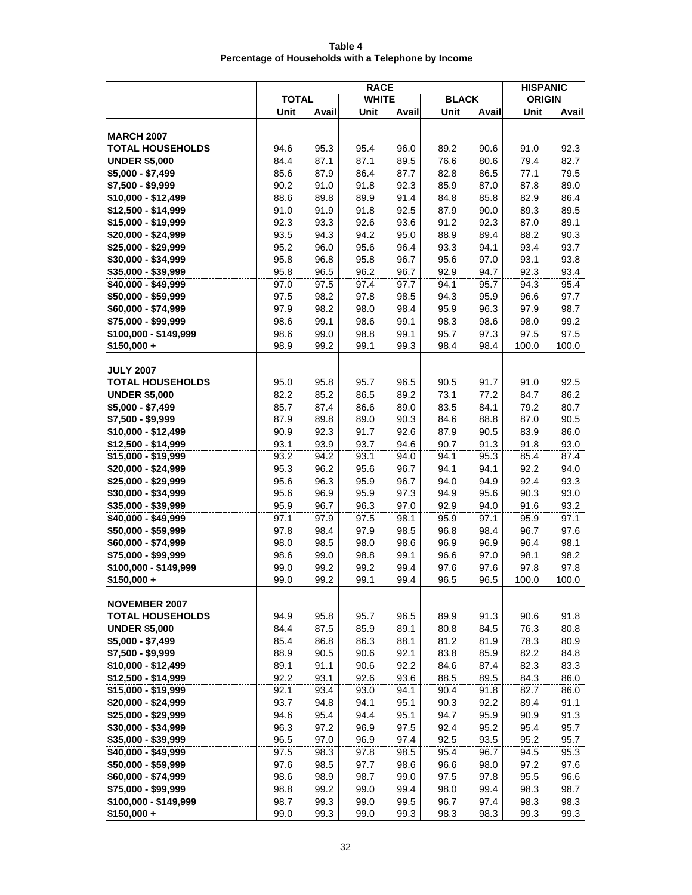| Table 4                                             |
|-----------------------------------------------------|
| Percentage of Households with a Telephone by Income |

|                                            | <b>RACE</b>  |              |              |              |              |              |               | <b>HISPANIC</b> |  |
|--------------------------------------------|--------------|--------------|--------------|--------------|--------------|--------------|---------------|-----------------|--|
|                                            | <b>TOTAL</b> |              | <b>WHITE</b> |              | <b>BLACK</b> |              | <b>ORIGIN</b> |                 |  |
|                                            | Unit         | Avail        | Unit         | Avail        | Unit         | Avail        | Unit          | Avail           |  |
|                                            |              |              |              |              |              |              |               |                 |  |
| <b>MARCH 2007</b>                          |              |              |              |              |              |              |               |                 |  |
| <b>TOTAL HOUSEHOLDS</b>                    | 94.6         | 95.3         | 95.4         | 96.0         | 89.2         | 90.6         | 91.0          | 92.3            |  |
| <b>UNDER \$5,000</b>                       | 84.4         | 87.1         | 87.1         | 89.5         | 76.6         | 80.6         | 79.4          | 82.7            |  |
| $$5,000 - $7,499$                          | 85.6         | 87.9         | 86.4         | 87.7         | 82.8         | 86.5         | 77.1          | 79.5            |  |
| \$7,500 - \$9,999<br>\$10,000 - \$12,499   | 90.2<br>88.6 | 91.0<br>89.8 | 91.8<br>89.9 | 92.3<br>91.4 | 85.9<br>84.8 | 87.0<br>85.8 | 87.8<br>82.9  | 89.0<br>86.4    |  |
| \$12,500 - \$14,999                        | 91.0         | 91.9         | 91.8         | 92.5         | 87.9         | 90.0         | 89.3          | 89.5            |  |
| \$15,000 - \$19,999                        | 92.3         | 93.3         | 92.6         | 93.6         | 91.2         | 92.3         | 87.0          | 89.1            |  |
| \$20,000 - \$24,999                        | 93.5         | 94.3         | 94.2         | 95.0         | 88.9         | 89.4         | 88.2          | 90.3            |  |
| \$25,000 - \$29,999                        | 95.2         | 96.0         | 95.6         | 96.4         | 93.3         | 94.1         | 93.4          | 93.7            |  |
| \$30,000 - \$34,999                        | 95.8         | 96.8         | 95.8         | 96.7         | 95.6         | 97.0         | 93.1          | 93.8            |  |
| \$35,000 - \$39,999                        | 95.8         | 96.5         | 96.2         | 96.7         | 92.9         | 94.7         | 92.3          | 93.4            |  |
| \$40,000 - \$49,999                        | 97.0         | 97.5         | 97.4         | 97.7         | 94.1         | 95.7         | 94.3          | 95.4            |  |
| $$50,000 - $59,999$                        | 97.5         | 98.2         | 97.8         | 98.5         | 94.3         | 95.9         | 96.6          | 97.7            |  |
| \$60,000 - \$74,999                        | 97.9         | 98.2         | 98.0         | 98.4         | 95.9         | 96.3         | 97.9          | 98.7            |  |
| \$75,000 - \$99,999                        | 98.6         | 99.1         | 98.6         | 99.1         | 98.3         | 98.6         | 98.0          | 99.2            |  |
| \$100,000 - \$149,999                      | 98.6         | 99.0         | 98.8         | 99.1         | 95.7         | 97.3         | 97.5          | 97.5            |  |
| $$150,000 +$                               | 98.9         | 99.2         | 99.1         | 99.3         | 98.4         | 98.4         | 100.0         | 100.0           |  |
|                                            |              |              |              |              |              |              |               |                 |  |
| <b>JULY 2007</b>                           |              |              |              |              |              |              |               |                 |  |
| <b>TOTAL HOUSEHOLDS</b>                    | 95.0         | 95.8         | 95.7         | 96.5         | 90.5         | 91.7         | 91.0          | 92.5            |  |
| <b>UNDER \$5,000</b>                       | 82.2         | 85.2         | 86.5         | 89.2         | 73.1         | 77.2         | 84.7          | 86.2            |  |
| \$5,000 - \$7,499                          | 85.7         | 87.4         | 86.6         | 89.0         | 83.5         | 84.1         | 79.2          | 80.7            |  |
| \$7,500 - \$9,999                          | 87.9         | 89.8         | 89.0         | 90.3         | 84.6         | 88.8         | 87.0          | 90.5            |  |
| \$10,000 - \$12,499                        | 90.9         | 92.3         | 91.7         | 92.6         | 87.9         | 90.5         | 83.9          | 86.0            |  |
| \$12,500 - \$14,999<br>\$15,000 - \$19,999 | 93.1<br>93.2 | 93.9<br>94.2 | 93.7<br>93.1 | 94.6<br>94.0 | 90.7<br>94.1 | 91.3<br>95.3 | 91.8<br>85.4  | 93.0<br>87.4    |  |
| \$20,000 - \$24,999                        | 95.3         | 96.2         | 95.6         | 96.7         | 94.1         | 94.1         | 92.2          | 94.0            |  |
| \$25,000 - \$29,999                        | 95.6         | 96.3         | 95.9         | 96.7         | 94.0         | 94.9         | 92.4          | 93.3            |  |
| $$30,000 - $34,999$                        | 95.6         | 96.9         | 95.9         | 97.3         | 94.9         | 95.6         | 90.3          | 93.0            |  |
| \$35,000 - \$39,999                        | 95.9         | 96.7         | 96.3         | 97.0         | 92.9         | 94.0         | 91.6          | 93.2            |  |
| \$40,000 - \$49,999                        | 97.1         | 97.9         | 97.5         | 98.1         | 95.9         | 97.1         | 95.9          | 97.1            |  |
| \$50,000 - \$59,999                        | 97.8         | 98.4         | 97.9         | 98.5         | 96.8         | 98.4         | 96.7          | 97.6            |  |
| \$60,000 - \$74,999                        | 98.0         | 98.5         | 98.0         | 98.6         | 96.9         | 96.9         | 96.4          | 98.1            |  |
| \$75,000 - \$99,999                        | 98.6         | 99.0         | 98.8         | 99.1         | 96.6         | 97.0         | 98.1          | 98.2            |  |
| \$100,000 - \$149,999                      | 99.0         | 99.2         | 99.2         | 99.4         | 97.6         | 97.6         | 97.8          | 97.8            |  |
| \$150,000 +                                | 99.0         | 99.2         | 99.1         | 99.4         | 96.5         | 96.5         | 100.0         | 100.0           |  |
|                                            |              |              |              |              |              |              |               |                 |  |
| <b>NOVEMBER 2007</b>                       |              |              |              |              |              |              |               |                 |  |
| <b>TOTAL HOUSEHOLDS</b>                    | 94.9         | 95.8         | 95.7         | 96.5         | 89.9         | 91.3         | 90.6          | 91.8            |  |
| <b>UNDER \$5,000</b>                       | 84.4         | 87.5         | 85.9         | 89.1         | 80.8         | 84.5         | 76.3          | 80.8            |  |
| \$5,000 - \$7,499<br>\$7,500 - \$9,999     | 85.4<br>88.9 | 86.8<br>90.5 | 86.3<br>90.6 | 88.1<br>92.1 | 81.2<br>83.8 | 81.9<br>85.9 | 78.3<br>82.2  | 80.9<br>84.8    |  |
| \$10,000 - \$12,499                        | 89.1         | 91.1         | 90.6         | 92.2         | 84.6         | 87.4         | 82.3          | 83.3            |  |
| \$12,500 - \$14,999                        | 92.2         | 93.1         | 92.6         | 93.6         | 88.5         | 89.5         | 84.3          | 86.0            |  |
| \$15,000 - \$19,999                        | 92.1         | 93.4         | 93.0         | 94.1         | 90.4         | 91.8         | 82.7          | 86.0            |  |
| \$20,000 - \$24,999                        | 93.7         | 94.8         | 94.1         | 95.1         | 90.3         | 92.2         | 89.4          | 91.1            |  |
| \$25,000 - \$29,999                        | 94.6         | 95.4         | 94.4         | 95.1         | 94.7         | 95.9         | 90.9          | 91.3            |  |
| \$30,000 - \$34,999                        | 96.3         | 97.2         | 96.9         | 97.5         | 92.4         | 95.2         | 95.4          | 95.7            |  |
| \$35,000 - \$39,999                        | 96.5         | 97.0         | 96.9         | 97.4         | 92.5         | 93.5         | 95.2          | 95.7            |  |
| \$40,000 - \$49,999                        | 97.5         | 98.3         | 97.8         | 98.5         | 95.4         | 96.7         | 94.5          | 95.3            |  |
| \$50,000 - \$59,999                        | 97.6         | 98.5         | 97.7         | 98.6         | 96.6         | 98.0         | 97.2          | 97.6            |  |
| \$60,000 - \$74,999                        | 98.6         | 98.9         | 98.7         | 99.0         | 97.5         | 97.8         | 95.5          | 96.6            |  |
| \$75,000 - \$99,999                        | 98.8         | 99.2         | 99.0         | 99.4         | 98.0         | 99.4         | 98.3          | 98.7            |  |
| \$100,000 - \$149,999                      | 98.7         | 99.3         | 99.0         | 99.5         | 96.7         | 97.4         | 98.3          | 98.3            |  |
| $$150,000 +$                               | 99.0         | 99.3         | 99.0         | 99.3         | 98.3         | 98.3         | 99.3          | 99.3            |  |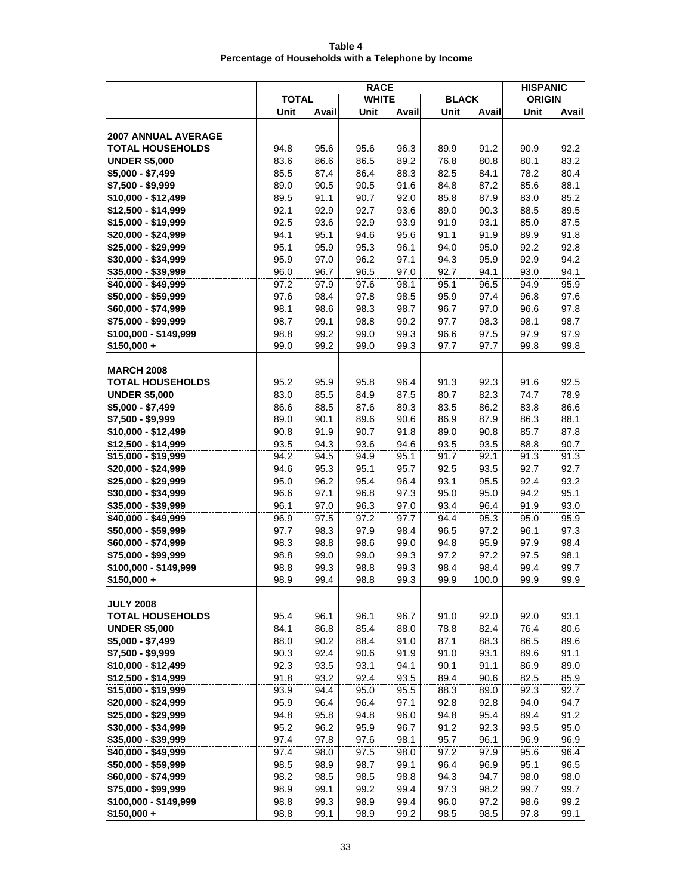| Table 4                                             |
|-----------------------------------------------------|
| Percentage of Households with a Telephone by Income |

|                                            | <b>RACE</b>  |              |              |              |              |              |               | <b>HISPANIC</b> |  |
|--------------------------------------------|--------------|--------------|--------------|--------------|--------------|--------------|---------------|-----------------|--|
|                                            | <b>TOTAL</b> |              | <b>WHITE</b> |              | <b>BLACK</b> |              | <b>ORIGIN</b> |                 |  |
|                                            | Unit         | Avail        | Unit         | Avail        | Unit         | Avail        | Unit          | Avail           |  |
|                                            |              |              |              |              |              |              |               |                 |  |
| <b>2007 ANNUAL AVERAGE</b>                 |              |              |              |              |              |              |               |                 |  |
| <b>TOTAL HOUSEHOLDS</b>                    | 94.8         | 95.6         | 95.6         | 96.3         | 89.9         | 91.2         | 90.9          | 92.2            |  |
| <b>UNDER \$5,000</b>                       | 83.6         | 86.6         | 86.5         | 89.2         | 76.8         | 80.8         | 80.1          | 83.2            |  |
| $$5,000 - $7,499$                          | 85.5         | 87.4         | 86.4         | 88.3         | 82.5         | 84.1         | 78.2          | 80.4            |  |
| \$7,500 - \$9,999                          | 89.0         | 90.5         | 90.5         | 91.6         | 84.8         | 87.2         | 85.6          | 88.1            |  |
| \$10,000 - \$12,499<br>\$12,500 - \$14,999 | 89.5<br>92.1 | 91.1<br>92.9 | 90.7<br>92.7 | 92.0<br>93.6 | 85.8<br>89.0 | 87.9<br>90.3 | 83.0<br>88.5  | 85.2<br>89.5    |  |
| \$15,000 - \$19,999                        | 92.5         | 93.6         | 92.9         | 93.9         | 91.9         | 93.1         | 85.0          | 87.5            |  |
| \$20,000 - \$24,999                        | 94.1         | 95.1         | 94.6         | 95.6         | 91.1         | 91.9         | 89.9          | 91.8            |  |
| \$25,000 - \$29,999                        | 95.1         | 95.9         | 95.3         | 96.1         | 94.0         | 95.0         | 92.2          | 92.8            |  |
| \$30,000 - \$34,999                        | 95.9         | 97.0         | 96.2         | 97.1         | 94.3         | 95.9         | 92.9          | 94.2            |  |
| \$35,000 - \$39,999                        | 96.0         | 96.7         | 96.5         | 97.0         | 92.7         | 94.1         | 93.0          | 94.1            |  |
| \$40,000 - \$49,999                        | 97.2         | 97.9         | 97.6         | 98.1         | 95.1         | 96.5         | 94.9          | 95.9            |  |
| $$50,000 - $59,999$                        | 97.6         | 98.4         | 97.8         | 98.5         | 95.9         | 97.4         | 96.8          | 97.6            |  |
| \$60,000 - \$74,999                        | 98.1         | 98.6         | 98.3         | 98.7         | 96.7         | 97.0         | 96.6          | 97.8            |  |
| \$75,000 - \$99,999                        | 98.7         | 99.1         | 98.8         | 99.2         | 97.7         | 98.3         | 98.1          | 98.7            |  |
| \$100,000 - \$149,999                      | 98.8         | 99.2         | 99.0         | 99.3         | 96.6         | 97.5         | 97.9          | 97.9            |  |
| $$150,000 +$                               | 99.0         | 99.2         | 99.0         | 99.3         | 97.7         | 97.7         | 99.8          | 99.8            |  |
|                                            |              |              |              |              |              |              |               |                 |  |
| <b>MARCH 2008</b>                          |              |              |              |              |              |              |               |                 |  |
| <b>TOTAL HOUSEHOLDS</b>                    | 95.2         | 95.9         | 95.8         | 96.4         | 91.3         | 92.3         | 91.6          | 92.5            |  |
| <b>UNDER \$5,000</b>                       | 83.0         | 85.5         | 84.9         | 87.5         | 80.7         | 82.3         | 74.7          | 78.9            |  |
| \$5,000 - \$7,499                          | 86.6         | 88.5         | 87.6         | 89.3         | 83.5         | 86.2         | 83.8          | 86.6            |  |
| \$7,500 - \$9,999                          | 89.0         | 90.1         | 89.6         | 90.6         | 86.9         | 87.9         | 86.3          | 88.1            |  |
| \$10,000 - \$12,499                        | 90.8         | 91.9         | 90.7         | 91.8         | 89.0         | 90.8         | 85.7          | 87.8            |  |
| \$12,500 - \$14,999                        | 93.5         | 94.3         | 93.6         | 94.6         | 93.5         | 93.5         | 88.8          | 90.7            |  |
| \$15,000 - \$19,999                        | 94.2         | 94.5         | 94.9         | 95.1         | 91.7         | 92.1         | 91.3          | 91.3            |  |
| \$20,000 - \$24,999<br>\$25,000 - \$29,999 | 94.6<br>95.0 | 95.3         | 95.1<br>95.4 | 95.7<br>96.4 | 92.5<br>93.1 | 93.5<br>95.5 | 92.7<br>92.4  | 92.7<br>93.2    |  |
| \$30,000 - \$34,999                        | 96.6         | 96.2<br>97.1 | 96.8         | 97.3         | 95.0         | 95.0         | 94.2          | 95.1            |  |
| \$35,000 - \$39,999                        | 96.1         | 97.0         | 96.3         | 97.0         | 93.4         | 96.4         | 91.9          | 93.0            |  |
| \$40,000 - \$49,999                        | 96.9         | 97.5         | 97.2         | 97.7         | 94.4         | 95.3         | 95.0          | 95.9            |  |
| \$50,000 - \$59,999                        | 97.7         | 98.3         | 97.9         | 98.4         | 96.5         | 97.2         | 96.1          | 97.3            |  |
| \$60,000 - \$74,999                        | 98.3         | 98.8         | 98.6         | 99.0         | 94.8         | 95.9         | 97.9          | 98.4            |  |
| \$75,000 - \$99,999                        | 98.8         | 99.0         | 99.0         | 99.3         | 97.2         | 97.2         | 97.5          | 98.1            |  |
| \$100,000 - \$149,999                      | 98.8         | 99.3         | 98.8         | 99.3         | 98.4         | 98.4         | 99.4          | 99.7            |  |
| $$150,000 +$                               | 98.9         | 99.4         | 98.8         | 99.3         | 99.9         | 100.0        | 99.9          | 99.9            |  |
|                                            |              |              |              |              |              |              |               |                 |  |
| <b>JULY 2008</b>                           |              |              |              |              |              |              |               |                 |  |
| <b>TOTAL HOUSEHOLDS</b>                    | 95.4         | 96.1         | 96.1         | 96.7         | 91.0         | 92.0         | 92.0          | 93.1            |  |
| <b>UNDER \$5,000</b>                       | 84.1         | 86.8         | 85.4         | 88.0         | 78.8         | 82.4         | 76.4          | 80.6            |  |
| \$5,000 - \$7,499                          | 88.0         | 90.2         | 88.4         | 91.0         | 87.1         | 88.3         | 86.5          | 89.6            |  |
| \$7,500 - \$9,999                          | 90.3         | 92.4         | 90.6         | 91.9         | 91.0         | 93.1         | 89.6          | 91.1            |  |
| \$10,000 - \$12,499<br>\$12,500 - \$14,999 | 92.3<br>91.8 | 93.5<br>93.2 | 93.1<br>92.4 | 94.1<br>93.5 | 90.1<br>89.4 | 91.1<br>90.6 | 86.9<br>82.5  | 89.0<br>85.9    |  |
| \$15,000 - \$19,999                        | 93.9         | 94.4         | 95.0         | 95.5         | 88.3         | 89.0         | 92.3          | 92.7            |  |
| \$20,000 - \$24,999                        | 95.9         | 96.4         | 96.4         | 97.1         | 92.8         | 92.8         | 94.0          | 94.7            |  |
| \$25,000 - \$29,999                        | 94.8         | 95.8         | 94.8         | 96.0         | 94.8         | 95.4         | 89.4          | 91.2            |  |
| \$30,000 - \$34,999                        | 95.2         | 96.2         | 95.9         | 96.7         | 91.2         | 92.3         | 93.5          | 95.0            |  |
| \$35,000 - \$39,999                        | 97.4         | 97.8         | 97.6         | 98.1         | 95.7         | 96.1         | 96.9          | 96.9            |  |
| \$40,000 - \$49,999                        | 97.4         | 98.0         | 97.5         | 98.0         | 97.2         | 97.9         | 95.6          | 96.4            |  |
| \$50,000 - \$59,999                        | 98.5         | 98.9         | 98.7         | 99.1         | 96.4         | 96.9         | 95.1          | 96.5            |  |
| \$60,000 - \$74,999                        | 98.2         | 98.5         | 98.5         | 98.8         | 94.3         | 94.7         | 98.0          | 98.0            |  |
| \$75,000 - \$99,999                        | 98.9         | 99.1         | 99.2         | 99.4         | 97.3         | 98.2         | 99.7          | 99.7            |  |
| \$100,000 - \$149,999                      | 98.8         | 99.3         | 98.9         | 99.4         | 96.0         | 97.2         | 98.6          | 99.2            |  |
| $$150,000 +$                               | 98.8         | 99.1         | 98.9         | 99.2         | 98.5         | 98.5         | 97.8          | 99.1            |  |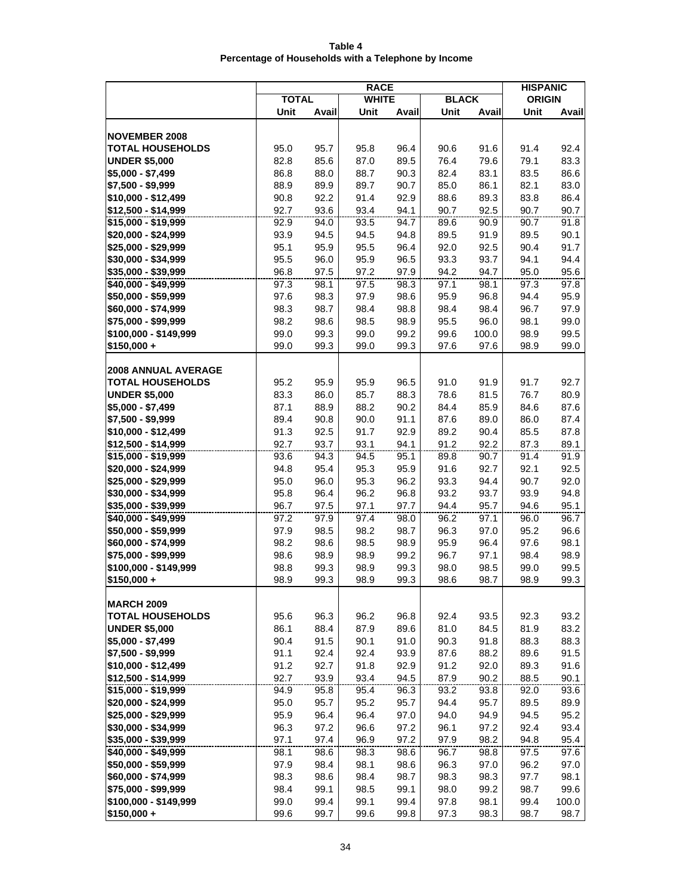| Table 4                                             |  |  |  |  |  |  |  |  |
|-----------------------------------------------------|--|--|--|--|--|--|--|--|
| Percentage of Households with a Telephone by Income |  |  |  |  |  |  |  |  |

|                                              | <b>RACE</b>  |              |              |              |              |               |               | <b>HISPANIC</b> |  |  |
|----------------------------------------------|--------------|--------------|--------------|--------------|--------------|---------------|---------------|-----------------|--|--|
|                                              | <b>TOTAL</b> |              | <b>WHITE</b> |              | <b>BLACK</b> |               | <b>ORIGIN</b> |                 |  |  |
|                                              | Unit         | Avail        | Unit         | Avail        | Unit         | Avail         | Unit          | Avail           |  |  |
|                                              |              |              |              |              |              |               |               |                 |  |  |
| <b>NOVEMBER 2008</b>                         |              |              |              |              |              |               |               |                 |  |  |
| <b>TOTAL HOUSEHOLDS</b>                      | 95.0         | 95.7         | 95.8         | 96.4         | 90.6         | 91.6          | 91.4          | 92.4            |  |  |
| <b>UNDER \$5,000</b>                         | 82.8         | 85.6         | 87.0         | 89.5         | 76.4         | 79.6          | 79.1          | 83.3            |  |  |
| $$5,000 - $7,499$                            | 86.8         | 88.0         | 88.7         | 90.3         | 82.4         | 83.1          | 83.5          | 86.6            |  |  |
| \$7,500 - \$9,999                            | 88.9         | 89.9         | 89.7         | 90.7         | 85.0         | 86.1          | 82.1          | 83.0            |  |  |
| \$10,000 - \$12,499                          | 90.8         | 92.2         | 91.4         | 92.9         | 88.6         | 89.3          | 83.8          | 86.4            |  |  |
| \$12,500 - \$14,999                          | 92.7         | 93.6         | 93.4         | 94.1         | 90.7         | 92.5          | 90.7          | 90.7            |  |  |
| \$15,000 - \$19,999                          | 92.9         | 94.0         | 93.5         | 94.7         | 89.6         | 90.9          | 90.7          | 91.8            |  |  |
| \$20,000 - \$24,999                          | 93.9         | 94.5         | 94.5         | 94.8         | 89.5         | 91.9          | 89.5          | 90.1            |  |  |
| \$25,000 - \$29,999                          | 95.1         | 95.9         | 95.5         | 96.4         | 92.0         | 92.5          | 90.4          | 91.7            |  |  |
| \$30,000 - \$34,999                          | 95.5         | 96.0         | 95.9         | 96.5         | 93.3         | 93.7          | 94.1          | 94.4            |  |  |
| \$35,000 - \$39,999                          | 96.8         | 97.5         | 97.2         | 97.9         | 94.2         | 94.7          | 95.0          | 95.6            |  |  |
| \$40,000 - \$49,999                          | 97.3         | 98.1         | 97.5         | 98.3         | 97.1         | 98.1          | 97.3          | 97.8            |  |  |
| $$50,000 - $59,999$                          | 97.6         | 98.3         | 97.9         | 98.6         | 95.9         | 96.8          | 94.4          | 95.9            |  |  |
| \$60,000 - \$74,999                          | 98.3         | 98.7         | 98.4         | 98.8         | 98.4         | 98.4          | 96.7          | 97.9            |  |  |
| \$75,000 - \$99,999                          | 98.2<br>99.0 | 98.6<br>99.3 | 98.5<br>99.0 | 98.9<br>99.2 | 95.5         | 96.0<br>100.0 | 98.1<br>98.9  | 99.0<br>99.5    |  |  |
| \$100,000 - \$149,999<br>$$150,000 +$        | 99.0         | 99.3         | 99.0         | 99.3         | 99.6<br>97.6 | 97.6          | 98.9          | 99.0            |  |  |
|                                              |              |              |              |              |              |               |               |                 |  |  |
| <b>2008 ANNUAL AVERAGE</b>                   |              |              |              |              |              |               |               |                 |  |  |
| <b>TOTAL HOUSEHOLDS</b>                      | 95.2         | 95.9         | 95.9         | 96.5         | 91.0         | 91.9          | 91.7          | 92.7            |  |  |
| <b>UNDER \$5,000</b>                         | 83.3         | 86.0         | 85.7         | 88.3         | 78.6         | 81.5          | 76.7          | 80.9            |  |  |
| \$5,000 - \$7,499                            | 87.1         | 88.9         | 88.2         | 90.2         | 84.4         | 85.9          | 84.6          | 87.6            |  |  |
| \$7,500 - \$9,999                            | 89.4         | 90.8         | 90.0         | 91.1         | 87.6         | 89.0          | 86.0          | 87.4            |  |  |
| \$10,000 - \$12,499                          | 91.3         | 92.5         | 91.7         | 92.9         | 89.2         | 90.4          | 85.5          | 87.8            |  |  |
| \$12,500 - \$14,999                          | 92.7         | 93.7         | 93.1         | 94.1         | 91.2         | 92.2          | 87.3          | 89.1            |  |  |
| \$15,000 - \$19,999                          | 93.6         | 94.3         | 94.5         | 95.1         | 89.8         | 90.7          | 91.4          | 91.9            |  |  |
| \$20,000 - \$24,999                          | 94.8         | 95.4         | 95.3         | 95.9         | 91.6         | 92.7          | 92.1          | 92.5            |  |  |
| \$25,000 - \$29,999                          | 95.0         | 96.0         | 95.3         | 96.2         | 93.3         | 94.4          | 90.7          | 92.0            |  |  |
| $$30,000 - $34,999$                          | 95.8         | 96.4         | 96.2         | 96.8         | 93.2         | 93.7          | 93.9          | 94.8            |  |  |
| \$35,000 - \$39,999                          | 96.7         | 97.5         | 97.1         | 97.7         | 94.4         | 95.7          | 94.6          | 95.1            |  |  |
| \$40,000 - \$49,999                          | 97.2         | 97.9         | 97.4         | 98.0         | 96.2         | 97.1          | 96.0          | 96.7            |  |  |
| \$50,000 - \$59,999                          | 97.9         | 98.5         | 98.2         | 98.7         | 96.3         | 97.0          | 95.2          | 96.6            |  |  |
| \$60,000 - \$74,999                          | 98.2         | 98.6         | 98.5         | 98.9         | 95.9         | 96.4          | 97.6          | 98.1            |  |  |
| \$75,000 - \$99,999                          | 98.6         | 98.9         | 98.9         | 99.2         | 96.7         | 97.1          | 98.4          | 98.9            |  |  |
| \$100,000 - \$149,999                        | 98.8         | 99.3         | 98.9         | 99.3         | 98.0         | 98.5          | 99.0          | 99.5            |  |  |
| \$150,000 +                                  | 98.9         | 99.3         | 98.9         | 99.3         | 98.6         | 98.7          | 98.9          | 99.3            |  |  |
|                                              |              |              |              |              |              |               |               |                 |  |  |
| <b>MARCH 2009</b><br><b>TOTAL HOUSEHOLDS</b> |              |              |              |              |              |               |               |                 |  |  |
| <b>UNDER \$5,000</b>                         | 95.6<br>86.1 | 96.3<br>88.4 | 96.2<br>87.9 | 96.8<br>89.6 | 92.4<br>81.0 | 93.5<br>84.5  | 92.3<br>81.9  | 93.2<br>83.2    |  |  |
| \$5,000 - \$7,499                            | 90.4         | 91.5         | 90.1         | 91.0         | 90.3         | 91.8          | 88.3          | 88.3            |  |  |
| \$7,500 - \$9,999                            | 91.1         | 92.4         | 92.4         | 93.9         | 87.6         | 88.2          | 89.6          | 91.5            |  |  |
| \$10,000 - \$12,499                          | 91.2         | 92.7         | 91.8         | 92.9         | 91.2         | 92.0          | 89.3          | 91.6            |  |  |
| \$12,500 - \$14,999                          | 92.7         | 93.9         | 93.4         | 94.5         | 87.9         | 90.2          | 88.5          | 90.1            |  |  |
| \$15,000 - \$19,999                          | 94.9         | 95.8         | 95.4         | 96.3         | 93.2         | 93.8          | 92.0          | 93.6            |  |  |
| \$20,000 - \$24,999                          | 95.0         | 95.7         | 95.2         | 95.7         | 94.4         | 95.7          | 89.5          | 89.9            |  |  |
| \$25,000 - \$29,999                          | 95.9         | 96.4         | 96.4         | 97.0         | 94.0         | 94.9          | 94.5          | 95.2            |  |  |
| \$30,000 - \$34,999                          | 96.3         | 97.2         | 96.6         | 97.2         | 96.1         | 97.2          | 92.4          | 93.4            |  |  |
| \$35,000 - \$39,999                          | 97.1         | 97.4         | 96.9         | 97.2         | 97.9         | 98.2          | 94.8          | 95.4            |  |  |
| \$40,000 - \$49,999                          | 98.1         | 98.6         | 98.3         | 98.6         | 96.7         | 98.8          | 97.5          | 97.6            |  |  |
| \$50,000 - \$59,999                          | 97.9         | 98.4         | 98.1         | 98.6         | 96.3         | 97.0          | 96.2          | 97.0            |  |  |
| \$60,000 - \$74,999                          | 98.3         | 98.6         | 98.4         | 98.7         | 98.3         | 98.3          | 97.7          | 98.1            |  |  |
| \$75,000 - \$99,999                          | 98.4         | 99.1         | 98.5         | 99.1         | 98.0         | 99.2          | 98.7          | 99.6            |  |  |
| \$100,000 - \$149,999                        | 99.0         | 99.4         | 99.1         | 99.4         | 97.8         | 98.1          | 99.4          | 100.0           |  |  |
| $$150,000 +$                                 | 99.6         | 99.7         | 99.6         | 99.8         | 97.3         | 98.3          | 98.7          | 98.7            |  |  |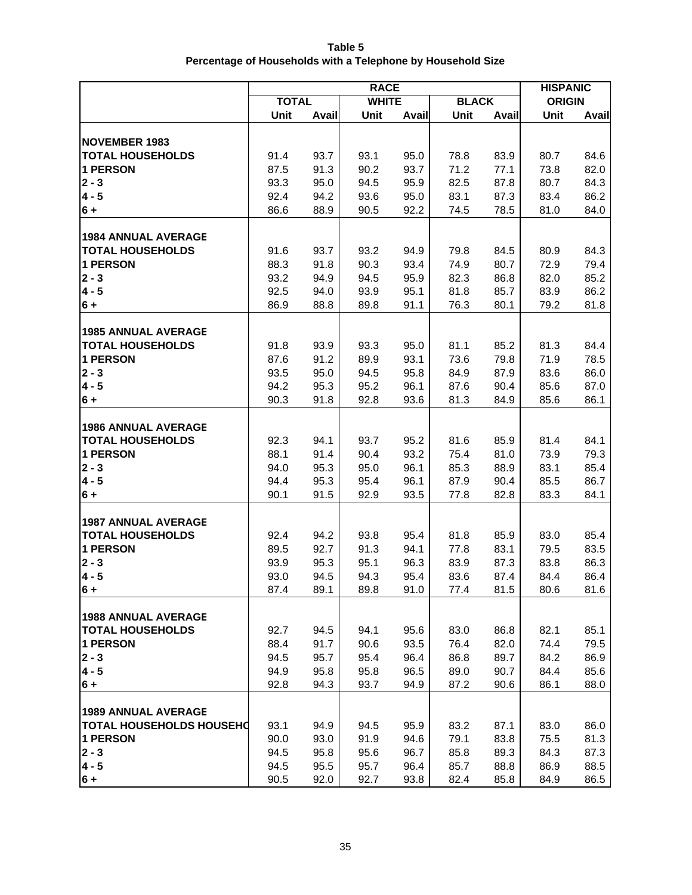| Table 5                                                     |
|-------------------------------------------------------------|
| Percentage of Households with a Telephone by Household Size |

|                                 | <b>RACE</b>  |              |              |              |              |              |               | <b>HISPANIC</b> |
|---------------------------------|--------------|--------------|--------------|--------------|--------------|--------------|---------------|-----------------|
|                                 | <b>TOTAL</b> |              | <b>WHITE</b> |              | <b>BLACK</b> |              | <b>ORIGIN</b> |                 |
|                                 | Unit         | Avail        | Unit         | Avail        | Unit         | Avail        | Unit          | Avail           |
|                                 |              |              |              |              |              |              |               |                 |
| <b>NOVEMBER 1983</b>            |              |              |              |              |              |              |               |                 |
| <b>TOTAL HOUSEHOLDS</b>         | 91.4         | 93.7         | 93.1         | 95.0         | 78.8         | 83.9         | 80.7          | 84.6            |
| <b>1 PERSON</b>                 | 87.5         | 91.3         | 90.2         | 93.7         | 71.2         | 77.1         | 73.8          | 82.0            |
| $2 - 3$                         | 93.3         | 95.0         | 94.5         | 95.9         | 82.5         | 87.8         | 80.7          | 84.3            |
| $4 - 5$                         | 92.4         | 94.2         | 93.6         | 95.0         | 83.1         | 87.3         | 83.4          | 86.2            |
| $6+$                            | 86.6         | 88.9         | 90.5         | 92.2         | 74.5         | 78.5         | 81.0          | 84.0            |
|                                 |              |              |              |              |              |              |               |                 |
| <b>1984 ANNUAL AVERAGE</b>      |              |              |              |              |              |              |               |                 |
| <b>TOTAL HOUSEHOLDS</b>         | 91.6         | 93.7         | 93.2         | 94.9         | 79.8         | 84.5         | 80.9          | 84.3            |
| <b>1 PERSON</b><br>$2 - 3$      | 88.3         | 91.8         | 90.3         | 93.4         | 74.9         | 80.7         | 72.9          | 79.4            |
| $4 - 5$                         | 93.2<br>92.5 | 94.9         | 94.5<br>93.9 | 95.9         | 82.3         | 86.8         | 82.0<br>83.9  | 85.2            |
| $6+$                            | 86.9         | 94.0<br>88.8 | 89.8         | 95.1<br>91.1 | 81.8<br>76.3 | 85.7<br>80.1 | 79.2          | 86.2<br>81.8    |
|                                 |              |              |              |              |              |              |               |                 |
| <b>1985 ANNUAL AVERAGE</b>      |              |              |              |              |              |              |               |                 |
| <b>TOTAL HOUSEHOLDS</b>         | 91.8         | 93.9         | 93.3         | 95.0         | 81.1         | 85.2         | 81.3          | 84.4            |
| <b>1 PERSON</b>                 | 87.6         | 91.2         | 89.9         | 93.1         | 73.6         | 79.8         | 71.9          | 78.5            |
| $2 - 3$                         | 93.5         | 95.0         | 94.5         | 95.8         | 84.9         | 87.9         | 83.6          | 86.0            |
| $4 - 5$                         | 94.2         | 95.3         | 95.2         | 96.1         | 87.6         | 90.4         | 85.6          | 87.0            |
| $6+$                            | 90.3         | 91.8         | 92.8         | 93.6         | 81.3         | 84.9         | 85.6          | 86.1            |
|                                 |              |              |              |              |              |              |               |                 |
| <b>1986 ANNUAL AVERAGE</b>      |              |              |              |              |              |              |               |                 |
| <b>TOTAL HOUSEHOLDS</b>         | 92.3         | 94.1         | 93.7         | 95.2         | 81.6         | 85.9         | 81.4          | 84.1            |
| <b>1 PERSON</b>                 | 88.1         | 91.4         | 90.4         | 93.2         | 75.4         | 81.0         | 73.9          | 79.3            |
| $2 - 3$                         | 94.0         | 95.3         | 95.0         | 96.1         | 85.3         | 88.9         | 83.1          | 85.4            |
| $4 - 5$                         | 94.4         | 95.3         | 95.4         | 96.1         | 87.9         | 90.4         | 85.5          | 86.7            |
| $6+$                            | 90.1         | 91.5         | 92.9         | 93.5         | 77.8         | 82.8         | 83.3          | 84.1            |
|                                 |              |              |              |              |              |              |               |                 |
| <b>1987 ANNUAL AVERAGE</b>      |              |              |              |              |              |              |               |                 |
| <b>TOTAL HOUSEHOLDS</b>         | 92.4         | 94.2         | 93.8         | 95.4         | 81.8         | 85.9         | 83.0          | 85.4            |
| 1 PERSON                        | 89.5         | 92.7         | 91.3         | 94.1         | 77.8         | 83.1         | 79.5          | 83.5            |
| $2 - 3$                         | 93.9         | 95.3         | 95.1         | 96.3         | 83.9         | 87.3         | 83.8          | 86.3            |
| $4 - 5$                         | 93.0         | 94.5         | 94.3         | 95.4         | 83.6         | 87.4         | 84.4          | 86.4            |
| $6+$                            | 87.4         | 89.1         | 89.8         | 91.0         | 77.4         | 81.5         | 80.6          | 81.6            |
|                                 |              |              |              |              |              |              |               |                 |
| <b>1988 ANNUAL AVERAGE</b>      |              |              |              |              |              |              |               |                 |
| <b>TOTAL HOUSEHOLDS</b>         | 92.7         | 94.5         | 94.1         | 95.6         | 83.0         | 86.8         | 82.1          | 85.1            |
| <b>1 PERSON</b><br>$2 - 3$      | 88.4<br>94.5 | 91.7         | 90.6<br>95.4 | 93.5         | 76.4         | 82.0         | 74.4          | 79.5            |
| $4 - 5$                         | 94.9         | 95.7<br>95.8 | 95.8         | 96.4<br>96.5 | 86.8<br>89.0 | 89.7<br>90.7 | 84.2<br>84.4  | 86.9<br>85.6    |
| $6 +$                           |              |              |              |              |              |              | 86.1          |                 |
|                                 | 92.8         | 94.3         | 93.7         | 94.9         | 87.2         | 90.6         |               | 88.0            |
| <b>1989 ANNUAL AVERAGE</b>      |              |              |              |              |              |              |               |                 |
| <b>TOTAL HOUSEHOLDS HOUSEHO</b> | 93.1         | 94.9         | 94.5         | 95.9         | 83.2         | 87.1         | 83.0          | 86.0            |
| <b>1 PERSON</b>                 | 90.0         | 93.0         | 91.9         | 94.6         | 79.1         | 83.8         | 75.5          | 81.3            |
| $2 - 3$                         | 94.5         | 95.8         | 95.6         | 96.7         | 85.8         | 89.3         | 84.3          | 87.3            |
| $4 - 5$                         | 94.5         | 95.5         | 95.7         | 96.4         | 85.7         | 88.8         | 86.9          | 88.5            |
| $6+$                            | 90.5         | 92.0         | 92.7         | 93.8         | 82.4         | 85.8         | 84.9          | 86.5            |
|                                 |              |              |              |              |              |              |               |                 |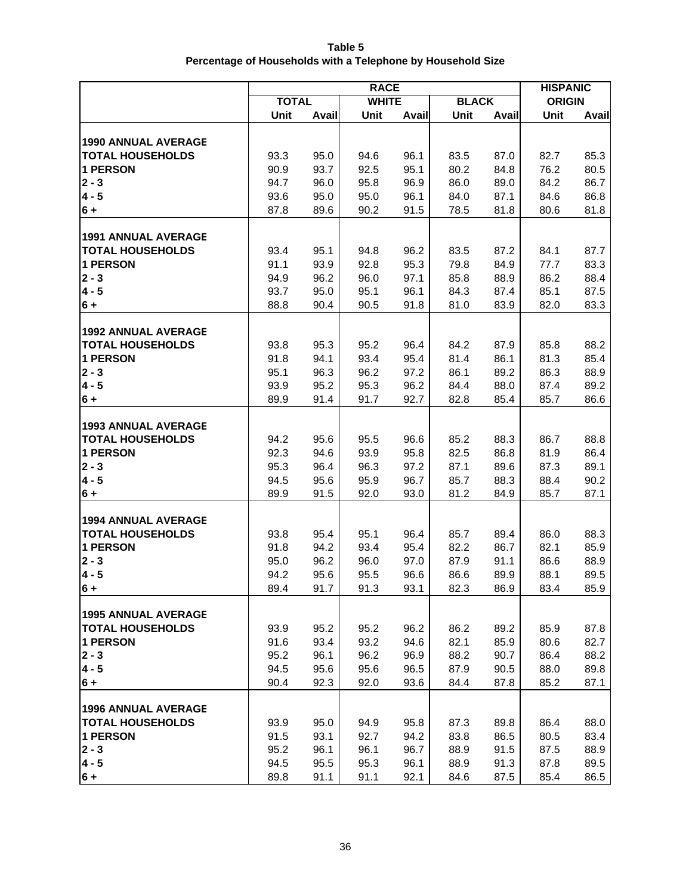| Table 5                                                     |
|-------------------------------------------------------------|
| Percentage of Households with a Telephone by Household Size |

|                                                       | <b>RACE</b>  |              |              |              |              |              |               | <b>HISPANIC</b> |
|-------------------------------------------------------|--------------|--------------|--------------|--------------|--------------|--------------|---------------|-----------------|
|                                                       | <b>TOTAL</b> |              | <b>WHITE</b> |              | <b>BLACK</b> |              | <b>ORIGIN</b> |                 |
|                                                       | Unit         | Avail        | Unit         | Avail        | Unit         | Avail        | Unit          | Avail           |
|                                                       |              |              |              |              |              |              |               |                 |
| <b>1990 ANNUAL AVERAGE</b>                            |              |              |              |              |              |              |               |                 |
| <b>TOTAL HOUSEHOLDS</b>                               | 93.3         | 95.0         | 94.6         | 96.1         | 83.5         | 87.0         | 82.7          | 85.3            |
| 1 PERSON                                              | 90.9         | 93.7         | 92.5         | 95.1         | 80.2         | 84.8         | 76.2          | 80.5            |
| $2 - 3$                                               | 94.7         | 96.0         | 95.8         | 96.9         | 86.0         | 89.0         | 84.2          | 86.7            |
| $4 - 5$                                               | 93.6         | 95.0         | 95.0         | 96.1         | 84.0         | 87.1         | 84.6          | 86.8            |
| $6+$                                                  | 87.8         | 89.6         | 90.2         | 91.5         | 78.5         | 81.8         | 80.6          | 81.8            |
| <b>1991 ANNUAL AVERAGE</b>                            |              |              |              |              |              |              |               |                 |
| <b>TOTAL HOUSEHOLDS</b>                               | 93.4         | 95.1         | 94.8         | 96.2         | 83.5         | 87.2         | 84.1          | 87.7            |
| <b>1 PERSON</b>                                       | 91.1         | 93.9         | 92.8         | 95.3         | 79.8         | 84.9         | 77.7          | 83.3            |
| $2 - 3$                                               | 94.9         | 96.2         | 96.0         | 97.1         | 85.8         | 88.9         | 86.2          | 88.4            |
| $4 - 5$                                               | 93.7         | 95.0         | 95.1         | 96.1         | 84.3         | 87.4         | 85.1          | 87.5            |
| $6+$                                                  | 88.8         | 90.4         | 90.5         | 91.8         | 81.0         | 83.9         | 82.0          | 83.3            |
|                                                       |              |              |              |              |              |              |               |                 |
| <b>1992 ANNUAL AVERAGE</b>                            |              |              |              |              |              |              |               |                 |
| <b>TOTAL HOUSEHOLDS</b>                               | 93.8         | 95.3         | 95.2         | 96.4         | 84.2         | 87.9         | 85.8          | 88.2            |
| <b>1 PERSON</b>                                       | 91.8         | 94.1         | 93.4         | 95.4         | 81.4         | 86.1         | 81.3          | 85.4            |
| $2 - 3$                                               | 95.1         | 96.3         | 96.2         | 97.2         | 86.1         | 89.2         | 86.3          | 88.9            |
| $4 - 5$                                               | 93.9         | 95.2         | 95.3         | 96.2         | 84.4         | 88.0         | 87.4          | 89.2            |
| $6+$                                                  | 89.9         | 91.4         | 91.7         | 92.7         | 82.8         | 85.4         | 85.7          | 86.6            |
|                                                       |              |              |              |              |              |              |               |                 |
| <b>1993 ANNUAL AVERAGE</b>                            |              |              |              |              |              |              |               |                 |
| <b>TOTAL HOUSEHOLDS</b>                               | 94.2         | 95.6         | 95.5         | 96.6         | 85.2         | 88.3         | 86.7          | 88.8            |
| <b>1 PERSON</b>                                       | 92.3         | 94.6         | 93.9         | 95.8         | 82.5         | 86.8         | 81.9          | 86.4            |
| $2 - 3$<br>$4 - 5$                                    | 95.3         | 96.4         | 96.3         | 97.2<br>96.7 | 87.1<br>85.7 | 89.6         | 87.3<br>88.4  | 89.1            |
| $6+$                                                  | 94.5<br>89.9 | 95.6<br>91.5 | 95.9<br>92.0 | 93.0         | 81.2         | 88.3<br>84.9 | 85.7          | 90.2<br>87.1    |
|                                                       |              |              |              |              |              |              |               |                 |
| <b>1994 ANNUAL AVERAGE</b>                            |              |              |              |              |              |              |               |                 |
| <b>TOTAL HOUSEHOLDS</b>                               | 93.8         | 95.4         | 95.1         | 96.4         | 85.7         | 89.4         | 86.0          | 88.3            |
| 1 PERSON                                              | 91.8         | 94.2         | 93.4         | 95.4         | 82.2         | 86.7         | 82.1          | 85.9            |
| $2 - 3$                                               | 95.0         | 96.2         | 96.0         | 97.0         | 87.9         | 91.1         | 86.6          | 88.9            |
| $4 - 5$                                               | 94.2         | 95.6         | 95.5         | 96.6         | 86.6         | 89.9         | 88.1          | 89.5            |
| 6+                                                    | 89.4         | 91.7         | 91.3         | 93.1         | 82.3         | 86.9         | 83.4          | 85.9            |
|                                                       |              |              |              |              |              |              |               |                 |
| <b>1995 ANNUAL AVERAGE</b>                            |              |              |              |              |              |              |               |                 |
| <b>TOTAL HOUSEHOLDS</b>                               | 93.9         | 95.2         | 95.2         | 96.2         | 86.2         | 89.2         | 85.9          | 87.8            |
| 1 PERSON                                              | 91.6         | 93.4         | 93.2         | 94.6         | 82.1         | 85.9         | 80.6          | 82.7            |
| $2 - 3$                                               | 95.2         | 96.1         | 96.2         | 96.9         | 88.2         | 90.7         | 86.4          | 88.2            |
| $4 - 5$                                               | 94.5         | 95.6         | 95.6         | 96.5         | 87.9         | 90.5         | 88.0          | 89.8            |
| $6 +$                                                 | 90.4         | 92.3         | 92.0         | 93.6         | 84.4         | 87.8         | 85.2          | 87.1            |
|                                                       |              |              |              |              |              |              |               |                 |
| <b>1996 ANNUAL AVERAGE</b><br><b>TOTAL HOUSEHOLDS</b> |              | 95.0         |              | 95.8         |              |              |               | 88.0            |
| 1 PERSON                                              | 93.9<br>91.5 | 93.1         | 94.9<br>92.7 | 94.2         | 87.3<br>83.8 | 89.8<br>86.5 | 86.4<br>80.5  | 83.4            |
| $2 - 3$                                               | 95.2         | 96.1         | 96.1         | 96.7         | 88.9         | 91.5         | 87.5          | 88.9            |
| $4 - 5$                                               | 94.5         | 95.5         | 95.3         | 96.1         | 88.9         | 91.3         | 87.8          | 89.5            |
| $6 +$                                                 | 89.8         | 91.1         | 91.1         | 92.1         | 84.6         | 87.5         | 85.4          | 86.5            |
|                                                       |              |              |              |              |              |              |               |                 |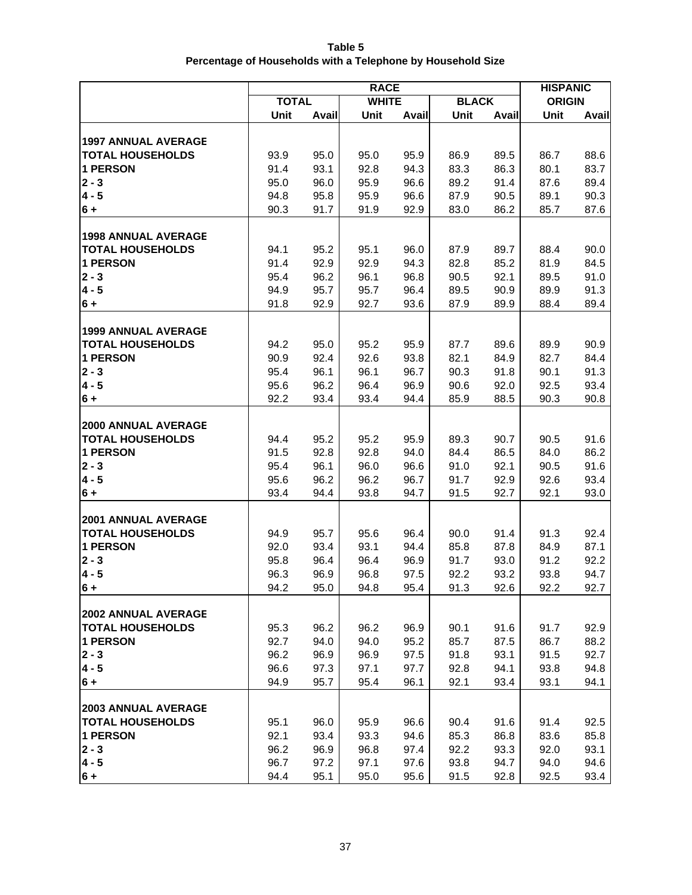| Table 5                                                     |
|-------------------------------------------------------------|
| Percentage of Households with a Telephone by Household Size |

|                                                       | <b>RACE</b>  |              |              |              |              |              |               | <b>HISPANIC</b> |
|-------------------------------------------------------|--------------|--------------|--------------|--------------|--------------|--------------|---------------|-----------------|
|                                                       | <b>TOTAL</b> |              | <b>WHITE</b> |              | <b>BLACK</b> |              | <b>ORIGIN</b> |                 |
|                                                       | Unit         | Avail        | Unit         | Avail        | Unit         | Avail        | Unit          | Avail           |
|                                                       |              |              |              |              |              |              |               |                 |
| <b>1997 ANNUAL AVERAGE</b>                            |              |              |              |              |              |              |               |                 |
| <b>TOTAL HOUSEHOLDS</b>                               | 93.9         | 95.0         | 95.0         | 95.9         | 86.9         | 89.5         | 86.7          | 88.6            |
| 1 PERSON                                              | 91.4         | 93.1         | 92.8         | 94.3         | 83.3         | 86.3         | 80.1          | 83.7            |
| $2 - 3$<br>$4 - 5$                                    | 95.0<br>94.8 | 96.0         | 95.9         | 96.6         | 89.2         | 91.4         | 87.6          | 89.4            |
| $6+$                                                  | 90.3         | 95.8<br>91.7 | 95.9<br>91.9 | 96.6<br>92.9 | 87.9<br>83.0 | 90.5<br>86.2 | 89.1<br>85.7  | 90.3<br>87.6    |
|                                                       |              |              |              |              |              |              |               |                 |
| <b>1998 ANNUAL AVERAGE</b>                            |              |              |              |              |              |              |               |                 |
| <b>TOTAL HOUSEHOLDS</b>                               | 94.1         | 95.2         | 95.1         | 96.0         | 87.9         | 89.7         | 88.4          | 90.0            |
| 1 PERSON                                              | 91.4         | 92.9         | 92.9         | 94.3         | 82.8         | 85.2         | 81.9          | 84.5            |
| $2 - 3$                                               | 95.4         | 96.2         | 96.1         | 96.8         | 90.5         | 92.1         | 89.5          | 91.0            |
| $4 - 5$                                               | 94.9         | 95.7         | 95.7         | 96.4         | 89.5         | 90.9         | 89.9          | 91.3            |
| $6+$                                                  | 91.8         | 92.9         | 92.7         | 93.6         | 87.9         | 89.9         | 88.4          | 89.4            |
|                                                       |              |              |              |              |              |              |               |                 |
| 1999 ANNUAL AVERAGE                                   |              |              |              |              |              |              |               |                 |
| <b>TOTAL HOUSEHOLDS</b>                               | 94.2         | 95.0         | 95.2         | 95.9         | 87.7         | 89.6         | 89.9          | 90.9            |
| 1 PERSON                                              | 90.9         | 92.4         | 92.6         | 93.8         | 82.1         | 84.9         | 82.7          | 84.4            |
| $2 - 3$                                               | 95.4         | 96.1         | 96.1         | 96.7         | 90.3         | 91.8         | 90.1          | 91.3            |
| $4 - 5$                                               | 95.6         | 96.2         | 96.4         | 96.9         | 90.6         | 92.0         | 92.5          | 93.4            |
| $6+$                                                  | 92.2         | 93.4         | 93.4         | 94.4         | 85.9         | 88.5         | 90.3          | 90.8            |
|                                                       |              |              |              |              |              |              |               |                 |
| <b>2000 ANNUAL AVERAGE</b><br><b>TOTAL HOUSEHOLDS</b> | 94.4         | 95.2         | 95.2         | 95.9         | 89.3         | 90.7         | 90.5          | 91.6            |
| 1 PERSON                                              | 91.5         | 92.8         | 92.8         | 94.0         | 84.4         | 86.5         | 84.0          | 86.2            |
| $2 - 3$                                               | 95.4         | 96.1         | 96.0         | 96.6         | 91.0         | 92.1         | 90.5          | 91.6            |
| $4 - 5$                                               | 95.6         | 96.2         | 96.2         | 96.7         | 91.7         | 92.9         | 92.6          | 93.4            |
| $6+$                                                  | 93.4         | 94.4         | 93.8         | 94.7         | 91.5         | 92.7         | 92.1          | 93.0            |
|                                                       |              |              |              |              |              |              |               |                 |
| <b>2001 ANNUAL AVERAGE</b>                            |              |              |              |              |              |              |               |                 |
| <b>TOTAL HOUSEHOLDS</b>                               | 94.9         | 95.7         | 95.6         | 96.4         | 90.0         | 91.4         | 91.3          | 92.4            |
| 1 PERSON                                              | 92.0         | 93.4         | 93.1         | 94.4         | 85.8         | 87.8         | 84.9          | 87.1            |
| $2 - 3$                                               | 95.8         | 96.4         | 96.4         | 96.9         | 91.7         | 93.0         | 91.2          | 92.2            |
| $4 - 5$                                               | 96.3         | 96.9         | 96.8         | 97.5         | 92.2         | 93.2         | 93.8          | 94.7            |
| $6 +$                                                 | 94.2         | 95.0         | 94.8         | 95.4         | 91.3         | 92.6         | 92.2          | 92.7            |
|                                                       |              |              |              |              |              |              |               |                 |
| <b>2002 ANNUAL AVERAGE</b>                            |              |              |              |              |              |              |               |                 |
| <b>TOTAL HOUSEHOLDS</b><br>1 PERSON                   | 95.3<br>92.7 | 96.2<br>94.0 | 96.2<br>94.0 | 96.9<br>95.2 | 90.1<br>85.7 | 91.6         | 91.7<br>86.7  | 92.9<br>88.2    |
| $2 - 3$                                               | 96.2         | 96.9         | 96.9         | 97.5         | 91.8         | 87.5<br>93.1 | 91.5          | 92.7            |
| $4 - 5$                                               | 96.6         | 97.3         | 97.1         | 97.7         | 92.8         | 94.1         | 93.8          | 94.8            |
| $6+$                                                  | 94.9         | 95.7         | 95.4         | 96.1         | 92.1         | 93.4         | 93.1          | 94.1            |
|                                                       |              |              |              |              |              |              |               |                 |
| <b>2003 ANNUAL AVERAGE</b>                            |              |              |              |              |              |              |               |                 |
| <b>TOTAL HOUSEHOLDS</b>                               | 95.1         | 96.0         | 95.9         | 96.6         | 90.4         | 91.6         | 91.4          | 92.5            |
| 1 PERSON                                              | 92.1         | 93.4         | 93.3         | 94.6         | 85.3         | 86.8         | 83.6          | 85.8            |
| $2 - 3$                                               | 96.2         | 96.9         | 96.8         | 97.4         | 92.2         | 93.3         | 92.0          | 93.1            |
| $4 - 5$                                               | 96.7         | 97.2         | 97.1         | 97.6         | 93.8         | 94.7         | 94.0          | 94.6            |
| $6 +$                                                 | 94.4         | 95.1         | 95.0         | 95.6         | 91.5         | 92.8         | 92.5          | 93.4            |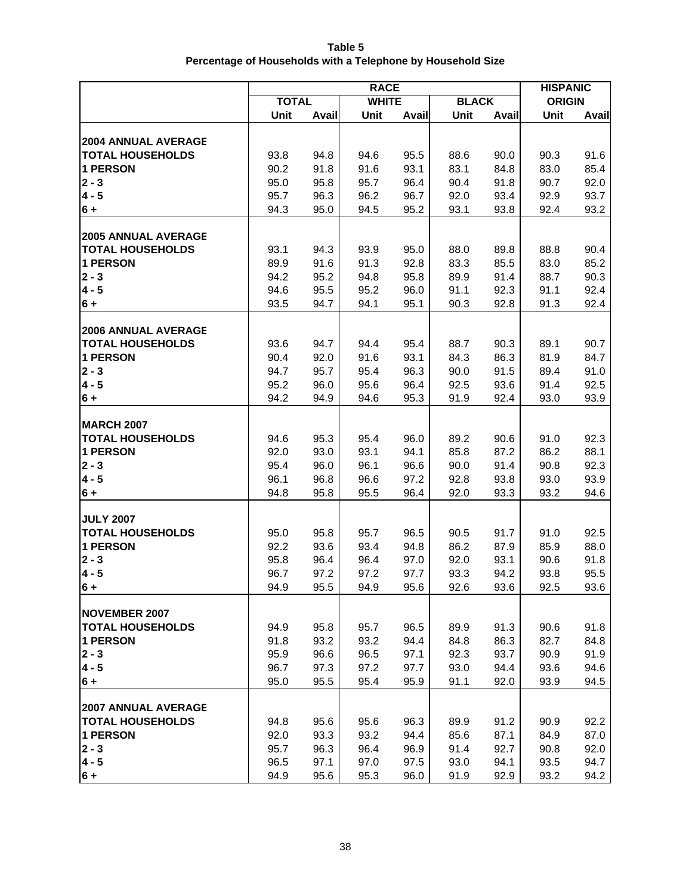| Table 5                                                     |
|-------------------------------------------------------------|
| Percentage of Households with a Telephone by Household Size |

|                                     | <b>RACE</b>  |              |              |              |              |              |               | <b>HISPANIC</b> |
|-------------------------------------|--------------|--------------|--------------|--------------|--------------|--------------|---------------|-----------------|
|                                     | <b>TOTAL</b> |              | <b>WHITE</b> |              | <b>BLACK</b> |              | <b>ORIGIN</b> |                 |
|                                     | Unit         | Avail        | Unit         | Avail        | Unit         | Avail        | Unit          | Avail           |
|                                     |              |              |              |              |              |              |               |                 |
| <b>2004 ANNUAL AVERAGE</b>          |              |              |              |              |              |              |               |                 |
| <b>TOTAL HOUSEHOLDS</b>             | 93.8         | 94.8         | 94.6         | 95.5         | 88.6         | 90.0         | 90.3          | 91.6            |
| 1 PERSON                            | 90.2         | 91.8         | 91.6         | 93.1         | 83.1         | 84.8         | 83.0          | 85.4            |
| $2 - 3$                             | 95.0         | 95.8         | 95.7         | 96.4         | 90.4         | 91.8         | 90.7          | 92.0            |
| $4 - 5$                             | 95.7<br>94.3 | 96.3         | 96.2         | 96.7         | 92.0         | 93.4         | 92.9          | 93.7            |
| $6+$                                |              | 95.0         | 94.5         | 95.2         | 93.1         | 93.8         | 92.4          | 93.2            |
| <b>2005 ANNUAL AVERAGE</b>          |              |              |              |              |              |              |               |                 |
| <b>TOTAL HOUSEHOLDS</b>             | 93.1         | 94.3         | 93.9         | 95.0         | 88.0         | 89.8         | 88.8          | 90.4            |
| 1 PERSON                            | 89.9         | 91.6         | 91.3         | 92.8         | 83.3         | 85.5         | 83.0          | 85.2            |
| $2 - 3$                             | 94.2         | 95.2         | 94.8         | 95.8         | 89.9         | 91.4         | 88.7          | 90.3            |
| $4 - 5$                             | 94.6         | 95.5         | 95.2         | 96.0         | 91.1         | 92.3         | 91.1          | 92.4            |
| $6+$                                | 93.5         | 94.7         | 94.1         | 95.1         | 90.3         | 92.8         | 91.3          | 92.4            |
|                                     |              |              |              |              |              |              |               |                 |
| <b>2006 ANNUAL AVERAGE</b>          |              |              |              |              |              |              |               |                 |
| <b>TOTAL HOUSEHOLDS</b>             | 93.6         | 94.7         | 94.4         | 95.4         | 88.7         | 90.3         | 89.1          | 90.7            |
| <b>1 PERSON</b>                     | 90.4         | 92.0         | 91.6         | 93.1         | 84.3         | 86.3         | 81.9          | 84.7            |
| $2 - 3$                             | 94.7         | 95.7         | 95.4         | 96.3         | 90.0         | 91.5         | 89.4          | 91.0            |
| $4 - 5$                             | 95.2         | 96.0         | 95.6         | 96.4         | 92.5         | 93.6         | 91.4          | 92.5            |
| $6+$                                | 94.2         | 94.9         | 94.6         | 95.3         | 91.9         | 92.4         | 93.0          | 93.9            |
|                                     |              |              |              |              |              |              |               |                 |
| <b>MARCH 2007</b>                   |              |              |              |              |              |              |               |                 |
| <b>TOTAL HOUSEHOLDS</b><br>1 PERSON | 94.6<br>92.0 | 95.3<br>93.0 | 95.4<br>93.1 | 96.0<br>94.1 | 89.2<br>85.8 | 90.6<br>87.2 | 91.0<br>86.2  | 92.3<br>88.1    |
| $2 - 3$                             | 95.4         | 96.0         | 96.1         | 96.6         | 90.0         | 91.4         | 90.8          | 92.3            |
| $4 - 5$                             | 96.1         | 96.8         | 96.6         | 97.2         | 92.8         | 93.8         | 93.0          | 93.9            |
| $6+$                                | 94.8         | 95.8         | 95.5         | 96.4         | 92.0         | 93.3         | 93.2          | 94.6            |
|                                     |              |              |              |              |              |              |               |                 |
| <b>JULY 2007</b>                    |              |              |              |              |              |              |               |                 |
| <b>TOTAL HOUSEHOLDS</b>             | 95.0         | 95.8         | 95.7         | 96.5         | 90.5         | 91.7         | 91.0          | 92.5            |
| 1 PERSON                            | 92.2         | 93.6         | 93.4         | 94.8         | 86.2         | 87.9         | 85.9          | 88.0            |
| $2 - 3$                             | 95.8         | 96.4         | 96.4         | 97.0         | 92.0         | 93.1         | 90.6          | 91.8            |
| $4 - 5$                             | 96.7         | 97.2         | 97.2         | 97.7         | 93.3         | 94.2         | 93.8          | 95.5            |
| $6 +$                               | 94.9         | 95.5         | 94.9         | 95.6         | 92.6         | 93.6         | 92.5          | 93.6            |
|                                     |              |              |              |              |              |              |               |                 |
| <b>NOVEMBER 2007</b>                |              |              |              |              |              |              |               |                 |
| <b>TOTAL HOUSEHOLDS</b>             | 94.9         | 95.8         | 95.7         | 96.5         | 89.9         | 91.3         | 90.6          | 91.8            |
| 1 PERSON                            | 91.8         | 93.2         | 93.2         | 94.4         | 84.8         | 86.3         | 82.7          | 84.8            |
| $2 - 3$                             | 95.9         | 96.6         | 96.5         | 97.1         | 92.3         | 93.7         | 90.9          | 91.9            |
| $4 - 5$                             | 96.7         | 97.3         | 97.2         | 97.7         | 93.0         | 94.4         | 93.6          | 94.6            |
| $6 +$                               | 95.0         | 95.5         | 95.4         | 95.9         | 91.1         | 92.0         | 93.9          | 94.5            |
| <b>2007 ANNUAL AVERAGE</b>          |              |              |              |              |              |              |               |                 |
| <b>TOTAL HOUSEHOLDS</b>             | 94.8         | 95.6         | 95.6         | 96.3         | 89.9         | 91.2         | 90.9          | 92.2            |
| 1 PERSON                            | 92.0         | 93.3         | 93.2         | 94.4         | 85.6         | 87.1         | 84.9          | 87.0            |
| $2 - 3$                             | 95.7         | 96.3         | 96.4         | 96.9         | 91.4         | 92.7         | 90.8          | 92.0            |
| $4 - 5$                             | 96.5         | 97.1         | 97.0         | 97.5         | 93.0         | 94.1         | 93.5          | 94.7            |
| $6 +$                               | 94.9         | 95.6         | 95.3         | 96.0         | 91.9         | 92.9         | 93.2          | 94.2            |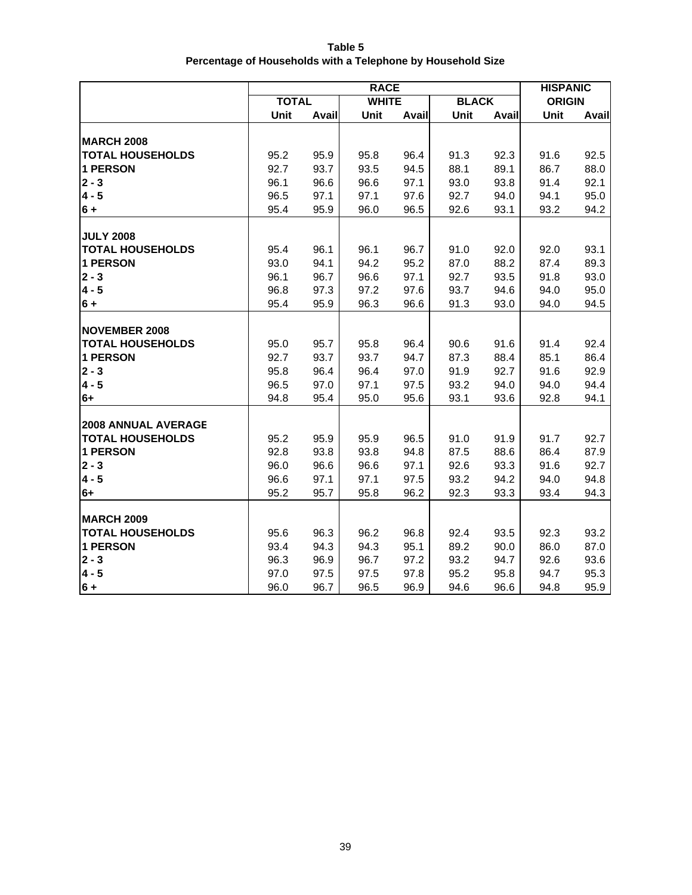| Table 5                                                     |
|-------------------------------------------------------------|
| Percentage of Households with a Telephone by Household Size |

|                         | <b>RACE</b>  |       |              |       |              |       | <b>HISPANIC</b> |       |
|-------------------------|--------------|-------|--------------|-------|--------------|-------|-----------------|-------|
|                         | <b>TOTAL</b> |       | <b>WHITE</b> |       | <b>BLACK</b> |       | <b>ORIGIN</b>   |       |
|                         | Unit         | Avail | Unit         | Avail | Unit         | Avail | Unit            | Avail |
|                         |              |       |              |       |              |       |                 |       |
| <b>MARCH 2008</b>       |              |       |              |       |              |       |                 |       |
| <b>TOTAL HOUSEHOLDS</b> | 95.2         | 95.9  | 95.8         | 96.4  | 91.3         | 92.3  | 91.6            | 92.5  |
| <b>1 PERSON</b>         | 92.7         | 93.7  | 93.5         | 94.5  | 88.1         | 89.1  | 86.7            | 88.0  |
| $2 - 3$                 | 96.1         | 96.6  | 96.6         | 97.1  | 93.0         | 93.8  | 91.4            | 92.1  |
| $4 - 5$                 | 96.5         | 97.1  | 97.1         | 97.6  | 92.7         | 94.0  | 94.1            | 95.0  |
| $6 +$                   | 95.4         | 95.9  | 96.0         | 96.5  | 92.6         | 93.1  | 93.2            | 94.2  |
|                         |              |       |              |       |              |       |                 |       |
| <b>JULY 2008</b>        |              |       |              |       |              |       |                 |       |
| <b>TOTAL HOUSEHOLDS</b> | 95.4         | 96.1  | 96.1         | 96.7  | 91.0         | 92.0  | 92.0            | 93.1  |
| <b>1 PERSON</b>         | 93.0         | 94.1  | 94.2         | 95.2  | 87.0         | 88.2  | 87.4            | 89.3  |
| $2 - 3$                 | 96.1         | 96.7  | 96.6         | 97.1  | 92.7         | 93.5  | 91.8            | 93.0  |
| $4 - 5$                 | 96.8         | 97.3  | 97.2         | 97.6  | 93.7         | 94.6  | 94.0            | 95.0  |
| $6 +$                   | 95.4         | 95.9  | 96.3         | 96.6  | 91.3         | 93.0  | 94.0            | 94.5  |
|                         |              |       |              |       |              |       |                 |       |
| <b>NOVEMBER 2008</b>    |              |       |              |       |              |       |                 |       |
| <b>TOTAL HOUSEHOLDS</b> | 95.0         | 95.7  | 95.8         | 96.4  | 90.6         | 91.6  | 91.4            | 92.4  |
| <b>1 PERSON</b>         | 92.7         | 93.7  | 93.7         | 94.7  | 87.3         | 88.4  | 85.1            | 86.4  |
| $2 - 3$                 | 95.8         | 96.4  | 96.4         | 97.0  | 91.9         | 92.7  | 91.6            | 92.9  |
| $4 - 5$                 | 96.5         | 97.0  | 97.1         | 97.5  | 93.2         | 94.0  | 94.0            | 94.4  |
| $6+$                    | 94.8         | 95.4  | 95.0         | 95.6  | 93.1         | 93.6  | 92.8            | 94.1  |
|                         |              |       |              |       |              |       |                 |       |
| 2008 ANNUAL AVERAGE     |              |       |              |       |              |       |                 |       |
| <b>TOTAL HOUSEHOLDS</b> | 95.2         | 95.9  | 95.9         | 96.5  | 91.0         | 91.9  | 91.7            | 92.7  |
| <b>1 PERSON</b>         | 92.8         | 93.8  | 93.8         | 94.8  | 87.5         | 88.6  | 86.4            | 87.9  |
| $2 - 3$                 | 96.0         | 96.6  | 96.6         | 97.1  | 92.6         | 93.3  | 91.6            | 92.7  |
| $4 - 5$                 | 96.6         | 97.1  | 97.1         | 97.5  | 93.2         | 94.2  | 94.0            | 94.8  |
| $6+$                    | 95.2         | 95.7  | 95.8         | 96.2  | 92.3         | 93.3  | 93.4            | 94.3  |
|                         |              |       |              |       |              |       |                 |       |
| <b>MARCH 2009</b>       |              |       |              |       |              |       |                 |       |
| <b>TOTAL HOUSEHOLDS</b> | 95.6         | 96.3  | 96.2         | 96.8  | 92.4         | 93.5  | 92.3            | 93.2  |
| <b>1 PERSON</b>         | 93.4         | 94.3  | 94.3         | 95.1  | 89.2         | 90.0  | 86.0            | 87.0  |
| $2 - 3$                 | 96.3         | 96.9  | 96.7         | 97.2  | 93.2         | 94.7  | 92.6            | 93.6  |
| $4 - 5$                 | 97.0         | 97.5  | 97.5         | 97.8  | 95.2         | 95.8  | 94.7            | 95.3  |
| $6 +$                   | 96.0         | 96.7  | 96.5         | 96.9  | 94.6         | 96.6  | 94.8            | 95.9  |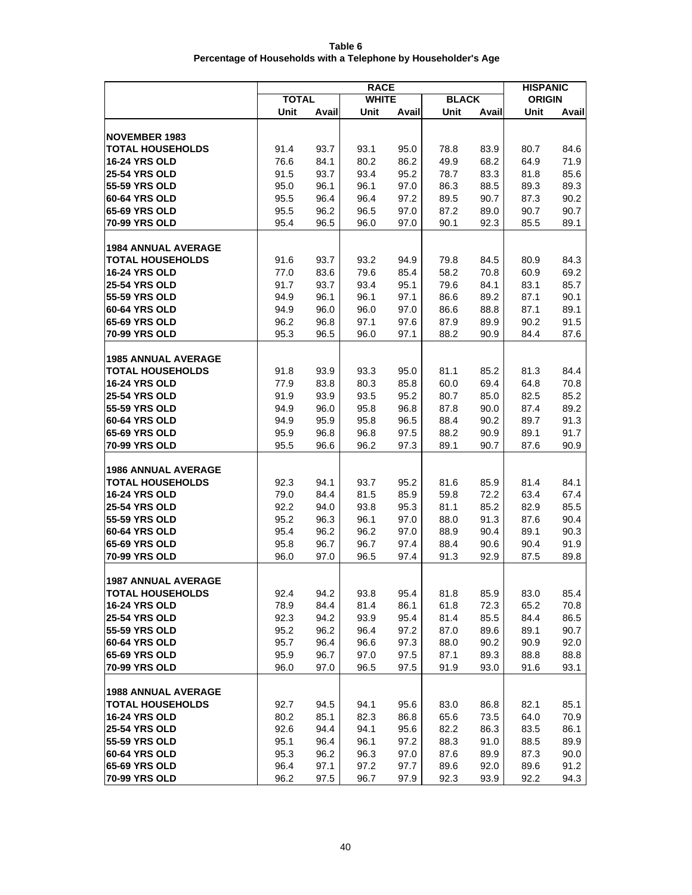| Table 6                                                        |
|----------------------------------------------------------------|
| Percentage of Households with a Telephone by Householder's Age |
|                                                                |

|                                                       | <b>RACE</b>  |              |              |              |              |              |               | <b>HISPANIC</b> |  |
|-------------------------------------------------------|--------------|--------------|--------------|--------------|--------------|--------------|---------------|-----------------|--|
|                                                       | <b>TOTAL</b> |              | <b>WHITE</b> |              | <b>BLACK</b> |              | <b>ORIGIN</b> |                 |  |
|                                                       | Unit         | Avail        | Unit         | Avail        | Unit         | Avail        | Unit          | Avail           |  |
|                                                       |              |              |              |              |              |              |               |                 |  |
| <b>NOVEMBER 1983</b>                                  |              |              |              |              |              |              |               |                 |  |
| <b>TOTAL HOUSEHOLDS</b>                               | 91.4         | 93.7         | 93.1         | 95.0         | 78.8         | 83.9         | 80.7          | 84.6            |  |
| <b>16-24 YRS OLD</b>                                  | 76.6         | 84.1         | 80.2         | 86.2         | 49.9         | 68.2         | 64.9          | 71.9            |  |
| <b>25-54 YRS OLD</b>                                  | 91.5         | 93.7         | 93.4         | 95.2         | 78.7         | 83.3         | 81.8          | 85.6            |  |
| 55-59 YRS OLD                                         | 95.0         | 96.1         | 96.1         | 97.0         | 86.3         | 88.5         | 89.3          | 89.3            |  |
| 60-64 YRS OLD<br>65-69 YRS OLD                        | 95.5<br>95.5 | 96.4<br>96.2 | 96.4         | 97.2         | 89.5         | 90.7         | 87.3<br>90.7  | 90.2            |  |
| <b>70-99 YRS OLD</b>                                  | 95.4         | 96.5         | 96.5<br>96.0 | 97.0<br>97.0 | 87.2<br>90.1 | 89.0<br>92.3 | 85.5          | 90.7<br>89.1    |  |
|                                                       |              |              |              |              |              |              |               |                 |  |
| <b>1984 ANNUAL AVERAGE</b>                            |              |              |              |              |              |              |               |                 |  |
| <b>TOTAL HOUSEHOLDS</b>                               | 91.6         | 93.7         | 93.2         | 94.9         | 79.8         | 84.5         | 80.9          | 84.3            |  |
| <b>16-24 YRS OLD</b>                                  | 77.0         | 83.6         | 79.6         | 85.4         | 58.2         | 70.8         | 60.9          | 69.2            |  |
| <b>25-54 YRS OLD</b>                                  | 91.7         | 93.7         | 93.4         | 95.1         | 79.6         | 84.1         | 83.1          | 85.7            |  |
| 55-59 YRS OLD                                         | 94.9         | 96.1         | 96.1         | 97.1         | 86.6         | 89.2         | 87.1          | 90.1            |  |
| 60-64 YRS OLD                                         | 94.9         | 96.0         | 96.0         | 97.0         | 86.6         | 88.8         | 87.1          | 89.1            |  |
| 65-69 YRS OLD                                         | 96.2         | 96.8         | 97.1         | 97.6         | 87.9         | 89.9         | 90.2          | 91.5            |  |
| 70-99 YRS OLD                                         | 95.3         | 96.5         | 96.0         | 97.1         | 88.2         | 90.9         | 84.4          | 87.6            |  |
|                                                       |              |              |              |              |              |              |               |                 |  |
| <b>1985 ANNUAL AVERAGE</b>                            |              |              |              |              |              |              |               |                 |  |
| <b>TOTAL HOUSEHOLDS</b>                               | 91.8         | 93.9         | 93.3         | 95.0         | 81.1         | 85.2         | 81.3          | 84.4            |  |
| <b>16-24 YRS OLD</b>                                  | 77.9         | 83.8         | 80.3         | 85.8         | 60.0         | 69.4         | 64.8          | 70.8            |  |
| <b>25-54 YRS OLD</b>                                  | 91.9         | 93.9         | 93.5         | 95.2         | 80.7         | 85.0         | 82.5          | 85.2            |  |
| 55-59 YRS OLD<br>60-64 YRS OLD                        | 94.9         | 96.0         | 95.8         | 96.8         | 87.8         | 90.0         | 87.4          | 89.2            |  |
| 65-69 YRS OLD                                         | 94.9<br>95.9 | 95.9<br>96.8 | 95.8<br>96.8 | 96.5<br>97.5 | 88.4<br>88.2 | 90.2<br>90.9 | 89.7<br>89.1  | 91.3<br>91.7    |  |
| 70-99 YRS OLD                                         | 95.5         | 96.6         | 96.2         | 97.3         | 89.1         | 90.7         | 87.6          | 90.9            |  |
|                                                       |              |              |              |              |              |              |               |                 |  |
| <b>1986 ANNUAL AVERAGE</b>                            |              |              |              |              |              |              |               |                 |  |
| <b>TOTAL HOUSEHOLDS</b>                               | 92.3         | 94.1         | 93.7         | 95.2         | 81.6         | 85.9         | 81.4          | 84.1            |  |
| <b>16-24 YRS OLD</b>                                  | 79.0         | 84.4         | 81.5         | 85.9         | 59.8         | 72.2         | 63.4          | 67.4            |  |
| <b>25-54 YRS OLD</b>                                  | 92.2         | 94.0         | 93.8         | 95.3         | 81.1         | 85.2         | 82.9          | 85.5            |  |
| 55-59 YRS OLD                                         | 95.2         | 96.3         | 96.1         | 97.0         | 88.0         | 91.3         | 87.6          | 90.4            |  |
| 60-64 YRS OLD                                         | 95.4         | 96.2         | 96.2         | 97.0         | 88.9         | 90.4         | 89.1          | 90.3            |  |
| 65-69 YRS OLD                                         | 95.8         | 96.7         | 96.7         | 97.4         | 88.4         | 90.6         | 90.4          | 91.9            |  |
| 70-99 YRS OLD                                         | 96.0         | 97.0         | 96.5         | 97.4         | 91.3         | 92.9         | 87.5          | 89.8            |  |
|                                                       |              |              |              |              |              |              |               |                 |  |
| <b>1987 ANNUAL AVERAGE</b><br><b>TOTAL HOUSEHOLDS</b> | 92.4         | 94.2         | 93.8         | 95.4         |              | 85.9         | 83.0          | 85.4            |  |
| <b>16-24 YRS OLD</b>                                  | 78.9         | 84.4         | 81.4         | 86.1         | 81.8<br>61.8 | 72.3         | 65.2          | 70.8            |  |
| <b>25-54 YRS OLD</b>                                  | 92.3         | 94.2         | 93.9         | 95.4         | 81.4         | 85.5         | 84.4          | 86.5            |  |
| 55-59 YRS OLD                                         | 95.2         | 96.2         | 96.4         | 97.2         | 87.0         | 89.6         | 89.1          | 90.7            |  |
| 60-64 YRS OLD                                         | 95.7         | 96.4         | 96.6         | 97.3         | 88.0         | 90.2         | 90.9          | 92.0            |  |
| 65-69 YRS OLD                                         | 95.9         | 96.7         | 97.0         | 97.5         | 87.1         | 89.3         | 88.8          | 88.8            |  |
| 70-99 YRS OLD                                         | 96.0         | 97.0         | 96.5         | 97.5         | 91.9         | 93.0         | 91.6          | 93.1            |  |
|                                                       |              |              |              |              |              |              |               |                 |  |
| <b>1988 ANNUAL AVERAGE</b>                            |              |              |              |              |              |              |               |                 |  |
| <b>TOTAL HOUSEHOLDS</b>                               | 92.7         | 94.5         | 94.1         | 95.6         | 83.0         | 86.8         | 82.1          | 85.1            |  |
| <b>16-24 YRS OLD</b>                                  | 80.2         | 85.1         | 82.3         | 86.8         | 65.6         | 73.5         | 64.0          | 70.9            |  |
| <b>25-54 YRS OLD</b>                                  | 92.6         | 94.4         | 94.1         | 95.6         | 82.2         | 86.3         | 83.5          | 86.1            |  |
| 55-59 YRS OLD                                         | 95.1         | 96.4         | 96.1         | 97.2         | 88.3         | 91.0         | 88.5          | 89.9            |  |
| 60-64 YRS OLD                                         | 95.3         | 96.2         | 96.3         | 97.0         | 87.6         | 89.9         | 87.3          | 90.0            |  |
| 65-69 YRS OLD                                         | 96.4         | 97.1         | 97.2         | 97.7         | 89.6         | 92.0         | 89.6          | 91.2            |  |
| 70-99 YRS OLD                                         | 96.2         | 97.5         | 96.7         | 97.9         | 92.3         | 93.9         | 92.2          | 94.3            |  |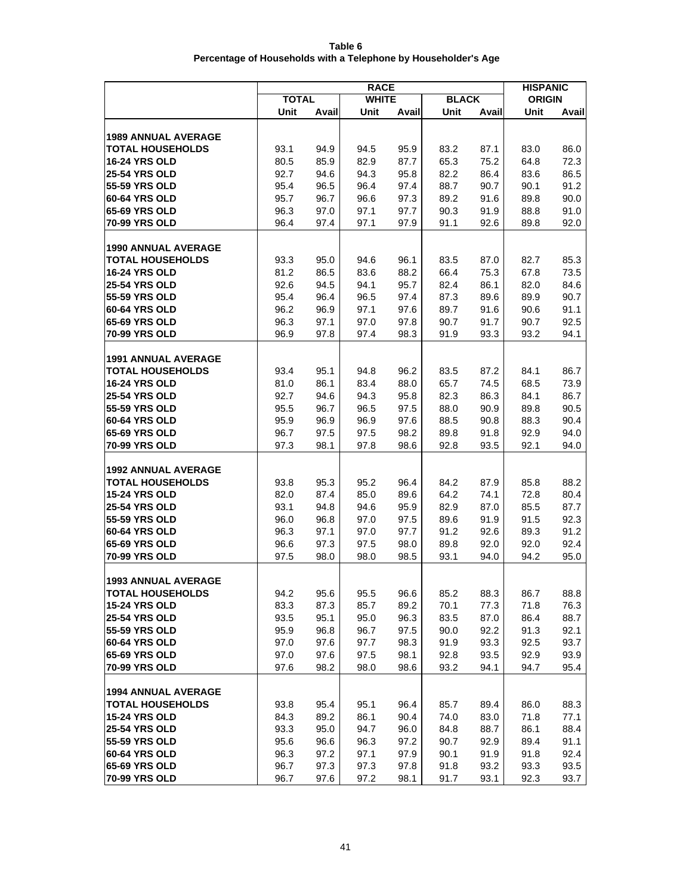| Table 6                                                        |
|----------------------------------------------------------------|
| Percentage of Households with a Telephone by Householder's Age |

|                                       | <b>RACE</b>  |              |              |              |              |              |               | <b>HISPANIC</b> |  |
|---------------------------------------|--------------|--------------|--------------|--------------|--------------|--------------|---------------|-----------------|--|
|                                       | <b>TOTAL</b> |              | <b>WHITE</b> |              | <b>BLACK</b> |              | <b>ORIGIN</b> |                 |  |
|                                       | Unit         | Avail        | Unit         | Avail        | Unit         | Avail        | Unit          | Avail           |  |
|                                       |              |              |              |              |              |              |               |                 |  |
| <b>1989 ANNUAL AVERAGE</b>            |              |              |              |              |              |              |               |                 |  |
| <b>TOTAL HOUSEHOLDS</b>               | 93.1         | 94.9         | 94.5         | 95.9         | 83.2         | 87.1         | 83.0          | 86.0            |  |
| <b>16-24 YRS OLD</b>                  | 80.5         | 85.9         | 82.9         | 87.7         | 65.3         | 75.2         | 64.8          | 72.3            |  |
| <b>25-54 YRS OLD</b>                  | 92.7         | 94.6         | 94.3         | 95.8         | 82.2         | 86.4         | 83.6          | 86.5            |  |
| 55-59 YRS OLD                         | 95.4         | 96.5         | 96.4         | 97.4         | 88.7         | 90.7         | 90.1          | 91.2            |  |
| 60-64 YRS OLD<br><b>65-69 YRS OLD</b> | 95.7<br>96.3 | 96.7         | 96.6<br>97.1 | 97.3<br>97.7 | 89.2         | 91.6         | 89.8          | 90.0            |  |
| <b>70-99 YRS OLD</b>                  | 96.4         | 97.0<br>97.4 | 97.1         | 97.9         | 90.3<br>91.1 | 91.9<br>92.6 | 88.8<br>89.8  | 91.0<br>92.0    |  |
|                                       |              |              |              |              |              |              |               |                 |  |
| <b>1990 ANNUAL AVERAGE</b>            |              |              |              |              |              |              |               |                 |  |
| <b>TOTAL HOUSEHOLDS</b>               | 93.3         | 95.0         | 94.6         | 96.1         | 83.5         | 87.0         | 82.7          | 85.3            |  |
| <b>16-24 YRS OLD</b>                  | 81.2         | 86.5         | 83.6         | 88.2         | 66.4         | 75.3         | 67.8          | 73.5            |  |
| <b>25-54 YRS OLD</b>                  | 92.6         | 94.5         | 94.1         | 95.7         | 82.4         | 86.1         | 82.0          | 84.6            |  |
| 55-59 YRS OLD                         | 95.4         | 96.4         | 96.5         | 97.4         | 87.3         | 89.6         | 89.9          | 90.7            |  |
| 60-64 YRS OLD                         | 96.2         | 96.9         | 97.1         | 97.6         | 89.7         | 91.6         | 90.6          | 91.1            |  |
| 65-69 YRS OLD                         | 96.3         | 97.1         | 97.0         | 97.8         | 90.7         | 91.7         | 90.7          | 92.5            |  |
| 70-99 YRS OLD                         | 96.9         | 97.8         | 97.4         | 98.3         | 91.9         | 93.3         | 93.2          | 94.1            |  |
|                                       |              |              |              |              |              |              |               |                 |  |
| <b>1991 ANNUAL AVERAGE</b>            |              |              |              |              |              |              |               |                 |  |
| <b>TOTAL HOUSEHOLDS</b>               | 93.4         | 95.1         | 94.8         | 96.2         | 83.5         | 87.2         | 84.1          | 86.7            |  |
| <b>16-24 YRS OLD</b>                  | 81.0         | 86.1         | 83.4         | 88.0         | 65.7         | 74.5         | 68.5          | 73.9            |  |
| <b>25-54 YRS OLD</b>                  | 92.7         | 94.6         | 94.3         | 95.8         | 82.3         | 86.3         | 84.1          | 86.7            |  |
| 55-59 YRS OLD                         | 95.5         | 96.7         | 96.5         | 97.5         | 88.0         | 90.9         | 89.8          | 90.5            |  |
| 60-64 YRS OLD                         | 95.9         | 96.9         | 96.9         | 97.6         | 88.5         | 90.8         | 88.3          | 90.4            |  |
| 65-69 YRS OLD                         | 96.7         | 97.5         | 97.5         | 98.2         | 89.8         | 91.8         | 92.9          | 94.0            |  |
| 70-99 YRS OLD                         | 97.3         | 98.1         | 97.8         | 98.6         | 92.8         | 93.5         | 92.1          | 94.0            |  |
| <b>1992 ANNUAL AVERAGE</b>            |              |              |              |              |              |              |               |                 |  |
| <b>TOTAL HOUSEHOLDS</b>               | 93.8         | 95.3         | 95.2         | 96.4         | 84.2         | 87.9         | 85.8          | 88.2            |  |
| <b>15-24 YRS OLD</b>                  | 82.0         | 87.4         | 85.0         | 89.6         | 64.2         | 74.1         | 72.8          | 80.4            |  |
| <b>25-54 YRS OLD</b>                  | 93.1         | 94.8         | 94.6         | 95.9         | 82.9         | 87.0         | 85.5          | 87.7            |  |
| 55-59 YRS OLD                         | 96.0         | 96.8         | 97.0         | 97.5         | 89.6         | 91.9         | 91.5          | 92.3            |  |
| 60-64 YRS OLD                         | 96.3         | 97.1         | 97.0         | 97.7         | 91.2         | 92.6         | 89.3          | 91.2            |  |
| 65-69 YRS OLD                         | 96.6         | 97.3         | 97.5         | 98.0         | 89.8         | 92.0         | 92.0          | 92.4            |  |
| 70-99 YRS OLD                         | 97.5         | 98.0         | 98.0         | 98.5         | 93.1         | 94.0         | 94.2          | 95.0            |  |
|                                       |              |              |              |              |              |              |               |                 |  |
| 1993 ANNUAL AVERAGE                   |              |              |              |              |              |              |               |                 |  |
| <b>TOTAL HOUSEHOLDS</b>               | 94.2         | 95.6         | 95.5         | 96.6         | 85.2         | 88.3         | 86.7          | 88.8            |  |
| <b>15-24 YRS OLD</b>                  | 83.3         | 87.3         | 85.7         | 89.2         | 70.1         | 77.3         | 71.8          | 76.3            |  |
| <b>25-54 YRS OLD</b>                  | 93.5         | 95.1         | 95.0         | 96.3         | 83.5         | 87.0         | 86.4          | 88.7            |  |
| 55-59 YRS OLD<br><b>60-64 YRS OLD</b> | 95.9         | 96.8         | 96.7         | 97.5         | 90.0         | 92.2         | 91.3          | 92.1            |  |
| 65-69 YRS OLD                         | 97.0<br>97.0 | 97.6<br>97.6 | 97.7<br>97.5 | 98.3<br>98.1 | 91.9         | 93.3<br>93.5 | 92.5<br>92.9  | 93.7<br>93.9    |  |
| 70-99 YRS OLD                         | 97.6         | 98.2         | 98.0         | 98.6         | 92.8<br>93.2 | 94.1         | 94.7          | 95.4            |  |
|                                       |              |              |              |              |              |              |               |                 |  |
| <b>1994 ANNUAL AVERAGE</b>            |              |              |              |              |              |              |               |                 |  |
| <b>TOTAL HOUSEHOLDS</b>               | 93.8         | 95.4         | 95.1         | 96.4         | 85.7         | 89.4         | 86.0          | 88.3            |  |
| <b>15-24 YRS OLD</b>                  | 84.3         | 89.2         | 86.1         | 90.4         | 74.0         | 83.0         | 71.8          | 77.1            |  |
| <b>25-54 YRS OLD</b>                  | 93.3         | 95.0         | 94.7         | 96.0         | 84.8         | 88.7         | 86.1          | 88.4            |  |
| 55-59 YRS OLD                         | 95.6         | 96.6         | 96.3         | 97.2         | 90.7         | 92.9         | 89.4          | 91.1            |  |
| 60-64 YRS OLD                         | 96.3         | 97.2         | 97.1         | 97.9         | 90.1         | 91.9         | 91.8          | 92.4            |  |
| 65-69 YRS OLD                         | 96.7         | 97.3         | 97.3         | 97.8         | 91.8         | 93.2         | 93.3          | 93.5            |  |
| 70-99 YRS OLD                         | 96.7         | 97.6         | 97.2         | 98.1         | 91.7         | 93.1         | 92.3          | 93.7            |  |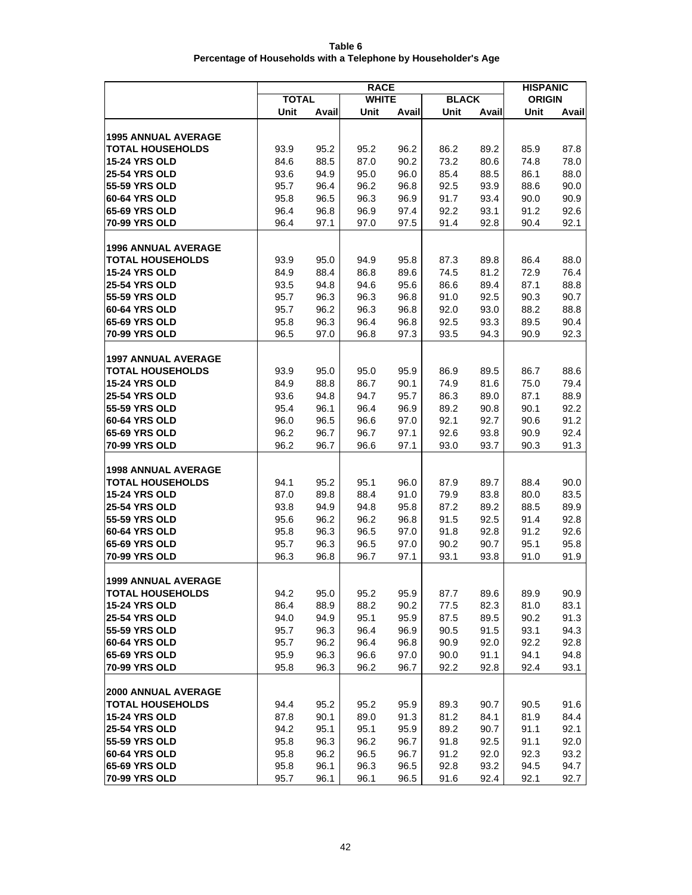| Table 6                                                        |
|----------------------------------------------------------------|
| Percentage of Households with a Telephone by Householder's Age |

|                                                       |              | <b>HISPANIC</b> |              |              |              |              |               |              |
|-------------------------------------------------------|--------------|-----------------|--------------|--------------|--------------|--------------|---------------|--------------|
|                                                       | <b>TOTAL</b> |                 | <b>WHITE</b> |              | <b>BLACK</b> |              | <b>ORIGIN</b> |              |
|                                                       | Unit         | Avail           | Unit         | Avail        | Unit         | Avail        | Unit          | Avail        |
|                                                       |              |                 |              |              |              |              |               |              |
| <b>1995 ANNUAL AVERAGE</b>                            |              |                 |              |              |              |              |               |              |
| <b>TOTAL HOUSEHOLDS</b>                               | 93.9         | 95.2            | 95.2         | 96.2         | 86.2         | 89.2         | 85.9          | 87.8         |
| <b>15-24 YRS OLD</b>                                  | 84.6         | 88.5            | 87.0         | 90.2         | 73.2         | 80.6         | 74.8          | 78.0         |
| <b>25-54 YRS OLD</b>                                  | 93.6         | 94.9            | 95.0         | 96.0         | 85.4         | 88.5         | 86.1          | 88.0         |
| 55-59 YRS OLD<br>60-64 YRS OLD                        | 95.7         | 96.4            | 96.2         | 96.8         | 92.5         | 93.9         | 88.6          | 90.0         |
| 65-69 YRS OLD                                         | 95.8         | 96.5            | 96.3         | 96.9         | 91.7         | 93.4         | 90.0          | 90.9         |
| 70-99 YRS OLD                                         | 96.4<br>96.4 | 96.8<br>97.1    | 96.9<br>97.0 | 97.4<br>97.5 | 92.2<br>91.4 | 93.1<br>92.8 | 91.2<br>90.4  | 92.6<br>92.1 |
|                                                       |              |                 |              |              |              |              |               |              |
| <b>1996 ANNUAL AVERAGE</b>                            |              |                 |              |              |              |              |               |              |
| <b>TOTAL HOUSEHOLDS</b>                               | 93.9         | 95.0            | 94.9         | 95.8         | 87.3         | 89.8         | 86.4          | 88.0         |
| <b>15-24 YRS OLD</b>                                  | 84.9         | 88.4            | 86.8         | 89.6         | 74.5         | 81.2         | 72.9          | 76.4         |
| <b>25-54 YRS OLD</b>                                  | 93.5         | 94.8            | 94.6         | 95.6         | 86.6         | 89.4         | 87.1          | 88.8         |
| 55-59 YRS OLD                                         | 95.7         | 96.3            | 96.3         | 96.8         | 91.0         | 92.5         | 90.3          | 90.7         |
| 60-64 YRS OLD                                         | 95.7         | 96.2            | 96.3         | 96.8         | 92.0         | 93.0         | 88.2          | 88.8         |
| 65-69 YRS OLD                                         | 95.8         | 96.3            | 96.4         | 96.8         | 92.5         | 93.3         | 89.5          | 90.4         |
| 70-99 YRS OLD                                         | 96.5         | 97.0            | 96.8         | 97.3         | 93.5         | 94.3         | 90.9          | 92.3         |
|                                                       |              |                 |              |              |              |              |               |              |
| <b>1997 ANNUAL AVERAGE</b><br><b>TOTAL HOUSEHOLDS</b> |              |                 |              |              |              |              |               |              |
| <b>15-24 YRS OLD</b>                                  | 93.9<br>84.9 | 95.0<br>88.8    | 95.0<br>86.7 | 95.9<br>90.1 | 86.9<br>74.9 | 89.5<br>81.6 | 86.7<br>75.0  | 88.6<br>79.4 |
| <b>25-54 YRS OLD</b>                                  | 93.6         | 94.8            | 94.7         | 95.7         | 86.3         | 89.0         | 87.1          | 88.9         |
| 55-59 YRS OLD                                         | 95.4         | 96.1            | 96.4         | 96.9         | 89.2         | 90.8         | 90.1          | 92.2         |
| 60-64 YRS OLD                                         | 96.0         | 96.5            | 96.6         | 97.0         | 92.1         | 92.7         | 90.6          | 91.2         |
| 65-69 YRS OLD                                         | 96.2         | 96.7            | 96.7         | 97.1         | 92.6         | 93.8         | 90.9          | 92.4         |
| 70-99 YRS OLD                                         | 96.2         | 96.7            | 96.6         | 97.1         | 93.0         | 93.7         | 90.3          | 91.3         |
|                                                       |              |                 |              |              |              |              |               |              |
| <b>1998 ANNUAL AVERAGE</b>                            |              |                 |              |              |              |              |               |              |
| <b>TOTAL HOUSEHOLDS</b>                               | 94.1         | 95.2            | 95.1         | 96.0         | 87.9         | 89.7         | 88.4          | 90.0         |
| <b>15-24 YRS OLD</b>                                  | 87.0         | 89.8            | 88.4         | 91.0         | 79.9         | 83.8         | 80.0          | 83.5         |
| <b>25-54 YRS OLD</b>                                  | 93.8         | 94.9            | 94.8         | 95.8         | 87.2         | 89.2         | 88.5          | 89.9         |
| 55-59 YRS OLD<br><b>60-64 YRS OLD</b>                 | 95.6         | 96.2            | 96.2         | 96.8         | 91.5         | 92.5         | 91.4          | 92.8         |
| 65-69 YRS OLD                                         | 95.8<br>95.7 | 96.3<br>96.3    | 96.5<br>96.5 | 97.0<br>97.0 | 91.8<br>90.2 | 92.8<br>90.7 | 91.2<br>95.1  | 92.6<br>95.8 |
| 70-99 YRS OLD                                         | 96.3         | 96.8            | 96.7         | 97.1         | 93.1         | 93.8         | 91.0          | 91.9         |
|                                                       |              |                 |              |              |              |              |               |              |
| 1999 ANNUAL AVERAGE                                   |              |                 |              |              |              |              |               |              |
| <b>TOTAL HOUSEHOLDS</b>                               | 94.2         | 95.0            | 95.2         | 95.9         | 87.7         | 89.6         | 89.9          | 90.9         |
| <b>15-24 YRS OLD</b>                                  | 86.4         | 88.9            | 88.2         | 90.2         | 77.5         | 82.3         | 81.0          | 83.1         |
| <b>25-54 YRS OLD</b>                                  | 94.0         | 94.9            | 95.1         | 95.9         | 87.5         | 89.5         | 90.2          | 91.3         |
| 55-59 YRS OLD                                         | 95.7         | 96.3            | 96.4         | 96.9         | 90.5         | 91.5         | 93.1          | 94.3         |
| 60-64 YRS OLD                                         | 95.7         | 96.2            | 96.4         | 96.8         | 90.9         | 92.0         | 92.2          | 92.8         |
| 65-69 YRS OLD                                         | 95.9         | 96.3            | 96.6         | 97.0         | 90.0         | 91.1         | 94.1          | 94.8         |
| 70-99 YRS OLD                                         | 95.8         | 96.3            | 96.2         | 96.7         | 92.2         | 92.8         | 92.4          | 93.1         |
|                                                       |              |                 |              |              |              |              |               |              |
| <b>2000 ANNUAL AVERAGE</b><br><b>TOTAL HOUSEHOLDS</b> | 94.4         | 95.2            | 95.2         |              |              | 90.7         | 90.5          | 91.6         |
| <b>15-24 YRS OLD</b>                                  | 87.8         | 90.1            | 89.0         | 95.9<br>91.3 | 89.3<br>81.2 | 84.1         | 81.9          | 84.4         |
| <b>25-54 YRS OLD</b>                                  | 94.2         | 95.1            | 95.1         | 95.9         | 89.2         | 90.7         | 91.1          | 92.1         |
| 55-59 YRS OLD                                         | 95.8         | 96.3            | 96.2         | 96.7         | 91.8         | 92.5         | 91.1          | 92.0         |
| 60-64 YRS OLD                                         | 95.8         | 96.2            | 96.5         | 96.7         | 91.2         | 92.0         | 92.3          | 93.2         |
| 65-69 YRS OLD                                         | 95.8         | 96.1            | 96.3         | 96.5         | 92.8         | 93.2         | 94.5          | 94.7         |
| 70-99 YRS OLD                                         | 95.7         | 96.1            | 96.1         | 96.5         | 91.6         | 92.4         | 92.1          | 92.7         |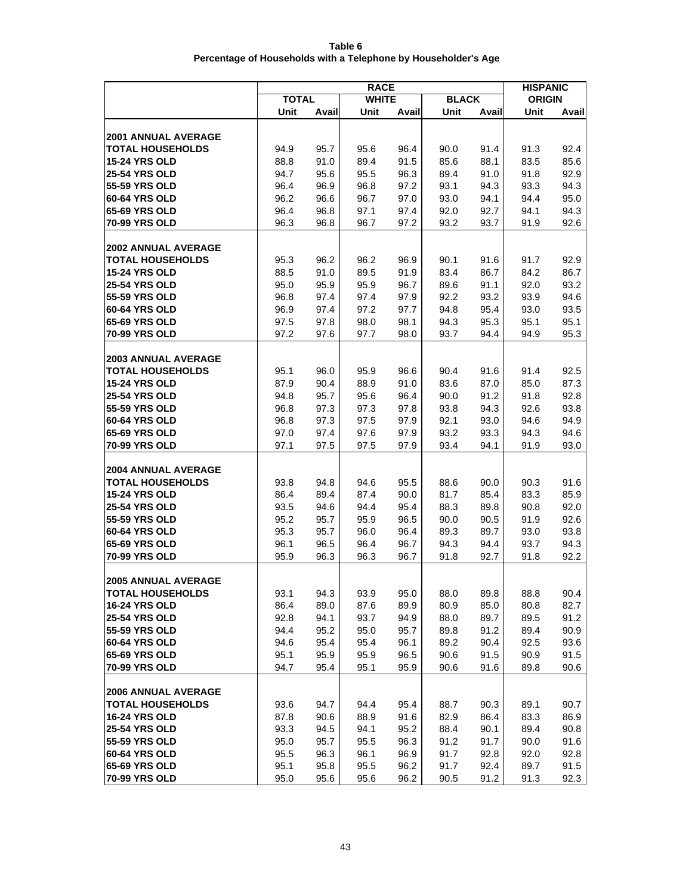| Table 6                                                        |
|----------------------------------------------------------------|
| Percentage of Households with a Telephone by Householder's Age |
|                                                                |

|                                |              | <b>HISPANIC</b> |              |              |              |              |               |              |
|--------------------------------|--------------|-----------------|--------------|--------------|--------------|--------------|---------------|--------------|
|                                | <b>TOTAL</b> |                 | <b>WHITE</b> |              | <b>BLACK</b> |              | <b>ORIGIN</b> |              |
|                                | Unit         | Avail           | Unit         | Avail        | Unit         | Avail        | Unit          | Avail        |
|                                |              |                 |              |              |              |              |               |              |
| <b>2001 ANNUAL AVERAGE</b>     |              |                 |              |              |              |              |               |              |
| <b>TOTAL HOUSEHOLDS</b>        | 94.9         | 95.7            | 95.6         | 96.4         | 90.0         | 91.4         | 91.3          | 92.4         |
| <b>15-24 YRS OLD</b>           | 88.8         | 91.0            | 89.4         | 91.5         | 85.6         | 88.1         | 83.5          | 85.6         |
| <b>25-54 YRS OLD</b>           | 94.7         | 95.6            | 95.5         | 96.3         | 89.4         | 91.0         | 91.8          | 92.9         |
| 55-59 YRS OLD                  | 96.4         | 96.9            | 96.8         | 97.2         | 93.1         | 94.3         | 93.3          | 94.3         |
| 60-64 YRS OLD                  | 96.2         | 96.6            | 96.7         | 97.0         | 93.0         | 94.1         | 94.4          | 95.0         |
| 65-69 YRS OLD                  | 96.4         | 96.8            | 97.1         | 97.4         | 92.0         | 92.7         | 94.1          | 94.3         |
| 70-99 YRS OLD                  | 96.3         | 96.8            | 96.7         | 97.2         | 93.2         | 93.7         | 91.9          | 92.6         |
| <b>2002 ANNUAL AVERAGE</b>     |              |                 |              |              |              |              |               |              |
| <b>TOTAL HOUSEHOLDS</b>        | 95.3         | 96.2            | 96.2         | 96.9         | 90.1         | 91.6         | 91.7          | 92.9         |
| <b>15-24 YRS OLD</b>           | 88.5         | 91.0            | 89.5         | 91.9         | 83.4         | 86.7         | 84.2          | 86.7         |
| <b>25-54 YRS OLD</b>           | 95.0         | 95.9            | 95.9         | 96.7         | 89.6         | 91.1         | 92.0          | 93.2         |
| 55-59 YRS OLD                  | 96.8         | 97.4            | 97.4         | 97.9         | 92.2         | 93.2         | 93.9          | 94.6         |
| 60-64 YRS OLD                  | 96.9         | 97.4            | 97.2         | 97.7         | 94.8         | 95.4         | 93.0          | 93.5         |
| <b>65-69 YRS OLD</b>           | 97.5         | 97.8            | 98.0         | 98.1         | 94.3         | 95.3         | 95.1          | 95.1         |
| 70-99 YRS OLD                  | 97.2         | 97.6            | 97.7         | 98.0         | 93.7         | 94.4         | 94.9          | 95.3         |
|                                |              |                 |              |              |              |              |               |              |
| <b>2003 ANNUAL AVERAGE</b>     |              |                 |              |              |              |              |               |              |
| <b>TOTAL HOUSEHOLDS</b>        | 95.1         | 96.0            | 95.9         | 96.6         | 90.4         | 91.6         | 91.4          | 92.5         |
| <b>15-24 YRS OLD</b>           | 87.9         | 90.4            | 88.9         | 91.0         | 83.6         | 87.0         | 85.0          | 87.3         |
| <b>25-54 YRS OLD</b>           | 94.8         | 95.7            | 95.6         | 96.4         | 90.0         | 91.2         | 91.8          | 92.8         |
| 55-59 YRS OLD                  | 96.8         | 97.3            | 97.3         | 97.8         | 93.8         | 94.3         | 92.6          | 93.8         |
| 60-64 YRS OLD                  | 96.8         | 97.3            | 97.5         | 97.9         | 92.1         | 93.0         | 94.6          | 94.9         |
| 65-69 YRS OLD                  | 97.0         | 97.4            | 97.6         | 97.9         | 93.2         | 93.3         | 94.3          | 94.6         |
| 70-99 YRS OLD                  | 97.1         | 97.5            | 97.5         | 97.9         | 93.4         | 94.1         | 91.9          | 93.0         |
| <b>2004 ANNUAL AVERAGE</b>     |              |                 |              |              |              |              |               |              |
| <b>TOTAL HOUSEHOLDS</b>        | 93.8         | 94.8            | 94.6         | 95.5         | 88.6         | 90.0         | 90.3          | 91.6         |
| <b>15-24 YRS OLD</b>           | 86.4         | 89.4            | 87.4         | 90.0         | 81.7         | 85.4         | 83.3          | 85.9         |
| <b>25-54 YRS OLD</b>           | 93.5         | 94.6            | 94.4         | 95.4         | 88.3         | 89.8         | 90.8          | 92.0         |
| 55-59 YRS OLD                  | 95.2         | 95.7            | 95.9         | 96.5         | 90.0         | 90.5         | 91.9          | 92.6         |
| <b>60-64 YRS OLD</b>           | 95.3         | 95.7            | 96.0         | 96.4         | 89.3         | 89.7         | 93.0          | 93.8         |
| <b>65-69 YRS OLD</b>           | 96.1         | 96.5            | 96.4         | 96.7         | 94.3         | 94.4         | 93.7          | 94.3         |
| 70-99 YRS OLD                  | 95.9         | 96.3            | 96.3         | 96.7         | 91.8         | 92.7         | 91.8          | 92.2         |
|                                |              |                 |              |              |              |              |               |              |
| <b>2005 ANNUAL AVERAGE</b>     |              |                 |              |              |              |              |               |              |
| <b>TOTAL HOUSEHOLDS</b>        | 93.1         | 94.3            | 93.9         | 95.0         | 88.0         | 89.8         | 88.8          | 90.4         |
| <b>16-24 YRS OLD</b>           | 86.4         | 89.0            | 87.6         | 89.9         | 80.9         | 85.0         | 80.8          | 82.7         |
| <b>25-54 YRS OLD</b>           | 92.8         | 94.1            | 93.7         | 94.9         | 88.0         | 89.7         | 89.5          | 91.2         |
| 55-59 YRS OLD<br>60-64 YRS OLD | 94.4         | 95.2            | 95.0         | 95.7         | 89.8         | 91.2         | 89.4          | 90.9         |
| 65-69 YRS OLD                  | 94.6<br>95.1 | 95.4<br>95.9    | 95.4         | 96.1<br>96.5 | 89.2         | 90.4<br>91.5 | 92.5<br>90.9  | 93.6<br>91.5 |
| 70-99 YRS OLD                  | 94.7         | 95.4            | 95.9<br>95.1 | 95.9         | 90.6<br>90.6 | 91.6         | 89.8          | 90.6         |
|                                |              |                 |              |              |              |              |               |              |
| <b>2006 ANNUAL AVERAGE</b>     |              |                 |              |              |              |              |               |              |
| <b>TOTAL HOUSEHOLDS</b>        | 93.6         | 94.7            | 94.4         | 95.4         | 88.7         | 90.3         | 89.1          | 90.7         |
| <b>16-24 YRS OLD</b>           | 87.8         | 90.6            | 88.9         | 91.6         | 82.9         | 86.4         | 83.3          | 86.9         |
| <b>25-54 YRS OLD</b>           | 93.3         | 94.5            | 94.1         | 95.2         | 88.4         | 90.1         | 89.4          | 90.8         |
| 55-59 YRS OLD                  | 95.0         | 95.7            | 95.5         | 96.3         | 91.2         | 91.7         | 90.0          | 91.6         |
| 60-64 YRS OLD                  | 95.5         | 96.3            | 96.1         | 96.9         | 91.7         | 92.8         | 92.0          | 92.8         |
| 65-69 YRS OLD                  | 95.1         | 95.8            | 95.5         | 96.2         | 91.7         | 92.4         | 89.7          | 91.5         |
| 70-99 YRS OLD                  | 95.0         | 95.6            | 95.6         | 96.2         | 90.5         | 91.2         | 91.3          | 92.3         |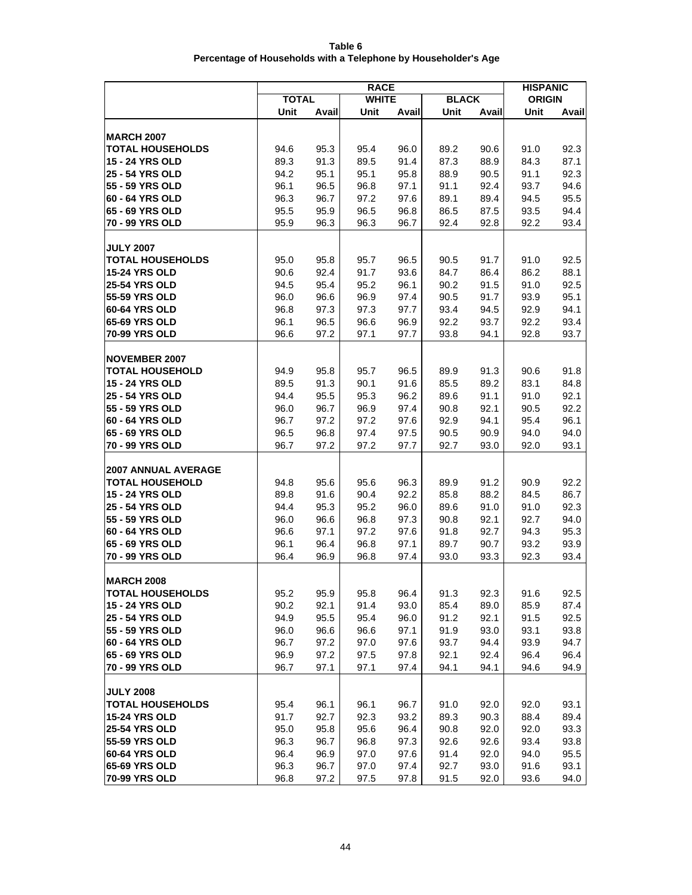| Table 6                                                        |
|----------------------------------------------------------------|
| Percentage of Households with a Telephone by Householder's Age |

|                                    | <b>RACE</b>  |              |              |              |              |              |               | <b>HISPANIC</b> |
|------------------------------------|--------------|--------------|--------------|--------------|--------------|--------------|---------------|-----------------|
|                                    | <b>TOTAL</b> |              | <b>WHITE</b> |              | <b>BLACK</b> |              | <b>ORIGIN</b> |                 |
|                                    | Unit         | Avail        | Unit         | Avail        | Unit         | Avail        | Unit          | Avail           |
|                                    |              |              |              |              |              |              |               |                 |
| <b>IMARCH 2007</b>                 |              |              |              |              |              |              |               |                 |
| <b>TOTAL HOUSEHOLDS</b>            | 94.6         | 95.3         | 95.4         | 96.0         | 89.2         | 90.6         | 91.0          | 92.3            |
| <b>15 - 24 YRS OLD</b>             | 89.3         | 91.3         | 89.5         | 91.4         | 87.3         | 88.9         | 84.3          | 87.1            |
| <b>25 - 54 YRS OLD</b>             | 94.2         | 95.1         | 95.1         | 95.8         | 88.9         | 90.5         | 91.1          | 92.3            |
| 55 - 59 YRS OLD<br>60 - 64 YRS OLD | 96.1         | 96.5         | 96.8         | 97.1         | 91.1         | 92.4         | 93.7          | 94.6            |
|                                    | 96.3         | 96.7         | 97.2         | 97.6         | 89.1         | 89.4         | 94.5          | 95.5            |
| 65 - 69 YRS OLD<br>70 - 99 YRS OLD | 95.5<br>95.9 | 95.9<br>96.3 | 96.5<br>96.3 | 96.8<br>96.7 | 86.5<br>92.4 | 87.5<br>92.8 | 93.5<br>92.2  | 94.4<br>93.4    |
|                                    |              |              |              |              |              |              |               |                 |
| <b>JULY 2007</b>                   |              |              |              |              |              |              |               |                 |
| <b>TOTAL HOUSEHOLDS</b>            | 95.0         | 95.8         | 95.7         | 96.5         | 90.5         | 91.7         | 91.0          | 92.5            |
| <b>15-24 YRS OLD</b>               | 90.6         | 92.4         | 91.7         | 93.6         | 84.7         | 86.4         | 86.2          | 88.1            |
| <b>25-54 YRS OLD</b>               | 94.5         | 95.4         | 95.2         | 96.1         | 90.2         | 91.5         | 91.0          | 92.5            |
| 55-59 YRS OLD                      | 96.0         | 96.6         | 96.9         | 97.4         | 90.5         | 91.7         | 93.9          | 95.1            |
| 60-64 YRS OLD                      | 96.8         | 97.3         | 97.3         | 97.7         | 93.4         | 94.5         | 92.9          | 94.1            |
| 65-69 YRS OLD                      | 96.1         | 96.5         | 96.6         | 96.9         | 92.2         | 93.7         | 92.2          | 93.4            |
| 70-99 YRS OLD                      | 96.6         | 97.2         | 97.1         | 97.7         | 93.8         | 94.1         | 92.8          | 93.7            |
|                                    |              |              |              |              |              |              |               |                 |
| <b>NOVEMBER 2007</b>               |              |              |              |              |              |              |               |                 |
| <b>TOTAL HOUSEHOLD</b>             | 94.9         | 95.8         | 95.7         | 96.5         | 89.9         | 91.3         | 90.6          | 91.8            |
| <b>15 - 24 YRS OLD</b>             | 89.5         | 91.3         | 90.1         | 91.6         | 85.5         | 89.2         | 83.1          | 84.8            |
| <b>25 - 54 YRS OLD</b>             | 94.4         | 95.5         | 95.3         | 96.2         | 89.6         | 91.1         | 91.0          | 92.1            |
| 55 - 59 YRS OLD                    | 96.0         | 96.7         | 96.9         | 97.4         | 90.8         | 92.1         | 90.5          | 92.2            |
| 60 - 64 YRS OLD                    | 96.7         | 97.2         | 97.2         | 97.6         | 92.9         | 94.1         | 95.4          | 96.1            |
| 65 - 69 YRS OLD                    | 96.5         | 96.8         | 97.4         | 97.5         | 90.5         | 90.9         | 94.0          | 94.0            |
| 70 - 99 YRS OLD                    | 96.7         | 97.2         | 97.2         | 97.7         | 92.7         | 93.0         | 92.0          | 93.1            |
| <b>2007 ANNUAL AVERAGE</b>         |              |              |              |              |              |              |               |                 |
| <b>TOTAL HOUSEHOLD</b>             | 94.8         | 95.6         | 95.6         | 96.3         | 89.9         | 91.2         | 90.9          | 92.2            |
| <b>15 - 24 YRS OLD</b>             | 89.8         | 91.6         | 90.4         | 92.2         | 85.8         | 88.2         | 84.5          | 86.7            |
| <b>25 - 54 YRS OLD</b>             | 94.4         | 95.3         | 95.2         | 96.0         | 89.6         | 91.0         | 91.0          | 92.3            |
| 55 - 59 YRS OLD                    | 96.0         | 96.6         | 96.8         | 97.3         | 90.8         | 92.1         | 92.7          | 94.0            |
| 60 - 64 YRS OLD                    | 96.6         | 97.1         | 97.2         | 97.6         | 91.8         | 92.7         | 94.3          | 95.3            |
| 65 - 69 YRS OLD                    | 96.1         | 96.4         | 96.8         | 97.1         | 89.7         | 90.7         | 93.2          | 93.9            |
| 70 - 99 YRS OLD                    | 96.4         | 96.9         | 96.8         | 97.4         | 93.0         | 93.3         | 92.3          | 93.4            |
|                                    |              |              |              |              |              |              |               |                 |
| <b>MARCH 2008</b>                  |              |              |              |              |              |              |               |                 |
| <b>TOTAL HOUSEHOLDS</b>            | 95.2         | 95.9         | 95.8         | 96.4         | 91.3         | 92.3         | 91.6          | 92.5            |
| 15 - 24 YRS OLD                    | 90.2         | 92.1         | 91.4         | 93.0         | 85.4         | 89.0         | 85.9          | 87.4            |
| 25 - 54 YRS OLD<br>55 - 59 YRS OLD | 94.9         | 95.5         | 95.4         | 96.0         | 91.2         | 92.1         | 91.5          | 92.5            |
| 60 - 64 YRS OLD                    | 96.0<br>96.7 | 96.6         | 96.6<br>97.0 | 97.1<br>97.6 | 91.9<br>93.7 | 93.0<br>94.4 | 93.1<br>93.9  | 93.8<br>94.7    |
| 65 - 69 YRS OLD                    | 96.9         | 97.2<br>97.2 | 97.5         | 97.8         | 92.1         | 92.4         | 96.4          | 96.4            |
| 70 - 99 YRS OLD                    | 96.7         | 97.1         | 97.1         | 97.4         | 94.1         | 94.1         | 94.6          | 94.9            |
|                                    |              |              |              |              |              |              |               |                 |
| <b>JULY 2008</b>                   |              |              |              |              |              |              |               |                 |
| <b>TOTAL HOUSEHOLDS</b>            | 95.4         | 96.1         | 96.1         | 96.7         | 91.0         | 92.0         | 92.0          | 93.1            |
| <b>15-24 YRS OLD</b>               | 91.7         | 92.7         | 92.3         | 93.2         | 89.3         | 90.3         | 88.4          | 89.4            |
| <b>25-54 YRS OLD</b>               | 95.0         | 95.8         | 95.6         | 96.4         | 90.8         | 92.0         | 92.0          | 93.3            |
| 55-59 YRS OLD                      | 96.3         | 96.7         | 96.8         | 97.3         | 92.6         | 92.6         | 93.4          | 93.8            |
| 60-64 YRS OLD                      | 96.4         | 96.9         | 97.0         | 97.6         | 91.4         | 92.0         | 94.0          | 95.5            |
| 65-69 YRS OLD                      | 96.3         | 96.7         | 97.0         | 97.4         | 92.7         | 93.0         | 91.6          | 93.1            |
| 70-99 YRS OLD                      | 96.8         | 97.2         | 97.5         | 97.8         | 91.5         | 92.0         | 93.6          | 94.0            |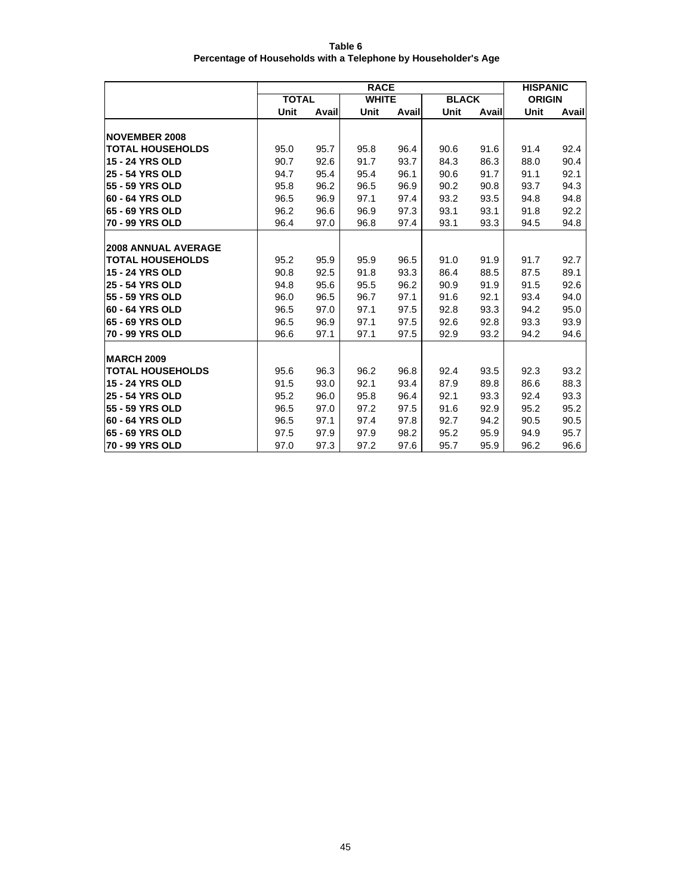| Table 6                                                        |
|----------------------------------------------------------------|
| Percentage of Households with a Telephone by Householder's Age |

|                            |              | <b>HISPANIC</b> |              |       |              |       |               |       |
|----------------------------|--------------|-----------------|--------------|-------|--------------|-------|---------------|-------|
|                            | <b>TOTAL</b> |                 | <b>WHITE</b> |       | <b>BLACK</b> |       | <b>ORIGIN</b> |       |
|                            | Unit         | Avail           | Unit         | Avail | Unit         | Avail | Unit          | Avail |
| <b>NOVEMBER 2008</b>       |              |                 |              |       |              |       |               |       |
| <b>TOTAL HOUSEHOLDS</b>    | 95.0         | 95.7            | 95.8         | 96.4  | 90.6         | 91.6  | 91.4          | 92.4  |
| <b>15 - 24 YRS OLD</b>     | 90.7         | 92.6            | 91.7         | 93.7  | 84.3         | 86.3  | 88.0          | 90.4  |
| <b>25 - 54 YRS OLD</b>     | 94.7         | 95.4            | 95.4         | 96.1  | 90.6         | 91.7  | 91.1          | 92.1  |
| 55 - 59 YRS OLD            | 95.8         | 96.2            | 96.5         | 96.9  | 90.2         | 90.8  | 93.7          | 94.3  |
| 60 - 64 YRS OLD            | 96.5         | 96.9            | 97.1         | 97.4  | 93.2         | 93.5  | 94.8          | 94.8  |
| 65 - 69 YRS OLD            | 96.2         | 96.6            | 96.9         | 97.3  | 93.1         | 93.1  | 91.8          | 92.2  |
| 70 - 99 YRS OLD            | 96.4         | 97.0            | 96.8         | 97.4  | 93.1         | 93.3  | 94.5          | 94.8  |
|                            |              |                 |              |       |              |       |               |       |
| <b>2008 ANNUAL AVERAGE</b> |              |                 |              |       |              |       |               |       |
| <b>TOTAL HOUSEHOLDS</b>    | 95.2         | 95.9            | 95.9         | 96.5  | 91.0         | 91.9  | 91.7          | 92.7  |
| <b>15 - 24 YRS OLD</b>     | 90.8         | 92.5            | 91.8         | 93.3  | 86.4         | 88.5  | 87.5          | 89.1  |
| <b>25 - 54 YRS OLD</b>     | 94.8         | 95.6            | 95.5         | 96.2  | 90.9         | 91.9  | 91.5          | 92.6  |
| 55 - 59 YRS OLD            | 96.0         | 96.5            | 96.7         | 97.1  | 91.6         | 92.1  | 93.4          | 94.0  |
| 60 - 64 YRS OLD            | 96.5         | 97.0            | 97.1         | 97.5  | 92.8         | 93.3  | 94.2          | 95.0  |
| 65 - 69 YRS OLD            | 96.5         | 96.9            | 97.1         | 97.5  | 92.6         | 92.8  | 93.3          | 93.9  |
| 70 - 99 YRS OLD            | 96.6         | 97.1            | 97.1         | 97.5  | 92.9         | 93.2  | 94.2          | 94.6  |
|                            |              |                 |              |       |              |       |               |       |
| <b>MARCH 2009</b>          |              |                 |              |       |              |       |               |       |
| <b>TOTAL HOUSEHOLDS</b>    | 95.6         | 96.3            | 96.2         | 96.8  | 92.4         | 93.5  | 92.3          | 93.2  |
| <b>15 - 24 YRS OLD</b>     | 91.5         | 93.0            | 92.1         | 93.4  | 87.9         | 89.8  | 86.6          | 88.3  |
| 25 - 54 YRS OLD            | 95.2         | 96.0            | 95.8         | 96.4  | 92.1         | 93.3  | 92.4          | 93.3  |
| 55 - 59 YRS OLD            | 96.5         | 97.0            | 97.2         | 97.5  | 91.6         | 92.9  | 95.2          | 95.2  |
| 60 - 64 YRS OLD            | 96.5         | 97.1            | 97.4         | 97.8  | 92.7         | 94.2  | 90.5          | 90.5  |
| 65 - 69 YRS OLD            | 97.5         | 97.9            | 97.9         | 98.2  | 95.2         | 95.9  | 94.9          | 95.7  |
| 70 - 99 YRS OLD            | 97.0         | 97.3            | 97.2         | 97.6  | 95.7         | 95.9  | 96.2          | 96.6  |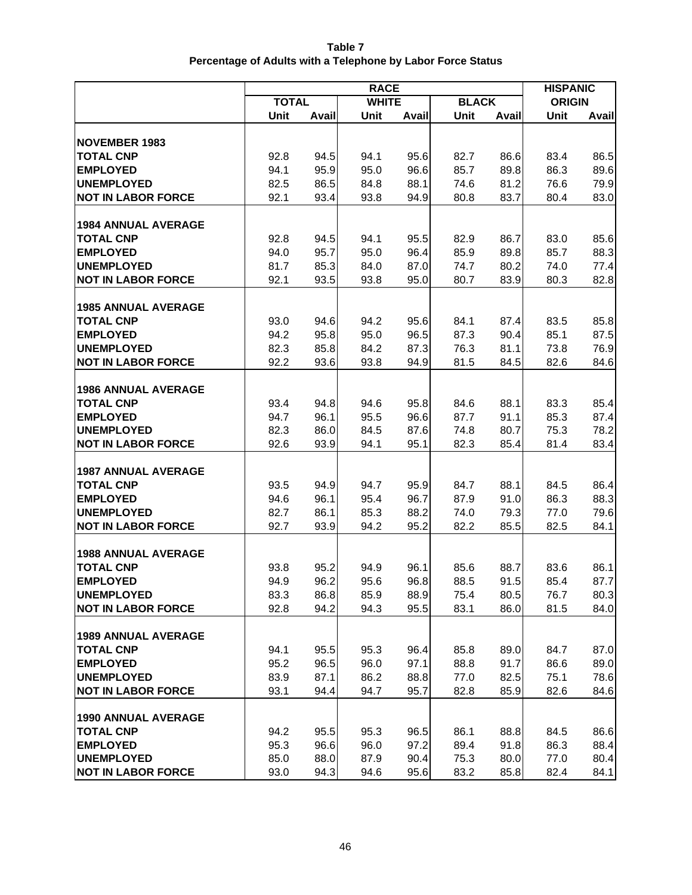| Table 7                                                     |
|-------------------------------------------------------------|
| Percentage of Adults with a Telephone by Labor Force Status |

|                                     | <b>RACE</b>  |              |              |              |              |              |               | <b>HISPANIC</b> |  |
|-------------------------------------|--------------|--------------|--------------|--------------|--------------|--------------|---------------|-----------------|--|
|                                     | <b>TOTAL</b> |              | <b>WHITE</b> |              | <b>BLACK</b> |              | <b>ORIGIN</b> |                 |  |
|                                     | Unit         | Avail        | Unit         | Avail        | <b>Unit</b>  | <b>Avail</b> | Unit          | Avail           |  |
| <b>NOVEMBER 1983</b>                |              |              |              |              |              |              |               |                 |  |
| <b>TOTAL CNP</b>                    | 92.8         | 94.5         | 94.1         | 95.6         | 82.7         | 86.6         | 83.4          | 86.5            |  |
| <b>EMPLOYED</b>                     | 94.1         | 95.9         | 95.0         | 96.6         | 85.7         | 89.8         | 86.3          | 89.6            |  |
| <b>UNEMPLOYED</b>                   | 82.5         | 86.5         | 84.8         | 88.1         | 74.6         | 81.2         | 76.6          | 79.9            |  |
| <b>NOT IN LABOR FORCE</b>           | 92.1         | 93.4         | 93.8         | 94.9         | 80.8         | 83.7         | 80.4          | 83.0            |  |
|                                     |              |              |              |              |              |              |               |                 |  |
| <b>1984 ANNUAL AVERAGE</b>          |              |              |              |              |              |              |               |                 |  |
| <b>TOTAL CNP</b>                    | 92.8         | 94.5         | 94.1         | 95.5         | 82.9         | 86.7         | 83.0          | 85.6            |  |
| <b>EMPLOYED</b>                     | 94.0         | 95.7         | 95.0         | 96.4         | 85.9         | 89.8         | 85.7          | 88.3            |  |
| <b>UNEMPLOYED</b>                   | 81.7         | 85.3         | 84.0         | 87.0         | 74.7         | 80.2         | 74.0          | 77.4            |  |
| <b>NOT IN LABOR FORCE</b>           | 92.1         | 93.5         | 93.8         | 95.0         | 80.7         | 83.9         | 80.3          | 82.8            |  |
|                                     |              |              |              |              |              |              |               |                 |  |
| <b>1985 ANNUAL AVERAGE</b>          |              |              |              |              |              |              |               |                 |  |
| <b>TOTAL CNP</b>                    | 93.0         | 94.6         | 94.2         | 95.6         | 84.1         | 87.4         | 83.5          | 85.8            |  |
| <b>EMPLOYED</b>                     | 94.2         | 95.8         | 95.0         | 96.5         | 87.3         | 90.4         | 85.1          | 87.5            |  |
| <b>UNEMPLOYED</b>                   | 82.3         | 85.8         | 84.2         | 87.3         | 76.3         | 81.1         | 73.8          | 76.9            |  |
| <b>NOT IN LABOR FORCE</b>           | 92.2         | 93.6         | 93.8         | 94.9         | 81.5         | 84.5         | 82.6          | 84.6            |  |
| <b>1986 ANNUAL AVERAGE</b>          |              |              |              |              |              |              |               |                 |  |
| <b>TOTAL CNP</b>                    | 93.4         | 94.8         | 94.6         | 95.8         | 84.6         | 88.1         | 83.3          | 85.4            |  |
| <b>EMPLOYED</b>                     | 94.7         | 96.1         | 95.5         | 96.6         | 87.7         | 91.1         | 85.3          | 87.4            |  |
| <b>UNEMPLOYED</b>                   | 82.3         | 86.0         | 84.5         | 87.6         | 74.8         | 80.7         | 75.3          | 78.2            |  |
| <b>NOT IN LABOR FORCE</b>           | 92.6         | 93.9         | 94.1         | 95.1         | 82.3         | 85.4         | 81.4          | 83.4            |  |
|                                     |              |              |              |              |              |              |               |                 |  |
| <b>1987 ANNUAL AVERAGE</b>          |              |              |              |              |              |              |               |                 |  |
| <b>TOTAL CNP</b>                    | 93.5         | 94.9         | 94.7         | 95.9         | 84.7         | 88.1         | 84.5          | 86.4            |  |
| <b>EMPLOYED</b>                     | 94.6         | 96.1         | 95.4         | 96.7         | 87.9         | 91.0         | 86.3          | 88.3            |  |
| <b>UNEMPLOYED</b>                   | 82.7         | 86.1         | 85.3         | 88.2         | 74.0         | 79.3         | 77.0          | 79.6            |  |
| <b>NOT IN LABOR FORCE</b>           | 92.7         | 93.9         | 94.2         | 95.2         | 82.2         | 85.5         | 82.5          | 84.1            |  |
|                                     |              |              |              |              |              |              |               |                 |  |
| <b>1988 ANNUAL AVERAGE</b>          |              |              |              |              |              |              |               |                 |  |
| <b>TOTAL CNP</b><br><b>EMPLOYED</b> | 93.8         | 95.2<br>96.2 | 94.9         | 96.1<br>96.8 | 85.6<br>88.5 | 88.7<br>91.5 | 83.6          | 86.1            |  |
| <b>UNEMPLOYED</b>                   | 94.9<br>83.3 | 86.8         | 95.6<br>85.9 | 88.9         | 75.4         | 80.5         | 85.4<br>76.7  | 87.7<br>80.3    |  |
| <b>NOT IN LABOR FORCE</b>           | 92.8         | 94.2         | 94.3         | 95.5         | 83.1         | 86.0         | 81.5          | 84.0            |  |
|                                     |              |              |              |              |              |              |               |                 |  |
| <b>1989 ANNUAL AVERAGE</b>          |              |              |              |              |              |              |               |                 |  |
| <b>TOTAL CNP</b>                    | 94.1         | 95.5         | 95.3         | 96.4         | 85.8         | 89.0         | 84.7          | 87.0            |  |
| <b>EMPLOYED</b>                     | 95.2         | 96.5         | 96.0         | 97.1         | 88.8         | 91.7         | 86.6          | 89.0            |  |
| <b>UNEMPLOYED</b>                   | 83.9         | 87.1         | 86.2         | 88.8         | 77.0         | 82.5         | 75.1          | 78.6            |  |
| <b>NOT IN LABOR FORCE</b>           | 93.1         | 94.4         | 94.7         | 95.7         | 82.8         | 85.9         | 82.6          | 84.6            |  |
|                                     |              |              |              |              |              |              |               |                 |  |
| <b>1990 ANNUAL AVERAGE</b>          |              |              |              |              |              |              |               |                 |  |
| <b>TOTAL CNP</b>                    | 94.2         | 95.5         | 95.3         | 96.5         | 86.1         | 88.8         | 84.5          | 86.6            |  |
| <b>EMPLOYED</b>                     | 95.3         | 96.6         | 96.0         | 97.2         | 89.4         | 91.8         | 86.3          | 88.4            |  |
| <b>UNEMPLOYED</b>                   | 85.0         | 88.0         | 87.9         | 90.4         | 75.3         | 80.0         | 77.0          | 80.4            |  |
| <b>NOT IN LABOR FORCE</b>           | 93.0         | 94.3         | 94.6         | 95.6         | 83.2         | 85.8         | 82.4          | 84.1            |  |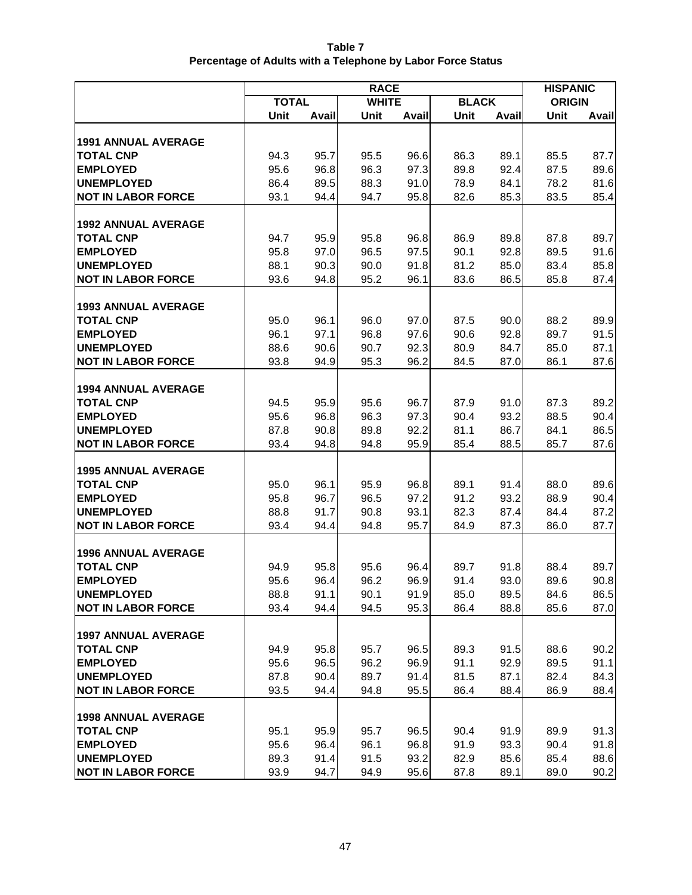| Table 7                                                     |
|-------------------------------------------------------------|
| Percentage of Adults with a Telephone by Labor Force Status |

|                                                | <b>RACE</b>  |              |              |              |              |              |               | <b>HISPANIC</b> |  |
|------------------------------------------------|--------------|--------------|--------------|--------------|--------------|--------------|---------------|-----------------|--|
|                                                | <b>TOTAL</b> |              | <b>WHITE</b> |              | <b>BLACK</b> |              | <b>ORIGIN</b> |                 |  |
|                                                | Unit         | Avail        | Unit         | Avail        | <b>Unit</b>  | <b>Avail</b> | Unit          | Avail           |  |
| <b>1991 ANNUAL AVERAGE</b>                     |              |              |              |              |              |              |               |                 |  |
| <b>TOTAL CNP</b>                               | 94.3         | 95.7         | 95.5         | 96.6         | 86.3         | 89.1         | 85.5          | 87.7            |  |
| <b>EMPLOYED</b>                                | 95.6         | 96.8         | 96.3         | 97.3         | 89.8         | 92.4         | 87.5          | 89.6            |  |
| <b>UNEMPLOYED</b>                              | 86.4         | 89.5         | 88.3         | 91.0         | 78.9         | 84.1         | 78.2          | 81.6            |  |
| <b>NOT IN LABOR FORCE</b>                      | 93.1         | 94.4         | 94.7         | 95.8         | 82.6         | 85.3         | 83.5          | 85.4            |  |
|                                                |              |              |              |              |              |              |               |                 |  |
| <b>1992 ANNUAL AVERAGE</b>                     |              |              |              |              |              |              |               |                 |  |
| <b>TOTAL CNP</b>                               | 94.7         | 95.9         | 95.8         | 96.8         | 86.9         | 89.8         | 87.8          | 89.7            |  |
| <b>EMPLOYED</b>                                | 95.8         | 97.0         | 96.5         | 97.5         | 90.1         | 92.8         | 89.5          | 91.6            |  |
| <b>UNEMPLOYED</b>                              | 88.1         | 90.3         | 90.0         | 91.8         | 81.2         | 85.0         | 83.4          | 85.8            |  |
| <b>NOT IN LABOR FORCE</b>                      | 93.6         | 94.8         | 95.2         | 96.1         | 83.6         | 86.5         | 85.8          | 87.4            |  |
|                                                |              |              |              |              |              |              |               |                 |  |
| <b>1993 ANNUAL AVERAGE</b>                     |              |              |              |              |              |              |               |                 |  |
| <b>TOTAL CNP</b>                               | 95.0         | 96.1         | 96.0         | 97.0         | 87.5         | 90.0         | 88.2          | 89.9            |  |
| <b>EMPLOYED</b>                                | 96.1         | 97.1         | 96.8         | 97.6         | 90.6         | 92.8         | 89.7          | 91.5            |  |
| <b>UNEMPLOYED</b>                              | 88.6         | 90.6         | 90.7         | 92.3         | 80.9         | 84.7         | 85.0          | 87.1            |  |
| <b>NOT IN LABOR FORCE</b>                      | 93.8         | 94.9         | 95.3         | 96.2         | 84.5         | 87.0         | 86.1          | 87.6            |  |
| <b>1994 ANNUAL AVERAGE</b>                     |              |              |              |              |              |              |               |                 |  |
| <b>TOTAL CNP</b>                               | 94.5         | 95.9         | 95.6         | 96.7         | 87.9         | 91.0         | 87.3          | 89.2            |  |
| <b>EMPLOYED</b>                                | 95.6         | 96.8         | 96.3         | 97.3         | 90.4         | 93.2         | 88.5          | 90.4            |  |
| <b>UNEMPLOYED</b>                              | 87.8         | 90.8         | 89.8         | 92.2         | 81.1         | 86.7         | 84.1          | 86.5            |  |
| <b>NOT IN LABOR FORCE</b>                      | 93.4         | 94.8         | 94.8         | 95.9         | 85.4         | 88.5         | 85.7          | 87.6            |  |
|                                                |              |              |              |              |              |              |               |                 |  |
| <b>1995 ANNUAL AVERAGE</b>                     |              |              |              |              |              |              |               |                 |  |
| <b>TOTAL CNP</b>                               | 95.0         | 96.1         | 95.9         | 96.8         | 89.1         | 91.4         | 88.0          | 89.6            |  |
| <b>EMPLOYED</b>                                | 95.8         | 96.7         | 96.5         | 97.2         | 91.2         | 93.2         | 88.9          | 90.4            |  |
| <b>UNEMPLOYED</b>                              | 88.8         | 91.7         | 90.8         | 93.1         | 82.3         | 87.4         | 84.4          | 87.2            |  |
| <b>NOT IN LABOR FORCE</b>                      | 93.4         | 94.4         | 94.8         | 95.7         | 84.9         | 87.3         | 86.0          | 87.7            |  |
|                                                |              |              |              |              |              |              |               |                 |  |
| <b>1996 ANNUAL AVERAGE</b><br><b>TOTAL CNP</b> | 94.9         | 95.8         | 95.6         | 96.4         | 89.7         | 91.8         | 88.4          | 89.7            |  |
| <b>EMPLOYED</b>                                | 95.6         | 96.4         | 96.2         | 96.9         | 91.4         | 93.0         | 89.6          | 90.8            |  |
| <b>UNEMPLOYED</b>                              | 88.8         | 91.1         | 90.1         | 91.9         | 85.0         | 89.5         | 84.6          | 86.5            |  |
| <b>NOT IN LABOR FORCE</b>                      | 93.4         | 94.4         | 94.5         | 95.3         | 86.4         | 88.8         | 85.6          | 87.0            |  |
|                                                |              |              |              |              |              |              |               |                 |  |
| <b>1997 ANNUAL AVERAGE</b>                     |              |              |              |              |              |              |               |                 |  |
| <b>TOTAL CNP</b>                               | 94.9         | 95.8         | 95.7         | 96.5         | 89.3         | 91.5         | 88.6          | 90.2            |  |
| <b>EMPLOYED</b>                                | 95.6         | 96.5         | 96.2         | 96.9         | 91.1         | 92.9         | 89.5          | 91.1            |  |
| <b>UNEMPLOYED</b>                              | 87.8         | 90.4         | 89.7         | 91.4         | 81.5         | 87.1         | 82.4          | 84.3            |  |
| <b>NOT IN LABOR FORCE</b>                      | 93.5         | 94.4         | 94.8         | 95.5         | 86.4         | 88.4         | 86.9          | 88.4            |  |
|                                                |              |              |              |              |              |              |               |                 |  |
| <b>1998 ANNUAL AVERAGE</b>                     |              |              |              |              |              |              |               |                 |  |
| <b>TOTAL CNP</b>                               | 95.1         | 95.9         | 95.7         | 96.5         | 90.4         | 91.9         | 89.9          | 91.3            |  |
| <b>EMPLOYED</b><br><b>UNEMPLOYED</b>           | 95.6<br>89.3 | 96.4<br>91.4 | 96.1<br>91.5 | 96.8<br>93.2 | 91.9<br>82.9 | 93.3<br>85.6 | 90.4<br>85.4  | 91.8<br>88.6    |  |
| <b>NOT IN LABOR FORCE</b>                      | 93.9         | 94.7         | 94.9         | 95.6         | 87.8         | 89.1         | 89.0          | 90.2            |  |
|                                                |              |              |              |              |              |              |               |                 |  |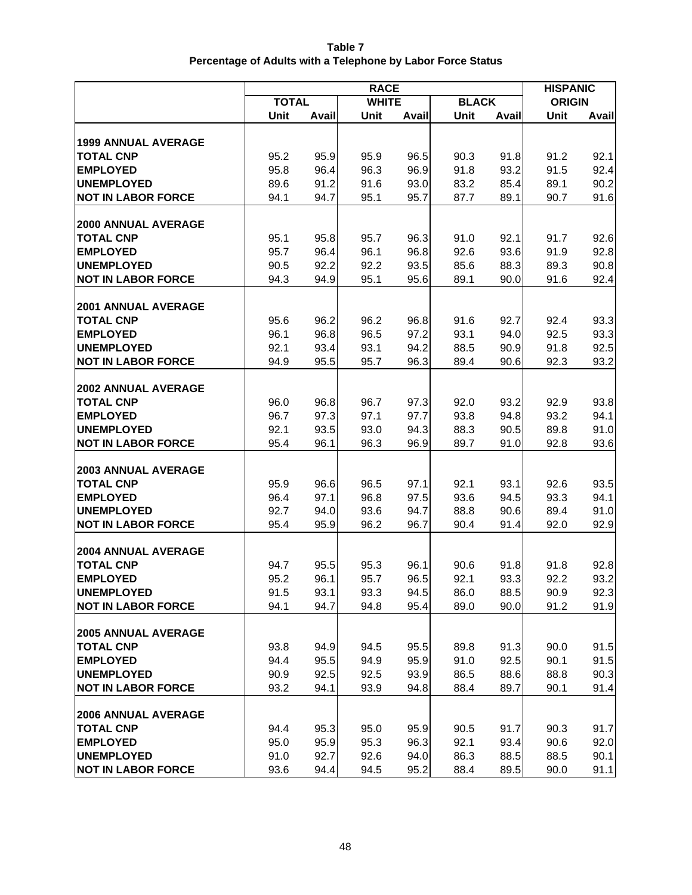| Table 7                                                     |
|-------------------------------------------------------------|
| Percentage of Adults with a Telephone by Labor Force Status |

|                                                | <b>RACE</b>  |              |              |              |              |              | <b>HISPANIC</b> |              |
|------------------------------------------------|--------------|--------------|--------------|--------------|--------------|--------------|-----------------|--------------|
|                                                | <b>TOTAL</b> |              | <b>WHITE</b> |              | <b>BLACK</b> |              | <b>ORIGIN</b>   |              |
|                                                | Unit         | <b>Avail</b> | Unit         | Avail        | Unit         | Avail        | Unit            | Avail        |
| <b>1999 ANNUAL AVERAGE</b>                     |              |              |              |              |              |              |                 |              |
| <b>TOTAL CNP</b>                               | 95.2         | 95.9         | 95.9         | 96.5         | 90.3         | 91.8         | 91.2            | 92.1         |
| <b>EMPLOYED</b>                                | 95.8         | 96.4         | 96.3         | 96.9         | 91.8         | 93.2         | 91.5            | 92.4         |
| <b>UNEMPLOYED</b>                              | 89.6         | 91.2         | 91.6         | 93.0         | 83.2         | 85.4         | 89.1            | 90.2         |
| <b>NOT IN LABOR FORCE</b>                      | 94.1         | 94.7         | 95.1         | 95.7         | 87.7         | 89.1         | 90.7            | 91.6         |
|                                                |              |              |              |              |              |              |                 |              |
| <b>2000 ANNUAL AVERAGE</b>                     |              |              |              |              |              |              |                 |              |
| <b>TOTAL CNP</b>                               | 95.1         | 95.8         | 95.7         | 96.3         | 91.0         | 92.1         | 91.7            | 92.6         |
| <b>EMPLOYED</b>                                | 95.7         | 96.4         | 96.1         | 96.8         | 92.6         | 93.6         | 91.9            | 92.8         |
| <b>UNEMPLOYED</b>                              | 90.5         | 92.2         | 92.2         | 93.5         | 85.6         | 88.3         | 89.3            | 90.8         |
| <b>NOT IN LABOR FORCE</b>                      | 94.3         | 94.9         | 95.1         | 95.6         | 89.1         | 90.0         | 91.6            | 92.4         |
|                                                |              |              |              |              |              |              |                 |              |
| <b>2001 ANNUAL AVERAGE</b>                     |              |              |              |              |              |              |                 |              |
| <b>TOTAL CNP</b>                               | 95.6         | 96.2         | 96.2         | 96.8         | 91.6         | 92.7         | 92.4            | 93.3         |
| <b>EMPLOYED</b>                                | 96.1         | 96.8         | 96.5         | 97.2         | 93.1         | 94.0         | 92.5            | 93.3         |
| <b>UNEMPLOYED</b><br><b>NOT IN LABOR FORCE</b> | 92.1         | 93.4         | 93.1         | 94.2         | 88.5         | 90.9         | 91.8            | 92.5         |
|                                                | 94.9         | 95.5         | 95.7         | 96.3         | 89.4         | 90.6         | 92.3            | 93.2         |
| <b>2002 ANNUAL AVERAGE</b>                     |              |              |              |              |              |              |                 |              |
| <b>TOTAL CNP</b>                               | 96.0         | 96.8         | 96.7         | 97.3         | 92.0         | 93.2         | 92.9            | 93.8         |
| <b>EMPLOYED</b>                                | 96.7         | 97.3         | 97.1         | 97.7         | 93.8         | 94.8         | 93.2            | 94.1         |
| <b>UNEMPLOYED</b>                              | 92.1         | 93.5         | 93.0         | 94.3         | 88.3         | 90.5         | 89.8            | 91.0         |
| <b>NOT IN LABOR FORCE</b>                      | 95.4         | 96.1         | 96.3         | 96.9         | 89.7         | 91.0         | 92.8            | 93.6         |
|                                                |              |              |              |              |              |              |                 |              |
| <b>2003 ANNUAL AVERAGE</b>                     |              |              |              |              |              |              |                 |              |
| <b>TOTAL CNP</b>                               | 95.9         | 96.6         | 96.5         | 97.1         | 92.1         | 93.1         | 92.6            | 93.5         |
| <b>EMPLOYED</b>                                | 96.4         | 97.1         | 96.8         | 97.5         | 93.6         | 94.5         | 93.3            | 94.1         |
| <b>UNEMPLOYED</b>                              | 92.7         | 94.0         | 93.6         | 94.7         | 88.8         | 90.6         | 89.4            | 91.0         |
| <b>NOT IN LABOR FORCE</b>                      | 95.4         | 95.9         | 96.2         | 96.7         | 90.4         | 91.4         | 92.0            | 92.9         |
| <b>2004 ANNUAL AVERAGE</b>                     |              |              |              |              |              |              |                 |              |
| <b>TOTAL CNP</b>                               | 94.7         | 95.5         | 95.3         | 96.1         | 90.6         | 91.8         | 91.8            | 92.8         |
| <b>EMPLOYED</b>                                | 95.2         | 96.1         | 95.7         | 96.5         | 92.1         | 93.3         | 92.2            | 93.2         |
| <b>UNEMPLOYED</b>                              | 91.5         | 93.1         | 93.3         | 94.5         | 86.0         | 88.5         | 90.9            | 92.3         |
| <b>NOT IN LABOR FORCE</b>                      | 94.1         | 94.7         | 94.8         | 95.4         | 89.0         | 90.0         | 91.2            | 91.9         |
|                                                |              |              |              |              |              |              |                 |              |
| <b>2005 ANNUAL AVERAGE</b>                     |              |              |              |              |              |              |                 |              |
| <b>TOTAL CNP</b>                               | 93.8         | 94.9         | 94.5         | 95.5         | 89.8         | 91.3         | 90.0            | 91.5         |
| <b>EMPLOYED</b>                                | 94.4         | 95.5         | 94.9         | 95.9         | 91.0         | 92.5         | 90.1            | 91.5         |
| <b>UNEMPLOYED</b>                              | 90.9         | 92.5         | 92.5         | 93.9         | 86.5         | 88.6         | 88.8            | 90.3         |
| <b>NOT IN LABOR FORCE</b>                      | 93.2         | 94.1         | 93.9         | 94.8         | 88.4         | 89.7         | 90.1            | 91.4         |
|                                                |              |              |              |              |              |              |                 |              |
| <b>2006 ANNUAL AVERAGE</b>                     |              |              |              |              |              |              |                 |              |
| <b>TOTAL CNP</b><br><b>EMPLOYED</b>            | 94.4<br>95.0 | 95.3<br>95.9 | 95.0<br>95.3 | 95.9<br>96.3 | 90.5<br>92.1 | 91.7<br>93.4 | 90.3<br>90.6    | 91.7<br>92.0 |
| <b>UNEMPLOYED</b>                              | 91.0         | 92.7         | 92.6         | 94.0         | 86.3         | 88.5         | 88.5            | 90.1         |
| <b>NOT IN LABOR FORCE</b>                      | 93.6         | 94.4         | 94.5         | 95.2         | 88.4         | 89.5         | 90.0            | 91.1         |
|                                                |              |              |              |              |              |              |                 |              |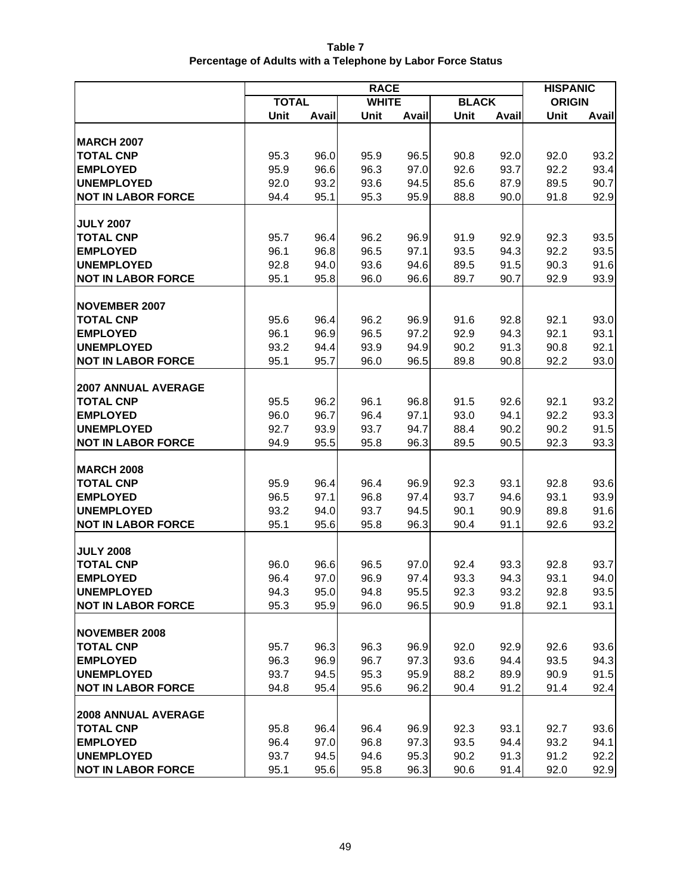| Table 7                                                     |
|-------------------------------------------------------------|
| Percentage of Adults with a Telephone by Labor Force Status |

|                                                | <b>RACE</b>  |              |              |              |              |              | <b>HISPANIC</b> |              |
|------------------------------------------------|--------------|--------------|--------------|--------------|--------------|--------------|-----------------|--------------|
|                                                | <b>TOTAL</b> |              | <b>WHITE</b> |              | <b>BLACK</b> |              | <b>ORIGIN</b>   |              |
|                                                | Unit         | Avail        | Unit         | <b>Avail</b> | Unit         | Avail        | Unit            | <b>Avail</b> |
|                                                |              |              |              |              |              |              |                 |              |
| <b>MARCH 2007</b><br><b>TOTAL CNP</b>          |              |              |              |              |              |              |                 | 93.2         |
|                                                | 95.3         | 96.0         | 95.9         | 96.5         | 90.8         | 92.0         | 92.0            |              |
| <b>EMPLOYED</b>                                | 95.9         | 96.6         | 96.3         | 97.0         | 92.6         | 93.7         | 92.2            | 93.4         |
| <b>UNEMPLOYED</b><br><b>NOT IN LABOR FORCE</b> | 92.0         | 93.2<br>95.1 | 93.6<br>95.3 | 94.5<br>95.9 | 85.6<br>88.8 | 87.9         | 89.5            | 90.7<br>92.9 |
|                                                | 94.4         |              |              |              |              | 90.0         | 91.8            |              |
| <b>JULY 2007</b>                               |              |              |              |              |              |              |                 |              |
| <b>TOTAL CNP</b>                               | 95.7         | 96.4         | 96.2         | 96.9         | 91.9         | 92.9         | 92.3            | 93.5         |
| <b>EMPLOYED</b>                                | 96.1         | 96.8         | 96.5         | 97.1         | 93.5         | 94.3         | 92.2            | 93.5         |
| <b>UNEMPLOYED</b>                              | 92.8         | 94.0         | 93.6         | 94.6         | 89.5         | 91.5         | 90.3            | 91.6         |
| <b>NOT IN LABOR FORCE</b>                      | 95.1         | 95.8         | 96.0         | 96.6         | 89.7         | 90.7         | 92.9            | 93.9         |
|                                                |              |              |              |              |              |              |                 |              |
| <b>NOVEMBER 2007</b>                           |              |              |              |              |              |              |                 |              |
| <b>TOTAL CNP</b>                               | 95.6         | 96.4         | 96.2         | 96.9         | 91.6         | 92.8         | 92.1            | 93.0         |
| <b>EMPLOYED</b>                                | 96.1         | 96.9         | 96.5         | 97.2         | 92.9         | 94.3         | 92.1            | 93.1         |
| <b>UNEMPLOYED</b>                              | 93.2         | 94.4         | 93.9         | 94.9         | 90.2         | 91.3         | 90.8            | 92.1         |
| <b>NOT IN LABOR FORCE</b>                      | 95.1         | 95.7         | 96.0         | 96.5         | 89.8         | 90.8         | 92.2            | 93.0         |
|                                                |              |              |              |              |              |              |                 |              |
| <b>2007 ANNUAL AVERAGE</b>                     |              |              |              |              |              |              |                 |              |
| <b>TOTAL CNP</b>                               | 95.5         | 96.2         | 96.1         | 96.8         | 91.5         | 92.6         | 92.1            | 93.2         |
| <b>EMPLOYED</b>                                | 96.0         | 96.7         | 96.4         | 97.1         | 93.0         | 94.1         | 92.2            | 93.3         |
| <b>UNEMPLOYED</b>                              | 92.7         | 93.9         | 93.7         | 94.7         | 88.4         | 90.2         | 90.2            | 91.5         |
| <b>NOT IN LABOR FORCE</b>                      | 94.9         | 95.5         | 95.8         | 96.3         | 89.5         | 90.5         | 92.3            | 93.3         |
|                                                |              |              |              |              |              |              |                 |              |
| <b>MARCH 2008</b>                              |              |              |              |              |              |              |                 |              |
| <b>TOTAL CNP</b>                               | 95.9         | 96.4         | 96.4         | 96.9         | 92.3         | 93.1         | 92.8            | 93.6         |
| <b>EMPLOYED</b>                                | 96.5         | 97.1         | 96.8         | 97.4         | 93.7         | 94.6         | 93.1            | 93.9         |
| <b>UNEMPLOYED</b>                              | 93.2         | 94.0         | 93.7         | 94.5         | 90.1         | 90.9         | 89.8            | 91.6         |
| <b>NOT IN LABOR FORCE</b>                      | 95.1         | 95.6         | 95.8         | 96.3         | 90.4         | 91.1         | 92.6            | 93.2         |
|                                                |              |              |              |              |              |              |                 |              |
| <b>JULY 2008</b><br><b>TOTAL CNP</b>           |              |              |              |              |              |              |                 |              |
| <b>EMPLOYED</b>                                | 96.0<br>96.4 | 96.6<br>97.0 | 96.5<br>96.9 | 97.0<br>97.4 | 92.4<br>93.3 | 93.3<br>94.3 | 92.8<br>93.1    | 93.7<br>94.0 |
| <b>UNEMPLOYED</b>                              | 94.3         | 95.0         | 94.8         | 95.5         | 92.3         | 93.2         | 92.8            | 93.5         |
| <b>NOT IN LABOR FORCE</b>                      | 95.3         | 95.9         | 96.0         | 96.5         | 90.9         | 91.8         | 92.1            | 93.1         |
|                                                |              |              |              |              |              |              |                 |              |
| <b>NOVEMBER 2008</b>                           |              |              |              |              |              |              |                 |              |
| <b>TOTAL CNP</b>                               | 95.7         | 96.3         | 96.3         | 96.9         | 92.0         | 92.9         | 92.6            | 93.6         |
| <b>EMPLOYED</b>                                | 96.3         | 96.9         | 96.7         | 97.3         | 93.6         | 94.4         | 93.5            | 94.3         |
| <b>UNEMPLOYED</b>                              | 93.7         | 94.5         | 95.3         | 95.9         | 88.2         | 89.9         | 90.9            | 91.5         |
| <b>NOT IN LABOR FORCE</b>                      | 94.8         | 95.4         | 95.6         | 96.2         | 90.4         | 91.2         | 91.4            | 92.4         |
|                                                |              |              |              |              |              |              |                 |              |
| <b>2008 ANNUAL AVERAGE</b>                     |              |              |              |              |              |              |                 |              |
| <b>TOTAL CNP</b>                               | 95.8         | 96.4         | 96.4         | 96.9         | 92.3         | 93.1         | 92.7            | 93.6         |
| <b>EMPLOYED</b>                                | 96.4         | 97.0         | 96.8         | 97.3         | 93.5         | 94.4         | 93.2            | 94.1         |
| <b>UNEMPLOYED</b>                              | 93.7         | 94.5         | 94.6         | 95.3         | 90.2         | 91.3         | 91.2            | 92.2         |
| <b>NOT IN LABOR FORCE</b>                      | 95.1         | 95.6         | 95.8         | 96.3         | 90.6         | 91.4         | 92.0            | 92.9         |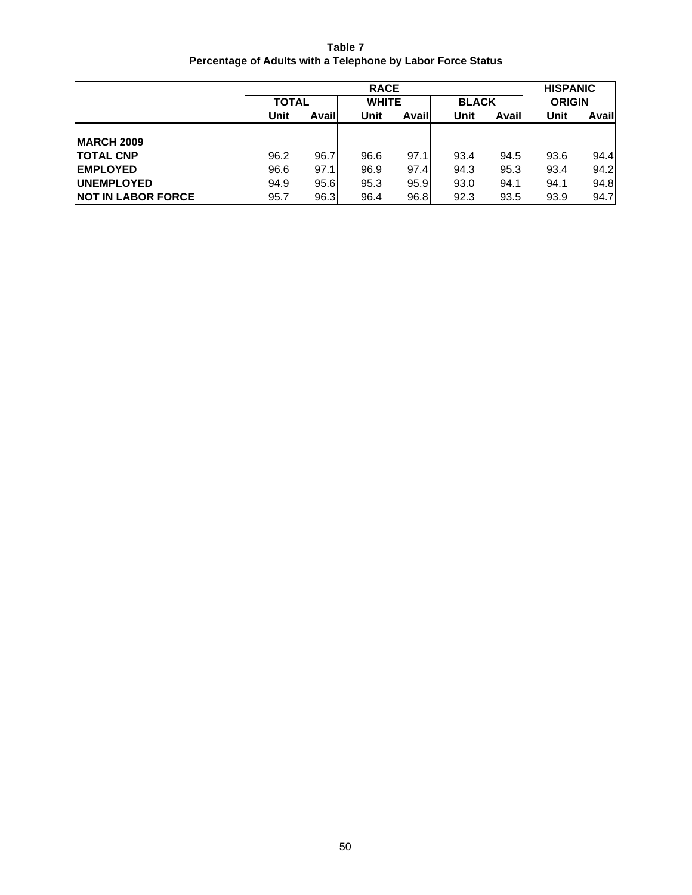**Table 7 Percentage of Adults with a Telephone by Labor Force Status**

|                            |              |       | <b>RACE</b>  |       |              |       | <b>HISPANIC</b> |       |
|----------------------------|--------------|-------|--------------|-------|--------------|-------|-----------------|-------|
|                            | <b>TOTAL</b> |       | <b>WHITE</b> |       | <b>BLACK</b> |       | <b>ORIGIN</b>   |       |
|                            | <b>Unit</b>  | Avail | Unit         | Avail |              | Avail | Unit            | Avail |
|                            |              |       |              |       |              |       |                 |       |
| <b>IMARCH 2009</b>         |              |       |              |       |              |       |                 |       |
| <b>TOTAL CNP</b>           | 96.2         | 96.7  | 96.6         | 97.1  | 93.4         | 94.5  | 93.6            | 94.4  |
| <b>EMPLOYED</b>            | 96.6         | 97.1  | 96.9         | 97.4  | 94.3         | 95.3  | 93.4            | 94.2  |
| <b>IUNEMPLOYED</b>         | 94.9         | 95.6  | 95.3         | 95.9  | 93.0         | 94.1  | 94.1            | 94.8  |
| <b>INOT IN LABOR FORCE</b> | 95.7         | 96.3  | 96.4         | 96.8  | 92.3         | 93.5  | 93.9            | 94.7  |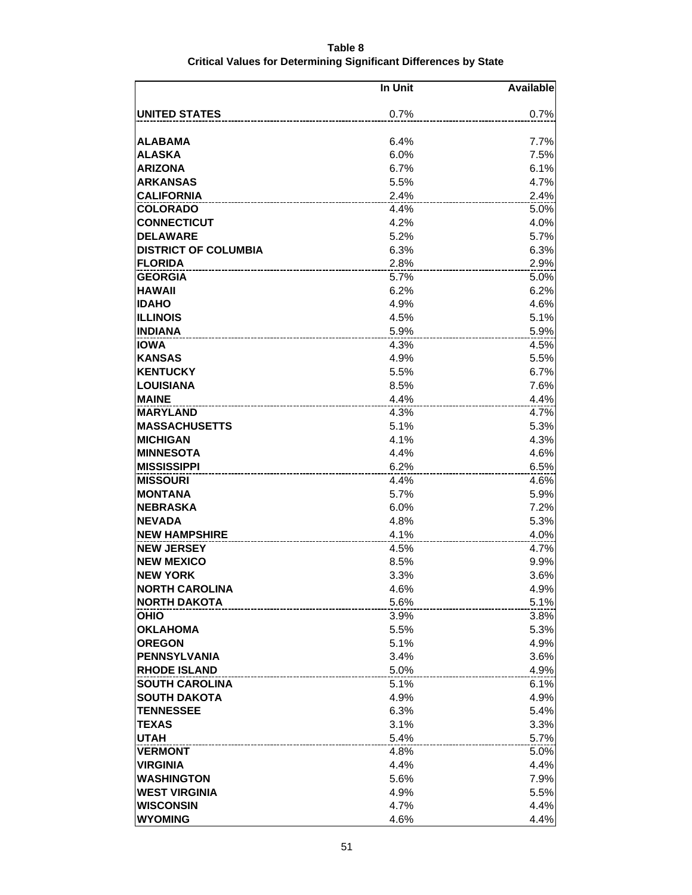| Table 8                                                          |  |
|------------------------------------------------------------------|--|
| Critical Values for Determining Significant Differences by State |  |

|                             | In Unit | <b>Available</b> |
|-----------------------------|---------|------------------|
|                             |         |                  |
| <b>UNITED STATES</b>        | 0.7%    | 0.7%             |
| <b>ALABAMA</b>              | 6.4%    | 7.7%             |
| <b>ALASKA</b>               | 6.0%    | 7.5%             |
| <b>ARIZONA</b>              | 6.7%    | 6.1%             |
| <b>ARKANSAS</b>             | 5.5%    | 4.7%             |
| <b>CALIFORNIA</b>           | 2.4%    | 2.4%             |
| <b>COLORADO</b>             | 4.4%    | 5.0%             |
| <b>CONNECTICUT</b>          | 4.2%    | 4.0%             |
| <b>DELAWARE</b>             | 5.2%    | 5.7%             |
| <b>DISTRICT OF COLUMBIA</b> | 6.3%    | 6.3%             |
| <b>FLORIDA</b>              | 2.8%    | 2.9%             |
| <b>GEORGIA</b>              | 5.7%    | 5.0%             |
| <b>HAWAII</b>               | 6.2%    | 6.2%             |
| <b>IIDAHO</b>               | 4.9%    | 4.6%             |
| IILLINOIS                   | 4.5%    | 5.1%             |
| <b>INDIANA</b>              | 5.9%    | 5.9%             |
| <b>IOWA</b>                 | 4.3%    | 4.5%             |
| <b>KANSAS</b>               | 4.9%    | 5.5%             |
| <b>KENTUCKY</b>             | 5.5%    | 6.7%             |
| <b>LOUISIANA</b>            | 8.5%    | 7.6%             |
| <b>MAINE</b>                | 4.4%    | 4.4%             |
| <b>MARYLAND</b>             | 4.3%    | 4.7%             |
| <b>IMASSACHUSETTS</b>       | 5.1%    | 5.3%             |
| <b>IMICHIGAN</b>            | 4.1%    | 4.3%             |
| <b>MINNESOTA</b>            | 4.4%    | 4.6%             |
| <b>MISSISSIPPI</b>          | 6.2%    | 6.5%             |
| <b>MISSOURI</b>             | 4.4%    | 4.6%             |
| <b>IMONTANA</b>             | 5.7%    | 5.9%             |
| <b>NEBRASKA</b>             | 6.0%    | 7.2%             |
| <b>NEVADA</b>               | 4.8%    | 5.3%             |
| <b>NEW HAMPSHIRE</b>        | 4.1%    | 4.0%             |
| <b>NEW JERSEY</b>           | 4.5%    | 4.7%             |
| <b>NEW MEXICO</b>           | 8.5%    | 9.9%             |
| <b>NEW YORK</b>             | 3.3%    | 3.6%             |
| <b>NORTH CAROLINA</b>       | 4.6%    | 4.9%             |
| <b>NORTH DAKOTA</b>         | 5.6%    | 5.1%             |
| <b>OHIO</b>                 | 3.9%    | 3.8%             |
| <b>OKLAHOMA</b>             | 5.5%    | 5.3%             |
| <b>OREGON</b>               | 5.1%    | 4.9%             |
| <b>PENNSYLVANIA</b>         | 3.4%    | 3.6%             |
| <b>RHODE ISLAND</b>         | 5.0%    | 4.9%             |
| <b>SOUTH CAROLINA</b>       | 5.1%    | 6.1%             |
| <b>SOUTH DAKOTA</b>         | 4.9%    | 4.9%             |
| <b>TENNESSEE</b>            | 6.3%    | 5.4%             |
| <b>TEXAS</b>                | 3.1%    | 3.3%             |
| <b>UTAH</b>                 | 5.4%    | 5.7%             |
| <b>VERMONT</b>              | 4.8%    | 5.0%             |
| <b>VIRGINIA</b>             | 4.4%    | 4.4%             |
| <b>WASHINGTON</b>           | 5.6%    | 7.9%             |
| <b>WEST VIRGINIA</b>        | 4.9%    | 5.5%             |
| <b>WISCONSIN</b>            | 4.7%    | 4.4%             |
| <b>WYOMING</b>              | 4.6%    | 4.4%             |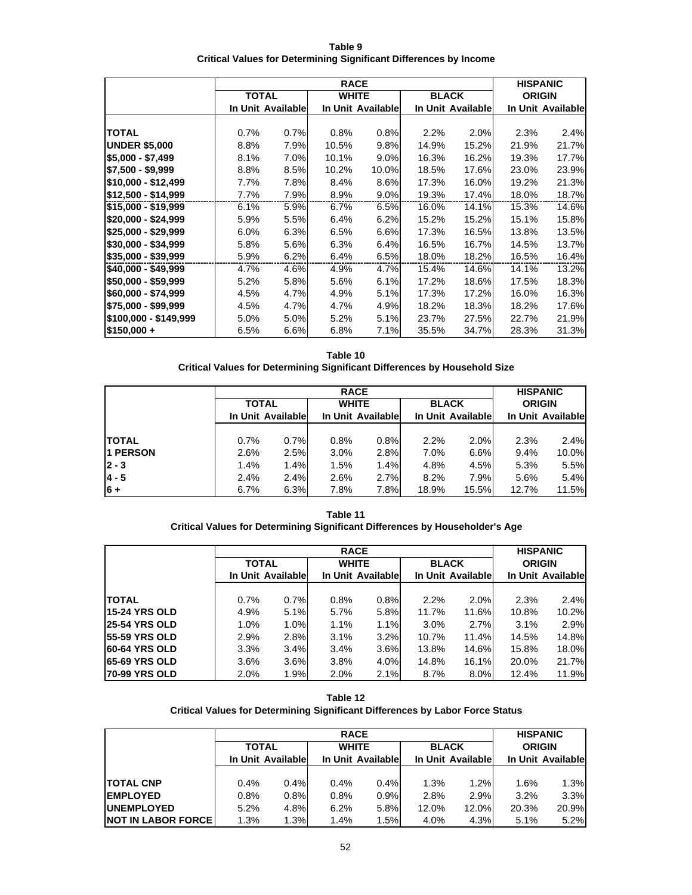| Table 9                                                           |  |
|-------------------------------------------------------------------|--|
| Critical Values for Determining Significant Differences by Income |  |

|                       | <b>RACE</b>       |      |              |                   |              |                   |               | <b>HISPANIC</b>   |
|-----------------------|-------------------|------|--------------|-------------------|--------------|-------------------|---------------|-------------------|
|                       | <b>TOTAL</b>      |      | <b>WHITE</b> |                   | <b>BLACK</b> |                   | <b>ORIGIN</b> |                   |
|                       | In Unit Available |      |              | In Unit Available |              | In Unit Available |               | In Unit Available |
|                       |                   |      |              |                   |              |                   |               |                   |
| <b>TOTAL</b>          | 0.7%              | 0.7% | 0.8%         | 0.8%              | 2.2%         | 2.0%              | 2.3%          | 2.4%              |
| <b>UNDER \$5,000</b>  | 8.8%              | 7.9% | 10.5%        | 9.8%              | 14.9%        | 15.2%             | 21.9%         | 21.7%             |
| \$5,000 - \$7,499     | 8.1%              | 7.0% | 10.1%        | 9.0%              | 16.3%        | 16.2%             | 19.3%         | 17.7%             |
| \$7,500 - \$9,999     | 8.8%              | 8.5% | 10.2%        | 10.0%             | 18.5%        | 17.6%             | 23.0%         | 23.9%             |
| \$10,000 - \$12,499   | 7.7%              | 7.8% | 8.4%         | 8.6%              | 17.3%        | 16.0%             | 19.2%         | 21.3%             |
| \$12,500 - \$14,999   | 7.7%              | 7.9% | 8.9%         | 9.0%              | 19.3%        | 17.4%             | 18.0%         | 18.7%             |
| \$15,000 - \$19,999   | 6.1%              | 5.9% | 6.7%         | 6.5%              | 16.0%        | 14.1%             | 15.3%         | 14.6%             |
| \$20,000 - \$24,999   | 5.9%              | 5.5% | 6.4%         | 6.2%              | 15.2%        | 15.2%             | 15.1%         | 15.8%             |
| \$25,000 - \$29,999   | 6.0%              | 6.3% | 6.5%         | 6.6%              | 17.3%        | 16.5%             | 13.8%         | 13.5%             |
| \$30,000 - \$34,999   | 5.8%              | 5.6% | 6.3%         | 6.4%              | 16.5%        | 16.7%             | 14.5%         | 13.7%             |
| \$35,000 - \$39,999   | 5.9%              | 6.2% | 6.4%         | 6.5%              | 18.0%        | 18.2%             | 16.5%         | 16.4%             |
| \$40,000 - \$49,999   | 4.7%              | 4.6% | 4.9%         | 4.7%              | 15.4%        | 14.6%             | 14.1%         | 13.2%             |
| \$50,000 - \$59,999   | 5.2%              | 5.8% | 5.6%         | 6.1%              | 17.2%        | 18.6%             | 17.5%         | 18.3%             |
| \$60,000 - \$74,999   | 4.5%              | 4.7% | 4.9%         | 5.1%              | 17.3%        | 17.2%             | 16.0%         | 16.3%             |
| \$75,000 - \$99,999   | 4.5%              | 4.7% | 4.7%         | 4.9%              | 18.2%        | 18.3%             | 18.2%         | 17.6%             |
| \$100,000 - \$149,999 | 5.0%              | 5.0% | 5.2%         | 5.1%              | 23.7%        | 27.5%             | 22.7%         | 21.9%             |
| $$150,000 +$          | 6.5%              | 6.6% | 6.8%         | 7.1%              | 35.5%        | 34.7%             | 28.3%         | 31.3%             |

**Table 10 Critical Values for Determining Significant Differences by Household Size**

|               |                   | <b>RACE</b> |                   |      |              |                   |               | <b>HISPANIC</b>   |  |
|---------------|-------------------|-------------|-------------------|------|--------------|-------------------|---------------|-------------------|--|
|               | <b>TOTAL</b>      |             | <b>WHITE</b>      |      | <b>BLACK</b> |                   | <b>ORIGIN</b> |                   |  |
|               | In Unit Available |             | In Unit Available |      |              | In Unit Available |               | In Unit Available |  |
|               |                   |             |                   |      |              |                   |               |                   |  |
| <b>ITOTAL</b> | 0.7%              | 0.7%        | 0.8%              | 0.8% | 2.2%         | 2.0%              | 2.3%          | 2.4%              |  |
| 1 PERSON      | 2.6%              | 2.5%        | 3.0%              | 2.8% | 7.0%         | 6.6%              | 9.4%          | 10.0%             |  |
| $ 2 - 3 $     | 1.4%              | 1.4%        | 1.5%              | 1.4% | 4.8%         | 4.5%              | 5.3%          | 5.5%              |  |
| $4 - 5$       | 2.4%              | 2.4%        | 2.6%              | 2.7% | 8.2%         | 7.9%              | 5.6%          | 5.4%              |  |
| $6 +$         | 6.7%              | 6.3%        | 7.8%              | 7.8% | 18.9%        | 15.5%             | 12.7%         | 11.5%             |  |

**Table 11 Critical Values for Determining Significant Differences by Householder's Age**

|                       | <b>RACE</b>       |      |                   |      |              |                   |               | <b>HISPANIC</b>   |
|-----------------------|-------------------|------|-------------------|------|--------------|-------------------|---------------|-------------------|
|                       | <b>TOTAL</b>      |      | <b>WHITE</b>      |      | <b>BLACK</b> |                   | <b>ORIGIN</b> |                   |
|                       | In Unit Available |      | In Unit Available |      |              | In Unit Available |               | In Unit Available |
|                       |                   |      |                   |      |              |                   |               |                   |
| <b>TOTAL</b>          | 0.7%              | 0.7% | 0.8%              | 0.8% | 2.2%         | 2.0%              | 2.3%          | 2.4%              |
| 15-24 YRS OLD         | 4.9%              | 5.1% | 5.7%              | 5.8% | 11.7%        | 11.6%             | 10.8%         | 10.2%             |
| <b>25-54 YRS OLD</b>  | 1.0%              | 1.0% | 1.1%              | 1.1% | $3.0\%$      | 2.7%              | 3.1%          | 2.9%              |
| <b>155-59 YRS OLD</b> | 2.9%              | 2.8% | 3.1%              | 3.2% | 10.7%        | 11.4%             | 14.5%         | 14.8%             |
| <b>60-64 YRS OLD</b>  | 3.3%              | 3.4% | 3.4%              | 3.6% | 13.8%        | 14.6%             | 15.8%         | 18.0%             |
| <b>65-69 YRS OLD</b>  | $3.6\%$           | 3.6% | 3.8%              | 4.0% | 14.8%        | 16.1%             | 20.0%         | 21.7%             |
| <b>70-99 YRS OLD</b>  | 2.0%              | 1.9% | 2.0%              | 2.1% | 8.7%         | $8.0\%$           | 12.4%         | 11.9%             |

| Table 12                                                                      |
|-------------------------------------------------------------------------------|
| Critical Values for Determining Significant Differences by Labor Force Status |

|                            | <b>RACE</b>       |      |                   |      |                   |       | <b>HISPANIC</b>   |       |
|----------------------------|-------------------|------|-------------------|------|-------------------|-------|-------------------|-------|
|                            | <b>TOTAL</b>      |      | <b>WHITE</b>      |      | <b>BLACK</b>      |       | <b>ORIGIN</b>     |       |
|                            | In Unit Available |      | In Unit Available |      | In Unit Available |       | In Unit Available |       |
|                            |                   |      |                   |      |                   |       |                   |       |
| <b>TOTAL CNP</b>           | 0.4%              | 0.4% | 0.4%              | 0.4% | 1.3%              | 1.2%  | 1.6%              | 1.3%  |
| <b>IEMPLOYED</b>           | 0.8%              | 0.8% | 0.8%              | 0.9% | 2.8%              | 2.9%  | 3.2%              | 3.3%  |
| <b>UNEMPLOYED</b>          | 5.2%              | 4.8% | 6.2%              | 5.8% | 12.0%             | 12.0% | 20.3%             | 20.9% |
| <b>NOT IN LABOR FORCE!</b> | 1.3%              | 1.3% | 1.4%              | 1.5% | 4.0%              | 4.3%  | 5.1%              | 5.2%  |